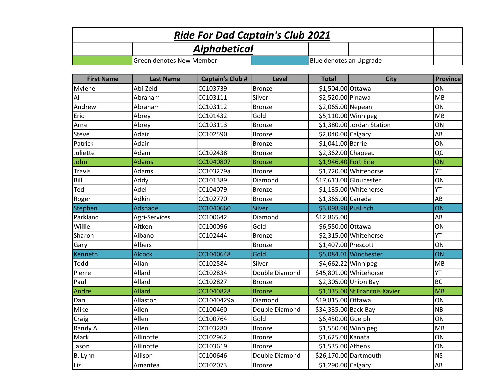| <b>Ride For Dad Captain's Club 2021</b> |                                 |                         |                |                         |                               |                        |  |  |
|-----------------------------------------|---------------------------------|-------------------------|----------------|-------------------------|-------------------------------|------------------------|--|--|
|                                         |                                 | <b>Alphabetical</b>     |                |                         |                               |                        |  |  |
|                                         | <b>Green denotes New Member</b> |                         |                | Blue denotes an Upgrade |                               |                        |  |  |
|                                         |                                 |                         |                |                         |                               |                        |  |  |
| <b>First Name</b>                       | <b>Last Name</b>                | <b>Captain's Club #</b> | Level          | <b>Total</b>            | <b>City</b>                   | <b>Province</b>        |  |  |
| Mylene                                  | Abi-Zeid                        | CC103739                | <b>Bronze</b>  | \$1,504.00 Ottawa       |                               | ON                     |  |  |
| Al                                      | Abraham                         | CC103111                | Silver         | \$2,520.00 Pinawa       |                               | MB                     |  |  |
| Andrew                                  | Abraham                         | CC103112                | <b>Bronze</b>  | \$2,065.00 Nepean       |                               | ON                     |  |  |
| Eric                                    | Abrey                           | CC101432                | Gold           | $$5,110.00$ Winnipeg    |                               | MB                     |  |  |
| Arne                                    | Abrey                           | CC103113                | <b>Bronze</b>  |                         | \$1,380.00 Jordan Station     | ON                     |  |  |
| <b>Steve</b>                            | Adair                           | CC102590                | <b>Bronze</b>  | \$2,040.00 Calgary      |                               | AB                     |  |  |
| Patrick                                 | Adair                           |                         | <b>Bronze</b>  | \$1,041.00 Barrie       |                               | ON                     |  |  |
| Juliette                                | Adam                            | CC102438                | <b>Bronze</b>  | \$2,362.00 Chapeau      |                               | QC                     |  |  |
| John                                    | <b>Adams</b>                    | CC1040807               | <b>Bronze</b>  | \$1,946.40 Fort Erie    |                               | ON                     |  |  |
| <b>Travis</b>                           | Adams                           | CC103279a               | <b>Bronze</b>  |                         | \$1,720.00 Whitehorse         | YT                     |  |  |
| Bill                                    | Addy                            | CC101389                | Diamond        | \$17,613.00 Gloucester  |                               | ON                     |  |  |
| Ted                                     | Adel                            | CC104079                | <b>Bronze</b>  |                         | $$1,135.00$ Whitehorse        | YT                     |  |  |
| Roger                                   | Adkin                           | CC102770                | <b>Bronze</b>  | \$1,365.00 Canada       |                               | AB                     |  |  |
| <b>Stephen</b>                          | Adshade                         | CC1040660               | <b>Silver</b>  | \$3,098.90 Puslinch     |                               | ON                     |  |  |
| Parkland                                | Agri-Services                   | CC100642                | Diamond        | \$12,865.00             |                               | AB                     |  |  |
| Willie                                  | Aitken                          | CC100096                | Gold           | \$6,550.00 Ottawa       |                               | ON                     |  |  |
| Sharon                                  | Albano                          | CC102444                | <b>Bronze</b>  |                         | \$2,315.00 Whitehorse         | YT                     |  |  |
| Gary                                    | <b>Albers</b>                   |                         | <b>Bronze</b>  | \$1,407.00 Prescott     |                               | ON                     |  |  |
| Kenneth                                 | <b>Alcock</b>                   | CC1040648               | Gold           |                         | \$5,084.01 Winchester         | ON                     |  |  |
| Todd                                    | Allan                           | CC102584                | Silver         | $$4,662.22$ Winnipeg    |                               | <b>MB</b>              |  |  |
| Pierre                                  | Allard                          | CC102834                | Double Diamond |                         | \$45,801.00 Whitehorse        | YT                     |  |  |
| Paul                                    | Allard                          | CC102827                | <b>Bronze</b>  |                         | \$2,305.00 Union Bay          | <b>BC</b>              |  |  |
| Andre                                   | <b>Allard</b>                   | CC1040828               | <b>Bronze</b>  |                         | \$1,335.00 St Francois Xavier | MB                     |  |  |
| Dan                                     | Allaston                        | CC1040429a              | Diamond        | \$19,815.00 Ottawa      |                               | ON                     |  |  |
| Mike                                    | Allen                           | CC100460                | Double Diamond | \$34,335.00 Back Bay    |                               | <b>NB</b>              |  |  |
| Craig                                   | Allen                           | CC100764                | Gold           | \$6,450.00 Guelph       |                               | ON                     |  |  |
| Randy A                                 | Allen                           | CC103280                | <b>Bronze</b>  |                         | \$1,550.00 Winnipeg           | MB                     |  |  |
| Mark                                    | Allinotte                       | CC102962                | <b>Bronze</b>  | \$1,625.00 Kanata       |                               | ON                     |  |  |
| Jason                                   | Allinotte                       | CC103619                | <b>Bronze</b>  | \$1,535.00 Athens       |                               | ON                     |  |  |
| B. Lynn                                 | Allison                         | CC100646                | Double Diamond |                         | \$26,170.00 Dartmouth         | <b>NS</b>              |  |  |
| Liz                                     | Amantea                         | CC102073                | <b>Bronze</b>  | \$1,290.00 Calgary      |                               | $\mathsf{A}\mathsf{B}$ |  |  |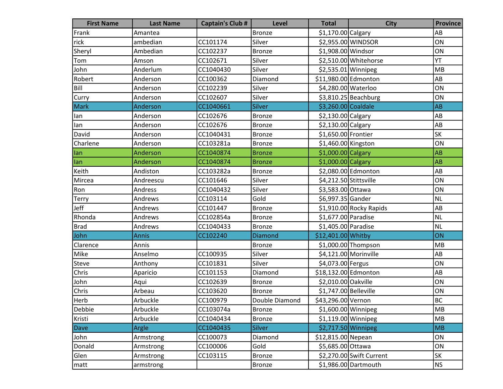| <b>First Name</b> | <b>Last Name</b> | <b>Captain's Club #</b> | <b>Level</b>   | <b>Total</b>           | <b>City</b>              | <b>Province</b> |
|-------------------|------------------|-------------------------|----------------|------------------------|--------------------------|-----------------|
| Frank             | Amantea          |                         | Bronze         | \$1,170.00 Calgary     |                          | AB              |
| rick              | ambedian         | CC101174                | Silver         |                        | \$2,955.00 WINDSOR       | ON              |
| Sheryl            | Ambedian         | CC102237                | <b>Bronze</b>  | \$1,908.00 Windsor     |                          | ON              |
| Tom               | Amson            | CC102671                | Silver         |                        | \$2,510.00 Whitehorse    | $\overline{Y}$  |
| John              | Anderlum         | CC1040430               | Silver         | \$2,535.01 Winnipeg    |                          | MB              |
| Robert            | Anderson         | CC100362                | Diamond        | \$11,980.00 Edmonton   |                          | AB              |
| Bill              | Anderson         | CC102239                | Silver         | \$4,280.00 Waterloo    |                          | ON              |
| Curry             | Anderson         | CC102607                | Silver         |                        | $$3,810.25$ Beachburg    | ON              |
| <b>Mark</b>       | Anderson         | CC1040661               | <b>Silver</b>  | \$3,260.00 Coaldale    |                          | AB              |
| lan               | Anderson         | CC102676                | <b>Bronze</b>  | \$2,130.00 Calgary     |                          | AB              |
| lan               | Anderson         | CC102676                | <b>Bronze</b>  | \$2,130.00 Calgary     |                          | AB              |
| David             | Anderson         | CC1040431               | Bronze         | \$1,650.00 Frontier    |                          | <b>SK</b>       |
| Charlene          | Anderson         | CC103281a               | <b>Bronze</b>  | \$1,460.00 Kingston    |                          | ON              |
| lan               | Anderson         | CC1040874               | <b>Bronze</b>  | $$1,000.00$ Calgary    |                          | AB              |
| lan               | Anderson         | CC1040874               | <b>Bronze</b>  | $$1,000.00$ Calgary    |                          | AB              |
| Keith             | Andiston         | CC103282a               | <b>Bronze</b>  |                        | \$2,080.00 Edmonton      | AB              |
| Mircea            | Andreescu        | CC101646                | Silver         | \$4,212.50 Stittsville |                          | ON              |
| Ron               | Andress          | CC1040432               | Silver         | \$3,583.00 Ottawa      |                          | ON              |
| <b>Terry</b>      | Andrews          | CC103114                | Gold           | \$6,997.35 Gander      |                          | <b>NL</b>       |
| Jeff              | Andrews          | CC101447                | <b>Bronze</b>  |                        | $$1,910.00$ Rocky Rapids | AB              |
| Rhonda            | Andrews          | CC102854a               | <b>Bronze</b>  | \$1,677.00 Paradise    |                          | <b>NL</b>       |
| Brad              | Andrews          | CC1040433               | Bronze         | \$1,405.00 Paradise    |                          | <b>NL</b>       |
| John              | <b>Annis</b>     | CC102240                | <b>Diamond</b> | \$12,401.00 Whitby     |                          | ON              |
| Clarence          | Annis            |                         | <b>Bronze</b>  |                        | $$1,000.00$ Thompson     | MB              |
| Mike              | Anselmo          | CC100935                | Silver         |                        | $$4,121.00$ Morinville   | AB              |
| Steve             | Anthony          | CC101831                | Silver         | \$4,073.00 Fergus      |                          | ON              |
| <b>Chris</b>      | Aparicio         | CC101153                | Diamond        | \$18,132.00 Edmonton   |                          | AB              |
| John              | Aqui             | CC102639                | <b>Bronze</b>  | \$2,010.00 Oakville    |                          | ON              |
| Chris             | Arbeau           | CC103620                | <b>Bronze</b>  | \$1,747.00 Belleville  |                          | ON              |
| Herb              | Arbuckle         | CC100979                | Double Diamond | \$43,296.00 Vernon     |                          | <b>BC</b>       |
| Debbie            | Arbuckle         | CC103074a               | Bronze         | \$1,600.00 Winnipeg    |                          | MB              |
| Kristi            | Arbuckle         | CC1040434               | <b>Bronze</b>  | $$1,119.00$ Winnipeg   |                          | MB              |
| Dave              | Argle            | CC1040435               | <b>Silver</b>  |                        | $$2,717.50$ Winnipeg     | <b>MB</b>       |
| John              | Armstrong        | CC100073                | Diamond        | \$12,815.00 Nepean     |                          | ON              |
| Donald            | Armstrong        | CC100006                | Gold           | \$5,685.00 Ottawa      |                          | ON              |
| Glen              | Armstrong        | CC103115                | <b>Bronze</b>  |                        | \$2,270.00 Swift Current | SK              |
| matt              | armstrong        |                         | Bronze         |                        | \$1,986.00 Dartmouth     | <b>NS</b>       |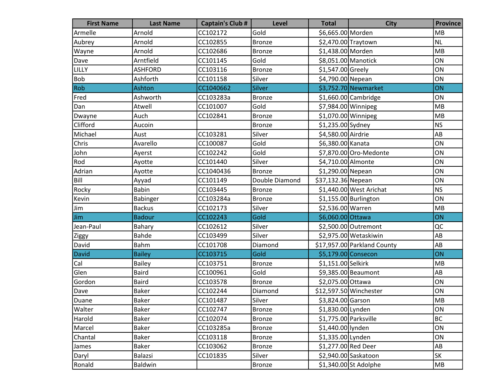| <b>First Name</b> | <b>Last Name</b> | <b>Captain's Club #</b> | <b>Level</b>   | <b>Total</b>          | <b>City</b>                 | <b>Province</b>        |
|-------------------|------------------|-------------------------|----------------|-----------------------|-----------------------------|------------------------|
| Armelle           | Arnold           | CC102172                | Gold           | \$6,665.00 Morden     |                             | <b>MB</b>              |
| Aubrey            | Arnold           | CC102855                | <b>Bronze</b>  | \$2,470.00 Traytown   |                             | <b>NL</b>              |
| Wayne             | Arnold           | CC102686                | Bronze         | \$1,438.00 Morden     |                             | MB                     |
| Dave              | Arntfield        | CC101145                | Gold           | \$8,051.00 Manotick   |                             | ON                     |
| <b>LILLY</b>      | <b>ASHFORD</b>   | CC103116                | <b>Bronze</b>  | \$1,547.00 Greely     |                             | ON                     |
| <b>Bob</b>        | Ashforth         | CC101158                | Silver         | \$4,790.00 Nepean     |                             | ON                     |
| Rob               | Ashton           | CC1040662               | <b>Silver</b>  |                       | \$3,752.70 Newmarket        | ON                     |
| Fred              | Ashworth         | CC103283a               | Bronze         |                       | $$1,660.00$ Cambridge       | ON                     |
| Dan               | Atwell           | CC101007                | Gold           | $$7,984.00$ Winnipeg  |                             | MB                     |
| Dwayne            | Auch             | CC102841                | <b>Bronze</b>  | \$1,070.00 Winnipeg   |                             | MB                     |
| Clifford          | Aucoin           |                         | <b>Bronze</b>  | \$1,235.00 Sydney     |                             | <b>NS</b>              |
| Michael           | Aust             | CC103281                | Silver         | \$4,580.00 Airdrie    |                             | AB                     |
| Chris             | Avarello         | CC100087                | Gold           | \$6,380.00 Kanata     |                             | ON                     |
| John              | Ayerst           | CC102242                | Gold           |                       | \$7,870.00 Oro-Medonte      | ON                     |
| Rod               | Ayotte           | CC101440                | Silver         | \$4,710.00 Almonte    |                             | ON                     |
| Adrian            | Ayotte           | CC1040436               | <b>Bronze</b>  | \$1,290.00 Nepean     |                             | ON                     |
| Bill              | Ayyad            | CC101149                | Double Diamond | \$37,132.36 Nepean    |                             | ON                     |
| Rocky             | Babin            | CC103445                | <b>Bronze</b>  |                       | \$1,440.00 West Arichat     | <b>NS</b>              |
| Kevin             | Babinger         | CC103284a               | <b>Bronze</b>  |                       | $$1,155.00$ Burlington      | ON                     |
| Jim               | <b>Backus</b>    | CC102173                | Silver         | \$2,536.00 Warren     |                             | MB                     |
| Jim               | <b>Badour</b>    | CC102243                | <b>Gold</b>    | \$6,060.00 Ottawa     |                             | ON                     |
| Jean-Paul         | Bahary           | CC102612                | Silver         |                       | \$2,500.00 Outremont        | QC                     |
| Ziggy             | <b>Bahde</b>     | CC103499                | Silver         |                       | \$2,975.00 Wetaskiwin       | AB                     |
| David             | Bahm             | CC101708                | Diamond        |                       | \$17,957.00 Parkland County | AB                     |
| <b>David</b>      | <b>Bailey</b>    | CC103715                | <b>Gold</b>    | \$5,179.00 Consecon   |                             | ON                     |
| Cal               | Bailey           | CC103751                | <b>Bronze</b>  | \$1,151.00 Selkirk    |                             | MB                     |
| Glen              | <b>Baird</b>     | CC100961                | Gold           |                       | \$9,385.00 Beaumont         | AB                     |
| Gordon            | <b>Baird</b>     | CC103578                | <b>Bronze</b>  | \$2,075.00 Ottawa     |                             | ON                     |
| Dave              | <b>Baker</b>     | CC102244                | Diamond        |                       | \$12,597.50 Winchester      | ON                     |
| Duane             | <b>Baker</b>     | CC101487                | Silver         | \$3,824.00 Garson     |                             | MB                     |
| Walter            | <b>Baker</b>     | CC102747                | Bronze         | \$1,830.00 Lynden     |                             | ON                     |
| Harold            | <b>Baker</b>     | CC102074                | <b>Bronze</b>  | \$1,775.00 Parksville |                             | <b>BC</b>              |
| Marcel            | <b>Baker</b>     | CC103285a               | <b>Bronze</b>  | \$1,440.00 lynden     |                             | ON                     |
| Chantal           | <b>Baker</b>     | CC103118                | <b>Bronze</b>  | \$1,335.00 Lynden     |                             | ON                     |
| James             | <b>Baker</b>     | CC103062                | <b>Bronze</b>  | \$1,277.00 Red Deer   |                             | $\mathsf{A}\mathsf{B}$ |
| Daryl             | Balazsi          | CC101835                | Silver         |                       | \$2,940.00 Saskatoon        | SK                     |
| Ronald            | Baldwin          |                         | <b>Bronze</b>  |                       | \$1,340.00 St Adolphe       | ${\sf MB}$             |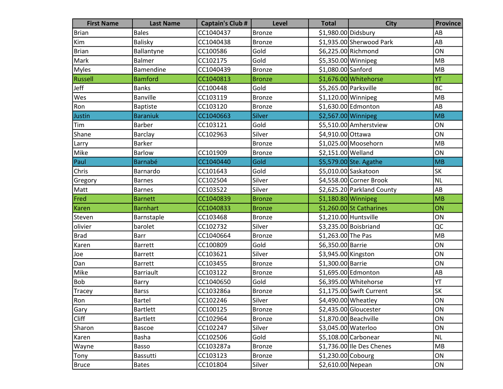| <b>First Name</b> | <b>Last Name</b> | <b>Captain's Club #</b> | <b>Level</b>  | <b>Total</b>           | <b>City</b>                | <b>Province</b> |
|-------------------|------------------|-------------------------|---------------|------------------------|----------------------------|-----------------|
| <b>Brian</b>      | <b>Bales</b>     | CC1040437               | Bronze        | \$1,980.00 Didsbury    |                            | AB              |
| Kim               | <b>Balisky</b>   | CC1040438               | <b>Bronze</b> |                        | \$1,935.00 Sherwood Park   | AB              |
| <b>Brian</b>      | Ballantyne       | CC100586                | Gold          |                        | \$6,225.00 Richmond        | ON              |
| Mark              | <b>Balmer</b>    | CC102175                | Gold          | \$5,350.00 Winnipeg    |                            | MB              |
| <b>Myles</b>      | Bamendine        | CC1040439               | <b>Bronze</b> | \$1,080.00 Sanford     |                            | MB              |
| Russell           | <b>Bamford</b>   | CC1040813               | <b>Bronze</b> |                        | \$1,676.00 Whitehorse      | YT              |
| Jeff              | <b>Banks</b>     | CC100448                | Gold          | \$5,265.00 Parksville  |                            | <b>BC</b>       |
| Wes               | <b>Banville</b>  | CC103119                | <b>Bronze</b> | $$1,120.00$ Winnipeg   |                            | MB              |
| Ron               | <b>Baptiste</b>  | CC103120                | <b>Bronze</b> |                        | \$1,630.00 Edmonton        | AB              |
| Justin            | <b>Baraniuk</b>  | CC1040663               | <b>Silver</b> | \$2,567.00 Winnipeg    |                            | MB              |
| Tim               | <b>Barber</b>    | CC103121                | Gold          |                        | \$5,510.00 Amherstview     | ON              |
| Shane             | <b>Barclay</b>   | CC102963                | Silver        | \$4,910.00 Ottawa      |                            | ON              |
| Larry             | <b>Barker</b>    |                         | <b>Bronze</b> |                        | $$1,025.00$ Moosehorn      | MB              |
| Mike              | Barlow           | CC101909                | <b>Bronze</b> | \$2,151.00 Welland     |                            | ON              |
| Paul              | <b>Barnabé</b>   | CC1040440               | Gold          |                        | \$5,579.00 Ste. Agathe     | MB              |
| Chris             | Barnardo         | CC101643                | Gold          |                        | \$5,010.00 Saskatoon       | SK              |
| Gregory           | <b>Barnes</b>    | CC102504                | Silver        |                        | \$4,558.00 Corner Brook    | <b>NL</b>       |
| Matt              | <b>Barnes</b>    | CC103522                | Silver        |                        | \$2,625.20 Parkland County | AB              |
| Fred              | <b>Barnett</b>   | CC1040839               | <b>Bronze</b> | \$1,180.80 Winnipeg    |                            | <b>MB</b>       |
| Karen             | <b>Barnhart</b>  | CC1040833               | <b>Bronze</b> |                        | $$1,260.00$ St Catharines  | ON              |
| Steven            | Barnstaple       | CC103468                | <b>Bronze</b> | $$1,210.00$ Huntsville |                            | ON              |
| olivier           | barolet          | CC102732                | Silver        |                        | \$3,235.00 Boisbriand      | QC              |
| <b>Brad</b>       | <b>Barr</b>      | CC1040664               | <b>Bronze</b> | \$1,263.00 The Pas     |                            | MB              |
| Karen             | <b>Barrett</b>   | CC100809                | Gold          | \$6,350.00 Barrie      |                            | ON              |
| Joe               | Barrett          | CC103621                | Silver        | \$3,945.00 Kingston    |                            | ON              |
| Dan               | <b>Barrett</b>   | CC103455                | Bronze        | \$1,300.00 Barrie      |                            | ON              |
| Mike              | <b>Barriault</b> | CC103122                | <b>Bronze</b> |                        | \$1,695.00 Edmonton        | AB              |
| Bob               | Barry            | CC1040650               | Gold          |                        | \$6,395.00 Whitehorse      | YT              |
| Tracey            | <b>Barss</b>     | CC103286a               | <b>Bronze</b> |                        | \$1,175.00 Swift Current   | <b>SK</b>       |
| Ron               | Bartel           | CC102246                | Silver        | \$4,490.00 Wheatley    |                            | ON              |
| Gary              | <b>Bartlett</b>  | CC100125                | Bronze        |                        | \$2,435.00 Gloucester      | ON              |
| <b>Cliff</b>      | <b>Bartlett</b>  | CC102964                | <b>Bronze</b> |                        | $$1,870.00$ Beachville     | ON              |
| Sharon            | <b>Bascoe</b>    | CC102247                | Silver        | \$3,045.00 Waterloo    |                            | ON              |
| Karen             | Basha            | CC102506                | Gold          |                        | \$5,108.00 Carbonear       | NL              |
| Wayne             | Basso            | CC103287a               | <b>Bronze</b> |                        | \$1,736.00 Ile Des Chenes  | MB              |
| Tony              | Bassutti         | CC103123                | <b>Bronze</b> | \$1,230.00 Cobourg     |                            | ON              |
| <b>Bruce</b>      | <b>Bates</b>     | CC101804                | Silver        | \$2,610.00 Nepean      |                            | ON              |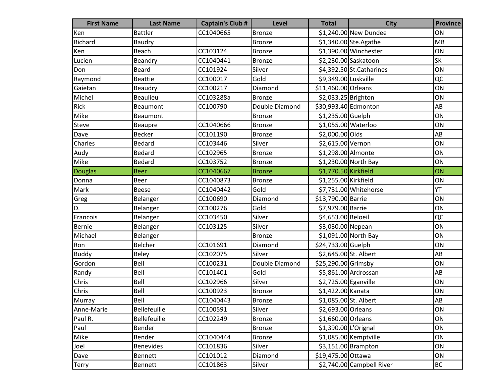| <b>First Name</b> | <b>Last Name</b> | <b>Captain's Club #</b> | <b>Level</b>   | <b>Total</b>          | <b>City</b>               | <b>Province</b>          |
|-------------------|------------------|-------------------------|----------------|-----------------------|---------------------------|--------------------------|
| Ken               | <b>Battler</b>   | CC1040665               | Bronze         |                       | \$1,240.00 New Dundee     | ON                       |
| Richard           | Baudry           |                         | Bronze         |                       | \$1,340.00 Ste. Agathe    | MB                       |
| Ken               | Beach            | CC103124                | Bronze         |                       | \$1,390.00 Winchester     | ON                       |
| Lucien            | Beandry          | CC1040441               | <b>Bronze</b>  |                       | \$2,230.00 Saskatoon      | $\overline{\mathsf{SK}}$ |
| Don               | <b>Beard</b>     | CC101924                | Silver         |                       | $$4,392.50$ St.Catharines | ON                       |
| Raymond           | <b>Beattie</b>   | CC100017                | Gold           | \$9,349.00 Luskville  |                           | QC                       |
| Gaietan           | Beaudry          | CC100217                | Diamond        | \$11,460.00 Orleans   |                           | ON                       |
| Michel            | <b>Beaulieu</b>  | CC103288a               | <b>Bronze</b>  | \$2,033.25 Brighton   |                           | ON                       |
| Rick              | Beaumont         | CC100790                | Double Diamond | \$30,993.40 Edmonton  |                           | AB                       |
| Mike              | Beaumont         |                         | <b>Bronze</b>  | \$1,235.00 Guelph     |                           | ON                       |
| Steve             | <b>Beaupre</b>   | CC1040666               | <b>Bronze</b>  | \$1,055.00 Waterloo   |                           | ON                       |
| Dave              | <b>Becker</b>    | CC101190                | Bronze         | \$2,000.00 Olds       |                           | AB                       |
| Charles           | <b>Bedard</b>    | CC103446                | Silver         | \$2,615.00 Vernon     |                           | ON                       |
| Audy              | Bedard           | CC102965                | <b>Bronze</b>  | \$1,298.00 Almonte    |                           | ON                       |
| Mike              | Bedard           | CC103752                | <b>Bronze</b>  |                       | \$1,230.00 North Bay      | ON                       |
| Douglas           | <b>Beer</b>      | CC1040667               | <b>Bronze</b>  | \$1,770.50 Kirkfield  |                           | ON                       |
| Donna             | Beer             | CC1040873               | <b>Bronze</b>  | \$1,255.00 Kirkfield  |                           | ON                       |
| Mark              | <b>Beese</b>     | CC1040442               | Gold           |                       | \$7,731.00 Whitehorse     | YT                       |
| Greg              | Belanger         | CC100690                | Diamond        | \$13,790.00 Barrie    |                           | ON                       |
| D.                | Belanger         | CC100276                | Gold           | \$7,979.00 Barrie     |                           | ON                       |
| Francois          | Belanger         | CC103450                | Silver         | \$4,653.00 Beloeil    |                           | QC                       |
| Bernie            | Belanger         | CC103125                | Silver         | \$3,030.00 Nepean     |                           | ON                       |
| Michael           | Belanger         |                         | <b>Bronze</b>  |                       | \$1,091.00 North Bay      | ON                       |
| Ron               | Belcher          | CC101691                | Diamond        | \$24,733.00 Guelph    |                           | ON                       |
| <b>Buddy</b>      | <b>Beley</b>     | CC102075                | Silver         | \$2,645.00 St. Albert |                           | AB                       |
| Gordon            | Bell             | CC100231                | Double Diamond | \$25,290.00 Grimsby   |                           | ON                       |
| Randy             | Bell             | CC101401                | Gold           |                       | \$5,861.00 Ardrossan      | AB                       |
| Chris             | Bell             | CC102966                | Silver         | \$2,725.00 Eganville  |                           | ON                       |
| Chris             | Bell             | CC100923                | <b>Bronze</b>  | \$1,422.00 Kanata     |                           | ON                       |
| Murray            | Bell             | CC1040443               | Bronze         | \$1,085.00 St. Albert |                           | AB                       |
| Anne-Marie        | Bellefeuille     | CC100591                | Silver         | \$2,693.00 Orleans    |                           | ON                       |
| Paul R.           | Bellefeuille     | CC102249                | <b>Bronze</b>  | \$1,660.00 Orleans    |                           | ON                       |
| Paul              | Bender           |                         | <b>Bronze</b>  | \$1,390.00 L'Orignal  |                           | ON                       |
| Mike              | Bender           | CC1040444               | <b>Bronze</b>  |                       | \$1,085.00 Kemptville     | ON                       |
| Joel              | <b>Benevides</b> | CC101836                | Silver         |                       | $$3,151.00$ Brampton      | ON                       |
| Dave              | <b>Bennett</b>   | CC101012                | Diamond        | \$19,475.00 Ottawa    |                           | ON                       |
| <b>Terry</b>      | <b>Bennett</b>   | CC101863                | Silver         |                       | \$2,740.00 Campbell River | <b>BC</b>                |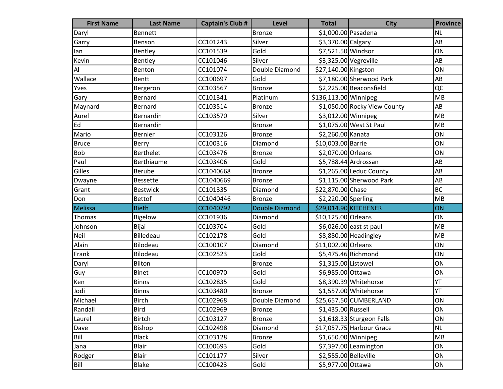| <b>First Name</b> | <b>Last Name</b> | <b>Captain's Club #</b> | <b>Level</b>          | <b>Total</b>          | <b>City</b>                  | <b>Province</b> |
|-------------------|------------------|-------------------------|-----------------------|-----------------------|------------------------------|-----------------|
| Daryl             | <b>Bennett</b>   |                         | Bronze                | \$1,000.00 Pasadena   |                              | <b>NL</b>       |
| Garry             | Benson           | CC101243                | Silver                | \$3,370.00 Calgary    |                              | AB              |
| lan               | Bentley          | CC101539                | Gold                  | \$7,521.50 Windsor    |                              | ON              |
| Kevin             | Bentley          | CC101046                | Silver                |                       | $$3,325.00$ Vegreville       | AB              |
| AI                | Benton           | CC101074                | Double Diamond        | \$27,140.00 Kingston  |                              | ON              |
| Wallace           | Bentt            | CC100697                | Gold                  |                       | \$7,180.00 Sherwood Park     | AB              |
| Yves              | Bergeron         | CC103567                | <b>Bronze</b>         |                       | \$2,225.00 Beaconsfield      | QC              |
| Gary              | Bernard          | CC101341                | Platinum              | \$136,113.00 Winnipeg |                              | <b>MB</b>       |
| Maynard           | <b>Bernard</b>   | CC103514                | <b>Bronze</b>         |                       | \$1,050.00 Rocky View County | AB              |
| Aurel             | Bernardin        | CC103570                | Silver                | \$3,012.00 Winnipeg   |                              | MB              |
| Ed                | Bernardin        |                         | <b>Bronze</b>         |                       | \$1,075.00 West St Paul      | MB              |
| Mario             | <b>Bernier</b>   | CC103126                | <b>Bronze</b>         | \$2,260.00 Kanata     |                              | ON              |
| <b>Bruce</b>      | Berry            | CC100316                | Diamond               | \$10,003.00 Barrie    |                              | ON              |
| Bob               | <b>Berthelet</b> | CC103476                | <b>Bronze</b>         | \$2,070.00 Orleans    |                              | ON              |
| Paul              | Berthiaume       | CC103406                | Gold                  |                       | \$5,788.44 Ardrossan         | AB              |
| Gilles            | Berube           | CC1040668               | <b>Bronze</b>         |                       | $$1,265.00$ Leduc County     | AB              |
| Dwayne            | <b>Bessette</b>  | CC1040669               | <b>Bronze</b>         |                       | \$1,115.00 Sherwood Park     | AB              |
| Grant             | <b>Bestwick</b>  | CC101335                | Diamond               | \$22,870.00 Chase     |                              | <b>BC</b>       |
| Don               | <b>Bettof</b>    | CC1040446               | <b>Bronze</b>         | \$2,220.00 Sperling   |                              | MB              |
| Melissa           | <b>Bieth</b>     | CC1040792               | <b>Double Diamond</b> |                       | \$29,014.90 KITCHENER        | ON              |
| Thomas            | <b>Bigelow</b>   | CC101936                | Diamond               | \$10,125.00 Orleans   |                              | ON              |
| Johnson           | Bijai            | CC103704                | Gold                  |                       | \$6,026.00 east st paul      | MB              |
| Neil              | <b>Billedeau</b> | CC102178                | Gold                  |                       | \$8,880.00 Headingley        | MB              |
| Alain             | Bilodeau         | CC100107                | Diamond               | \$11,002.00 Orleans   |                              | ON              |
| Frank             | Bilodeau         | CC102523                | Gold                  |                       | \$5,475.46 Richmond          | ON              |
| Daryl             | Bilton           |                         | <b>Bronze</b>         | \$1,315.00 Listowel   |                              | ON              |
| Guy               | <b>Binet</b>     | CC100970                | Gold                  | \$6,985.00 Ottawa     |                              | ON              |
| Ken               | <b>Binns</b>     | CC102835                | Gold                  |                       | \$8,390.39 Whitehorse        | YT              |
| Jodi              | <b>Binns</b>     | CC103480                | <b>Bronze</b>         |                       | \$1,557.00 Whitehorse        | YT              |
| Michael           | <b>Birch</b>     | CC102968                | Double Diamond        |                       | \$25,657.50 CUMBERLAND       | ON              |
| Randall           | <b>Bird</b>      | CC102969                | <b>Bronze</b>         | \$1,435.00 Russell    |                              | ON              |
| Laurel            | <b>Birtch</b>    | CC103127                | <b>Bronze</b>         |                       | $$1,618.33$ Sturgeon Falls   | ON              |
| Dave              | Bishop           | CC102498                | Diamond               |                       | \$17,057.75 Harbour Grace    | <b>NL</b>       |
| Bill              | <b>Black</b>     | CC103128                | <b>Bronze</b>         | $$1,650.00$ Winnipeg  |                              | MB              |
| Jana              | <b>Blair</b>     | CC100693                | Gold                  |                       | $$7,397.00$ Leamington       | ON              |
| Rodger            | <b>Blair</b>     | CC101177                | Silver                | \$2,555.00 Belleville |                              | ON              |
| Bill              | Blake            | CC100423                | Gold                  | \$5,977.00 Ottawa     |                              | ON              |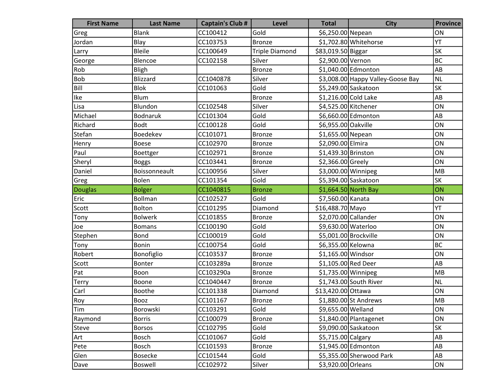| <b>First Name</b>       | <b>Last Name</b> | <b>Captain's Club #</b> | <b>Level</b>          | <b>Total</b>          | <b>City</b>                       | <b>Province</b> |
|-------------------------|------------------|-------------------------|-----------------------|-----------------------|-----------------------------------|-----------------|
| Greg                    | <b>Blank</b>     | CC100412                | Gold                  | \$6,250.00 Nepean     |                                   | ON              |
| Jordan                  | Blay             | CC103753                | <b>Bronze</b>         |                       | \$1,702.80 Whitehorse             | YT              |
| Larry                   | <b>Bleile</b>    | CC100649                | <b>Triple Diamond</b> | \$83,019.50 Biggar    |                                   | <b>SK</b>       |
| George                  | Blencoe          | CC102158                | Silver                | \$2,900.00 Vernon     |                                   | BC              |
| Rob                     | <b>Bligh</b>     |                         | <b>Bronze</b>         |                       | \$1,040.00 Edmonton               | AB              |
| <b>Bob</b>              | Blizzard         | CC1040878               | Silver                |                       | \$3,008.00 Happy Valley-Goose Bay | <b>NL</b>       |
| Bill                    | Blok             | CC101063                | Gold                  |                       | \$5,249.00 Saskatoon              | <b>SK</b>       |
| Ike                     | <b>Blum</b>      |                         | <b>Bronze</b>         | \$1,216.00 Cold Lake  |                                   | AB              |
| Lisa                    | Blundon          | CC102548                | Silver                |                       | \$4,525.00 Kitchener              | ON              |
| Michael                 | <b>Bodnaruk</b>  | CC101304                | Gold                  |                       | \$6,660.00 Edmonton               | AB              |
| Richard                 | <b>Bodt</b>      | CC100128                | Gold                  | \$6,955.00 Oakville   |                                   | ON              |
| Stefan                  | Boedekev         | CC101071                | Bronze                | \$1,655.00 Nepean     |                                   | ON              |
| Henry                   | <b>Boese</b>     | CC102970                | <b>Bronze</b>         | \$2,090.00 Elmira     |                                   | ON              |
| Paul                    | Boettger         | CC102971                | Bronze                | \$1,439.30 Brinston   |                                   | ON              |
| Sheryl                  | <b>Boggs</b>     | CC103441                | Bronze                | \$2,366.00 Greely     |                                   | ON              |
| Daniel                  | Boissonneault    | CC100956                | Silver                | \$3,000.00 Winnipeg   |                                   | MB              |
| Greg                    | Bolen            | CC101354                | Gold                  |                       | \$5,394.00 Saskatoon              | SK              |
| Douglas                 | <b>Bolger</b>    | CC1040815               | <b>Bronze</b>         |                       | \$1,664.50 North Bay              | ON              |
| Eric                    | <b>Bollman</b>   | CC102527                | Gold                  | \$7,560.00 Kanata     |                                   | ON              |
| Scott                   | Bolton           | CC101295                | Diamond               | \$16,488.70 Mayo      |                                   | YT              |
| Tony                    | <b>Bolwerk</b>   | CC101855                | <b>Bronze</b>         | \$2,070.00 Callander  |                                   | ON              |
| Joe                     | <b>Bomans</b>    | CC100190                | Gold                  | \$9,630.00 Waterloo   |                                   | ON              |
| Stephen                 | Bond             | CC100019                | Gold                  | \$5,001.00 Brockville |                                   | ON              |
| Tony                    | Bonin            | CC100754                | Gold                  | \$6,355.00 Kelowna    |                                   | <b>BC</b>       |
| Robert                  | Bonofiglio       | CC103537                | <b>Bronze</b>         | \$1,165.00 Windsor    |                                   | ON              |
| Scott                   | Bonter           | CC103289a               | Bronze                | \$1,105.00 Red Deer   |                                   | AB              |
| Pat                     | Boon             | CC103290a               | <b>Bronze</b>         | \$1,735.00 Winnipeg   |                                   | MB              |
| <b>Terry</b>            | Boone            | CC1040447               | <b>Bronze</b>         |                       | \$1,743.00 South River            | <b>NL</b>       |
| Carl                    | <b>Boothe</b>    | CC101338                | Diamond               | \$13,420.00 Ottawa    |                                   | ON              |
| $\overline{\text{Roy}}$ | Booz             | CC101167                | Bronze                |                       | \$1,880.00 St Andrews             | MB              |
| Tim                     | Borowski         | CC103291                | Gold                  | \$9,655.00 Welland    |                                   | ON              |
| Raymond                 | <b>Borris</b>    | CC100079                | <b>Bronze</b>         |                       | $$1,840.00$ Plantagenet           | ON              |
| Steve                   | <b>Borsos</b>    | CC102795                | Gold                  |                       | \$9,090.00 Saskatoon              | SK              |
| Art                     | Bosch            | CC101067                | Gold                  | \$5,715.00 Calgary    |                                   | AB              |
| Pete                    | <b>Bosch</b>     | CC101593                | <b>Bronze</b>         |                       | \$1,945.00 Edmonton               | AB              |
| Glen                    | <b>Bosecke</b>   | CC101544                | Gold                  |                       | \$5,355.00 Sherwood Park          | AB              |
| Dave                    | Boswell          | CC102972                | Silver                | \$3,920.00 Orleans    |                                   | ON              |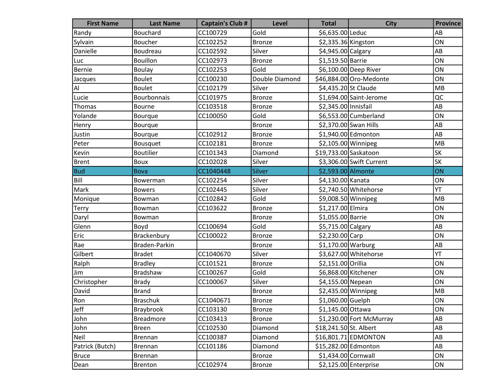| <b>First Name</b> | <b>Last Name</b> | <b>Captain's Club #</b> | <b>Level</b>   | <b>Total</b>           | <b>City</b>              | <b>Province</b> |
|-------------------|------------------|-------------------------|----------------|------------------------|--------------------------|-----------------|
| Randy             | Bouchard         | CC100729                | Gold           | \$6,635.00 Leduc       |                          | AB              |
| Sylvain           | <b>Boucher</b>   | CC102252                | <b>Bronze</b>  | \$2,335.36 Kingston    |                          | ON              |
| Danielle          | Boudreau         | CC102592                | Silver         | \$4,945.00 Calgary     |                          | AB              |
| Luc               | <b>Bouillon</b>  | CC102973                | <b>Bronze</b>  | \$1,519.50 Barrie      |                          | ON              |
| Bernie            | <b>Boulay</b>    | CC102253                | Gold           |                        | \$6,100.00 Deep River    | ON              |
| Jacques           | Boulet           | CC100230                | Double Diamond |                        | \$46,884.00 Oro-Medonte  | ON              |
| AI                | <b>Boulet</b>    | CC102179                | Silver         | \$4,435.20 St Claude   |                          | MB              |
| Lucie             | Bourbonnais      | CC101975                | <b>Bronze</b>  |                        | \$1,694.00 Saint-Jerome  | QC              |
| Thomas            | Bourne           | CC103518                | <b>Bronze</b>  | \$2,345.00 Innisfail   |                          | AB              |
| Yolande           | Bourque          | CC100050                | Gold           |                        | \$6,553.00 Cumberland    | ON              |
| Henry             | Bourque          |                         | <b>Bronze</b>  |                        | \$2,370.00 Swan Hills    | AB              |
| Justin            | Bourque          | CC102912                | <b>Bronze</b>  |                        | \$1,940.00 Edmonton      | AB              |
| Peter             | Bousquet         | CC102181                | <b>Bronze</b>  | $$2,105.00$ Winnipeg   |                          | MB              |
| Kevin             | <b>Boutilier</b> | CC101343                | Diamond        | \$19,733.00 Saskatoon  |                          | <b>SK</b>       |
| <b>Brent</b>      | Boux             | CC102028                | Silver         |                        | \$3,306.00 Swift Current | <b>SK</b>       |
| <b>Bud</b>        | <b>Bova</b>      | CC1040448               | Silver         | \$2,593.00 Almonte     |                          | ON              |
| Bill              | Bowerman         | CC102254                | Silver         | \$4,130.00 Kanata      |                          | ON              |
| Mark              | <b>Bowers</b>    | CC102445                | Silver         |                        | \$2,740.50 Whitehorse    | YT              |
| Monique           | Bowman           | CC102842                | Gold           | \$9,008.50 Winnipeg    |                          | MB              |
| <b>Terry</b>      | Bowman           | CC103622                | <b>Bronze</b>  | \$1,217.00 Elmira      |                          | ON              |
| Daryl             | Bowman           |                         | <b>Bronze</b>  | \$1,055.00 Barrie      |                          | ON              |
| Glenn             | Boyd             | CC100694                | Gold           | \$5,715.00 Calgary     |                          | AB              |
| Eric              | Brackenbury      | CC100022                | <b>Bronze</b>  | \$2,230.00 Carp        |                          | ON              |
| Rae               | Braden-Parkin    |                         | <b>Bronze</b>  | $$1,170.00$ Warburg    |                          | AB              |
| Gilbert           | <b>Bradet</b>    | CC1040670               | Silver         |                        | \$3,627.00 Whitehorse    | YT              |
| Ralph             | <b>Bradley</b>   | CC101521                | <b>Bronze</b>  | \$2,151.00 Orillia     |                          | ON              |
| Jim               | Bradshaw         | CC100267                | Gold           | \$6,868.00 Kitchener   |                          | ON              |
| Christopher       | <b>Brady</b>     | CC100067                | Silver         | \$4,155.00 Nepean      |                          | ON              |
| David             | <b>Brand</b>     |                         | <b>Bronze</b>  | \$2,435.00 Winnipeg    |                          | MB              |
| <b>Ron</b>        | <b>Braschuk</b>  | CC1040671               | Bronze         | \$1,060.00 Guelph      |                          | ON              |
| Jeff              | Braybrook        | CC103130                | Bronze         | \$1,145.00 Ottawa      |                          | ON              |
| John              | <b>Breadmore</b> | CC103413                | <b>Bronze</b>  |                        | \$1,230.00 Fort McMurray | AB              |
| John              | <b>Breen</b>     | CC102530                | Diamond        | \$18,241.50 St. Albert |                          | AB              |
| Neil              | <b>Brennan</b>   | CC100387                | Diamond        |                        | $$16,801.71$ EDMONTON    | AB              |
| Patrick (Butch)   | <b>Brennan</b>   | CC101186                | Diamond        | \$15,282.00 Edmonton   |                          | AB              |
| <b>Bruce</b>      | <b>Brennan</b>   |                         | <b>Bronze</b>  | $$1,434.00$ Cornwall   |                          | ON              |
| Dean              | <b>Brenton</b>   | CC102974                | <b>Bronze</b>  |                        | $$2,125.00$ Enterprise   | ON              |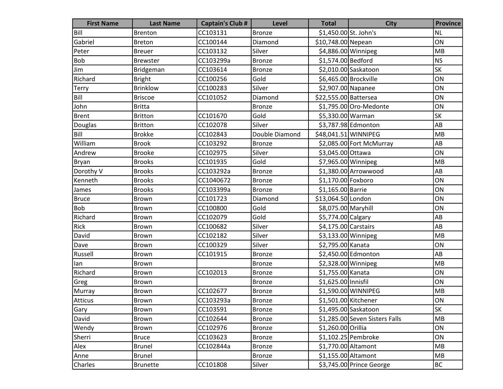| <b>First Name</b> | <b>Last Name</b> | <b>Captain's Club #</b> | Level          | <b>Total</b>          | <b>City</b>                    | <b>Province</b> |
|-------------------|------------------|-------------------------|----------------|-----------------------|--------------------------------|-----------------|
| Bill              | <b>Brenton</b>   | CC103131                | <b>Bronze</b>  | \$1,450.00 St. John's |                                | <b>NL</b>       |
| Gabriel           | <b>Breton</b>    | CC100144                | Diamond        | \$10,748.00 Nepean    |                                | ON              |
| Peter             | <b>Breuer</b>    | CC103132                | Silver         | \$4,886.00 Winnipeg   |                                | <b>MB</b>       |
| Bob               | <b>Brewster</b>  | CC103299a               | <b>Bronze</b>  | \$1,574.00 Bedford    |                                | <b>NS</b>       |
| Jim               | Bridgeman        | CC103614                | <b>Bronze</b>  |                       | \$2,010.00 Saskatoon           | <b>SK</b>       |
| Richard           | <b>Bright</b>    | CC100256                | Gold           |                       | \$6,465.00 Brockville          | ON              |
| Terry             | <b>Brinklow</b>  | CC100283                | Silver         | \$2,907.00 Napanee    |                                | ON              |
| Bill              | <b>Briscoe</b>   | CC101052                | Diamond        | \$22,555.00 Battersea |                                | ON              |
| John              | <b>Britta</b>    |                         | <b>Bronze</b>  |                       | \$1,795.00 Oro-Medonte         | ON              |
| <b>Brent</b>      | <b>Britton</b>   | CC101670                | Gold           | \$5,330.00 Warman     |                                | <b>SK</b>       |
| Douglas           | <b>Britton</b>   | CC102078                | Silver         |                       | \$3,787.98 Edmonton            | AB              |
| Bill              | <b>Brokke</b>    | CC102843                | Double Diamond | \$48,041.51 WINNIPEG  |                                | MB              |
| William           | <b>Brook</b>     | CC103292                | <b>Bronze</b>  |                       | \$2,085.00 Fort McMurray       | AB              |
| Andrew            | <b>Brooke</b>    | CC102975                | Silver         | \$3,045.00 Ottawa     |                                | ON              |
| Bryan             | <b>Brooks</b>    | CC101935                | Gold           | \$7,965.00 Winnipeg   |                                | MB              |
| Dorothy V         | <b>Brooks</b>    | CC103292a               | <b>Bronze</b>  |                       | \$1,380.00 Arrowwood           | AB              |
| Kenneth           | <b>Brooks</b>    | CC1040672               | <b>Bronze</b>  | \$1,170.00 Foxboro    |                                | ON              |
| James             | <b>Brooks</b>    | CC103399a               | <b>Bronze</b>  | \$1,165.00 Barrie     |                                | ON              |
| <b>Bruce</b>      | <b>Brown</b>     | CC101723                | Diamond        | \$13,064.50 London    |                                | ON              |
| <b>Bob</b>        | Brown            | CC100800                | Gold           | \$8,075.00 Maryhill   |                                | ON              |
| Richard           | Brown            | CC102079                | Gold           | \$5,774.00 Calgary    |                                | AB              |
| Rick              | Brown            | CC100682                | Silver         | \$4,175.00 Carstairs  |                                | AB              |
| David             | Brown            | CC102182                | Silver         | $$3,133.00$ Winnipeg  |                                | MB              |
| Dave              | <b>Brown</b>     | CC100329                | Silver         | \$2,795.00 Kanata     |                                | ON              |
| Russell           | Brown            | CC101915                | <b>Bronze</b>  |                       | \$2,450.00 Edmonton            | AB              |
| lan               | Brown            |                         | <b>Bronze</b>  | $$2,328.00$ Winnipeg  |                                | MB              |
| Richard           | Brown            | CC102013                | <b>Bronze</b>  | \$1,755.00 Kanata     |                                | ON              |
| Greg              | Brown            |                         | <b>Bronze</b>  | \$1,625.00 Innisfil   |                                | ON              |
| Murray            | Brown            | CC102677                | <b>Bronze</b>  |                       | \$1,590.00 WINNIPEG            | MB              |
| Atticus           | Brown            | CC103293a               | Bronze         | \$1,501.00 Kitchener  |                                | ON              |
| Gary              | Brown            | CC103591                | Bronze         |                       | \$1,495.00 Saskatoon           | <b>SK</b>       |
| David             | Brown            | CC102644                | <b>Bronze</b>  |                       | \$1,285.00 Seven Sisters Falls | MB              |
| Wendy             | Brown            | CC102976                | <b>Bronze</b>  | \$1,260.00 Orillia    |                                | ON              |
| Sherri            | <b>Bruce</b>     | CC103623                | <b>Bronze</b>  |                       | $$1,102.25$ Pembroke           | ON              |
| Alex              | <b>Brunel</b>    | CC102844a               | <b>Bronze</b>  |                       | \$1,770.00 Altamont            | MB              |
| Anne              | <b>Brunel</b>    |                         | <b>Bronze</b>  | \$1,155.00 Altamont   |                                | MB              |
| Charles           | <b>Brunette</b>  | CC101808                | Silver         |                       | \$3,745.00 Prince George       | <b>BC</b>       |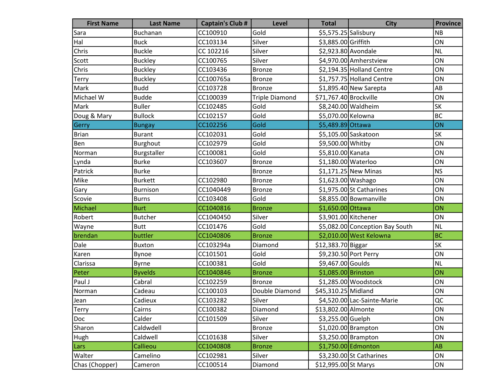| <b>First Name</b> | <b>Last Name</b> | <b>Captain's Club #</b> | Level                 | <b>Total</b>           | <b>City</b>                     | <b>Province</b> |
|-------------------|------------------|-------------------------|-----------------------|------------------------|---------------------------------|-----------------|
| Sara              | <b>Buchanan</b>  | CC100910                | Gold                  | \$5,575.25 Salisbury   |                                 | <b>NB</b>       |
| Hal               | <b>Buck</b>      | CC103134                | Silver                | \$3,885.00 Griffith    |                                 | ON              |
| Chris             | <b>Buckle</b>    | CC 102216               | Silver                | \$2,923.80 Avondale    |                                 | <b>NL</b>       |
| Scott             | <b>Buckley</b>   | CC100765                | Silver                |                        | \$4,970.00 Amherstview          | ON              |
| Chris             | <b>Buckley</b>   | CC103436                | <b>Bronze</b>         |                        | \$2,194.35 Holland Centre       | ON              |
| <b>Terry</b>      | Buckley          | CC100765a               | <b>Bronze</b>         |                        | \$1,757.75 Holland Centre       | ON              |
| Mark              | <b>Budd</b>      | CC103728                | <b>Bronze</b>         |                        | $$1,895.40$ New Sarepta         | AB              |
| Michael W         | <b>Budde</b>     | CC100039                | <b>Triple Diamond</b> | \$71,767.40 Brockville |                                 | ON              |
| Mark              | <b>Buller</b>    | CC102485                | Gold                  |                        | \$8,240.00 Waldheim             | SK              |
| Doug & Mary       | <b>Bullock</b>   | CC102157                | Gold                  | \$5,070.00 Kelowna     |                                 | <b>BC</b>       |
| Gerry             | <b>Bungay</b>    | CC102256                | Gold                  | \$5,489.89 Ottawa      |                                 | ON              |
| Brian             | <b>Burant</b>    | CC102031                | Gold                  |                        | \$5,105.00 Saskatoon            | SK              |
| Ben               | Burghout         | CC102979                | Gold                  | \$9,500.00 Whitby      |                                 | ON              |
| Norman            | Burgstaller      | CC100081                | Gold                  | \$5,810.00 Kanata      |                                 | ON              |
| Lynda             | <b>Burke</b>     | CC103607                | <b>Bronze</b>         | \$1,180.00 Waterloo    |                                 | ON              |
| Patrick           | <b>Burke</b>     |                         | <b>Bronze</b>         |                        | $$1,171.25$ New Minas           | <b>NS</b>       |
| Mike              | <b>Burkett</b>   | CC102980                | <b>Bronze</b>         | \$1,623.00 Washago     |                                 | ON              |
| Gary              | <b>Burnison</b>  | CC1040449               | <b>Bronze</b>         |                        | $$1,975.00$ St Catharines       | ON              |
| Scovie            | <b>Burns</b>     | CC103408                | Gold                  |                        | \$8,855.00 Bowmanville          | ON              |
| Michael           | <b>Burt</b>      | CC1040816               | <b>Bronze</b>         | \$1,650.00 Ottawa      |                                 | ON              |
| Robert            | <b>Butcher</b>   | CC1040450               | Silver                | \$3,901.00 Kitchener   |                                 | ON              |
| Wayne             | <b>Butt</b>      | CC101476                | Gold                  |                        | \$5,082.00 Conception Bay South | <b>NL</b>       |
| brendan           | buttler          | CC1040806               | <b>Bronze</b>         |                        | \$2,010.00 West Kelowna         | <b>BC</b>       |
| Dale              | <b>Buxton</b>    | CC103294a               | Diamond               | \$12,383.70 Biggar     |                                 | <b>SK</b>       |
| Karen             | Bynoe            | CC101501                | Gold                  |                        | \$9,230.50 Port Perry           | ON              |
| Clarissa          | Byrne            | CC100381                | Gold                  | \$9,467.00 Goulds      |                                 | <b>NL</b>       |
| Peter             | <b>Byvelds</b>   | CC1040846               | <b>Bronze</b>         | \$1,085.00 Brinston    |                                 | ON              |
| Paul J            | Cabral           | CC102259                | <b>Bronze</b>         |                        | \$1,285.00 Woodstock            | ON              |
| Norman            | Cadeau           | CC100103                | Double Diamond        | \$45,310.25 Midland    |                                 | ON              |
| Jean              | Cadieux          | CC103282                | Silver                |                        | \$4,520.00 Lac-Sainte-Marie     | QC              |
| Terry             | Cairns           | CC100382                | Diamond               | \$13,802.00 Almonte    |                                 | ON              |
| Doc               | Calder           | CC101509                | Silver                | \$3,255.00 Guelph      |                                 | ON              |
| Sharon            | Caldwdell        |                         | <b>Bronze</b>         |                        | $$1,020.00$ Brampton            | ON              |
| Hugh              | Caldwell         | CC101638                | Silver                |                        | $$3,250.00$ Brampton            | ON              |
| Lars              | Callieou         | CC1040808               | <b>Bronze</b>         |                        | \$1,750.00 Edmonton             | AB              |
| Walter            | Camelino         | CC102981                | Silver                |                        | $$3,230.00$ St Catharines       | ON              |
| Chas (Chopper)    | Cameron          | CC100514                | Diamond               | \$12,995.00 St Marys   |                                 | ON              |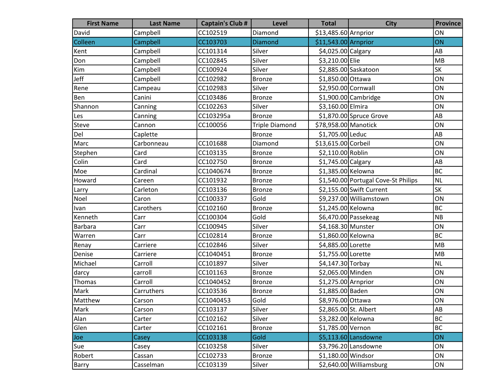| <b>First Name</b> | <b>Last Name</b> | <b>Captain's Club #</b> | <b>Level</b>          | <b>Total</b>          | <b>City</b>                         | <b>Province</b> |
|-------------------|------------------|-------------------------|-----------------------|-----------------------|-------------------------------------|-----------------|
| David             | Campbell         | CC102519                | Diamond               | \$13,485.60 Arnprior  |                                     | ON              |
| Colleen           | Campbell         | CC103703                | <b>Diamond</b>        | $$11,543.00$ Arnprior |                                     | ON              |
| Kent              | Campbell         | CC101314                | Silver                | \$4,025.00 Calgary    |                                     | AB              |
| Don               | Campbell         | CC102845                | Silver                | \$3,210.00 Elie       |                                     | MB              |
| Kim               | Campbell         | CC100924                | Silver                |                       | \$2,885.00 Saskatoon                | <b>SK</b>       |
| Jeff              | Campbell         | CC102982                | <b>Bronze</b>         | \$1,850.00 Ottawa     |                                     | ON              |
| Rene              | Campeau          | CC102983                | Silver                | \$2,950.00 Cornwall   |                                     | ON              |
| Ben               | Canini           | CC103486                | <b>Bronze</b>         |                       | \$1,900.00 Cambridge                | ON              |
| Shannon           | Canning          | CC102263                | Silver                | \$3,160.00 Elmira     |                                     | ON              |
| Les               | Canning          | CC103295a               | <b>Bronze</b>         |                       | $$1,870.00$ Spruce Grove            | AB              |
| Steve             | Cannon           | CC100056                | <b>Triple Diamond</b> | \$78,958.00 Manotick  |                                     | ON              |
| Del               | Caplette         |                         | <b>Bronze</b>         | \$1,705.00 Leduc      |                                     | AB              |
| Marc              | Carbonneau       | CC101688                | Diamond               | \$13,615.00 Corbeil   |                                     | ON              |
| Stephen           | Card             | CC103135                | <b>Bronze</b>         | \$2,110.00 Roblin     |                                     | ON              |
| Colin             | Card             | CC102750                | Bronze                | \$1,745.00 Calgary    |                                     | AB              |
| Moe               | Cardinal         | CC1040674               | <b>Bronze</b>         | \$1,385.00 Kelowna    |                                     | <b>BC</b>       |
| Howard            | Careen           | CC101932                | <b>Bronze</b>         |                       | \$1,540.00 Portugal Cove-St Philips | <b>NL</b>       |
| Larry             | Carleton         | CC103136                | <b>Bronze</b>         |                       | \$2,155.00 Swift Current            | <b>SK</b>       |
| Noel              | Caron            | CC100337                | Gold                  |                       | \$9,237.00 Williamstown             | ON              |
| Ivan              | Carothers        | CC102160                | <b>Bronze</b>         | \$1,245.00 Kelowna    |                                     | <b>BC</b>       |
| Kenneth           | Carr             | CC100304                | Gold                  |                       | \$6,470.00 Passekeag                | <b>NB</b>       |
| <b>Barbara</b>    | Carr             | CC100945                | Silver                | \$4,168.30 Munster    |                                     | ON              |
| Warren            | Carr             | CC102814                | <b>Bronze</b>         | \$1,860.00 Kelowna    |                                     | <b>BC</b>       |
| Renay             | Carriere         | CC102846                | Silver                | \$4,885.00 Lorette    |                                     | MB              |
| Denise            | Carriere         | CC1040451               | <b>Bronze</b>         | \$1,755.00 Lorette    |                                     | MB              |
| Michael           | Carroll          | CC101897                | Silver                | \$4,147.30 Torbay     |                                     | <b>NL</b>       |
| darcy             | carroll          | CC101163                | <b>Bronze</b>         | \$2,065.00 Minden     |                                     | ON              |
| Thomas            | Carroll          | CC1040452               | <b>Bronze</b>         | \$1,275.00 Arnprior   |                                     | ON              |
| Mark              | Carruthers       | CC103536                | <b>Bronze</b>         | \$1,885.00 Baden      |                                     | ON              |
| Matthew           | Carson           | CC1040453               | Gold                  | \$8,976.00 Ottawa     |                                     | ON              |
| Mark              | Carson           | CC103137                | Silver                | \$2,865.00 St. Albert |                                     | AB              |
| Alan              | Carter           | CC102162                | Silver                | \$3,282.00 Kelowna    |                                     | <b>BC</b>       |
| Glen              | Carter           | CC102161                | <b>Bronze</b>         | \$1,785.00 Vernon     |                                     | <b>BC</b>       |
| Joe               | Casey            | CC103138                | Gold                  |                       | $$5,113.60$ Lansdowne               | ON              |
| Sue               | Casey            | CC103258                | Silver                |                       | \$3,796.20 Lansdowne                | ON              |
| Robert            | Cassan           | CC102733                | <b>Bronze</b>         | \$1,180.00 Windsor    |                                     | ON              |
| Barry             | Casselman        | CC103139                | Silver                |                       | \$2,640.00 Williamsburg             | ON              |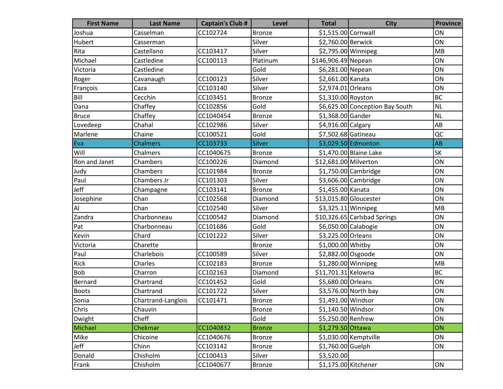| <b>First Name</b> | <b>Last Name</b>   | <b>Captain's Club #</b> | <b>Level</b>  | <b>Total</b>           | <b>City</b>                     | <b>Province</b> |
|-------------------|--------------------|-------------------------|---------------|------------------------|---------------------------------|-----------------|
| Joshua            | Casselman          | CC102724                | <b>Bronze</b> | \$1,515.00 Cornwall    |                                 | ON              |
| Hubert            | Casserman          |                         | Silver        | \$2,760.00 Berwick     |                                 | ON              |
| Rita              | Castellano         | CC103417                | Silver        | \$2,795.00 Winnipeg    |                                 | MB              |
| Michael           | Castledine         | CC100113                | Platinum      | \$146,906.49 Nepean    |                                 | ON              |
| Victoria          | Castledine         |                         | Gold          | \$6,281.00 Nepean      |                                 | ON              |
| Roger             | Cavanaugh          | CC100123                | Silver        | \$2,661.00 Kanata      |                                 | ON              |
| François          | Caza               | CC103140                | Silver        | \$2,974.01 Orleans     |                                 | ON              |
| Bill              | Cecchin            | CC103451                | Bronze        | \$1,310.00 Royston     |                                 | <b>BC</b>       |
| Dana              | Chaffey            | CC102856                | Gold          |                        | \$6,625.00 Conception Bay South | NL              |
| <b>Bruce</b>      | Chaffey            | CC1040454               | <b>Bronze</b> | \$1,368.00 Gander      |                                 | <b>NL</b>       |
| Lovedeep          | Chahal             | CC102986                | Silver        | \$4,916.00 Calgary     |                                 | AB              |
| Marlene           | Chaine             | CC100521                | Gold          | \$7,502.68 Gatineau    |                                 | QC              |
| Eva               | <b>Chalmers</b>    | CC103733                | Silver        |                        | \$3,029.50 Edmonton             | <b>AB</b>       |
| Will              | Chalmers           | CC1040675               | <b>Bronze</b> |                        | \$1,470.00 Blaine Lake          | SK              |
| Ron and Janet     | Chambers           | CC100226                | Diamond       | \$12,681.00 Milverton  |                                 | ON              |
| Judy              | Chambers           | CC101984                | <b>Bronze</b> |                        | \$1,750.00 Cambridge            | ON              |
| Paul              | Chambers Jr        | CC101303                | Silver        |                        | \$3,606.00 Cambridge            | ON              |
| Jeff              | Champagne          | CC103141                | <b>Bronze</b> | \$1,455.00 Kanata      |                                 | ON              |
| Josephine         | Chan               | CC102568                | Diamond       | \$13,015.80 Gloucester |                                 | ON              |
| $\mathsf{Al}$     | Chan               | CC102540                | Silver        | $$3,325.11$ Winnipeg   |                                 | MB              |
| Zandra            | Charbonneau        | CC100542                | Diamond       |                        | \$10,326.65 Carlsbad Springs    | ON              |
| Pat               | Charbonneau        | CC101686                | Gold          | \$6,050.00 Calabogie   |                                 | ON              |
| Kevin             | Chard              | CC101222                | Silver        | \$3,225.00 Orleans     |                                 | ON              |
| Victoria          | Charette           |                         | Bronze        | \$1,000.00 Whitby      |                                 | ON              |
| Paul              | Charlebois         | CC100589                | Silver        | \$2,882.00 Osgoode     |                                 | ON              |
| Rick              | Charles            | CC102183                | <b>Bronze</b> | $$1,280.00$ Winnipeg   |                                 | MB              |
| <b>Bob</b>        | Charron            | CC102163                | Diamond       | \$11,701.31 Kelowna    |                                 | <b>BC</b>       |
| Bernard           | Chartrand          | CC101452                | Gold          | \$5,680.00 Orleans     |                                 | ON              |
| <b>Boots</b>      | Chartrand          | CC101722                | Silver        |                        | \$3,576.00 North bay            | ON              |
| Sonia             | Chartrand-Langlois | CC101471                | Bronze        | \$1,491.00 Windsor     |                                 | ON              |
| Chris             | Chauvin            |                         | <b>Bronze</b> | \$1,140.50 Windsor     |                                 | ON              |
| Dwight            | Cheff              |                         | Gold          | \$5,250.00 Renfrew     |                                 | ON              |
| Michael           | Chekmar            | CC1040832               | <b>Bronze</b> | \$1,279.50 Ottawa      |                                 | ON              |
| Mike              | Chicoine           | CC1040676               | <b>Bronze</b> |                        | \$1,030.00 Kemptville           | ON              |
| Jeff              | Chinn              | CC103142                | <b>Bronze</b> | \$1,760.00 Guelph      |                                 | ON              |
| Donald            | Chisholm           | CC100413                | Silver        | \$3,520.00             |                                 |                 |
| Frank             | Chisholm           | CC1040677               | <b>Bronze</b> |                        | \$1,175.00 Kitchener            | ON              |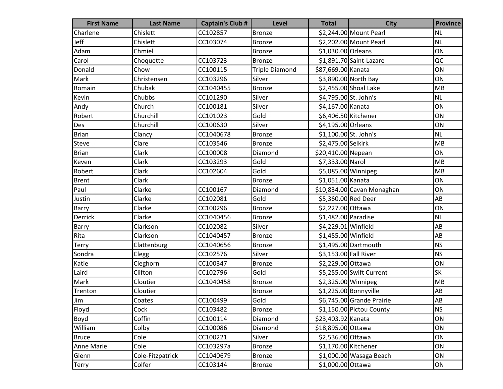| <b>First Name</b> | <b>Last Name</b> | <b>Captain's Club #</b> | <b>Level</b>          | <b>Total</b>          | <b>City</b>                | <b>Province</b> |
|-------------------|------------------|-------------------------|-----------------------|-----------------------|----------------------------|-----------------|
| Charlene          | Chislett         | CC102857                | <b>Bronze</b>         |                       | \$2,244.00 Mount Pearl     | <b>NL</b>       |
| Jeff              | Chislett         | CC103074                | <b>Bronze</b>         |                       | \$2,202.00 Mount Pearl     | <b>NL</b>       |
| Adam              | Chmiel           |                         | <b>Bronze</b>         | \$1,030.00 Orleans    |                            | ON              |
| Carol             | Choquette        | CC103723                | <b>Bronze</b>         |                       | \$1,891.70 Saint-Lazare    | $\overline{OC}$ |
| Donald            | Chow             | CC100115                | <b>Triple Diamond</b> | \$87,669.00 Kanata    |                            | ON              |
| Mark              | Christensen      | CC103296                | Silver                |                       | \$3,890.00 North Bay       | ON              |
| Romain            | Chubak           | CC1040455               | Bronze                |                       | \$2,455.00 Shoal Lake      | MB              |
| Kevin             | Chubbs           | CC101290                | Silver                | \$4,795.00 St. John's |                            | NL              |
| Andy              | Church           | CC100181                | Silver                | \$4,167.00 Kanata     |                            | ON              |
| Robert            | Churchill        | CC101023                | Gold                  | \$6,406.50 Kitchener  |                            | ON              |
| Des               | Churchill        | CC100630                | Silver                | \$4,195.00 Orleans    |                            | ON              |
| <b>Brian</b>      | Clancy           | CC1040678               | <b>Bronze</b>         | \$1,100.00 St. John's |                            | NL              |
| Steve             | Clare            | CC103546                | <b>Bronze</b>         | \$2,475.00 Selkirk    |                            | MB              |
| <b>Brian</b>      | Clark            | CC100008                | Diamond               | \$20,410.00 Nepean    |                            | ON              |
| Keven             | Clark            | CC103293                | Gold                  | \$7,333.00 Narol      |                            | MB              |
| Robert            | Clark            | CC102604                | Gold                  |                       | \$5,085.00 Winnipeg        | MB              |
| <b>Brent</b>      | Clark            |                         | <b>Bronze</b>         | \$1,051.00 Kanata     |                            | ON              |
| Paul              | Clarke           | CC100167                | Diamond               |                       | \$10,834.00 Cavan Monaghan | ON              |
| Justin            | Clarke           | CC102081                | Gold                  | \$5,360.00 Red Deer   |                            | AB              |
| Barry             | Clarke           | CC100296                | <b>Bronze</b>         | \$2,227.00 Ottawa     |                            | ON              |
| Derrick           | Clarke           | CC1040456               | <b>Bronze</b>         | \$1,482.00 Paradise   |                            | NL              |
| Barry             | Clarkson         | CC102082                | Silver                | \$4,229.01 Winfield   |                            | AB              |
| Rita              | Clarkson         | CC1040457               | <b>Bronze</b>         | \$1,455.00 Winfield   |                            | AB              |
| <b>Terry</b>      | Clattenburg      | CC1040656               | <b>Bronze</b>         |                       | \$1,495.00 Dartmouth       | <b>NS</b>       |
| Sondra            | Clegg            | CC102576                | Silver                | \$3,153.00 Fall River |                            | <b>NS</b>       |
| Katie             | Cleghorn         | CC100347                | <b>Bronze</b>         | \$2,229.00 Ottawa     |                            | ON              |
| Laird             | Clifton          | CC102796                | Gold                  |                       | \$5,255.00 Swift Current   | <b>SK</b>       |
| Mark              | Cloutier         | CC1040458               | <b>Bronze</b>         | \$2,325.00 Winnipeg   |                            | MB              |
| Trenton           | Cloutier         |                         | <b>Bronze</b>         |                       | \$1,225.00 Bonnyville      | AB              |
| Jim               | Coates           | CC100499                | Gold                  |                       | \$6,745.00 Grande Prairie  | AB              |
| Floyd             | Cock             | CC103482                | <b>Bronze</b>         |                       | \$1,150.00 Pictou County   | <b>NS</b>       |
| Boyd              | Coffin           | CC100114                | Diamond               | \$23,403.92 Kanata    |                            | ON              |
| William           | Colby            | CC100086                | Diamond               | \$18,895.00 Ottawa    |                            | ON              |
| <b>Bruce</b>      | Cole             | CC100221                | Silver                | \$2,536.00 Ottawa     |                            | ON              |
| <b>Anne Marie</b> | Cole             | CC103297a               | <b>Bronze</b>         |                       | $$1,170.00$ Kitchener      | ON              |
| Glenn             | Cole-Fitzpatrick | CC1040679               | <b>Bronze</b>         |                       | \$1,000.00 Wasaga Beach    | ON              |
| <b>Terry</b>      | Colfer           | CC103144                | <b>Bronze</b>         | \$1,000.00 Ottawa     |                            | ON              |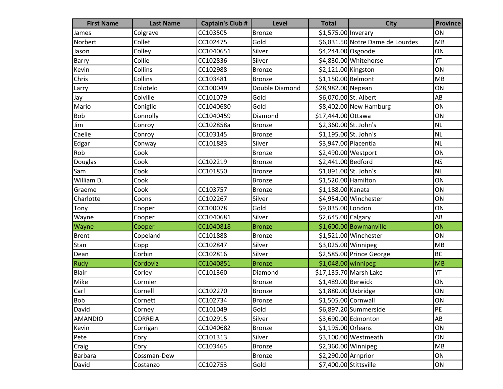| <b>First Name</b> | <b>Last Name</b> | <b>Captain's Club #</b> | <b>Level</b>   | <b>Total</b>           | <b>City</b>                      | <b>Province</b> |
|-------------------|------------------|-------------------------|----------------|------------------------|----------------------------------|-----------------|
| James             | Colgrave         | CC103505                | Bronze         | \$1,575.00 Inverary    |                                  | ON              |
| Norbert           | Collet           | CC102475                | Gold           |                        | \$6,831.50 Notre Dame de Lourdes | <b>MB</b>       |
| Jason             | Colley           | CC1040651               | Silver         | \$4,244.00 Osgoode     |                                  | ON              |
| Barry             | Collie           | CC102836                | Silver         |                        | \$4,830.00 Whitehorse            | YT              |
| Kevin             | Collins          | CC102988                | <b>Bronze</b>  | \$2,121.00 Kingston    |                                  | ON              |
| Chris             | Collins          | CC103481                | <b>Bronze</b>  | \$1,150.00 Belmont     |                                  | MB              |
| Larry             | Colotelo         | CC100049                | Double Diamond | \$28,982.00 Nepean     |                                  | ON              |
| Jay               | Colville         | CC101079                | Gold           | \$6,070.00 St. Albert  |                                  | AB              |
| Mario             | Coniglio         | CC1040680               | Gold           |                        | $$8,402.00$ New Hamburg          | ON              |
| Bob               | Connolly         | CC1040459               | Diamond        | \$17,444.00 Ottawa     |                                  | ON              |
| Jim               | Conroy           | CC102858a               | <b>Bronze</b>  | \$2,360.00 St. John's  |                                  | <b>NL</b>       |
| Caelie            | Conroy           | CC103145                | <b>Bronze</b>  | \$1,195.00 St. John's  |                                  | <b>NL</b>       |
| Edgar             | Conway           | CC101883                | Silver         | \$3,947.00 Placentia   |                                  | <b>NL</b>       |
| Rob               | Cook             |                         | <b>Bronze</b>  | \$2,490.00 Westport    |                                  | ON              |
| Douglas           | Cook             | CC102219                | Bronze         | \$2,441.00 Bedford     |                                  | <b>NS</b>       |
| Sam               | Cook             | CC101850                | <b>Bronze</b>  | \$1,891.00 St. John's  |                                  | <b>NL</b>       |
| William D.        | Cook             |                         | Bronze         | \$1,520.00 Hamilton    |                                  | ON              |
| Graeme            | Cook             | CC103757                | <b>Bronze</b>  | \$1,188.00 Kanata      |                                  | ON              |
| Charlotte         | Coons            | CC102267                | Silver         |                        | \$4,954.00 Winchester            | ON              |
| Tony              | Cooper           | CC100078                | Gold           | \$9,835.00 London      |                                  | ON              |
| Wayne             | Cooper           | CC1040681               | Silver         | \$2,645.00 Calgary     |                                  | AB              |
| Wayne             | Cooper           | CC1040818               | <b>Bronze</b>  |                        | $$1,600.00$ Bowmanville          | ON              |
| <b>Brent</b>      | Copeland         | CC101888                | <b>Bronze</b>  |                        | \$1,521.00 Winchester            | ON              |
| Stan              | Copp             | CC102847                | Silver         | \$3,025.00 Winnipeg    |                                  | MB              |
| Dean              | Corbin           | CC102816                | Silver         |                        | \$2,585.00 Prince George         | <b>BC</b>       |
| <b>Rudy</b>       | Cordoviz         | CC1040851               | <b>Bronze</b>  | $$1,048.00$ winnipeg   |                                  | MB              |
| Blair             | Corley           | CC101360                | Diamond        |                        | \$17,135.70 Marsh Lake           | YT              |
| Mike              | Cormier          |                         | Bronze         | \$1,489.00 Berwick     |                                  | ON              |
| Carl              | Cornell          | CC102270                | <b>Bronze</b>  | \$1,880.00 Uxbridge    |                                  | ON              |
| <b>Bob</b>        | Cornett          | CC102734                | Bronze         | \$1,505.00 Cornwall    |                                  | ON              |
| David             | Corney           | CC101049                | Gold           |                        | \$6,897.20 Summerside            | PE              |
| <b>AMANDIO</b>    | <b>CORREIA</b>   | CC102915                | Silver         |                        | \$3,690.00 Edmonton              | AB              |
| Kevin             | Corrigan         | CC1040682               | <b>Bronze</b>  | \$1,195.00 Orleans     |                                  | ON              |
| Pete              | Cory             | CC101313                | Silver         |                        | \$3,100.00 Westmeath             | ON              |
| Craig             | Cory             | CC103465                | <b>Bronze</b>  |                        | $$2,360.00$ Winnipeg             | MB              |
| <b>Barbara</b>    | Cossman-Dew      |                         | <b>Bronze</b>  | \$2,290.00 Arnprior    |                                  | ON              |
| David             | Costanzo         | CC102753                | Gold           | \$7,400.00 Stittsville |                                  | ON              |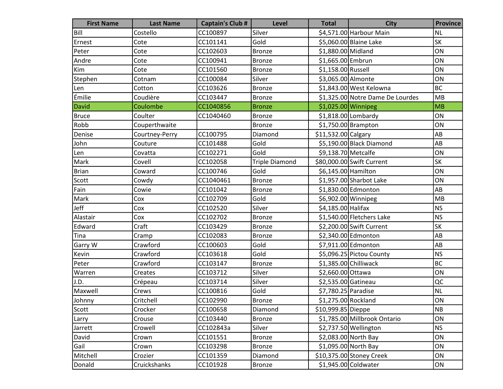| <b>First Name</b> | <b>Last Name</b> | <b>Captain's Club #</b> | <b>Level</b>          | <b>Total</b>         | <b>City</b>                      | <b>Province</b> |
|-------------------|------------------|-------------------------|-----------------------|----------------------|----------------------------------|-----------------|
| Bill              | Costello         | CC100897                | Silver                |                      | \$4,571.00 Harbour Main          | <b>NL</b>       |
| Ernest            | Cote             | CC101141                | Gold                  |                      | \$5,060.00 Blaine Lake           | <b>SK</b>       |
| Peter             | Cote             | CC102603                | <b>Bronze</b>         | \$1,880.00 Midland   |                                  | ON              |
| Andre             | Cote             | CC100941                | <b>Bronze</b>         | \$1,665.00 Embrun    |                                  | ON              |
| Kim               | Cote             | CC101560                | <b>Bronze</b>         | \$1,158.00 Russell   |                                  | ON              |
| Stephen           | Cotnam           | CC100084                | Silver                | \$3,065.00 Almonte   |                                  | ON              |
| Len               | Cotton           | CC103626                | <b>Bronze</b>         |                      | \$1,843.00 West Kelowna          | <b>BC</b>       |
| Émilie            | Coudière         | CC103447                | <b>Bronze</b>         |                      | \$1,325.00 Notre Dame De Lourdes | MB              |
| <b>David</b>      | Coulombe         | CC1040856               | <b>Bronze</b>         | $$1,025.00$ Winnipeg |                                  | MB              |
| <b>Bruce</b>      | Coulter          | CC1040460               | Bronze                |                      | \$1,818.00 Lombardy              | ON              |
| Robb              | Couperthwaite    |                         | <b>Bronze</b>         |                      | $$1,750.00$ Brampton             | ON              |
| Denise            | Courtney-Perry   | CC100795                | Diamond               | \$11,532.00 Calgary  |                                  | AB              |
| John              | Couture          | CC101488                | Gold                  |                      | \$5,190.00 Black Diamond         | AB              |
| Len               | Covatta          | CC102271                | Gold                  | \$9,138.70 Metcalfe  |                                  | ON              |
| Mark              | Covell           | CC102058                | <b>Triple Diamond</b> |                      | \$80,000.00 Swift Current        | SK              |
| <b>Brian</b>      | Coward           | CC100746                | Gold                  | \$6,145.00 Hamilton  |                                  | ON              |
| Scott             | Cowdy            | CC1040461               | <b>Bronze</b>         |                      | \$1,957.00 Sharbot Lake          | ON              |
| Fain              | Cowie            | CC101042                | <b>Bronze</b>         |                      | \$1,830.00 Edmonton              | AB              |
| Mark              | Cox              | CC102709                | Gold                  | \$6,902.00 Winnipeg  |                                  | MB              |
| Jeff              | Cox              | CC102520                | Silver                | \$4,185.00 Halifax   |                                  | <b>NS</b>       |
| Alastair          | Cox              | CC102702                | <b>Bronze</b>         |                      | \$1,540.00 Fletchers Lake        | <b>NS</b>       |
| Edward            | Craft            | CC103429                | Bronze                |                      | \$2,200.00 Swift Current         | <b>SK</b>       |
| Tina              | Cramp            | CC102083                | <b>Bronze</b>         |                      | \$2,340.00 Edmonton              | AB              |
| Garry W           | Crawford         | CC100603                | Gold                  |                      | \$7,911.00 Edmonton              | AB              |
| Kevin             | Crawford         | CC103618                | Gold                  |                      | \$5,096.25 Pictou County         | <b>NS</b>       |
| Peter             | Crawford         | CC103147                | <b>Bronze</b>         |                      | $$1,385.00$ Chilliwack           | <b>BC</b>       |
| Warren            | Creates          | CC103712                | Silver                | \$2,660.00 Ottawa    |                                  | ON              |
| J.D.              | Crépeau          | CC103714                | Silver                | \$2,535.00 Gatineau  |                                  | QC              |
| Maxwell           | Crews            | CC100816                | Gold                  | \$7,780.25 Paradise  |                                  | <b>NL</b>       |
| Johnny            | Critchell        | CC102990                | Bronze                | \$1,275.00 Rockland  |                                  | ON              |
| Scott             | Crocker          | CC100658                | Diamond               | \$10,999.85 Dieppe   |                                  | NB              |
| Larry             | Crouse           | CC103440                | <b>Bronze</b>         |                      | \$1,785.00 Millbrook Ontario     | ON              |
| Jarrett           | Crowell          | CC102843a               | Silver                |                      | \$2,737.50 Wellington            | <b>NS</b>       |
| David             | Crown            | CC101551                | <b>Bronze</b>         |                      | \$2,083.00 North Bay             | ON              |
| Gail              | Crown            | CC103298                | <b>Bronze</b>         |                      | \$1,095.00 North Bay             | ON              |
| Mitchell          | Crozier          | CC101359                | Diamond               |                      | \$10,375.00 Stoney Creek         | ON              |
| Donald            | Cruickshanks     | CC101928                | <b>Bronze</b>         |                      | \$1,945.00 Coldwater             | ON              |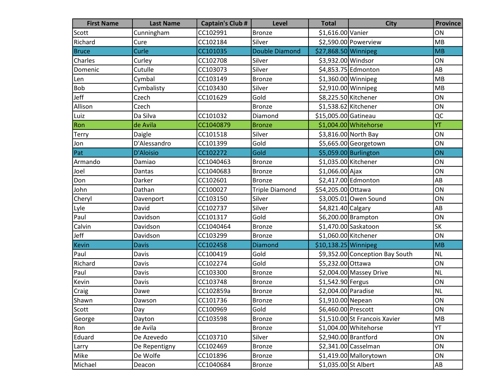| <b>First Name</b> | <b>Last Name</b> | <b>Captain's Club #</b> | <b>Level</b>          | <b>Total</b>          | <b>City</b>                     | <b>Province</b> |
|-------------------|------------------|-------------------------|-----------------------|-----------------------|---------------------------------|-----------------|
| Scott             | Cunningham       | CC102991                | <b>Bronze</b>         | \$1,616.00 Vanier     |                                 | ON              |
| Richard           | Cure             | CC102184                | Silver                |                       | \$2,590.00 Powerview            | MB              |
| <b>Bruce</b>      | Curle            | CC101035                | <b>Double Diamond</b> | \$27,868.50 Winnipeg  |                                 | MB              |
| Charles           | Curley           | CC102708                | Silver                | \$3,932.00 Windsor    |                                 | ON              |
| Domenic           | Cutulle          | CC103073                | Silver                |                       | \$4,853.75 Edmonton             | AB              |
| Len               | Cymbal           | CC103149                | <b>Bronze</b>         | $$1,360.00$ Winnipeg  |                                 | MB              |
| <b>Bob</b>        | Cymbalisty       | CC103430                | Silver                | \$2,910.00 Winnipeg   |                                 | MB              |
| Jeff              | Czech            | CC101629                | Gold                  | \$8,225.50 Kitchener  |                                 | ON              |
| Allison           | Czech            |                         | <b>Bronze</b>         | \$1,538.62 Kitchener  |                                 | ON              |
| Luiz              | Da Silva         | CC101032                | Diamond               | \$15,005.00 Gatineau  |                                 | QC              |
| Ron               | de Avila         | CC1040879               | <b>Bronze</b>         |                       | \$1,004.00 Whitehorse           | YT              |
| <b>Terry</b>      | Daigle           | CC101518                | Silver                |                       | \$3,816.00 North Bay            | ON              |
| Jon               | D'Alessandro     | CC101399                | Gold                  |                       | \$5,665.00 Georgetown           | ON              |
| Pat               | <b>D'Aloisio</b> | CC102272                | Gold                  |                       | \$5,059.00 Burlington           | ON              |
| Armando           | Damiao           | CC1040463               | Bronze                | \$1,035.00 Kitchener  |                                 | ON              |
| Joel              | Dantas           | CC1040683               | <b>Bronze</b>         | \$1,066.00 Ajax       |                                 | ON              |
| Don               | Darker           | CC102601                | Bronze                |                       | \$2,417.00 Edmonton             | AB              |
| John              | Dathan           | CC100027                | <b>Triple Diamond</b> | \$54,205.00 Ottawa    |                                 | ON              |
| Cheryl            | Davenport        | CC103150                | Silver                |                       | \$3,005.01 Owen Sound           | ON              |
| Lyle              | David            | CC102737                | Silver                | \$4,821.40 Calgary    |                                 | AB              |
| Paul              | Davidson         | CC101317                | Gold                  |                       | \$6,200.00 Brampton             | ON              |
| Calvin            | Davidson         | CC1040464               | <b>Bronze</b>         |                       | \$1,470.00 Saskatoon            | <b>SK</b>       |
| Jeff              | Davidson         | CC103299                | <b>Bronze</b>         | \$1,060.00 Kitchener  |                                 | ON              |
| <b>Kevin</b>      | <b>Davis</b>     | CC102458                | <b>Diamond</b>        | $$10,138.25$ Winnipeg |                                 | MB              |
| Paul              | Davis            | CC100419                | Gold                  |                       | \$9,352.00 Conception Bay South | <b>NL</b>       |
| Richard           | Davis            | CC102274                | Gold                  | \$5,232.00 Ottawa     |                                 | ON              |
| Paul              | Davis            | CC103300                | <b>Bronze</b>         |                       | \$2,004.00 Massey Drive         | <b>NL</b>       |
| Kevin             | Davis            | CC103748                | <b>Bronze</b>         | \$1,542.90 Fergus     |                                 | ON              |
| Craig             | Dawe             | CC102859a               | <b>Bronze</b>         | \$2,004.00 Paradise   |                                 | <b>NL</b>       |
| Shawn             | Dawson           | CC101736                | Bronze                | \$1,910.00 Nepean     |                                 | ON              |
| Scott             | Day              | CC100969                | Gold                  | \$6,460.00 Prescott   |                                 | ON              |
| George            | Dayton           | CC103598                | <b>Bronze</b>         |                       | \$1,510.00 St Francois Xavier   | MB              |
| Ron               | de Avila         |                         | <b>Bronze</b>         |                       | \$1,004.00 Whitehorse           | YT              |
| Eduard            | De Azevedo       | CC103710                | Silver                | \$2,940.00 Brantford  |                                 | ON              |
| Larry             | De Repentigny    | CC102469                | <b>Bronze</b>         |                       | \$2,341.00 Casselman            | ON              |
| Mike              | De Wolfe         | CC101896                | <b>Bronze</b>         |                       | \$1,419.00 Mallorytown          | ON              |
| Michael           | Deacon           | CC1040684               | Bronze                | \$1,035.00 St Albert  |                                 | AB              |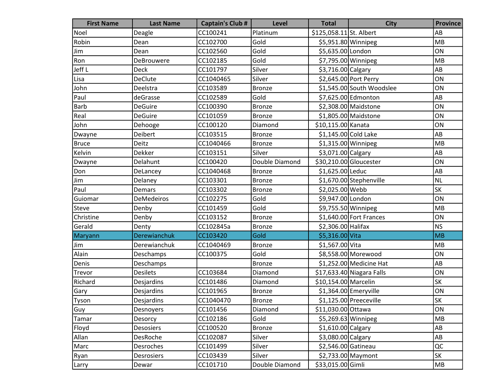| <b>First Name</b> | <b>Last Name</b>  | <b>Captain's Club #</b> | <b>Level</b>   | <b>Total</b>            | <b>City</b>                | <b>Province</b> |
|-------------------|-------------------|-------------------------|----------------|-------------------------|----------------------------|-----------------|
| Noel              | Deagle            | CC100241                | Platinum       | \$125,058.11 St. Albert |                            | AB              |
| Robin             | Dean              | CC102700                | Gold           |                         | \$5,951.80 Winnipeg        | MB              |
| Jim               | Dean              | CC102560                | Gold           | \$5,635.00 London       |                            | ON              |
| Ron               | DeBrouwere        | CC102185                | Gold           |                         | \$7,795.00 Winnipeg        | MB              |
| Jeff L            | <b>Deck</b>       | CC101797                | Silver         | \$3,716.00 Calgary      |                            | AB              |
| Lisa              | <b>DeClute</b>    | CC1040465               | Silver         |                         | \$2,645.00 Port Perry      | ON              |
| John              | Deelstra          | CC103589                | <b>Bronze</b>  |                         | \$1,545.00 South Woodslee  | ON              |
| Paul              | deGrasse          | CC102589                | Gold           |                         | \$7,625.00 Edmonton        | AB              |
| Barb              | <b>DeGuire</b>    | CC100390                | <b>Bronze</b>  |                         | \$2,308.00 Maidstone       | ON              |
| Real              | <b>DeGuire</b>    | CC101059                | <b>Bronze</b>  |                         | \$1,805.00 Maidstone       | ON              |
| John              | Dehooge           | CC100120                | Diamond        | \$10,115.00 Kanata      |                            | ON              |
| Dwayne            | Deibert           | CC103515                | <b>Bronze</b>  | \$1,145.00 Cold Lake    |                            | AB              |
| <b>Bruce</b>      | Deitz             | CC1040466               | <b>Bronze</b>  | $$1,315.00$ Winnipeg    |                            | <b>MB</b>       |
| Kelvin            | Dekker            | CC103151                | Silver         | \$3,071.00 Calgary      |                            | AB              |
| Dwayne            | Delahunt          | CC100420                | Double Diamond |                         | \$30,210.00 Gloucester     | ON              |
| Don               | DeLancey          | CC1040468               | <b>Bronze</b>  | \$1,625.00 Leduc        |                            | AB              |
| Jim               | Delaney           | CC103301                | <b>Bronze</b>  |                         | \$1,670.00 Stephenville    | <b>NL</b>       |
| Paul              | Demars            | CC103302                | <b>Bronze</b>  | \$2,025.00 Webb         |                            | <b>SK</b>       |
| Guiomar           | <b>DeMedeiros</b> | CC102275                | Gold           | \$9,947.00 London       |                            | ON              |
| <b>Steve</b>      | Denby             | CC101459                | Gold           | \$9,755.50 Winnipeg     |                            | MB              |
| Christine         | Denby             | CC103152                | <b>Bronze</b>  |                         | \$1,640.00 Fort Frances    | ON              |
| Gerald            | Denty             | CC102845a               | <b>Bronze</b>  | \$2,306.00 Halifax      |                            | <b>NS</b>       |
| Maryann           | Derewianchuk      | CC103420                | Gold           | \$5,316.00 Vita         |                            | <b>MB</b>       |
| Jim               | Derewianchuk      | CC1040469               | <b>Bronze</b>  | \$1,567.00 Vita         |                            | MB              |
| Alain             | Deschamps         | CC100375                | Gold           |                         | \$8,558.00 Morewood        | ON              |
| Denis             | Deschamps         |                         | <b>Bronze</b>  |                         | \$1,252.00 Medicine Hat    | AB              |
| Trevor            | <b>Desilets</b>   | CC103684                | Diamond        |                         | $$17,633.40$ Niagara Falls | ON              |
| Richard           | Desjardins        | CC101486                | Diamond        | \$10,154.00 Marcelin    |                            | <b>SK</b>       |
| Gary              | Desjardins        | CC101965                | <b>Bronze</b>  |                         | \$1,364.00 Emeryville      | ON              |
| Tyson             | Desjardins        | CC1040470               | <b>Bronze</b>  |                         | \$1,125.00 Preeceville     | <b>SK</b>       |
| Guy               | Desnoyers         | CC101456                | Diamond        | \$11,030.00 Ottawa      |                            | ON              |
| Tamar             | Desorcy           | CC102186                | Gold           | \$5,269.63 Winnipeg     |                            | <b>MB</b>       |
| Floyd             | Desosiers         | CC100520                | <b>Bronze</b>  | $$1,610.00$ Calgary     |                            | AB              |
| Allan             | DesRoche          | CC102087                | Silver         | \$3,080.00 Calgary      |                            | AB              |
| Marc              | Desroches         | CC101499                | Silver         | \$2,546.00 Gatineau     |                            | QC              |
| Ryan              | Desrosiers        | CC103439                | Silver         |                         | $$2,733.00$ Maymont        | <b>SK</b>       |
| Larry             | Dewar             | CC101710                | Double Diamond | \$33,015.00 Gimli       |                            | MB              |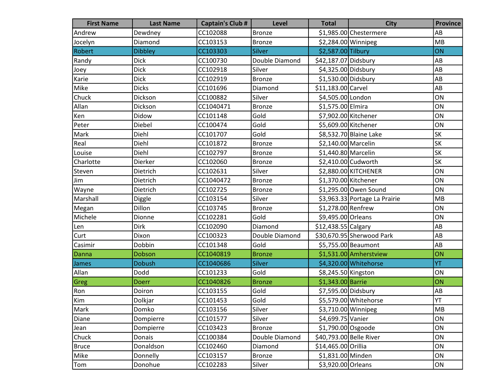| <b>First Name</b> | <b>Last Name</b> | <b>Captain's Club #</b> | <b>Level</b>   | <b>Total</b>            | <b>City</b>                   | <b>Province</b> |
|-------------------|------------------|-------------------------|----------------|-------------------------|-------------------------------|-----------------|
| Andrew            | Dewdney          | CC102088                | Bronze         |                         | \$1,985.00 Chestermere        | AB              |
| Jocelyn           | Diamond          | CC103153                | <b>Bronze</b>  | \$2,284.00 Winnipeg     |                               | MB              |
| Robert            | <b>Dibbley</b>   | CC103303                | <b>Silver</b>  | \$2,587.00 Tilbury      |                               | ON              |
| Randy             | <b>Dick</b>      | CC100730                | Double Diamond | \$42,187.07 Didsbury    |                               | AB              |
| Joey              | <b>Dick</b>      | CC102918                | Silver         | \$4,325.00 Didsbury     |                               | AB              |
| Karie             | <b>Dick</b>      | CC102919                | <b>Bronze</b>  | \$1,530.00 Didsbury     |                               | AB              |
| Mike              | <b>Dicks</b>     | CC101696                | Diamond        | \$11,183.00 Carvel      |                               | AB              |
| Chuck             | Dickson          | CC100882                | Silver         | \$4,505.00 London       |                               | ON              |
| Allan             | Dickson          | CC1040471               | <b>Bronze</b>  | \$1,575.00 Elmira       |                               | ON              |
| Ken               | Didow            | CC101148                | Gold           | \$7,902.00 Kitchener    |                               | ON              |
| Peter             | Diebel           | CC100474                | Gold           | \$5,609.00 Kitchener    |                               | ON              |
| Mark              | Diehl            | CC101707                | Gold           |                         | \$8,532.70 Blaine Lake        | SK              |
| Real              | Diehl            | CC101872                | <b>Bronze</b>  | \$2,140.00 Marcelin     |                               | <b>SK</b>       |
| Louise            | Diehl            | CC102797                | <b>Bronze</b>  | \$1,440.80 Marcelin     |                               | <b>SK</b>       |
| Charlotte         | Dierker          | CC102060                | Bronze         |                         | \$2,410.00 Cudworth           | <b>SK</b>       |
| Steven            | Dietrich         | CC102631                | Silver         |                         | \$2,880.00 KITCHENER          | ON              |
| Jim               | Dietrich         | CC1040472               | <b>Bronze</b>  | \$1,370.00 Kitchener    |                               | ON              |
| Wayne             | Dietrich         | CC102725                | <b>Bronze</b>  |                         | \$1,295.00 Owen Sound         | ON              |
| Marshall          | Diggle           | CC103154                | Silver         |                         | \$3,963.33 Portage La Prairie | <b>MB</b>       |
| Megan             | Dillon           | CC103745                | <b>Bronze</b>  | \$1,278.00 Renfrew      |                               | ON              |
| Michele           | Dionne           | CC102281                | Gold           | \$9,495.00 Orleans      |                               | ON              |
| Len               | <b>Dirk</b>      | CC102090                | Diamond        | \$12,438.55 Calgary     |                               | AB              |
| Curt              | Dixon            | CC100323                | Double Diamond |                         | \$30,670.95 Sherwood Park     | AB              |
| Casimir           | Dobbin           | CC101348                | Gold           |                         | \$5,755.00 Beaumont           | AB              |
| Danna             | Dobson           | CC1040819               | <b>Bronze</b>  |                         | \$1,531.00 Amherstview        | ON              |
| James             | <b>Dobush</b>    | CC1040686               | <b>Silver</b>  |                         | \$4,320.00 Whitehorse         | YT              |
| Allan             | Dodd             | CC101233                | Gold           | \$8,245.50 Kingston     |                               | ON              |
| Greg              | <b>Doerr</b>     | CC1040826               | <b>Bronze</b>  | \$1,343.00 Barrie       |                               | ON              |
| Ron               | Doiron           | CC103155                | Gold           | \$7,595.00 Didsbury     |                               | AB              |
| Kim               | Dolkjar          | CC101453                | Gold           |                         | \$5,579.00 Whitehorse         | YT              |
| Mark              | Domko            | CC103156                | Silver         | \$3,710.00 Winnipeg     |                               | MB              |
| Diane             | Dompierre        | CC101577                | Silver         | \$4,699.75 Vanier       |                               | ON              |
| Jean              | Dompierre        | CC103423                | <b>Bronze</b>  | $$1,790.00$ Osgoode     |                               | ON              |
| Chuck             | Donais           | CC100384                | Double Diamond | \$40,793.00 Belle River |                               | ON              |
| <b>Bruce</b>      | Donaldson        | CC102460                | Diamond        | \$14,465.00 Orillia     |                               | ON              |
| Mike              | Donnelly         | CC103157                | <b>Bronze</b>  | \$1,831.00 Minden       |                               | ON              |
| Tom               | Donohue          | CC102283                | Silver         | \$3,920.00 Orleans      |                               | ON              |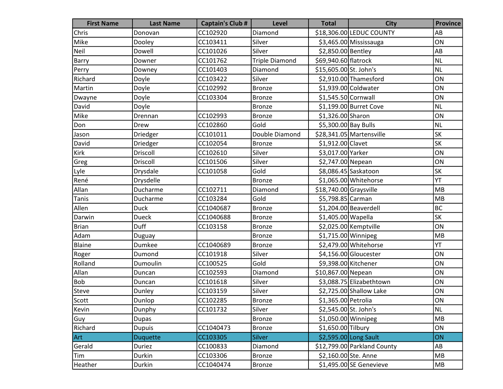| <b>First Name</b> | <b>Last Name</b> | <b>Captain's Club #</b> | Level                 | <b>Total</b>           | <b>City</b>                 | <b>Province</b> |
|-------------------|------------------|-------------------------|-----------------------|------------------------|-----------------------------|-----------------|
| Chris             | Donovan          | CC102920                | Diamond               |                        | \$18,306.00 LEDUC COUNTY    | AB              |
| Mike              | Dooley           | CC103411                | Silver                |                        | \$3,465.00 Mississauga      | ON              |
| Neil              | Dowell           | CC101026                | Silver                | \$2,850.00 Bentley     |                             | AB              |
| Barry             | Downer           | CC101762                | <b>Triple Diamond</b> | \$69,940.60 flatrock   |                             | <b>NL</b>       |
| Perry             | Downey           | CC101403                | Diamond               | \$15,605.00 St. John's |                             | <b>NL</b>       |
| Richard           | Doyle            | CC103422                | Silver                |                        | \$2,910.00 Thamesford       | ON              |
| Martin            | Doyle            | CC102992                | <b>Bronze</b>         |                        | \$1,939.00 Coldwater        | ON              |
| Dwayne            | Doyle            | CC103304                | <b>Bronze</b>         | \$1,545.50 Cornwall    |                             | ON              |
| David             | Doyle            |                         | <b>Bronze</b>         |                        | \$1,199.00 Burret Cove      | <b>NL</b>       |
| Mike              | Drennan          | CC102993                | <b>Bronze</b>         | \$1,326.00 Sharon      |                             | ON              |
| Don               | Drew             | CC102860                | Gold                  | \$5,300.00 Bay Bulls   |                             | <b>NL</b>       |
| Jason             | Driedger         | CC101011                | Double Diamond        |                        | \$28,341.05 Martensville    | <b>SK</b>       |
| David             | Driedger         | CC102054                | <b>Bronze</b>         | \$1,912.00 Clavet      |                             | <b>SK</b>       |
| Kirk              | Driscoll         | CC102610                | Silver                | \$3,017.00 Yarker      |                             | ON              |
| Greg              | Driscoll         | CC101506                | Silver                | \$2,747.00 Nepean      |                             | ON              |
| Lyle              | Drysdale         | CC101058                | Gold                  |                        | \$8,086.45 Saskatoon        | SK              |
| René              | Drysdelle        |                         | <b>Bronze</b>         |                        | \$1,065.00 Whitehorse       | YT              |
| Allan             | Ducharme         | CC102711                | Diamond               | \$18,740.00 Graysville |                             | MB              |
| <b>Tanis</b>      | Ducharme         | CC103284                | Gold                  | \$5,798.85 Carman      |                             | MB              |
| Allen             | <b>Duck</b>      | CC1040687               | <b>Bronze</b>         |                        | \$1,204.00 Beaverdell       | <b>BC</b>       |
| Darwin            | <b>Dueck</b>     | CC1040688               | <b>Bronze</b>         | \$1,405.00 Wapella     |                             | SK              |
| <b>Brian</b>      | Duff             | CC103158                | <b>Bronze</b>         |                        | \$2,025.00 Kemptville       | ON              |
| Adam              | Duguay           |                         | <b>Bronze</b>         | $$1,715.00$ Winnipeg   |                             | MB              |
| Blaine            | Dumkee           | CC1040689               | <b>Bronze</b>         |                        | \$2,479.00 Whitehorse       | YT              |
| Roger             | Dumond           | CC101918                | Silver                |                        | \$4,156.00 Gloucester       | ON              |
| Rolland           | Dumoulin         | CC100525                | Gold                  | \$9,398.00 Kitchener   |                             | ON              |
| Allan             | Duncan           | CC102593                | Diamond               | \$10,867.00 Nepean     |                             | ON              |
| Bob               | Duncan           | CC101618                | Silver                |                        | \$3,088.75 Elizabethtown    | ON              |
| Steve             | Dunley           | CC103159                | Silver                |                        | \$2,725.00 Shallow Lake     | ON              |
| Scott             | Dunlop           | CC102285                | Bronze                | \$1,365.00 Petrolia    |                             | ON              |
| Kevin             | Dunphy           | CC101732                | Silver                | \$2,545.00 St. John's  |                             | NL              |
| Guy               | <b>Dupas</b>     |                         | <b>Bronze</b>         | $$1,050.00$ Winnipeg   |                             | MB              |
| Richard           | <b>Dupuis</b>    | CC1040473               | <b>Bronze</b>         | \$1,650.00 Tilbury     |                             | ON              |
| <b>Art</b>        | <b>Duquette</b>  | CC103305                | <b>Silver</b>         |                        | \$2,595.00 Long Sault       | ON              |
| Gerald            | Duriez           | CC100833                | Diamond               |                        | \$12,799.00 Parkland County | AB              |
| Tim               | Durkin           | CC103306                | <b>Bronze</b>         | \$2,160.00 Ste. Anne   |                             | MB              |
| Heather           | Durkin           | CC1040474               | <b>Bronze</b>         |                        | $$1,495.00$ SE Genevieve    | MB              |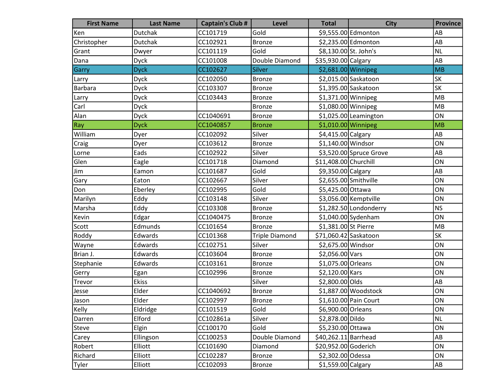| <b>First Name</b> | <b>Last Name</b> | <b>Captain's Club #</b> | Level                 | <b>Total</b>          | <b>City</b>             | <b>Province</b>        |
|-------------------|------------------|-------------------------|-----------------------|-----------------------|-------------------------|------------------------|
| Ken               | Dutchak          | CC101719                | Gold                  |                       | \$9,555.00 Edmonton     | AB                     |
| Christopher       | <b>Dutchak</b>   | CC102921                | <b>Bronze</b>         |                       | \$2,235.00 Edmonton     | AB                     |
| Grant             | Dwyer            | CC101119                | Gold                  | \$8,130.00 St. John's |                         | <b>NL</b>              |
| Dana              | <b>Dyck</b>      | CC101008                | Double Diamond        | \$35,930.00 Calgary   |                         | AB                     |
| Garry             | <b>Dyck</b>      | CC102627                | <b>Silver</b>         | \$2,681.00 Winnipeg   |                         | <b>MB</b>              |
| Larry             | Dyck             | CC102050                | <b>Bronze</b>         |                       | \$2,015.00 Saskatoon    | SK                     |
| Barbara           | Dyck             | CC103307                | Bronze                |                       | \$1,395.00 Saskatoon    | <b>SK</b>              |
| Larry             | Dyck             | CC103443                | <b>Bronze</b>         | \$1,371.00 Winnipeg   |                         | MB                     |
| Carl              | <b>Dyck</b>      |                         | <b>Bronze</b>         | \$1,080.00 Winnipeg   |                         | MB                     |
| Alan              | <b>Dyck</b>      | CC1040691               | <b>Bronze</b>         |                       | $$1,025.00$ Leamington  | ON                     |
| Ray               | <b>Dyck</b>      | CC1040857               | <b>Bronze</b>         | \$1,010.00 Winnipeg   |                         | MB                     |
| William           | Dyer             | CC102092                | Silver                | \$4,415.00 Calgary    |                         | AB                     |
| Craig             | Dyer             | CC103612                | <b>Bronze</b>         | \$1,140.00 Windsor    |                         | ON                     |
| Lorne             | Eads             | CC102922                | Silver                |                       | \$3,520.00 Spruce Grove | AB                     |
| Glen              | Eagle            | CC101718                | Diamond               | \$11,408.00 Churchill |                         | ON                     |
| Jim               | Eamon            | CC101687                | Gold                  | \$9,350.00 Calgary    |                         | AB                     |
| Gary              | Eaton            | CC102667                | Silver                | \$2,655.00 Smithville |                         | ON                     |
| Don               | Eberley          | CC102995                | Gold                  | \$5,425.00 Ottawa     |                         | ON                     |
| Marilyn           | Eddy             | CC103148                | Silver                |                       | \$3,056.00 Kemptville   | ON                     |
| Marsha            | Eddy             | CC103308                | <b>Bronze</b>         |                       | \$1,282.50 Londonderry  | <b>NS</b>              |
| Kevin             | Edgar            | CC1040475               | <b>Bronze</b>         |                       | $$1,040.00$ Sydenham    | ON                     |
| Scott             | Edmunds          | CC101654                | <b>Bronze</b>         | \$1,381.00 St Pierre  |                         | MB                     |
| Roddy             | Edwards          | CC101368                | <b>Triple Diamond</b> | \$71,060.42 Saskatoon |                         | SK                     |
| Wayne             | Edwards          | CC102751                | Silver                | \$2,675.00 Windsor    |                         | ON                     |
| Brian J.          | Edwards          | CC103604                | <b>Bronze</b>         | \$2,056.00 Vars       |                         | ON                     |
| Stephanie         | Edwards          | CC103161                | <b>Bronze</b>         | \$1,075.00 Orleans    |                         | ON                     |
| Gerry             | Egan             | CC102996                | <b>Bronze</b>         | \$2,120.00 Kars       |                         | ON                     |
| Trevor            | Ekiss            |                         | Silver                | \$2,800.00 Olds       |                         | AB                     |
| Jesse             | Elder            | CC1040692               | <b>Bronze</b>         |                       | \$1,887.00 Woodstock    | ON                     |
| Jason             | Elder            | CC102997                | Bronze                |                       | \$1,610.00 Pain Court   | ON                     |
| Kelly             | Eldridge         | CC101519                | Gold                  | \$6,900.00 Orleans    |                         | ON                     |
| Darren            | Elford           | CC102861a               | Silver                | \$2,878.00 Dildo      |                         | NL                     |
| Steve             | Elgin            | CC100170                | Gold                  | \$5,230.00 Ottawa     |                         | ON                     |
| Carey             | Ellingson        | CC100253                | Double Diamond        | \$40,262.11 Barrhead  |                         | AB                     |
| Robert            | Elliott          | CC101690                | Diamond               | \$20,952.00 Goderich  |                         | ON                     |
| Richard           | Elliott          | CC102287                | <b>Bronze</b>         | \$2,302.00 Odessa     |                         | ON                     |
| Tyler             | Elliott          | CC102093                | <b>Bronze</b>         | $$1,559.00$ Calgary   |                         | $\mathsf{A}\mathsf{B}$ |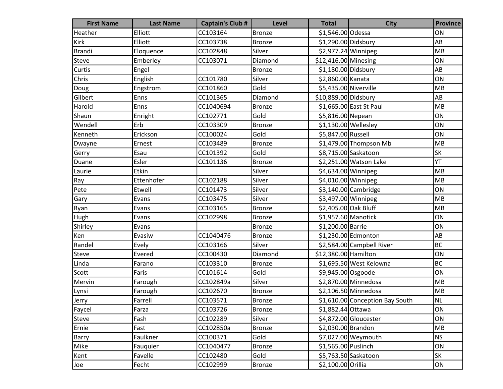| <b>First Name</b> | <b>Last Name</b> | <b>Captain's Club #</b> | Level         | <b>Total</b>          | <b>City</b>                     | <b>Province</b> |
|-------------------|------------------|-------------------------|---------------|-----------------------|---------------------------------|-----------------|
| Heather           | Elliott          | CC103164                | <b>Bronze</b> | \$1,546.00 Odessa     |                                 | ON              |
| Kirk              | Elliott          | CC103738                | <b>Bronze</b> | \$1,290.00 Didsbury   |                                 | AB              |
| <b>Brandi</b>     | Eloquence        | CC102848                | Silver        | $$2,977.24$ Winnipeg  |                                 | <b>MB</b>       |
| Steve             | Emberley         | CC103071                | Diamond       | \$12,416.00 Minesing  |                                 | ON              |
| Curtis            | Engel            |                         | <b>Bronze</b> | \$1,180.00 Didsbury   |                                 | AB              |
| Chris             | English          | CC101780                | Silver        | \$2,860.00 Kanata     |                                 | ON              |
| Doug              | Engstrom         | CC101860                | Gold          | \$5,435.00 Niverville |                                 | MB              |
| Gilbert           | Enns             | CC101365                | Diamond       | \$10,889.00 Didsbury  |                                 | AB              |
| Harold            | Enns             | CC1040694               | <b>Bronze</b> |                       | \$1,665.00 East St Paul         | MB              |
| Shaun             | Enright          | CC102771                | Gold          | \$5,816.00 Nepean     |                                 | ON              |
| Wendell           | Erb              | CC103309                | <b>Bronze</b> |                       | $$1,130.00$ Wellesley           | ON              |
| Kenneth           | Erickson         | CC100024                | Gold          | \$5,847.00 Russell    |                                 | ON              |
| Dwayne            | Ernest           | CC103489                | <b>Bronze</b> |                       | \$1,479.00 Thompson Mb          | MB              |
| Gerry             | Esau             | CC101392                | Gold          |                       | \$8,715.00 Saskatoon            | <b>SK</b>       |
| Duane             | Esler            | CC101136                | <b>Bronze</b> |                       | \$2,251.00 Watson Lake          | YT              |
| Laurie            | Etkin            |                         | Silver        | $$4,634.00$ Winnipeg  |                                 | MB              |
| Ray               | Ettenhofer       | CC102188                | Silver        | \$4,010.00 Winnipeg   |                                 | MB              |
| Pete              | Etwell           | CC101473                | Silver        |                       | \$3,140.00 Cambridge            | ON              |
| Gary              | Evans            | CC103475                | Silver        | \$3,497.00 Winnipeg   |                                 | MB              |
| Ryan              | Evans            | CC103165                | <b>Bronze</b> | \$2,405.00 Oak Bluff  |                                 | MB              |
| Hugh              | Evans            | CC102998                | <b>Bronze</b> | \$1,957.60 Manotick   |                                 | ON              |
| Shirley           | Evans            |                         | <b>Bronze</b> | \$1,200.00 Barrie     |                                 | ON              |
| Ken               | Evasiw           | CC1040476               | <b>Bronze</b> |                       | \$1,230.00 Edmonton             | AB              |
| Randel            | Evely            | CC103166                | Silver        |                       | \$2,584.00 Campbell River       | <b>BC</b>       |
| Steve             | Evered           | CC100430                | Diamond       | \$12,380.00 Hamilton  |                                 | ON              |
| Linda             | Farano           | CC103310                | <b>Bronze</b> |                       | \$1,695.50 West Kelowna         | <b>BC</b>       |
| Scott             | Faris            | CC101614                | Gold          | \$9,945.00 Osgoode    |                                 | ON              |
| Mervin            | Farough          | CC102849a               | Silver        |                       | \$2,870.00 Minnedosa            | MB              |
| Lynsi             | Farough          | CC102670                | <b>Bronze</b> |                       | \$2,106.50 Minnedosa            | MB              |
| Jerry             | Farrell          | CC103571                | <b>Bronze</b> |                       | \$1,610.00 Conception Bay South | <b>NL</b>       |
| Faycel            | Farza            | CC103726                | <b>Bronze</b> | \$1,882.44 Ottawa     |                                 | ON              |
| Steve             | Fash             | CC102289                | Silver        |                       | \$4,872.00 Gloucester           | ON              |
| Ernie             | Fast             | CC102850a               | <b>Bronze</b> | \$2,030.00 Brandon    |                                 | <b>MB</b>       |
| Barry             | Faulkner         | CC100371                | Gold          |                       | \$7,027.00 Weymouth             | <b>NS</b>       |
| Mike              | Fauquier         | CC1040477               | <b>Bronze</b> | \$1,565.00 Puslinch   |                                 | ON              |
| Kent              | Favelle          | CC102480                | Gold          |                       | \$5,763.50 Saskatoon            | SK              |
| Joe               | Fecht            | CC102999                | <b>Bronze</b> | \$2,100.00 Orillia    |                                 | ON              |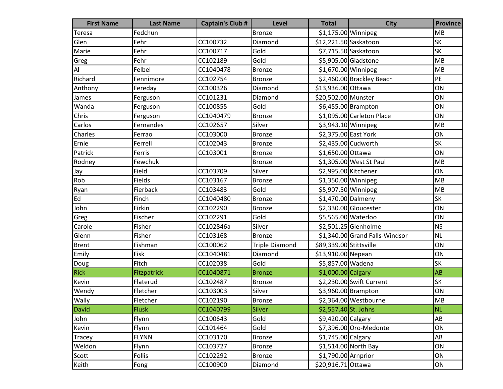| <b>First Name</b> | <b>Last Name</b> | <b>Captain's Club #</b> | <b>Level</b>          | <b>Total</b>            | <b>City</b>                    | <b>Province</b>        |
|-------------------|------------------|-------------------------|-----------------------|-------------------------|--------------------------------|------------------------|
| Teresa            | Fedchun          |                         | <b>Bronze</b>         | \$1,175.00 Winnipeg     |                                | <b>MB</b>              |
| Glen              | Fehr             | CC100732                | Diamond               | \$12,221.50 Saskatoon   |                                | <b>SK</b>              |
| Marie             | Fehr             | CC100717                | Gold                  |                         | \$7,715.50 Saskatoon           | <b>SK</b>              |
| Greg              | Fehr             | CC102189                | Gold                  |                         | \$5,905.00 Gladstone           | MB                     |
| Al                | Felbel           | CC1040478               | <b>Bronze</b>         | \$1,670.00 Winnipeg     |                                | MB                     |
| Richard           | Fennimore        | CC102754                | <b>Bronze</b>         |                         | \$2,460.00 Brackley Beach      | PE                     |
| Anthony           | Fereday          | CC100326                | Diamond               | \$13,936.00 Ottawa      |                                | ON                     |
| James             | Ferguson         | CC101231                | Diamond               | \$20,502.00 Munster     |                                | ON                     |
| Wanda             | Ferguson         | CC100855                | Gold                  |                         | \$6,455.00 Brampton            | ON                     |
| Chris             | Ferguson         | CC1040479               | <b>Bronze</b>         |                         | \$1,095.00 Carleton Place      | ON                     |
| Carlos            | Fernandes        | CC102657                | Silver                | \$3,943.10 Winnipeg     |                                | MB                     |
| Charles           | Ferrao           | CC103000                | Bronze                | \$2,375.00 East York    |                                | ON                     |
| Ernie             | Ferrell          | CC102043                | <b>Bronze</b>         |                         | \$2,435.00 Cudworth            | SK                     |
| Patrick           | Ferris           | CC103001                | <b>Bronze</b>         | \$1,650.00 Ottawa       |                                | ON                     |
| Rodney            | Fewchuk          |                         | <b>Bronze</b>         |                         | \$1,305.00 West St Paul        | MB                     |
| Jay               | Field            | CC103709                | Silver                | \$2,995.00 Kitchener    |                                | ON                     |
| Rob               | Fields           | CC103167                | <b>Bronze</b>         | \$1,350.00 Winnipeg     |                                | MB                     |
| Ryan              | Fierback         | CC103483                | Gold                  |                         | \$5,907.50 Winnipeg            | MB                     |
| Ed                | Finch            | CC1040480               | <b>Bronze</b>         | \$1,470.00 Dalmeny      |                                | <b>SK</b>              |
| John              | Firkin           | CC102290                | <b>Bronze</b>         |                         | \$2,330.00 Gloucester          | ON                     |
| Greg              | Fischer          | CC102291                | Gold                  | \$5,565.00 Waterloo     |                                | ON                     |
| Carole            | Fisher           | CC102846a               | Silver                |                         | \$2,501.25 Glenholme           | <b>NS</b>              |
| Glenn             | Fisher           | CC103168                | <b>Bronze</b>         |                         | \$1,340.00 Grand Falls-Windsor | <b>NL</b>              |
| <b>Brent</b>      | Fishman          | CC100062                | <b>Triple Diamond</b> | \$89,339.00 Stittsville |                                | ON                     |
| Emily             | Fisk             | CC1040481               | Diamond               | \$13,910.00 Nepean      |                                | ON                     |
| Doug              | Fitch            | CC102038                | Gold                  | \$5,857.00 Wadena       |                                | <b>SK</b>              |
| <b>Rick</b>       | Fitzpatrick      | CC1040871               | <b>Bronze</b>         | \$1,000.00 Calgary      |                                | AB                     |
| Kevin             | Flaterud         | CC102487                | <b>Bronze</b>         |                         | \$2,230.00 Swift Current       | SK                     |
| Wendy             | Fletcher         | CC103003                | Silver                |                         | \$3,960.00 Brampton            | ON                     |
| <b>Wally</b>      | Fletcher         | CC102190                | Bronze                |                         | \$2,364.00 Westbourne          | <b>MB</b>              |
| David             | <b>Flusk</b>     | CC1040799               | <b>Silver</b>         | \$2,557.40 St. Johns    |                                | <b>NL</b>              |
| John              | Flynn            | CC100643                | Gold                  | \$9,420.00 Calgary      |                                | $\mathsf{A}\mathsf{B}$ |
| Kevin             | Flynn            | CC101464                | Gold                  |                         | \$7,396.00 Oro-Medonte         | ON                     |
| <b>Tracey</b>     | <b>FLYNN</b>     | CC103170                | <b>Bronze</b>         | \$1,745.00 Calgary      |                                | AB                     |
| Weldon            | Flynn            | CC103727                | <b>Bronze</b>         |                         | \$1,514.00 North Bay           | ON                     |
| Scott             | Follis           | CC102292                | <b>Bronze</b>         | \$1,790.00 Arnprior     |                                | ON                     |
| Keith             | Fong             | CC100900                | Diamond               | \$20,916.71 Ottawa      |                                | ON                     |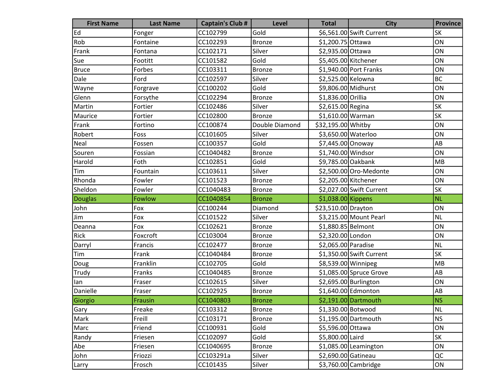| <b>First Name</b> | <b>Last Name</b> | <b>Captain's Club #</b> | <b>Level</b>   | <b>Total</b>         | <b>City</b>              | <b>Province</b> |
|-------------------|------------------|-------------------------|----------------|----------------------|--------------------------|-----------------|
| Ed                | Fonger           | CC102799                | Gold           |                      | \$6,561.00 Swift Current | <b>SK</b>       |
| Rob               | Fontaine         | CC102293                | <b>Bronze</b>  | \$1,200.75 Ottawa    |                          | ON              |
| Frank             | Fontana          | CC102171                | Silver         | \$2,935.00 Ottawa    |                          | ON              |
| Sue               | Footitt          | CC101582                | Gold           | \$5,405.00 Kitchener |                          | ON              |
| <b>Bruce</b>      | Forbes           | CC103311                | <b>Bronze</b>  |                      | \$1,940.00 Port Franks   | ON              |
| Dale              | Ford             | CC102597                | Silver         | \$2,525.00 Kelowna   |                          | <b>BC</b>       |
| Wayne             | Forgrave         | CC100202                | Gold           | \$9,806.00 Midhurst  |                          | ON              |
| Glenn             | Forsythe         | CC102294                | <b>Bronze</b>  | \$1,836.00 Orillia   |                          | ON              |
| Martin            | Fortier          | CC102486                | Silver         | \$2,615.00 Regina    |                          | SK              |
| Maurice           | Fortier          | CC102800                | <b>Bronze</b>  | $$1,610.00$ Warman   |                          | <b>SK</b>       |
| Frank             | Fortino          | CC100874                | Double Diamond | \$32,195.00 Whitby   |                          | ON              |
| Robert            | Foss             | CC101605                | Silver         | \$3,650.00 Waterloo  |                          | ON              |
| Neal              | Fossen           | CC100357                | Gold           | \$7,445.00 Onoway    |                          | AB              |
| Souren            | Fossian          | CC1040482               | <b>Bronze</b>  | \$1,740.00 Windsor   |                          | ON              |
| Harold            | Foth             | CC102851                | Gold           | \$9,785.00 Oakbank   |                          | MB              |
| Tim               | Fountain         | CC103611                | Silver         |                      | \$2,500.00 Oro-Medonte   | ON              |
| Rhonda            | Fowler           | CC101523                | <b>Bronze</b>  | \$2,205.00 Kitchener |                          | ON              |
| Sheldon           | Fowler           | CC1040483               | <b>Bronze</b>  |                      | \$2,027.00 Swift Current | <b>SK</b>       |
| Douglas           | Fowlow           | CC1040854               | <b>Bronze</b>  | $$1,038.00$ Kippens  |                          | <b>NL</b>       |
| John              | Fox              | CC100244                | Diamond        | \$23,510.00 Drayton  |                          | ON              |
| Jim               | Fox              | CC101522                | Silver         |                      | \$3,215.00 Mount Pearl   | <b>NL</b>       |
| Deanna            | Fox              | CC102621                | <b>Bronze</b>  | \$1,880.85 Belmont   |                          | ON              |
| Rick              | Foxcroft         | CC103004                | <b>Bronze</b>  | \$2,320.00 London    |                          | ON              |
| Darryl            | Francis          | CC102477                | <b>Bronze</b>  | \$2,065.00 Paradise  |                          | <b>NL</b>       |
| Tim               | Frank            | CC1040484               | <b>Bronze</b>  |                      | \$1,350.00 Swift Current | <b>SK</b>       |
| Doug              | Franklin         | CC102705                | Gold           | \$8,539.00 Winnipeg  |                          | MB              |
| Trudy             | Franks           | CC1040485               | <b>Bronze</b>  |                      | \$1,085.00 Spruce Grove  | AB              |
| lan               | Fraser           | CC102615                | Silver         |                      | \$2,695.00 Burlington    | ON              |
| Danielle          | Fraser           | CC102925                | <b>Bronze</b>  |                      | \$1,640.00 Edmonton      | AB              |
| Giorgio           | Frausin          | CC1040803               | <b>Bronze</b>  |                      | \$2,191.00 Dartmouth     | NS              |
| Gary              | Freake           | CC103312                | Bronze         | \$1,330.00 Botwood   |                          | <b>NL</b>       |
| Mark              | Freill           | CC103171                | <b>Bronze</b>  |                      | \$1,195.00 Dartmouth     | <b>NS</b>       |
| Marc              | Friend           | CC100931                | Gold           | \$5,596.00 Ottawa    |                          | ON              |
| Randy             | Friesen          | CC102097                | Gold           | \$5,800.00 Laird     |                          | SK              |
| Abe               | Friesen          | CC1040695               | <b>Bronze</b>  |                      | \$1,085.00 Leamington    | ON              |
| John              | Friozzi          | CC103291a               | Silver         | \$2,690.00 Gatineau  |                          | QC              |
| Larry             | Frosch           | CC101435                | Silver         |                      | \$3,760.00 Cambridge     | ON              |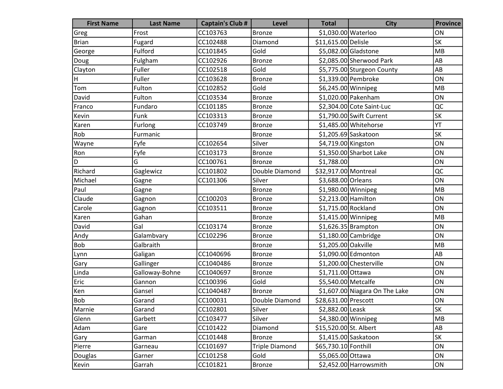| <b>First Name</b> | <b>Last Name</b> | <b>Captain's Club #</b> | <b>Level</b>          | <b>Total</b>           | <b>City</b>                    | <b>Province</b> |
|-------------------|------------------|-------------------------|-----------------------|------------------------|--------------------------------|-----------------|
| Greg              | Frost            | CC103763                | <b>Bronze</b>         | \$1,030.00 Waterloo    |                                | ON              |
| <b>Brian</b>      | Fugard           | CC102488                | Diamond               | \$11,615.00 Delisle    |                                | <b>SK</b>       |
| George            | Fulford          | CC101845                | Gold                  |                        | \$5,082.00 Gladstone           | MB              |
| Doug              | Fulgham          | CC102926                | <b>Bronze</b>         |                        | \$2,085.00 Sherwood Park       | AB              |
| Clayton           | Fuller           | CC102518                | Gold                  |                        | \$5,775.00 Sturgeon County     | AB              |
| H                 | Fuller           | CC103628                | <b>Bronze</b>         |                        | \$1,339.00 Pembroke            | ON              |
| Tom               | Fulton           | CC102852                | Gold                  | \$6,245.00 Winnipeg    |                                | MB              |
| David             | Fulton           | CC103534                | <b>Bronze</b>         |                        | \$1,020.00 Pakenham            | ON              |
| Franco            | Fundaro          | CC101185                | <b>Bronze</b>         |                        | \$2,304.00 Cote Saint-Luc      | QC              |
| Kevin             | Funk             | CC103313                | <b>Bronze</b>         |                        | \$1,790.00 Swift Current       | <b>SK</b>       |
| Karen             | Furlong          | CC103749                | <b>Bronze</b>         |                        | \$1,485.00 Whitehorse          | YT              |
| Rob               | Furmanic         |                         | <b>Bronze</b>         |                        | \$1,205.69 Saskatoon           | <b>SK</b>       |
| Wayne             | Fyfe             | CC102654                | Silver                | \$4,719.00 Kingston    |                                | ON              |
| Ron               | Fyfe             | CC103173                | <b>Bronze</b>         |                        | \$1,350.00 Sharbot Lake        | ON              |
| D                 | G                | CC100761                | <b>Bronze</b>         | \$1,788.00             |                                | ON              |
| Richard           | Gaglewicz        | CC101802                | Double Diamond        | \$32,917.00 Montreal   |                                | QC              |
| Michael           | Gagne            | CC101306                | Silver                | \$3,688.00 Orleans     |                                | ON              |
| Paul              | Gagne            |                         | <b>Bronze</b>         | \$1,980.00 Winnipeg    |                                | MB              |
| Claude            | Gagnon           | CC100203                | <b>Bronze</b>         | \$2,213.00 Hamilton    |                                | ON              |
| Carole            | Gagnon           | CC103511                | <b>Bronze</b>         | \$1,715.00 Rockland    |                                | ON              |
| Karen             | Gahan            |                         | Bronze                | $$1,415.00$ Winnipeg   |                                | MB              |
| David             | Gal              | CC103174                | <b>Bronze</b>         |                        | $$1,626.35$ Brampton           | ON              |
| Andy              | Galambvary       | CC102296                | <b>Bronze</b>         |                        | $$1,180.00$ Cambridge          | ON              |
| Bob               | Galbraith        |                         | <b>Bronze</b>         | \$1,205.00 Oakville    |                                | MB              |
| Lynn              | Galigan          | CC1040696               | <b>Bronze</b>         |                        | \$1,090.00 Edmonton            | AB              |
| Gary              | Gallinger        | CC1040486               | <b>Bronze</b>         |                        | \$1,200.00 Chesterville        | ON              |
| Linda             | Galloway-Bohne   | CC1040697               | <b>Bronze</b>         | \$1,711.00 Ottawa      |                                | ON              |
| Eric              | Gannon           | CC100396                | Gold                  | \$5,540.00 Metcalfe    |                                | ON              |
| Ken               | Gansel           | CC1040487               | <b>Bronze</b>         |                        | \$1,607.00 Niagara On The Lake | ON              |
| Bob               | Garand           | CC100031                | Double Diamond        | \$28,631.00 Prescott   |                                | ON              |
| Marnie            | Garand           | CC102801                | Silver                | \$2,882.00 Leask       |                                | <b>SK</b>       |
| Glenn             | Garbett          | CC103477                | Silver                | \$4,380.00 Winnipeg    |                                | MB              |
| Adam              | Gare             | CC101422                | Diamond               | \$15,520.00 St. Albert |                                | AB              |
| Gary              | Garman           | CC101448                | <b>Bronze</b>         |                        | $$1,415.00$ Saskatoon          | SK              |
| Pierre            | Garneau          | CC101697                | <b>Triple Diamond</b> | \$65,730.10 Fonthill   |                                | ON              |
| Douglas           | Garner           | CC101258                | Gold                  | \$5,065.00 Ottawa      |                                | ON              |
| Kevin             | Garrah           | CC101821                | Bronze                |                        | \$2,452.00 Harrowsmith         | ON              |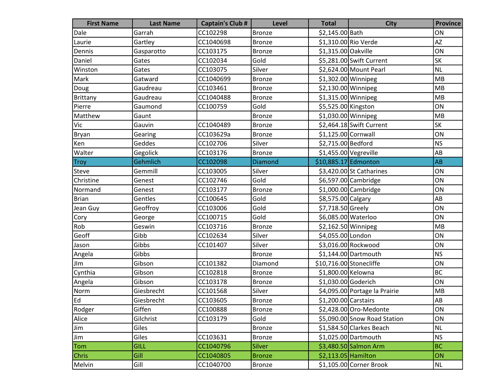| <b>First Name</b> | <b>Last Name</b> | <b>Captain's Club #</b> | Level         | <b>Total</b>            | <b>City</b>                   | <b>Province</b> |
|-------------------|------------------|-------------------------|---------------|-------------------------|-------------------------------|-----------------|
| Dale              | Garrah           | CC102298                | <b>Bronze</b> | \$2,145.00 Bath         |                               | ON              |
| Laurie            | Gartley          | CC1040698               | <b>Bronze</b> |                         | \$1,310.00 Rio Verde          | <b>AZ</b>       |
| Dennis            | Gasparotto       | CC103175                | <b>Bronze</b> | \$1,315.00 Oakville     |                               | ON              |
| Daniel            | Gates            | CC102034                | Gold          |                         | \$5,281.00 Swift Current      | SK              |
| Winston           | Gates            | CC103075                | Silver        |                         | \$2,624.00 Mount Pearl        | <b>NL</b>       |
| Mark              | Gatward          | CC1040699               | <b>Bronze</b> | $$1,302.00$ Winnipeg    |                               | MB              |
| Doug              | Gaudreau         | CC103461                | Bronze        | \$2,130.00 Winnipeg     |                               | MB              |
| Brittany          | Gaudreau         | CC1040488               | <b>Bronze</b> | \$1,315.00 Winnipeg     |                               | MB              |
| Pierre            | Gaumond          | CC100759                | Gold          | \$5,525.00 Kingston     |                               | ON              |
| Matthew           | Gaunt            |                         | <b>Bronze</b> | \$1,030.00 Winnipeg     |                               | MB              |
| Vic               | Gauvin           | CC1040489               | <b>Bronze</b> |                         | \$2,464.18 Swift Current      | <b>SK</b>       |
| Bryan             | Gearing          | CC103629a               | <b>Bronze</b> | $$1,125.00$ Cornwall    |                               | ON              |
| Ken               | Geddes           | CC102706                | Silver        | \$2,715.00 Bedford      |                               | <b>NS</b>       |
| Walter            | Gegolick         | CC103176                | <b>Bronze</b> |                         | \$1,455.00 Vegreville         | AB              |
| <b>Troy</b>       | Gehmlich         | CC102098                | Diamond       | \$10,885.17 Edmonton    |                               | AB              |
| Steve             | Gemmill          | CC103005                | Silver        |                         | $$3,420.00$ St Catharines     | ON              |
| Christine         | Genest           | CC102746                | Gold          |                         | \$6,597.00 Cambridge          | ON              |
| Normand           | Genest           | CC103177                | <b>Bronze</b> |                         | $$1,000.00$ Cambridge         | ON              |
| <b>Brian</b>      | Gentles          | CC100645                | Gold          | \$8,575.00 Calgary      |                               | AB              |
| Jean Guy          | Geoffroy         | CC103006                | Gold          | \$7,718.50 Greely       |                               | ON              |
| Cory              | George           | CC100715                | Gold          | \$6,085.00 Waterloo     |                               | ON              |
| Rob               | Geswin           | CC103716                | <b>Bronze</b> | \$2,162.50 Winnipeg     |                               | MB              |
| Geoff             | Gibb             | CC102634                | Silver        | \$4,055.00 London       |                               | ON              |
| Jason             | Gibbs            | CC101407                | Silver        |                         | \$3,016.00 Rockwood           | ON              |
| Angela            | Gibbs            |                         | <b>Bronze</b> |                         | \$1,144.00 Dartmouth          | <b>NS</b>       |
| JIm               | Gibson           | CC101382                | Diamond       | \$10,716.00 Stonecliffe |                               | ON              |
| Cynthia           | Gibson           | CC102818                | <b>Bronze</b> | \$1,800.00 Kelowna      |                               | <b>BC</b>       |
| Angela            | Gibson           | CC103178                | <b>Bronze</b> | \$1,030.00 Goderich     |                               | ON              |
| Norm              | Giesbrecht       | CC101568                | Silver        |                         | \$4,095.00 Portage la Prairie | MB              |
| Ed                | Giesbrecht       | CC103605                | Bronze        | $$1,200.00$ Carstairs   |                               | AB              |
| Rodger            | Giffen           | CC100888                | <b>Bronze</b> |                         | \$2,428.00 Oro-Medonte        | ON              |
| Alice             | Gilchrist        | CC103179                | Gold          |                         | \$5,090.00 Snow Road Station  | ON              |
| Jim               | Giles            |                         | <b>Bronze</b> |                         | \$1,584.50 Clarkes Beach      | <b>NL</b>       |
| Jim               | Giles            | CC103631                | <b>Bronze</b> |                         | $$1,025.00$ Dartmouth         | <b>NS</b>       |
| Tom               | <b>GILL</b>      | CC1040796               | <b>Silver</b> |                         | \$3,480.50 Salmon Arm         | <b>BC</b>       |
| <b>Chris</b>      | Gill             | CC1040805               | <b>Bronze</b> | $$2,113.05$ Hamilton    |                               | ON              |
| Melvin            | Gill             | CC1040700               | Bronze        |                         | \$1,105.00 Corner Brook       | $\sf NL$        |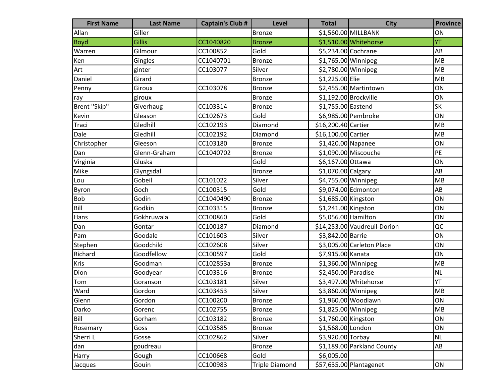| <b>First Name</b> | <b>Last Name</b> | <b>Captain's Club #</b> | <b>Level</b>          | <b>Total</b>          | <b>City</b>                  | <b>Province</b>        |
|-------------------|------------------|-------------------------|-----------------------|-----------------------|------------------------------|------------------------|
| Allan             | Giller           |                         | Bronze                |                       | \$1,560.00 MILLBANK          | ON                     |
| <b>Boyd</b>       | <b>Gillis</b>    | CC1040820               | <b>Bronze</b>         |                       | \$1,510.00 Whitehorse        | YT                     |
| Warren            | Gilmour          | CC100852                | Gold                  | \$5,234.00 Cochrane   |                              | AB                     |
| Ken               | Gingles          | CC1040701               | <b>Bronze</b>         | $$1,765.00$ Winnipeg  |                              | MB                     |
| Art               | ginter           | CC103077                | Silver                | \$2,780.00 Winnipeg   |                              | <b>MB</b>              |
| Daniel            | Girard           |                         | <b>Bronze</b>         | \$1,225.00 Elie       |                              | <b>MB</b>              |
| Penny             | Giroux           | CC103078                | <b>Bronze</b>         |                       | \$2,455.00 Martintown        | ON                     |
| ray               | giroux           |                         | <b>Bronze</b>         | \$1,192.00 Brockville |                              | ON                     |
| Brent "Skip"      | Giverhaug        | CC103314                | <b>Bronze</b>         | \$1,755.00 Eastend    |                              | <b>SK</b>              |
| Kevin             | Gleason          | CC102673                | Gold                  |                       | \$6,985.00 Pembroke          | ON                     |
| Traci             | Gledhill         | CC102193                | Diamond               | \$16,200.40 Cartier   |                              | MB                     |
| Dale              | Gledhill         | CC102192                | Diamond               | \$16,100.00 Cartier   |                              | MB                     |
| Christopher       | Gleeson          | CC103180                | <b>Bronze</b>         | \$1,420.00 Napanee    |                              | ON                     |
| Dan               | Glenn-Graham     | CC1040702               | <b>Bronze</b>         |                       | \$1,090.00 Miscouche         | PE                     |
| Virginia          | Gluska           |                         | Gold                  | \$6,167.00 Ottawa     |                              | ON                     |
| Mike              | Glyngsdal        |                         | <b>Bronze</b>         | \$1,070.00 Calgary    |                              | AB                     |
| Lou               | Gobeil           | CC101022                | Silver                | \$4,755.00 Winnipeg   |                              | MB                     |
| Byron             | Goch             | CC100315                | Gold                  |                       | \$9,074.00 Edmonton          | AB                     |
| Bob               | Godin            | CC1040490               | <b>Bronze</b>         | \$1,685.00 Kingston   |                              | ON                     |
| Bill              | Godkin           | CC103315                | <b>Bronze</b>         | \$1,241.00 Kingston   |                              | ON                     |
| Hans              | Gokhruwala       | CC100860                | Gold                  | \$5,056.00 Hamilton   |                              | ON                     |
| Dan               | Gontar           | CC100187                | Diamond               |                       | \$14,253.00 Vaudreuil-Dorion | QC                     |
| Pam               | Goodale          | CC101603                | Silver                | \$3,842.00 Barrie     |                              | ON                     |
| Stephen           | Goodchild        | CC102608                | Silver                |                       | \$3,005.00 Carleton Place    | ON                     |
| Richard           | Goodfellow       | CC100597                | Gold                  | \$7,915.00 Kanata     |                              | ON                     |
| Kris              | Goodman          | CC102853a               | <b>Bronze</b>         | \$1,360.00 Winnipeg   |                              | MB                     |
| Dion              | Goodyear         | CC103316                | <b>Bronze</b>         | \$2,450.00 Paradise   |                              | <b>NL</b>              |
| Tom               | Goranson         | CC103181                | Silver                |                       | \$3,497.00 Whitehorse        | YT                     |
| Ward              | Gordon           | CC103453                | Silver                | \$3,860.00 Winnipeg   |                              | MB                     |
| Glenn             | Gordon           | CC100200                | <b>Bronze</b>         |                       | \$1,960.00 Woodlawn          | ON                     |
| Darko             | Gorenc           | CC102755                | Bronze                | \$1,825.00 Winnipeg   |                              | MB                     |
| Bill              | Gorham           | CC103182                | <b>Bronze</b>         | \$1,760.00 Kingston   |                              | ON                     |
| Rosemary          | Goss             | CC103585                | <b>Bronze</b>         | \$1,568.00 London     |                              | ON                     |
| Sherri L          | Gosse            | CC102862                | Silver                | \$3,920.00 Torbay     |                              | <b>NL</b>              |
| dan               | goudreau         |                         | <b>Bronze</b>         |                       | \$1,189.00 Parkland County   | $\mathsf{A}\mathsf{B}$ |
| Harry             | Gough            | CC100668                | Gold                  | \$6,005.00            |                              |                        |
| Jacques           | Gouin            | CC100983                | <b>Triple Diamond</b> |                       | \$57,635.00 Plantagenet      | ON                     |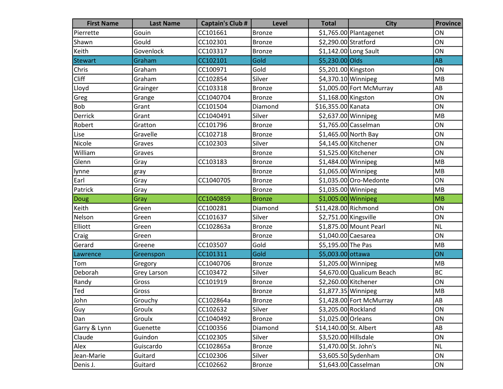| <b>First Name</b> | <b>Last Name</b> | <b>Captain's Club #</b> | <b>Level</b>  | <b>Total</b>           | <b>City</b>               | <b>Province</b> |
|-------------------|------------------|-------------------------|---------------|------------------------|---------------------------|-----------------|
| Pierrette         | Gouin            | CC101661                | <b>Bronze</b> |                        | \$1,765.00 Plantagenet    | ON              |
| Shawn             | Gould            | CC102301                | <b>Bronze</b> | \$2,290.00 Stratford   |                           | ON              |
| Keith             | Govenlock        | CC103317                | <b>Bronze</b> |                        | \$1,142.00 Long Sault     | ON              |
| <b>Stewart</b>    | Graham           | CC102101                | Gold          | \$5,230.00 Olds        |                           | AB              |
| Chris             | Graham           | CC100971                | Gold          | \$5,201.00 Kingston    |                           | ON              |
| Cliff             | Graham           | CC102854                | Silver        | $$4,370.10$ Winnipeg   |                           | MB              |
| Lloyd             | Grainger         | CC103318                | <b>Bronze</b> |                        | \$1,005.00 Fort McMurray  | AB              |
| Greg              | Grange           | CC1040704               | <b>Bronze</b> | $$1,168.00$ Kingston   |                           | ON              |
| Bob               | Grant            | CC101504                | Diamond       | \$16,355.00 Kanata     |                           | ON              |
| Derrick           | Grant            | CC1040491               | Silver        | \$2,637.00 Winnipeg    |                           | MB              |
| Robert            | Gratton          | CC101796                | <b>Bronze</b> |                        | \$1,765.00 Casselman      | ON              |
| Lise              | Gravelle         | CC102718                | <b>Bronze</b> |                        | \$1,465.00 North Bay      | ON              |
| Nicole            | Graves           | CC102303                | Silver        | \$4,145.00 Kitchener   |                           | ON              |
| William           | Graves           |                         | Bronze        | \$1,525.00 Kitchener   |                           | ON              |
| Glenn             | Gray             | CC103183                | <b>Bronze</b> | \$1,484.00 Winnipeg    |                           | MB              |
| lynne             | gray             |                         | Bronze        | $$1,065.00$ Winnipeg   |                           | MB              |
| Earl              | Gray             | CC1040705               | <b>Bronze</b> |                        | $$1,035.00$ Oro-Medonte   | ON              |
| Patrick           | Gray             |                         | <b>Bronze</b> | $$1,035.00$ Winnipeg   |                           | MB              |
| Doug              | Gray             | CC1040859               | <b>Bronze</b> | \$1,005.00 Winnipeg    |                           | MB              |
| Keith             | Green            | CC100281                | Diamond       | \$11,428.00 Richmond   |                           | ON              |
| Nelson            | Green            | CC101637                | Silver        | \$2,751.00 Kingsville  |                           | ON              |
| Elliott           | Green            | CC102863a               | <b>Bronze</b> |                        | \$1,875.00 Mount Pearl    | <b>NL</b>       |
| Craig             | Green            |                         | <b>Bronze</b> | \$1,040.00 Caesarea    |                           | ON              |
| Gerard            | Greene           | CC103507                | Gold          | \$5,195.00 The Pas     |                           | MB              |
| Lawrence          | Greenspon        | CC101311                | Gold          | \$5,003.00 ottawa      |                           | ON              |
| Tom               | Gregory          | CC1040706               | <b>Bronze</b> | \$1,205.00 Winnipeg    |                           | <b>MB</b>       |
| Deborah           | Grey Larson      | CC103472                | Silver        |                        | \$4,670.00 Qualicum Beach | <b>BC</b>       |
| Randy             | Gross            | CC101919                | <b>Bronze</b> |                        | \$2,260.00 Kitchener      | ON              |
| Ted               | Gross            |                         | <b>Bronze</b> | $$1,877.35$ Winnipeg   |                           | MB              |
| John              | Grouchy          | CC102864a               | Bronze        |                        | \$1,428.00 Fort McMurray  | AB              |
| Guy               | Groulx           | CC102632                | Silver        | \$3,205.00 Rockland    |                           | ON              |
| Dan               | Groulx           | CC1040492               | <b>Bronze</b> | \$1,025.00 Orleans     |                           | ON              |
| Garry & Lynn      | Guenette         | CC100356                | Diamond       | \$14,140.00 St. Albert |                           | AB              |
| Claude            | Guindon          | CC102305                | Silver        | \$3,520.00 Hillsdale   |                           | ON              |
| Alex              | Guiscardo        | CC102865a               | <b>Bronze</b> | \$1,470.00 St. John's  |                           | NL              |
| Jean-Marie        | Guitard          | CC102306                | Silver        |                        | \$3,605.50 Sydenham       | ON              |
| Denis J.          | Guitard          | CC102662                | <b>Bronze</b> |                        | \$1,643.00 Casselman      | ON              |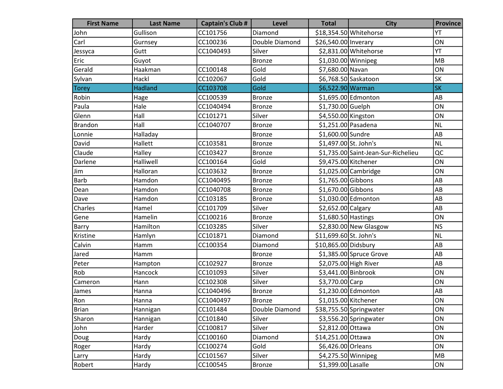| <b>First Name</b> | <b>Last Name</b> | <b>Captain's Club #</b> | Level          | <b>Total</b>           | <b>City</b>                         | <b>Province</b> |
|-------------------|------------------|-------------------------|----------------|------------------------|-------------------------------------|-----------------|
| John              | Gullison         | CC101756                | Diamond        |                        | \$18,354.50 Whitehorse              | YT              |
| Carl              | Gurnsey          | CC100236                | Double Diamond | \$26,540.00 Inverary   |                                     | ON              |
| Jessyca           | Gutt             | CC1040493               | Silver         |                        | \$2,831.00 Whitehorse               | YT              |
| Eric              | Guyot            |                         | <b>Bronze</b>  | $$1,030.00$ Winnipeg   |                                     | MB              |
| Gerald            | Haakman          | CC100148                | Gold           | \$7,680.00 Navan       |                                     | ON              |
| Sylvan            | Hackl            | CC102067                | Gold           |                        | \$6,768.50 Saskatoon                | <b>SK</b>       |
| <b>Torey</b>      | <b>Hadland</b>   | CC103708                | Gold           | \$6,522.90 Warman      |                                     | <b>SK</b>       |
| Robin             | Hage             | CC100539                | <b>Bronze</b>  |                        | \$1,695.00 Edmonton                 | AB              |
| Paula             | Hale             | CC1040494               | <b>Bronze</b>  | \$1,730.00 Guelph      |                                     | ON              |
| Glenn             | Hall             | CC101271                | Silver         | \$4,550.00 Kingston    |                                     | ON              |
| <b>Brandon</b>    | Hall             | CC1040707               | <b>Bronze</b>  | \$1,251.00 Pasadena    |                                     | <b>NL</b>       |
| Lonnie            | Halladay         |                         | <b>Bronze</b>  | \$1,600.00 Sundre      |                                     | AB              |
| David             | Hallett          | CC103581                | <b>Bronze</b>  | \$1,497.00 St. John's  |                                     | <b>NL</b>       |
| Claude            | Halley           | CC103427                | <b>Bronze</b>  |                        | \$1,735.00 Saint-Jean-Sur-Richelieu | QC              |
| Darlene           | Halliwell        | CC100164                | Gold           | \$9,475.00 Kitchener   |                                     | ON              |
| Jim               | Halloran         | CC103632                | <b>Bronze</b>  |                        | $$1,025.00$ Cambridge               | ON              |
| <b>Barb</b>       | Hamdon           | CC1040495               | <b>Bronze</b>  | \$1,765.00 Gibbons     |                                     | AB              |
| Dean              | Hamdon           | CC1040708               | <b>Bronze</b>  | \$1,670.00 Gibbons     |                                     | AB              |
| Dave              | Hamdon           | CC103185                | <b>Bronze</b>  |                        | \$1,030.00 Edmonton                 | AB              |
| Charles           | Hamel            | CC101709                | Silver         | \$2,652.00 Calgary     |                                     | AB              |
| Gene              | Hamelin          | CC100216                | <b>Bronze</b>  | \$1,680.50 Hastings    |                                     | ON              |
| Barry             | Hamilton         | CC103285                | Silver         |                        | $$2,830.00$ New Glasgow             | <b>NS</b>       |
| Kristine          | Hamlyn           | CC101871                | Diamond        | \$11,699.60 St. John's |                                     | <b>NL</b>       |
| Calvin            | Hamm             | CC100354                | Diamond        | \$10,865.00 Didsbury   |                                     | AB              |
| Jared             | Hamm             |                         | <b>Bronze</b>  |                        | \$1,385.00 Spruce Grove             | AB              |
| Peter             | Hampton          | CC102927                | <b>Bronze</b>  |                        | \$2,075.00 High River               | AB              |
| Rob               | Hancock          | CC101093                | Silver         | \$3,441.00 Binbrook    |                                     | ON              |
| Cameron           | Hann             | CC102308                | Silver         | \$3,770.00 Carp        |                                     | ON              |
| James             | Hanna            | CC1040496               | <b>Bronze</b>  |                        | \$1,230.00 Edmonton                 | AB              |
| Ron               | Hanna            | CC1040497               | <b>Bronze</b>  | \$1,015.00 Kitchener   |                                     | ON              |
| Brian             | Hannigan         | CC101484                | Double Diamond |                        | \$38,755.50 Springwater             | ON              |
| Sharon            | Hannigan         | CC101840                | Silver         |                        | \$3,556.20 Springwater              | ON              |
| John              | Harder           | CC100817                | Silver         | \$2,812.00 Ottawa      |                                     | ON              |
| Doug              | Hardy            | CC100160                | Diamond        | \$14,251.00 Ottawa     |                                     | ON              |
| Roger             | Hardy            | CC100274                | Gold           | \$6,426.00 Orleans     |                                     | ON              |
| Larry             | Hardy            | CC101567                | Silver         |                        | \$4,275.50 Winnipeg                 | MB              |
| Robert            | Hardy            | CC100545                | <b>Bronze</b>  | \$1,399.00 Lasalle     |                                     | ON              |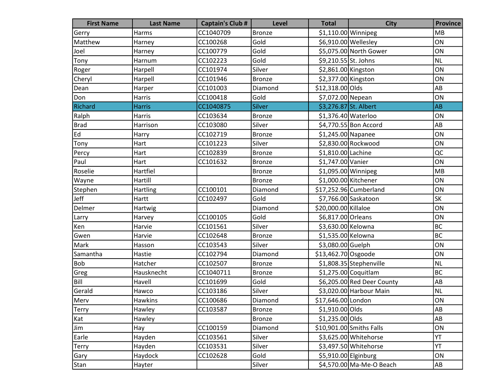| <b>First Name</b> | <b>Last Name</b> | <b>Captain's Club #</b> | <b>Level</b>  | <b>Total</b>          | <b>City</b>                | <b>Province</b> |
|-------------------|------------------|-------------------------|---------------|-----------------------|----------------------------|-----------------|
| Gerry             | Harms            | CC1040709               | Bronze        | \$1,110.00 Winnipeg   |                            | <b>MB</b>       |
| Matthew           | Harney           | CC100268                | Gold          | \$6,910.00 Wellesley  |                            | ON              |
| Joel              | Harney           | CC100779                | Gold          |                       | \$5,075.00 North Gower     | ON              |
| Tony              | Harnum           | CC102223                | Gold          | \$9,210.55 St. Johns  |                            | NL              |
| Roger             | Harpell          | CC101974                | Silver        | \$2,861.00 Kingston   |                            | ON              |
| Cheryl            | Harpell          | CC101946                | <b>Bronze</b> | \$2,377.00 Kingston   |                            | ON              |
| Dean              | Harper           | CC101003                | Diamond       | \$12,318.00 Olds      |                            | AB              |
| Don               | Harris           | CC100418                | Gold          | \$7,072.00 Nepean     |                            | ON              |
| Richard           | <b>Harris</b>    | CC1040875               | <b>Silver</b> | \$3,276.87 St. Albert |                            | <b>AB</b>       |
| Ralph             | Harris           | CC103634                | <b>Bronze</b> | \$1,376.40 Waterloo   |                            | ON              |
| <b>Brad</b>       | Harrison         | CC103080                | Silver        |                       | \$4,770.55 Bon Accord      | AB              |
| Ed                | Harry            | CC102719                | Bronze        | \$1,245.00 Napanee    |                            | ON              |
| Tony              | Hart             | CC101223                | Silver        |                       | \$2,830.00 Rockwood        | ON              |
| Percy             | Hart             | CC102839                | Bronze        | \$1,810.00 Lachine    |                            | QC              |
| Paul              | Hart             | CC101632                | Bronze        | \$1,747.00 Vanier     |                            | ON              |
| Roselie           | Hartfiel         |                         | <b>Bronze</b> | $$1,095.00$ Winnipeg  |                            | MB              |
| Wayne             | Hartill          |                         | Bronze        | $$1,000.00$ Kitchener |                            | ON              |
| Stephen           | <b>Hartling</b>  | CC100101                | Diamond       |                       | \$17,252.96 Cumberland     | ON              |
| Jeff              | Hartt            | CC102497                | Gold          |                       | \$7,766.00 Saskatoon       | SK              |
| Delmer            | Hartwig          |                         | Diamond       | \$20,000.00 Killaloe  |                            | ON              |
| Larry             | Harvey           | CC100105                | Gold          | \$6,817.00 Orleans    |                            | ON              |
| Ken               | Harvie           | CC101561                | Silver        | \$3,630.00 Kelowna    |                            | <b>BC</b>       |
| Gwen              | Harvie           | CC102648                | <b>Bronze</b> | \$1,535.00 Kelowna    |                            | <b>BC</b>       |
| Mark              | Hasson           | CC103543                | Silver        | \$3,080.00 Guelph     |                            | ON              |
| Samantha          | Hastie           | CC102794                | Diamond       | \$13,462.70 Osgoode   |                            | ON              |
| <b>Bob</b>        | Hatcher          | CC102507                | <b>Bronze</b> |                       | \$1,808.35 Stephenville    | <b>NL</b>       |
| Greg              | Hausknecht       | CC1040711               | <b>Bronze</b> |                       | \$1,275.00 Coquitlam       | <b>BC</b>       |
| Bill              | Havell           | CC101699                | Gold          |                       | \$6,205.00 Red Deer County | AB              |
| Gerald            | Hawco            | CC103186                | Silver        |                       | \$3,020.00 Harbour Main    | <b>NL</b>       |
| Merv              | <b>Hawkins</b>   | CC100686                | Diamond       | \$17,646.00 London    |                            | ON              |
| <b>Terry</b>      | Hawley           | CC103587                | Bronze        | \$1,910.00 Olds       |                            | AB              |
| Kat               | Hawley           |                         | <b>Bronze</b> | \$1,235.00 Olds       |                            | ${\sf AB}$      |
| Jim               | Hay              | CC100159                | Diamond       |                       | \$10,901.00 Smiths Falls   | ON              |
| Earle             | Hayden           | CC103561                | Silver        |                       | \$3,625.00 Whitehorse      | YT              |
| <b>Terry</b>      | Hayden           | CC103531                | Silver        |                       | \$3,497.50 Whitehorse      | YT              |
| Gary              | Haydock          | CC102628                | Gold          | \$5,910.00 Elginburg  |                            | ON              |
| Stan              | Hayter           |                         | Silver        |                       | \$4,570.00 Ma-Me-O Beach   | AB              |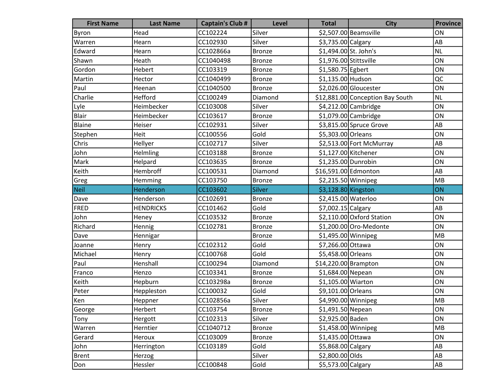| <b>First Name</b> | <b>Last Name</b> | <b>Captain's Club #</b> | <b>Level</b>  | <b>Total</b>           | <b>City</b>                      | <b>Province</b>        |
|-------------------|------------------|-------------------------|---------------|------------------------|----------------------------------|------------------------|
| <b>Byron</b>      | Head             | CC102224                | Silver        |                        | \$2,507.00 Beamsville            | ON                     |
| Warren            | Hearn            | CC102930                | Silver        | \$3,735.00 Calgary     |                                  | AB                     |
| Edward            | Hearn            | CC102866a               | <b>Bronze</b> | \$1,494.00 St. John's  |                                  | <b>NL</b>              |
| Shawn             | Heath            | CC1040498               | Bronze        | \$1,976.00 Stittsville |                                  | ON                     |
| Gordon            | Hebert           | CC103319                | Bronze        | \$1,580.75 Egbert      |                                  | ON                     |
| Martin            | Hector           | CC1040499               | <b>Bronze</b> | \$1,135.00 Hudson      |                                  | QC                     |
| Paul              | Heenan           | CC1040500               | <b>Bronze</b> |                        | \$2,026.00 Gloucester            | ON                     |
| Charlie           | Hefford          | CC100249                | Diamond       |                        | \$12,881.00 Conception Bay South | <b>NL</b>              |
| Lyle              | Heimbecker       | CC103008                | Silver        |                        | \$4,212.00 Cambridge             | ON                     |
| <b>Blair</b>      | Heimbecker       | CC103617                | <b>Bronze</b> |                        | \$1,079.00 Cambridge             | ON                     |
| Blaine            | Heiser           | CC102931                | Silver        |                        | \$3,815.00 Spruce Grove          | AB                     |
| Stephen           | Heit             | CC100556                | Gold          | \$5,303.00 Orleans     |                                  | ON                     |
| Chris             | Hellyer          | CC102717                | Silver        |                        | \$2,513.00 Fort McMurray         | AB                     |
| John              | Helmling         | CC103188                | <b>Bronze</b> | \$1,127.00 Kitchener   |                                  | ON                     |
| Mark              | Helpard          | CC103635                | <b>Bronze</b> | \$1,235.00 Dunrobin    |                                  | ON                     |
| Keith             | Hembroff         | CC100531                | Diamond       | \$16,591.00 Edmonton   |                                  | AB                     |
| Greg              | Hemming          | CC103750                | <b>Bronze</b> | \$2,215.50 Winnipeg    |                                  | MB                     |
| <b>Neil</b>       | Henderson        | CC103602                | <b>Silver</b> | \$3,128.80 Kingston    |                                  | ON                     |
| Dave              | Henderson        | CC102691                | <b>Bronze</b> | \$2,415.00 Waterloo    |                                  | ON                     |
| FRED              | <b>HENDRICKS</b> | CC101462                | Gold          | \$7,002.15 Calgary     |                                  | AB                     |
| John              | Heney            | CC103532                | <b>Bronze</b> |                        | \$2,110.00 Oxford Station        | ON                     |
| Richard           | Hennig           | CC102781                | <b>Bronze</b> |                        | \$1,200.00 Oro-Medonte           | ON                     |
| Dave              | Hennigar         |                         | <b>Bronze</b> | $$1,495.00$ Winnipeg   |                                  | MB                     |
| Joanne            | Henry            | CC102312                | Gold          | \$7,266.00 Ottawa      |                                  | ON                     |
| Michael           | Henry            | CC100768                | Gold          | \$5,458.00 Orleans     |                                  | ON                     |
| Paul              | Henshall         | CC100294                | Diamond       | $$14,220.00$ Brampton  |                                  | ON                     |
| Franco            | Henzo            | CC103341                | <b>Bronze</b> | \$1,684.00 Nepean      |                                  | ON                     |
| Keith             | Hepburn          | CC103298a               | <b>Bronze</b> | \$1,105.00 Wiarton     |                                  | ON                     |
| Peter             | Heppleston       | CC100032                | Gold          | \$9,101.00 Orleans     |                                  | ON                     |
| $\mathsf{Ken}$    | Heppner          | CC102856a               | Silver        | \$4,990.00 Winnipeg    |                                  | MB                     |
| George            | Herbert          | CC103754                | Bronze        | \$1,491.50 Nepean      |                                  | ON                     |
| Tony              | Hergott          | CC102313                | Silver        | \$2,925.00 Baden       |                                  | ON                     |
| Warren            | Herntier         | CC1040712               | <b>Bronze</b> |                        | $$1,458.00$ Winnipeg             | MB                     |
| Gerard            | Heroux           | CC103009                | <b>Bronze</b> | \$1,435.00 Ottawa      |                                  | ON                     |
| John              | Herrington       | CC103189                | Gold          | \$5,868.00 Calgary     |                                  | AB                     |
| <b>Brent</b>      | Herzog           |                         | Silver        | \$2,800.00 Olds        |                                  | AB                     |
| Don               | Hessler          | CC100848                | Gold          | \$5,573.00 Calgary     |                                  | $\mathsf{A}\mathsf{B}$ |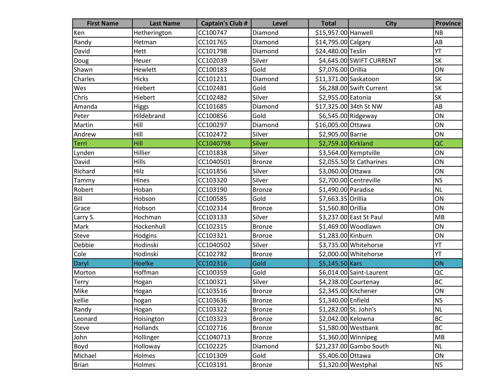| <b>First Name</b> | <b>Last Name</b> | <b>Captain's Club #</b> | Level         | <b>Total</b>          | <b>City</b>              | <b>Province</b> |
|-------------------|------------------|-------------------------|---------------|-----------------------|--------------------------|-----------------|
| Ken               | Hetherington     | CC100747                | Diamond       | \$15,957.00 Hanwell   |                          | <b>NB</b>       |
| Randy             | Hetman           | CC101765                | Diamond       | \$14,795.00 Calgary   |                          | AB              |
| David             | Hett             | CC101798                | Diamond       | \$24,480.00 Teslin    |                          | YT              |
| Doug              | Heuer            | CC102039                | Silver        |                       | \$4,645.00 SWIFT CURRENT | <b>SK</b>       |
| Shawn             | Hewlett          | CC100183                | Gold          | \$7,076.00 Orillia    |                          | ON              |
| Charles           | <b>Hicks</b>     | CC101211                | Diamond       | \$11,371.00 Saskatoon |                          | SK              |
| Wes               | Hiebert          | CC102481                | Gold          |                       | \$6,288.00 Swift Current | SK              |
| Chris             | Hiebert          | CC102482                | Silver        | \$2,955.00 Eatonia    |                          | <b>SK</b>       |
| Amanda            | <b>Higgs</b>     | CC101685                | Diamond       |                       | \$17,325.00 34th St NW   | AB              |
| Peter             | Hildebrand       | CC100856                | Gold          | \$6,545.00 Ridgeway   |                          | ON              |
| Martin            | Hill             | CC100297                | Diamond       | \$16,005.00 Ottawa    |                          | ON              |
| Andrew            | Hill             | CC102472                | Silver        | \$2,905.00 Barrie     |                          | ON              |
| Terri             | Hill             | CC1040798               | Silver        | \$2,759.10 Kirkland   |                          | QC              |
| Lynden            | Hillier          | CC101838                | Silver        |                       | \$3,564.00 Kemptville    | ON              |
| David             | Hills            | CC1040501               | <b>Bronze</b> |                       | \$2,055.50 St Catharines | ON              |
| Richard           | Hilz             | CC101856                | Silver        | \$3,060.00 Ottawa     |                          | ON              |
| Tammy             | Hines            | CC103320                | Silver        |                       | \$2,700.00 Centreville   | <b>NS</b>       |
| Robert            | Hoban            | CC103190                | <b>Bronze</b> | \$1,490.00 Paradise   |                          | <b>NL</b>       |
| Bill              | Hobson           | CC100585                | Gold          | \$7,663.35 Orillia    |                          | ON              |
| Grace             | Hobson           | CC102314                | <b>Bronze</b> | \$1,560.80 Orillia    |                          | ON              |
| Larry S.          | Hochman          | CC103133                | Silver        |                       | \$3,237.00 East St Paul  | MB              |
| Mark              | Hockenhull       | CC102315                | <b>Bronze</b> |                       | \$1,469.00 Woodlawn      | ON              |
| Steve             | Hodgins          | CC103321                | <b>Bronze</b> | \$1,283.00 Kinburn    |                          | ON              |
| Debbie            | Hodinski         | CC1040502               | Silver        |                       | \$3,735.00 Whitehorse    | YT              |
| Cole              | Hodinski         | CC102782                | <b>Bronze</b> |                       | \$2,000.00 Whitehorse    | YT              |
| Daryl             | <b>Hoelke</b>    | CC102316                | Gold          | \$5,145.50 Kars       |                          | ON              |
| Morton            | Hoffman          | CC100359                | Gold          |                       | \$6,014.00 Saint-Laurent | QC              |
| Terry             | Hogan            | CC100321                | Silver        |                       | \$4,238.00 Courtenay     | <b>BC</b>       |
| Mike              | Hogan            | CC103516                | <b>Bronze</b> |                       | \$2,345.00 Kitchener     | ON              |
| kellie            | hogan            | CC103636                | <b>Bronze</b> | \$1,340.00 Enfield    |                          | <b>NS</b>       |
| Randy             | Hogan            | CC103322                | Bronze        | \$1,282.00 St. John's |                          | NL              |
| Leonard           | Hoisington       | CC103323                | <b>Bronze</b> | \$2,042.00 Kelowna    |                          | <b>BC</b>       |
| <b>Steve</b>      | Hollands         | CC102716                | <b>Bronze</b> |                       | \$1,580.00 Westbank      | <b>BC</b>       |
| John              | Hollinger        | CC1040713               | <b>Bronze</b> | $$1,360.00$ Winnipeg  |                          | MB              |
| Boyd              | Holloway         | CC102225                | Diamond       |                       | \$21,237.00 Gambo South  | <b>NL</b>       |
| Michael           | Holmes           | CC101309                | Gold          | \$5,406.00 Ottawa     |                          | ON              |
| <b>Brian</b>      | Holmes           | CC103191                | Bronze        | $$1,320.00$ Westphal  |                          | <b>NS</b>       |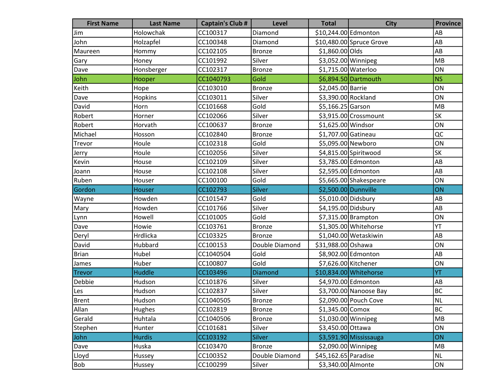| <b>First Name</b> | <b>Last Name</b> | <b>Captain's Club #</b> | <b>Level</b>   | <b>Total</b>         | <b>City</b>               | <b>Province</b> |
|-------------------|------------------|-------------------------|----------------|----------------------|---------------------------|-----------------|
| Jim               | Holowchak        | CC100317                | Diamond        | \$10,244.00 Edmonton |                           | AB              |
| John              | Holzapfel        | CC100348                | Diamond        |                      | $$10,480.00$ Spruce Grove | AB              |
| Maureen           | Hommy            | CC102105                | Bronze         | \$1,860.00 Olds      |                           | AB              |
| Gary              | Honey            | CC101992                | Silver         |                      | \$3,052.00 Winnipeg       | MB              |
| Dave              | Honsberger       | CC102317                | <b>Bronze</b>  | \$1,715.00 Waterloo  |                           | ON              |
| John              | Hooper           | CC1040793               | Gold           |                      | \$6,894.50 Dartmouth      | <b>NS</b>       |
| Keith             | Hope             | CC103010                | <b>Bronze</b>  | \$2,045.00 Barrie    |                           | ON              |
| Dave              | Hopkins          | CC103011                | Silver         | \$3,390.00 Rockland  |                           | ON              |
| David             | Horn             | CC101668                | Gold           | \$5,166.25 Garson    |                           | MB              |
| Robert            | Horner           | CC102066                | Silver         |                      | \$3,915.00 Crossmount     | SK              |
| Robert            | Horvath          | CC100637                | <b>Bronze</b>  | \$1,625.00 Windsor   |                           | ON              |
| Michael           | Hosson           | CC102840                | Bronze         | \$1,707.00 Gatineau  |                           | QC              |
| Trevor            | Houle            | CC102318                | Gold           | \$5,095.00 Newboro   |                           | ON              |
| Jerry             | Houle            | CC102056                | Silver         |                      | \$4,815.00 Spiritwood     | <b>SK</b>       |
| Kevin             | House            | CC102109                | Silver         |                      | \$3,785.00 Edmonton       | AB              |
| Joann             | House            | CC102108                | Silver         |                      | \$2,595.00 Edmonton       | AB              |
| Ruben             | Houser           | CC100100                | Gold           |                      | \$5,665.00 Shakespeare    | ON              |
| Gordon            | <b>Houser</b>    | CC102793                | <b>Silver</b>  | \$2,500.00 Dunnville |                           | ON              |
| Wayne             | Howden           | CC101547                | Gold           | \$5,010.00 Didsbury  |                           | AB              |
| Mary              | Howden           | CC101766                | Silver         | \$4,195.00 Didsbury  |                           | AB              |
| Lynn              | Howell           | CC101005                | Gold           |                      | $$7,315.00$ Brampton      | ON              |
| Dave              | Howie            | CC103761                | <b>Bronze</b>  |                      | \$1,305.00 Whitehorse     | YT              |
| Deryl             | Hrdlicka         | CC103325                | <b>Bronze</b>  |                      | \$1,040.00 Wetaskiwin     | AB              |
| David             | Hubbard          | CC100153                | Double Diamond | \$31,988.00 Oshawa   |                           | ON              |
| <b>Brian</b>      | Hubel            | CC1040504               | Gold           |                      | \$8,902.00 Edmonton       | AB              |
| James             | Huber            | CC100807                | Gold           | \$7,626.00 Kitchener |                           | ON              |
| Trevor            | Huddle           | CC103496                | <b>Diamond</b> |                      | \$10,834.00 Whitehorse    | YT              |
| Debbie            | Hudson           | CC101876                | Silver         |                      | \$4,970.00 Edmonton       | AB              |
| Les               | Hudson           | CC102837                | Silver         |                      | \$3,700.00 Nanoose Bay    | <b>BC</b>       |
| Brent             | Hudson           | CC1040505               | Bronze         |                      | \$2,090.00 Pouch Cove     | <b>NL</b>       |
| Allan             | Hughes           | CC102819                | Bronze         | $$1,345.00$ Comox    |                           | <b>BC</b>       |
| Gerald            | Huhtala          | CC1040506               | <b>Bronze</b>  | $$1,030.00$ Winnipeg |                           | MB              |
| Stephen           | Hunter           | CC101681                | Silver         | \$3,450.00 Ottawa    |                           | ON              |
| John              | <b>Hurdis</b>    | CC103192                | <b>Silver</b>  |                      | \$3,591.90 Mississauga    | ON              |
| Dave              | Huska            | CC103470                | <b>Bronze</b>  | \$2,090.00 Winnipeg  |                           | MB              |
| Lloyd             | Hussey           | CC100352                | Double Diamond | \$45,162.65 Paradise |                           | NL              |
| Bob               | Hussey           | CC100299                | Silver         | \$3,340.00 Almonte   |                           | ON              |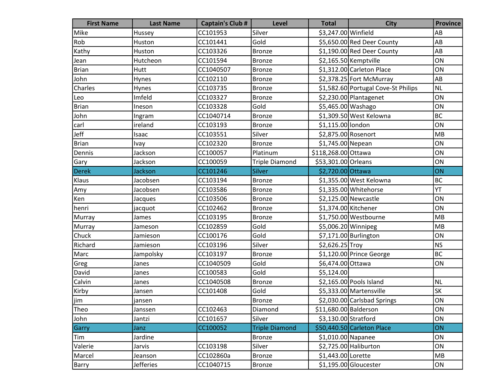| <b>First Name</b> | <b>Last Name</b> | <b>Captain's Club #</b> | Level                 | <b>Total</b>          | <b>City</b>                         | <b>Province</b> |
|-------------------|------------------|-------------------------|-----------------------|-----------------------|-------------------------------------|-----------------|
| Mike              | Hussey           | CC101953                | Silver                | \$3,247.00 Winfield   |                                     | AB              |
| Rob               | Huston           | CC101441                | Gold                  |                       | \$5,650.00 Red Deer County          | AB              |
| Kathy             | Huston           | CC103326                | <b>Bronze</b>         |                       | \$1,190.00 Red Deer County          | AB              |
| Jean              | Hutcheon         | CC101594                | <b>Bronze</b>         |                       | \$2,165.50 Kemptville               | ON              |
| <b>Brian</b>      | Hutt             | CC1040507               | <b>Bronze</b>         |                       | \$1,312.00 Carleton Place           | ON              |
| John              | Hynes            | CC102110                | <b>Bronze</b>         |                       | \$2,378.25 Fort McMurray            | AB              |
| Charles           | Hynes            | CC103735                | <b>Bronze</b>         |                       | \$1,582.60 Portugal Cove-St Philips | <b>NL</b>       |
| Leo               | Imfeld           | CC103327                | <b>Bronze</b>         |                       | \$2,230.00 Plantagenet              | ON              |
| <b>Brian</b>      | Ineson           | CC103328                | Gold                  | \$5,465.00 Washago    |                                     | ON              |
| John              | Ingram           | CC1040714               | <b>Bronze</b>         |                       | \$1,309.50 West Kelowna             | <b>BC</b>       |
| carl              | ireland          | CC103193                | <b>Bronze</b>         | \$1,115.00 london     |                                     | ON              |
| Jeff              | Isaac            | CC103551                | Silver                | \$2,875.00 Rosenort   |                                     | MB              |
| <b>Brian</b>      | Ivay             | CC102320                | <b>Bronze</b>         | \$1,745.00 Nepean     |                                     | ON              |
| Dennis            | Jackson          | CC100057                | Platinum              | \$118,268.00 Ottawa   |                                     | ON              |
| Gary              | Jackson          | CC100059                | <b>Triple Diamond</b> | \$53,301.00 Orleans   |                                     | ON              |
| <b>Derek</b>      | Jackson          | CC101246                | Silver                | \$2,720.00 Ottawa     |                                     | ON              |
| Klaus             | Jacobsen         | CC103194                | <b>Bronze</b>         |                       | \$1,355.00 West Kelowna             | <b>BC</b>       |
| Amy               | Jacobsen         | CC103586                | <b>Bronze</b>         |                       | \$1,335.00 Whitehorse               | YT              |
| Ken               | Jacques          | CC103506                | <b>Bronze</b>         |                       | \$2,125.00 Newcastle                | ON              |
| henri             | jacquot          | CC102462                | <b>Bronze</b>         | \$1,374.00 Kitchener  |                                     | ON              |
| Murray            | James            | CC103195                | <b>Bronze</b>         |                       | \$1,750.00 Westbourne               | MB              |
| Murray            | Jameson          | CC102859                | Gold                  | \$5,006.20 Winnipeg   |                                     | MB              |
| Chuck             | Jamieson         | CC100176                | Gold                  |                       | \$7,171.00 Burlington               | ON              |
| Richard           | Jamieson         | CC103196                | Silver                | \$2,626.25 Troy       |                                     | <b>NS</b>       |
| Marc              | Jampolsky        | CC103197                | <b>Bronze</b>         |                       | \$1,120.00 Prince George            | <b>BC</b>       |
| Greg              | Janes            | CC1040509               | Gold                  | \$6,474.00 Ottawa     |                                     | ON              |
| David             | Janes            | CC100583                | Gold                  | \$5,124.00            |                                     |                 |
| Calvin            | Janes            | CC1040508               | <b>Bronze</b>         |                       | \$2,165.00 Pools Island             | <b>NL</b>       |
| Kirby             | Jansen           | CC101408                | Gold                  |                       | \$5,333.00 Martensville             | <b>SK</b>       |
| $\sqrt{\lim}$     | jansen           |                         | Bronze                |                       | \$2,030.00 Carlsbad Springs         | ON              |
| Theo              | Janssen          | CC102463                | Diamond               | \$11,680.00 Balderson |                                     | ON              |
| John              | Jantzi           | CC101657                | Silver                | \$3,130.00 Stratford  |                                     | ON              |
| Garry             | Janz             | CC100052                | <b>Triple Diamond</b> |                       | \$50,440.50 Carleton Place          | ON              |
| Tim               | Jardine          |                         | <b>Bronze</b>         | $$1,010.00$ Napanee   |                                     | ON              |
| Valerie           | Jarvis           | CC103198                | Silver                |                       | \$2,725.00 Haliburton               | ON              |
| Marcel            | Jeanson          | CC102860a               | <b>Bronze</b>         | \$1,443.00 Lorette    |                                     | MB              |
| Barry             | <b>Jefferies</b> | CC1040715               | <b>Bronze</b>         |                       | $$1,195.00$ Gloucester              | ON              |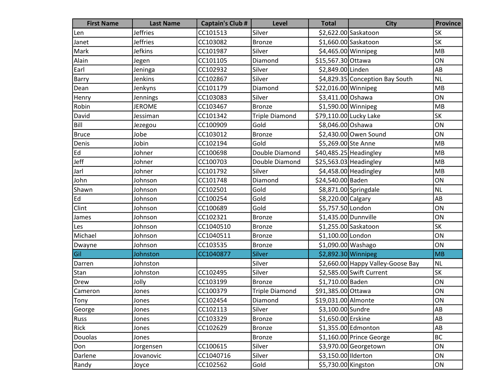| <b>First Name</b> | <b>Last Name</b> | <b>Captain's Club #</b> | Level                 | <b>Total</b>            | <b>City</b>                       | <b>Province</b> |
|-------------------|------------------|-------------------------|-----------------------|-------------------------|-----------------------------------|-----------------|
| Len               | <b>Jeffries</b>  | CC101513                | Silver                |                         | \$2,622.00 Saskatoon              | <b>SK</b>       |
| Janet             | <b>Jeffries</b>  | CC103082                | <b>Bronze</b>         |                         | \$1,660.00 Saskatoon              | <b>SK</b>       |
| Mark              | Jefkins          | CC101987                | Silver                | \$4,465.00 Winnipeg     |                                   | MB              |
| Alain             | Jegen            | CC101105                | Diamond               | \$15,567.30 Ottawa      |                                   | ON              |
| Earl              | Jeninga          | CC102932                | Silver                | \$2,849.00 Linden       |                                   | AB              |
| Barry             | Jenkins          | CC102867                | Silver                |                         | \$4,829.35 Conception Bay South   | <b>NL</b>       |
| Dean              | Jenkyns          | CC101179                | Diamond               | \$22,016.00 Winnipeg    |                                   | MB              |
| Henry             | Jennings         | CC103083                | Silver                | \$3,411.00 Oshawa       |                                   | ON              |
| Robin             | <b>JEROME</b>    | CC103467                | <b>Bronze</b>         | \$1,590.00 Winnipeg     |                                   | MB              |
| David             | Jessiman         | CC101342                | <b>Triple Diamond</b> | \$79,110.00 Lucky Lake  |                                   | SK              |
| Bill              | Jezegou          | CC100909                | Gold                  | \$8,046.00 Oshawa       |                                   | ON              |
| <b>Bruce</b>      | Jobe             | CC103012                | <b>Bronze</b>         |                         | \$2,430.00 Owen Sound             | ON              |
| Denis             | Jobin            | CC102194                | Gold                  | \$5,269.00 Ste Anne     |                                   | MB              |
| Ed                | Johner           | CC100698                | Double Diamond        | $$40,485.25$ Headingley |                                   | <b>MB</b>       |
| Jeff              | Johner           | CC100703                | Double Diamond        | $$25,563.03$ Headingley |                                   | MB              |
| Jarl              | Johner           | CC101792                | Silver                |                         | \$4,458.00 Headingley             | MB              |
| John              | Johnson          | CC101748                | Diamond               | \$24,540.00 Baden       |                                   | ON              |
| Shawn             | Johnson          | CC102501                | Gold                  |                         | \$8,871.00 Springdale             | <b>NL</b>       |
| Ed                | Johnson          | CC100254                | Gold                  | \$8,220.00 Calgary      |                                   | AB              |
| Clint             | Johnson          | CC100689                | Gold                  | \$5,757.50 London       |                                   | ON              |
| James             | Johnson          | CC102321                | <b>Bronze</b>         | \$1,435.00 Dunnville    |                                   | ON              |
| Les               | Johnson          | CC1040510               | <b>Bronze</b>         |                         | \$1,255.00 Saskatoon              | <b>SK</b>       |
| Michael           | Johnson          | CC1040511               | <b>Bronze</b>         | \$1,100.00 London       |                                   | ON              |
| Dwayne            | Johnson          | CC103535                | <b>Bronze</b>         | \$1,090.00 Washago      |                                   | ON              |
| Gil               | Johnston         | CC1040877               | <b>Silver</b>         | \$2,892.30 Winnipeg     |                                   | <b>MB</b>       |
| Darren            | Johnston         |                         | Silver                |                         | \$2,660.00 Happy Valley-Goose Bay | <b>NL</b>       |
| Stan              | Johnston         | CC102495                | Silver                |                         | \$2,585.00 Swift Current          | <b>SK</b>       |
| Drew              | Jolly            | CC103199                | <b>Bronze</b>         | \$1,710.00 Baden        |                                   | ON              |
| Cameron           | Jones            | CC100379                | <b>Triple Diamond</b> | \$91,385.00 Ottawa      |                                   | ON              |
| <b>Tony</b>       | Jones            | CC102454                | Diamond               | \$19,031.00 Almonte     |                                   | ON              |
| George            | Jones            | CC102113                | Silver                | \$3,100.00 Sundre       |                                   | AB              |
| Russ              | Jones            | CC103329                | <b>Bronze</b>         | \$1,650.00 Erskine      |                                   | AB              |
| Rick              | Jones            | CC102629                | <b>Bronze</b>         |                         | \$1,355.00 Edmonton               | AB              |
| <b>Douolas</b>    | Jones            |                         | <b>Bronze</b>         |                         | \$1,160.00 Prince George          | <b>BC</b>       |
| Don               | Jorgensen        | CC100615                | Silver                |                         | \$3,970.00 Georgetown             | ON              |
| Darlene           | Jovanovic        | CC1040716               | Silver                | \$3,150.00 Ilderton     |                                   | ON              |
| Randy             | Joyce            | CC102562                | Gold                  | \$5,730.00 Kingston     |                                   | ON              |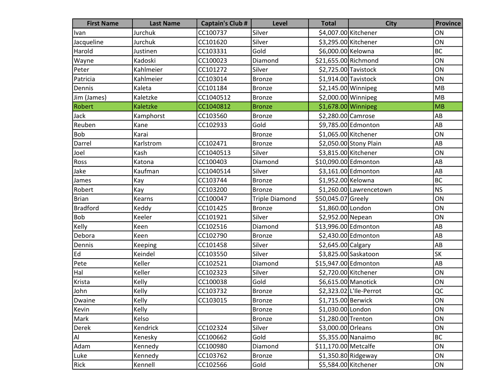| <b>First Name</b> | <b>Last Name</b> | <b>Captain's Club #</b> | <b>Level</b>          | <b>Total</b>          | <b>City</b>             | <b>Province</b> |
|-------------------|------------------|-------------------------|-----------------------|-----------------------|-------------------------|-----------------|
| Ivan              | Jurchuk          | CC100737                | Silver                | \$4,007.00 Kitchener  |                         | ON              |
| Jacqueline        | Jurchuk          | CC101620                | Silver                | \$3,295.00 Kitchener  |                         | ON              |
| Harold            | Justinen         | CC103331                | Gold                  | \$6,000.00 Kelowna    |                         | <b>BC</b>       |
| Wayne             | Kadoski          | CC100023                | Diamond               | \$21,655.00 Richmond  |                         | ON              |
| Peter             | Kahlmeier        | CC101272                | Silver                | \$2,725.00 Tavistock  |                         | ON              |
| Patricia          | Kahlmeier        | CC103014                | <b>Bronze</b>         | $$1,914.00$ Tavistock |                         | ON              |
| Dennis            | Kaleta           | CC101184                | Bronze                | \$2,145.00 Winnipeg   |                         | MB              |
| Jim (James)       | Kaletzke         | CC1040512               | <b>Bronze</b>         | $$2,000.00$ Winnipeg  |                         | MB              |
| Robert            | Kaletzke         | CC1040812               | <b>Bronze</b>         | $$1,678.00$ Winnipeg  |                         | MB              |
| Jack              | Kamphorst        | CC103560                | <b>Bronze</b>         | \$2,280.00 Camrose    |                         | AB              |
| Reuben            | Kane             | CC102933                | Gold                  |                       | \$9,785.00 Edmonton     | AB              |
| <b>Bob</b>        | Karai            |                         | Bronze                | \$1,065.00 Kitchener  |                         | ON              |
| Darrel            | Karlstrom        | CC102471                | Bronze                |                       | \$2,050.00 Stony Plain  | AB              |
| Joel              | Kash             | CC1040513               | Silver                | \$3,815.00 Kitchener  |                         | ON              |
| Ross              | Katona           | CC100403                | Diamond               | \$10,090.00 Edmonton  |                         | AB              |
| Jake              | Kaufman          | CC1040514               | Silver                |                       | \$3,161.00 Edmonton     | AB              |
| James             | Kay              | CC103744                | <b>Bronze</b>         | \$1,952.00 Kelowna    |                         | <b>BC</b>       |
| Robert            | Kay              | CC103200                | <b>Bronze</b>         |                       | \$1,260.00 Lawrencetown | <b>NS</b>       |
| <b>Brian</b>      | Kearns           | CC100047                | <b>Triple Diamond</b> | \$50,045.07 Greely    |                         | ON              |
| <b>Bradford</b>   | Keddy            | CC101425                | <b>Bronze</b>         | \$1,860.00 London     |                         | ON              |
| Bob               | Keeler           | CC101921                | Silver                | \$2,952.00 Nepean     |                         | ON              |
| Kelly             | Keen             | CC102516                | Diamond               | \$13,996.00 Edmonton  |                         | AB              |
| Debora            | Keen             | CC102790                | <b>Bronze</b>         |                       | \$2,430.00 Edmonton     | AB              |
| Dennis            | Keeping          | CC101458                | Silver                | \$2,645.00 Calgary    |                         | AB              |
| Ed                | Keindel          | CC103550                | Silver                |                       | \$3,825.00 Saskatoon    | <b>SK</b>       |
| Pete              | Keller           | CC102521                | Diamond               | \$15,947.00 Edmonton  |                         | AB              |
| Hal               | Keller           | CC102323                | Silver                | \$2,720.00 Kitchener  |                         | ON              |
| Krista            | Kelly            | CC100038                | Gold                  | \$6,615.00 Manotick   |                         | ON              |
| John              | Kelly            | CC103732                | <b>Bronze</b>         |                       | \$2,323.02 L'Ile-Perrot | QC              |
| Dwaine            | Kelly            | CC103015                | Bronze                | \$1,715.00 Berwick    |                         | ON              |
| Kevin             | Kelly            |                         | Bronze                | \$1,030.00 London     |                         | ON              |
| Mark              | Kelso            |                         | <b>Bronze</b>         | \$1,280.00 Trenton    |                         | ON              |
| <b>Derek</b>      | Kendrick         | CC102324                | Silver                | \$3,000.00 Orleans    |                         | ON              |
| Al.               | Kenesky          | CC100662                | Gold                  | \$5,355.00 Nanaimo    |                         | <b>BC</b>       |
| Adam              | Kennedy          | CC100980                | Diamond               | \$11,170.00 Metcalfe  |                         | ON              |
| Luke              | Kennedy          | CC103762                | <b>Bronze</b>         | $$1,350.80$ Ridgeway  |                         | ON              |
| Rick              | Kennell          | CC102566                | Gold                  | \$5,584.00 Kitchener  |                         | ON              |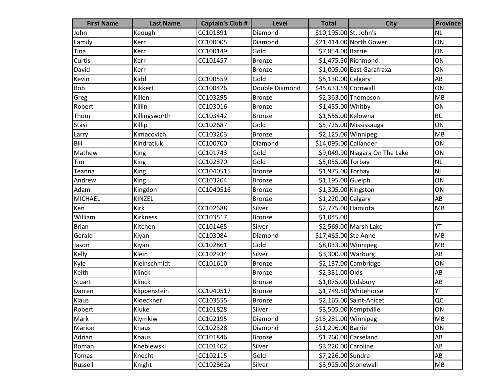| <b>First Name</b> | <b>Last Name</b> | <b>Captain's Club #</b> | Level          | <b>Total</b>           | <b>City</b>                    | <b>Province</b> |
|-------------------|------------------|-------------------------|----------------|------------------------|--------------------------------|-----------------|
| John              | Keough           | CC101891                | Diamond        | \$10,195.00 St. John's |                                | <b>NL</b>       |
| Family            | Kerr             | CC100005                | Diamond        |                        | \$21,414.00 North Gower        | ON              |
| Tina              | Kerr             | CC100149                | Gold           | \$7,854.00 Barrie      |                                | ON              |
| Curtis            | Kerr             | CC101457                | <b>Bronze</b>  |                        | $$1,475.50$ Richmond           | ON              |
| David             | Kerr             |                         | <b>Bronze</b>  |                        | \$1,005.00 East Garafraxa      | ON              |
| Kevin             | Kidd             | CC100559                | Gold           | \$5,130.00 Calgary     |                                | AB              |
| Bob               | Kikkert          | CC100426                | Double Diamond | \$45,633.59 Cornwall   |                                | ON              |
| Greg              | Killen           | CC103295                | <b>Bronze</b>  |                        | \$2,363.00 Thompson            | MB              |
| Robert            | Killin           | CC103016                | <b>Bronze</b>  | \$1,455.00 Whitby      |                                | ON              |
| Thom              | Killingsworth    | CC103442                | <b>Bronze</b>  | \$1,555.00 Kelowna     |                                | <b>BC</b>       |
| Stasi             | Killip           | CC102687                | Gold           |                        | \$5,725.00 Mississauga         | ON              |
| Larry             | Kimacovich       | CC103203                | <b>Bronze</b>  | \$2,125.00 Winnipeg    |                                | MB              |
| Bill              | Kindratiuk       | CC100700                | Diamond        | \$14,095.00 Callander  |                                | ON              |
| Mathew            | King             | CC101743                | Gold           |                        | \$9,049.90 Niagara On The Lake | ON              |
| Tim               | King             | CC102870                | Gold           | \$5,055.00 Torbay      |                                | <b>NL</b>       |
| Teanna            | King             | CC1040515               | <b>Bronze</b>  | $$1,975.00$ Torbay     |                                | <b>NL</b>       |
| Andrew            | King             | CC103204                | <b>Bronze</b>  | $$1,195.00$ Guelph     |                                | ON              |
| Adam              | Kingdon          | CC1040516               | <b>Bronze</b>  | \$1,305.00 Kingston    |                                | ON              |
| <b>MICHAEL</b>    | KINZEL           |                         | <b>Bronze</b>  | \$1,220.00 Calgary     |                                | AB              |
| Ken               | Kirk             | CC102688                | Silver         | \$2,775.00 Hamiota     |                                | MB              |
| William           | Kirkness         | CC103517                | <b>Bronze</b>  | \$1,045.00             |                                |                 |
| <b>Brian</b>      | Kitchen          | CC101465                | Silver         |                        | \$2,569.00 Marsh Lake          | YT              |
| Gerald            | Kiyan            | CC103084                | Diamond        | \$17,465.00 Ste Anne   |                                | MB              |
| Jason             | Kiyan            | CC102861                | Gold           | \$8,033.00 Winnipeg    |                                | MB              |
| Kelly             | Klein            | CC102934                | Silver         | \$3,300.00 Warburg     |                                | AB              |
| Kyle              | Kleinschmidt     | CC101610                | <b>Bronze</b>  |                        | $$2,137.00$ Cambridge          | ON              |
| Keith             | Klinck           |                         | <b>Bronze</b>  | \$2,381.00 Olds        |                                | AB              |
| Stuart            | Klinck           |                         | <b>Bronze</b>  | \$1,075.00 Didsbury    |                                | AB              |
| Darren            | Klippenstein     | CC1040517               | <b>Bronze</b>  |                        | \$1,749.50 Whitehorse          | YT              |
| Klaus             | Kloeckner        | CC103555                | <b>Bronze</b>  |                        | \$2,165.00 Saint-Anicet        | QC              |
| Robert            | Kluke            | CC101828                | Silver         |                        | \$3,505.00 Kemptville          | ON              |
| Mark              | Klymkiw          | CC102195                | Diamond        | \$13,281.00 Winnipeg   |                                | MB              |
| Marion            | Knaus            | CC102328                | Diamond        | \$11,296.00 Barrie     |                                | ON              |
| Adrian            | Knaus            | CC101846                | <b>Bronze</b>  |                        | $$1,760.00$ Carseland          | AB              |
| Roman             | Kneblewski       | CC101402                | Silver         | \$3,220.00 Caroline    |                                | AB              |
| Tomas             | Knecht           | CC102115                | Gold           | \$7,226.00 Sundre      |                                | AB              |
| Russell           | Knight           | CC102862a               | Silver         |                        | \$3,925.00 Stonewall           | MB              |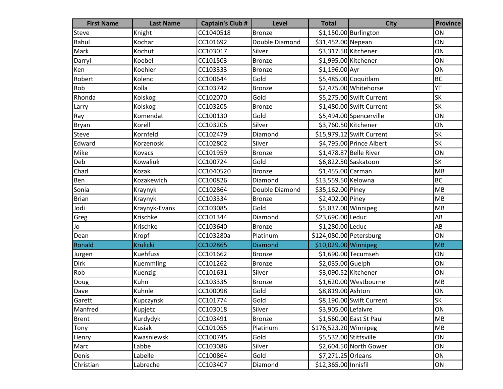| <b>First Name</b> | <b>Last Name</b> | <b>Captain's Club #</b> | <b>Level</b>   | <b>Total</b>            | <b>City</b>               | <b>Province</b> |
|-------------------|------------------|-------------------------|----------------|-------------------------|---------------------------|-----------------|
| Steve             | Knight           | CC1040518               | <b>Bronze</b>  |                         | $$1,150.00$ Burlington    | ON              |
| Rahul             | Kochar           | CC101692                | Double Diamond | \$31,452.00 Nepean      |                           | ON              |
| Mark              | Kochut           | CC103017                | Silver         | \$3,317.50 Kitchener    |                           | ON              |
| Darryl            | Koebel           | CC101503                | <b>Bronze</b>  |                         | \$1,995.00 Kitchener      | ON              |
| Ken               | Koehler          | CC103333                | <b>Bronze</b>  | \$1,196.00 Ayr          |                           | ON              |
| Robert            | Kolenc           | CC100644                | Gold           |                         | \$5,485.00 Coquitlam      | BC              |
| Rob               | Kolla            | CC103742                | <b>Bronze</b>  |                         | \$2,475.00 Whitehorse     | YT              |
| Rhonda            | Kolskog          | CC102070                | Gold           |                         | \$5,275.00 Swift Current  | <b>SK</b>       |
| Larry             | Kolskog          | CC103205                | <b>Bronze</b>  |                         | \$1,480.00 Swift Current  | SK              |
| Ray               | Komendat         | CC100130                | Gold           |                         | \$5,494.00 Spencerville   | ON              |
| Bryan             | Korell           | CC103206                | Silver         | \$3,760.50 Kitchener    |                           | ON              |
| Steve             | Kornfeld         | CC102479                | Diamond        |                         | \$15,979.12 Swift Current | <b>SK</b>       |
| Edward            | Korzenoski       | CC102802                | Silver         |                         | \$4,795.00 Prince Albert  | <b>SK</b>       |
| Mike              | Kovacs           | CC101959                | <b>Bronze</b>  |                         | \$1,478.87 Belle River    | ON              |
| Deb               | Kowaliuk         | CC100724                | Gold           |                         | \$6,822.50 Saskatoon      | <b>SK</b>       |
| Chad              | Kozak            | CC1040520               | <b>Bronze</b>  | \$1,455.00 Carman       |                           | MB              |
| Ben               | Kozakewich       | CC100826                | Diamond        | \$13,559.50 Kelowna     |                           | <b>BC</b>       |
| Sonia             | Kraynyk          | CC102864                | Double Diamond | \$35,162.00 Piney       |                           | MB              |
| <b>Brian</b>      | Kraynyk          | CC103334                | <b>Bronze</b>  | \$2,402.00 Piney        |                           | MB              |
| Jodi              | Kraynyk-Evans    | CC103085                | Gold           | \$5,837.00 Winnipeg     |                           | MB              |
| Greg              | Krischke         | CC101344                | Diamond        | \$23,690.00 Leduc       |                           | AB              |
| Jo                | Krischke         | CC103640                | <b>Bronze</b>  | \$1,280.00 Leduc        |                           | AB              |
| Dean              | Kropf            | CC103280a               | Platinum       | \$124,080.00 Petersburg |                           | ON              |
| Ronald            | <b>Krulicki</b>  | CC102865                | <b>Diamond</b> | \$10,029.00 Winnipeg    |                           | MB              |
| Jurgen            | Kuehfuss         | CC101662                | Bronze         |                         | \$1,690.00 Tecumseh       | ON              |
| Dirk              | Kuemmling        | CC101262                | Bronze         | \$2,035.00 Guelph       |                           | ON              |
| Rob               | Kuenzig          | CC101631                | Silver         | \$3,090.52 Kitchener    |                           | ON              |
| Doug              | Kuhn             | CC103335                | <b>Bronze</b>  |                         | \$1,620.00 Westbourne     | MB              |
| Dave              | Kuhnle           | CC100098                | Gold           | \$8,819.00 Ashton       |                           | ON              |
| Garett            | Kupczynski       | CC101774                | Gold           |                         | \$8,190.00 Swift Current  | SK              |
| Manfred           | Kupjetz          | CC103018                | Silver         | \$3,905.00 Lefaivre     |                           | ON              |
| Brent             | Kurdydyk         | CC103491                | <b>Bronze</b>  |                         | \$1,560.00 East St Paul   | MB              |
| Tony              | Kusiak           | CC101055                | Platinum       | \$176,523.20 Winnipeg   |                           | MB              |
| Henry             | Kwasniewski      | CC100745                | Gold           | \$5,532.00 Stittsville  |                           | ON              |
| Marc              | Labbe            | CC103086                | Silver         |                         | \$2,604.50 North Gower    | ON              |
| Denis             | Labelle          | CC100864                | Gold           | \$7,271.25 Orleans      |                           | ON              |
| Christian         | Labreche         | CC103407                | Diamond        | \$12,365.00 Innisfil    |                           | ON              |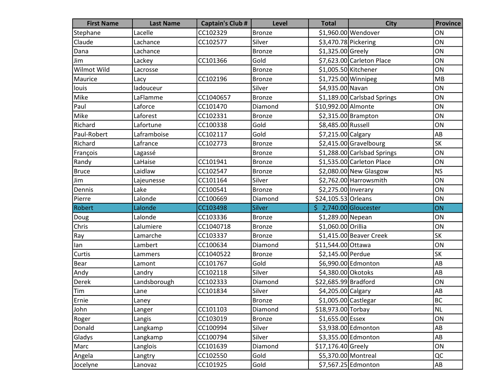| <b>First Name</b> | <b>Last Name</b> | <b>Captain's Club #</b> | <b>Level</b>  | <b>Total</b>           | <b>City</b>                 | <b>Province</b>        |
|-------------------|------------------|-------------------------|---------------|------------------------|-----------------------------|------------------------|
| Stephane          | Lacelle          | CC102329                | <b>Bronze</b> |                        | \$1,960.00 Wendover         | ON                     |
| Claude            | Lachance         | CC102577                | Silver        | \$3,470.78 Pickering   |                             | ON                     |
| Dana              | Lachance         |                         | <b>Bronze</b> | \$1,325.00 Greely      |                             | ON                     |
| Jim               | Lackey           | CC101366                | Gold          |                        | \$7,623.00 Carleton Place   | ON                     |
| Wilmot Wild       | Lacrosse         |                         | <b>Bronze</b> | \$1,005.50 Kitchener   |                             | ON                     |
| Maurice           | Lacy             | CC102196                | <b>Bronze</b> | \$1,725.00 Winnipeg    |                             | MB                     |
| louis             | ladouceur        |                         | Silver        | \$4,935.00 Navan       |                             | ON                     |
| Mike              | LaFlamme         | CC1040657               | <b>Bronze</b> |                        | \$1,189.00 Carlsbad Springs | ON                     |
| Paul              | Laforce          | CC101470                | Diamond       | \$10,992.00 Almonte    |                             | ON                     |
| Mike              | Laforest         | CC102331                | <b>Bronze</b> |                        | \$2,315.00 Brampton         | ON                     |
| Richard           | Lafortune        | CC100338                | Gold          | \$8,485.00 Russell     |                             | ON                     |
| Paul-Robert       | Laframboise      | CC102117                | Gold          | \$7,215.00 Calgary     |                             | AB                     |
| Richard           | Lafrance         | CC102773                | <b>Bronze</b> |                        | \$2,415.00 Gravelbourg      | <b>SK</b>              |
| François          | Lagassé          |                         | <b>Bronze</b> |                        | \$1,288.00 Carlsbad Springs | ON                     |
| Randy             | LaHaise          | CC101941                | <b>Bronze</b> |                        | \$1,535.00 Carleton Place   | ON                     |
| <b>Bruce</b>      | Laidlaw          | CC102547                | <b>Bronze</b> |                        | $$2,080.00$ New Glasgow     | <b>NS</b>              |
| Jim               | Lajeunesse       | CC101164                | Silver        |                        | \$2,762.00 Harrowsmith      | ON                     |
| Dennis            | Lake             | CC100541                | <b>Bronze</b> | \$2,275.00 Inverary    |                             | ON                     |
| Pierre            | Lalonde          | CC100669                | Diamond       | \$24,105.53 Orleans    |                             | ON                     |
| Robert            | Lalonde          | CC103498                | Silver        | $$2,740.00$ Gloucester |                             | ON                     |
| Doug              | Lalonde          | CC103336                | <b>Bronze</b> | \$1,289.00 Nepean      |                             | ON                     |
| Chris             | Lalumiere        | CC1040718               | <b>Bronze</b> | \$1,060.00 Orillia     |                             | ON                     |
| Ray               | Lamarche         | CC103337                | <b>Bronze</b> |                        | \$1,415.00 Beaver Creek     | SK                     |
| lan               | Lambert          | CC100634                | Diamond       | \$11,544.00 Ottawa     |                             | ON                     |
| Curtis            | Lammers          | CC1040522               | <b>Bronze</b> | \$2,145.00 Perdue      |                             | <b>SK</b>              |
| <b>Bear</b>       | Lamont           | CC101767                | Gold          |                        | \$6,990.00 Edmonton         | AB                     |
| Andy              | Landry           | CC102118                | Silver        | \$4,380.00 Okotoks     |                             | AB                     |
| Derek             | Landsborough     | CC102333                | Diamond       | \$22,685.99 Bradford   |                             | ON                     |
| Tim               | Lane             | CC101834                | Silver        | \$4,205.00 Calgary     |                             | AB                     |
| Ernie             | Laney            |                         | Bronze        | \$1,005.00 Castlegar   |                             | <b>BC</b>              |
| John              | Langer           | CC101103                | Diamond       | \$18,973.00 Torbay     |                             | <b>NL</b>              |
| Roger             | Langis           | CC103019                | <b>Bronze</b> | \$1,655.00 Essex       |                             | ON                     |
| Donald            | Langkamp         | CC100994                | Silver        |                        | \$3,938.00 Edmonton         | AB                     |
| Gladys            | Langkamp         | CC100794                | Silver        |                        | \$3,355.00 Edmonton         | AB                     |
| Marc              | Langlois         | CC101639                | Diamond       | \$17,176.40 Greely     |                             | ON                     |
| Angela            | Langtry          | CC102550                | Gold          | \$5,370.00 Montreal    |                             | QC                     |
| Jocelyne          | Lanovaz          | CC101925                | Gold          |                        | \$7,567.25 Edmonton         | $\mathsf{A}\mathsf{B}$ |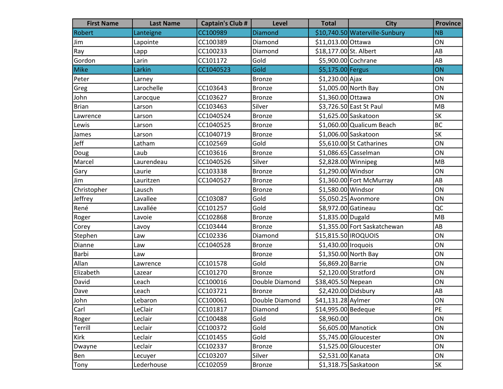| <b>First Name</b> | <b>Last Name</b> | <b>Captain's Club #</b> | <b>Level</b>   | <b>Total</b>           | <b>City</b>                    | <b>Province</b> |
|-------------------|------------------|-------------------------|----------------|------------------------|--------------------------------|-----------------|
| Robert            | Lanteigne        | CC100989                | <b>Diamond</b> |                        | \$10,740.50 Waterville-Sunbury | <b>NB</b>       |
| Jim               | Lapointe         | CC100389                | Diamond        | \$11,013.00 Ottawa     |                                | ON              |
| Ray               | Lapp             | CC100233                | Diamond        | \$18,177.00 St. Albert |                                | AB              |
| Gordon            | Larin            | CC101172                | Gold           | \$5,900.00 Cochrane    |                                | AB              |
| <b>Mike</b>       | Larkin           | CC1040523               | Gold           | \$5,175.00 Fergus      |                                | ON              |
| Peter             | Larney           |                         | <b>Bronze</b>  | $$1,230.00$ Ajax       |                                | ON              |
| Greg              | Larochelle       | CC103643                | <b>Bronze</b>  |                        | \$1,005.00 North Bay           | ON              |
| John              | Larocque         | CC103627                | <b>Bronze</b>  | \$1,360.00 Ottawa      |                                | ON              |
| <b>Brian</b>      | Larson           | CC103463                | Silver         |                        | \$3,726.50 East St Paul        | MB              |
| Lawrence          | Larson           | CC1040524               | <b>Bronze</b>  |                        | \$1,625.00 Saskatoon           | <b>SK</b>       |
| Lewis             | Larson           | CC1040525               | <b>Bronze</b>  |                        | \$1,060.00 Qualicum Beach      | BC              |
| James             | Larson           | CC1040719               | <b>Bronze</b>  |                        | \$1,006.00 Saskatoon           | <b>SK</b>       |
| Jeff              | Latham           | CC102569                | Gold           |                        | \$5,610.00 St Catharines       | ON              |
| Doug              | Laub             | CC103616                | <b>Bronze</b>  |                        | $$1,086.65$ Casselman          | ON              |
| Marcel            | Laurendeau       | CC1040526               | Silver         | \$2,828.00 Winnipeg    |                                | MB              |
| Gary              | Laurie           | CC103338                | <b>Bronze</b>  | \$1,290.00 Windsor     |                                | ON              |
| Jim               | Lauritzen        | CC1040527               | <b>Bronze</b>  |                        | \$1,360.00 Fort McMurray       | AB              |
| Christopher       | Lausch           |                         | <b>Bronze</b>  | \$1,580.00 Windsor     |                                | ON              |
| Jeffrey           | Lavallee         | CC103087                | Gold           |                        | \$5,050.25 Avonmore            | ON              |
| René              | Lavallée         | CC101257                | Gold           | \$8,972.00 Gatineau    |                                | QC              |
| Roger             | Lavoie           | CC102868                | <b>Bronze</b>  | \$1,835.00 Dugald      |                                | MB              |
| Corey             | Lavoy            | CC103444                | <b>Bronze</b>  |                        | \$1,355.00 Fort Saskatchewan   | AB              |
| Stephen           | Law              | CC102336                | Diamond        | \$15,815.50 IROQUOIS   |                                | ON              |
| Dianne            | Law              | CC1040528               | <b>Bronze</b>  | \$1,430.00 Iroquois    |                                | ON              |
| Barbi             | Law              |                         | <b>Bronze</b>  |                        | \$1,350.00 North Bay           | ON              |
| Allan             | Lawrence         | CC101578                | Gold           | \$6,869.20 Barrie      |                                | ON              |
| Elizabeth         | Lazear           | CC101270                | <b>Bronze</b>  | \$2,120.00 Stratford   |                                | ON              |
| David             | Leach            | CC100016                | Double Diamond | \$38,405.50 Nepean     |                                | ON              |
| Dave              | Leach            | CC103721                | <b>Bronze</b>  | \$2,420.00 Didsbury    |                                | AB              |
| John              | Lebaron          | CC100061                | Double Diamond | \$41,131.28 Aylmer     |                                | ON              |
| Carl              | LeClair          | CC101817                | Diamond        | \$14,995.00 Bedeque    |                                | PE              |
| Roger             | Leclair          | CC100488                | Gold           | \$8,960.00             |                                | ON              |
| Terrill           | Leclair          | CC100372                | Gold           |                        | \$6,605.00 Manotick            | ON              |
| Kirk              | Leclair          | CC101455                | Gold           |                        | \$5,745.00 Gloucester          | ON              |
| Dwayne            | Leclair          | CC102337                | <b>Bronze</b>  |                        | \$1,525.00 Gloucester          | ON              |
| Ben               | Lecuyer          | CC103207                | Silver         | \$2,531.00 Kanata      |                                | ON              |
| Tony              | Lederhouse       | CC102059                | <b>Bronze</b>  |                        | $$1,318.75$ Saskatoon          | SK              |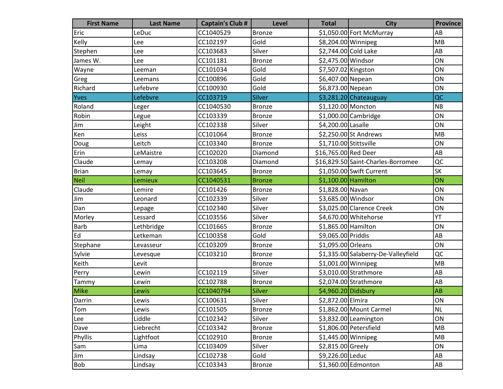| <b>First Name</b> | <b>Last Name</b> | <b>Captain's Club #</b> | <b>Level</b>  | <b>Total</b>           | <b>City</b>                         | <b>Province</b>        |
|-------------------|------------------|-------------------------|---------------|------------------------|-------------------------------------|------------------------|
| Eric              | LeDuc            | CC1040529               | <b>Bronze</b> |                        | \$1,050.00 Fort McMurray            | AB                     |
| Kelly             | Lee              | CC102197                | Gold          | \$8,204.00 Winnipeg    |                                     | MB                     |
| Stephen           | Lee              | CC103683                | Silver        |                        | \$2,744.00 Cold Lake                | AB                     |
| James W.          | Lee              | CC101181                | <b>Bronze</b> | \$2,475.00 Windsor     |                                     | ON                     |
| Wayne             | Leeman           | CC101034                | Gold          | \$7,507.02 Kingston    |                                     | ON                     |
| Greg              | Leemans          | CC100896                | Gold          | \$6,407.00 Nepean      |                                     | ON                     |
| Richard           | Lefebvre         | CC100930                | Gold          | \$6,873.00 Nepean      |                                     | ON                     |
| Yves              | Lefebvre         | CC103719                | Silver        |                        | $$3,281.20$ Chateauguay             | QC                     |
| Roland            | Leger            | CC1040530               | <b>Bronze</b> | \$1,120.00 Moncton     |                                     | <b>NB</b>              |
| Robin             | Legue            | CC103339                | <b>Bronze</b> |                        | \$1,000.00 Cambridge                | ON                     |
| Jim               | Leight           | CC102338                | Silver        | \$4,200.00 Lasalle     |                                     | ON                     |
| Ken               | Leiss            | CC101064                | Bronze        |                        | \$2,250.00 St Andrews               | MB                     |
| Doug              | Leitch           | CC103340                | <b>Bronze</b> | \$1,710.00 Stittsville |                                     | ON                     |
| Erin              | LeMaistre        | CC102020                | Diamond       | \$16,765.00 Red Deer   |                                     | AB                     |
| Claude            | Lemay            | CC103208                | Diamond       |                        | \$16,829.50 Saint-Charles-Borromee  | QC                     |
| <b>Brian</b>      | Lemay            | CC103645                | <b>Bronze</b> |                        | \$1,050.00 Swift Current            | <b>SK</b>              |
| Neil              | Lemieux          | CC1040531               | <b>Bronze</b> | $$1,100.00$ Hamilton   |                                     | ON                     |
| Claude            | Lemire           | CC101426                | <b>Bronze</b> | \$1,828.00 Navan       |                                     | ON                     |
| Jim               | Leonard          | CC102339                | Silver        | \$3,685.00 Windsor     |                                     | ON                     |
| Dan               | Lepage           | CC102340                | Silver        |                        | \$3,025.00 Clarence Creek           | ON                     |
| Morley            | Lessard          | CC103556                | Silver        |                        | \$4,670.00 Whitehorse               | YT                     |
| Barb              | Lethbridge       | CC101665                | <b>Bronze</b> | \$1,865.00 Hamilton    |                                     | ON                     |
| Ed                | Letkeman         | CC100358                | Gold          | \$9,065.00 Priddis     |                                     | AB                     |
| Stephane          | Levasseur        | CC103209                | <b>Bronze</b> | \$1,095.00 Orleans     |                                     | ON                     |
| Sylvie            | Levesque         | CC103210                | <b>Bronze</b> |                        | \$1,335.00 Salaberry-De-Valleyfield | QC                     |
| Keith             | Levit            |                         | <b>Bronze</b> | $$1,001.00$ Winnipeg   |                                     | MB                     |
| Perry             | Lewin            | CC102119                | Silver        |                        | \$3,010.00 Strathmore               | AB                     |
| Tammy             | Lewin            | CC102788                | <b>Bronze</b> |                        | \$2,074.00 Strathmore               | AB                     |
| Mike              | Lewis            | CC1040794               | <b>Silver</b> | \$4,960.20 Didsbury    |                                     | AB                     |
| Darrin            | Lewis            | CC100631                | Silver        | \$2,872.00 Elmira      |                                     | ON                     |
| Tom               | Lewis            | CC101505                | <b>Bronze</b> |                        | \$1,862.00 Mount Carmel             | <b>NL</b>              |
| Lee               | Liddle           | CC102342                | Silver        |                        | $$3,832.00$ Leamington              | ON                     |
| Dave              | Liebrecht        | CC103342                | <b>Bronze</b> |                        | \$1,806.00 Petersfield              | <b>MB</b>              |
| Phyllis           | Lightfoot        | CC102910                | <b>Bronze</b> |                        | $$1,445.00$ Winnipeg                | MB                     |
| Sam               | Lima             | CC103409                | Silver        | \$2,815.00 Greely      |                                     | ON                     |
| Jim               | Lindsay          | CC102738                | Gold          | \$9,226.00 Leduc       |                                     | AB                     |
| Bob               | Lindsay          | CC103343                | <b>Bronze</b> |                        | \$1,360.00 Edmonton                 | $\mathsf{A}\mathsf{B}$ |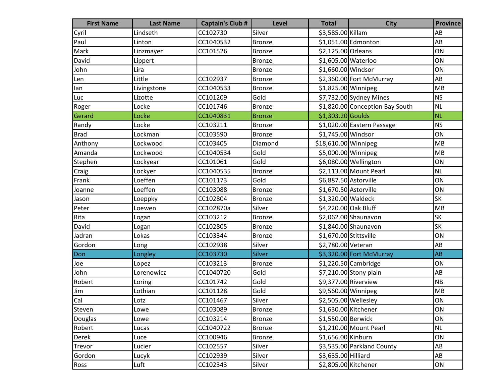| <b>First Name</b> | <b>Last Name</b> | <b>Captain's Club #</b> | <b>Level</b>  | <b>Total</b>           | <b>City</b>                     | <b>Province</b>        |
|-------------------|------------------|-------------------------|---------------|------------------------|---------------------------------|------------------------|
| Cyril             | Lindseth         | CC102730                | Silver        | \$3,585.00 Killam      |                                 | AB                     |
| Paul              | Linton           | CC1040532               | <b>Bronze</b> |                        | \$1,051.00 Edmonton             | AB                     |
| Mark              | Linzmayer        | CC101526                | Bronze        | \$2,125.00 Orleans     |                                 | ON                     |
| David             | Lippert          |                         | Bronze        | \$1,605.00 Waterloo    |                                 | ON                     |
| John              | Lira             |                         | <b>Bronze</b> | \$1,660.00 Windsor     |                                 | ON                     |
| Len               | Little           | CC102937                | <b>Bronze</b> |                        | \$2,360.00 Fort McMurray        | AB                     |
| lan               | Livingstone      | CC1040533               | <b>Bronze</b> | \$1,825.00 Winnipeg    |                                 | MB                     |
| Luc               | Lizotte          | CC101209                | Gold          |                        | $$7,732.00$ Sydney Mines        | <b>NS</b>              |
| Roger             | Locke            | CC101746                | <b>Bronze</b> |                        | \$1,820.00 Conception Bay South | <b>NL</b>              |
| Gerard            | Locke            | CC1040831               | <b>Bronze</b> | $$1,303.20$ Goulds     |                                 | <b>NL</b>              |
| Randy             | Locke            | CC103211                | <b>Bronze</b> |                        | \$1,020.00 Eastern Passage      | <b>NS</b>              |
| <b>Brad</b>       | Lockman          | CC103590                | Bronze        | \$1,745.00 Windsor     |                                 | ON                     |
| Anthony           | Lockwood         | CC103405                | Diamond       | \$18,610.00 Winnipeg   |                                 | MB                     |
| Amanda            | Lockwood         | CC1040534               | Gold          | \$5,000.00 Winnipeg    |                                 | MB                     |
| Stephen           | Lockyear         | CC101061                | Gold          |                        | \$6,080.00 Wellington           | ON                     |
| Craig             | Lockyer          | CC1040535               | <b>Bronze</b> |                        | \$2,113.00 Mount Pearl          | NL                     |
| Frank             | Loeffen          | CC101173                | Gold          | \$6,887.50 Astorville  |                                 | ON                     |
| Joanne            | Loeffen          | CC103088                | <b>Bronze</b> | \$1,670.50 Astorville  |                                 | ON                     |
| Jason             | Loeppky          | CC102804                | <b>Bronze</b> | \$1,320.00 Waldeck     |                                 | <b>SK</b>              |
| Peter             | Loewen           | CC102870a               | Silver        | \$4,220.00 Oak Bluff   |                                 | MB                     |
| Rita              | Logan            | CC103212                | Bronze        |                        | \$2,062.00 Shaunavon            | <b>SK</b>              |
| David             | Logan            | CC102805                | <b>Bronze</b> |                        | $$1,840.00$ Shaunavon           | <b>SK</b>              |
| Jadran            | Lokas            | CC103344                | <b>Bronze</b> | \$1,670.00 Stittsville |                                 | ON                     |
| Gordon            | Long             | CC102938                | Silver        | \$2,780.00 Veteran     |                                 | AB                     |
| Don               | Longley          | CC103730                | <b>Silver</b> |                        | \$3,320.00 Fort McMurray        | AB                     |
| Joe               | Lopez            | CC103213                | <b>Bronze</b> |                        | $$1,220.50$ Cambridge           | ON                     |
| John              | Lorenowicz       | CC1040720               | Gold          |                        | \$7,210.00 Stony plain          | AB                     |
| Robert            | Loring           | CC101742                | Gold          |                        | \$9,377.00 Riverview            | NB                     |
| Jim               | Lothian          | CC101128                | Gold          | \$9,560.00 Winnipeg    |                                 | MB                     |
| Cal               | Lotz             | CC101467                | Silver        | $$2,505.00$ Wellesley  |                                 | ON                     |
| Steven            | Lowe             | CC103089                | Bronze        | \$1,630.00 Kitchener   |                                 | ON                     |
| Douglas           | Lowe             | CC103214                | <b>Bronze</b> | \$1,550.00 Berwick     |                                 | ON                     |
| Robert            | Lucas            | CC1040722               | <b>Bronze</b> |                        | \$1,210.00 Mount Pearl          | NL                     |
| <b>Derek</b>      | Luce             | CC100946                | <b>Bronze</b> | \$1,656.00 Kinburn     |                                 | ON                     |
| Trevor            | Lucier           | CC102557                | Silver        |                        | \$3,535.00 Parkland County      | $\mathsf{A}\mathsf{B}$ |
| Gordon            | Lucyk            | CC102939                | Silver        | \$3,635.00 Hilliard    |                                 | AB                     |
| Ross              | Luft             | CC102343                | Silver        | \$2,805.00 Kitchener   |                                 | ON                     |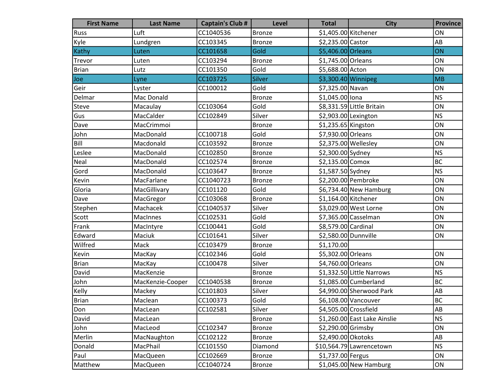| <b>First Name</b> | <b>Last Name</b> | <b>Captain's Club #</b> | <b>Level</b>  | <b>Total</b>         | <b>City</b>                  | <b>Province</b> |
|-------------------|------------------|-------------------------|---------------|----------------------|------------------------------|-----------------|
| Russ              | Luft             | CC1040536               | Bronze        | \$1,405.00 Kitchener |                              | ON              |
| Kyle              | Lundgren         | CC103345                | <b>Bronze</b> | \$2,235.00 Castor    |                              | AB              |
| Kathy             | Luten            | CC101658                | Gold          | \$5,406.00 Orleans   |                              | ON              |
| Trevor            | Luten            | CC103294                | <b>Bronze</b> | \$1,745.00 Orleans   |                              | ON              |
| <b>Brian</b>      | Lutz             | CC101350                | Gold          | \$5,688.00 Acton     |                              | ON              |
| Joe               | Lyne             | CC103725                | Silver        | \$3,300.40 Winnipeg  |                              | <b>MB</b>       |
| Geir              | Lyster           | CC100012                | Gold          | \$7,325.00 Navan     |                              | ON              |
| Delmar            | Mac Donald       |                         | <b>Bronze</b> | \$1,045.00 lona      |                              | <b>NS</b>       |
| <b>Steve</b>      | Macaulay         | CC103064                | Gold          |                      | \$8,331.59 Little Britain    | ON              |
| Gus               | MacCalder        | CC102849                | Silver        | \$2,903.00 Lexington |                              | <b>NS</b>       |
| Dave              | MacCrimmoi       |                         | <b>Bronze</b> | \$1,235.65 Kingston  |                              | ON              |
| John              | MacDonald        | CC100718                | Gold          | \$7,930.00 Orleans   |                              | ON              |
| Bill              | Macdonald        | CC103592                | <b>Bronze</b> | \$2,375.00 Wellesley |                              | ON              |
| Leslee            | MacDonald        | CC102850                | <b>Bronze</b> | \$2,300.00 Sydney    |                              | <b>NS</b>       |
| Neal              | MacDonald        | CC102574                | Bronze        | \$2,135.00 Comox     |                              | <b>BC</b>       |
| Gord              | MacDonald        | CC103647                | <b>Bronze</b> | \$1,587.50 Sydney    |                              | <b>NS</b>       |
| Kevin             | MacFarlane       | CC1040723               | <b>Bronze</b> |                      | \$2,200.00 Pembroke          | ON              |
| Gloria            | MacGillivary     | CC101120                | Gold          |                      | \$6,734.40 New Hamburg       | ON              |
| Dave              | MacGregor        | CC103068                | <b>Bronze</b> | \$1,164.00 Kitchener |                              | ON              |
| Stephen           | Machacek         | CC1040537               | Silver        |                      | \$3,029.00 West Lorne        | ON              |
| Scott             | MacInnes         | CC102531                | Gold          |                      | \$7,365.00 Casselman         | ON              |
| Frank             | MacIntyre        | CC100441                | Gold          | \$8,579.00 Cardinal  |                              | ON              |
| Edward            | Maciuk           | CC101641                | Silver        | \$2,580.00 Dunnville |                              | ON              |
| Wilfred           | Mack             | CC103479                | <b>Bronze</b> | \$1,170.00           |                              |                 |
| Kevin             | MacKay           | CC102346                | Gold          | \$5,302.00 Orleans   |                              | ON              |
| <b>Brian</b>      | MacKay           | CC100478                | Silver        | \$4,760.00 Orleans   |                              | ON              |
| David             | MacKenzie        |                         | <b>Bronze</b> |                      | \$1,332.50 Little Narrows    | <b>NS</b>       |
| John              | MacKenzie-Cooper | CC1040538               | <b>Bronze</b> |                      | \$1,085.00 Cumberland        | <b>BC</b>       |
| Kelly             | Mackey           | CC101803                | Silver        |                      | \$4,990.00 Sherwood Park     | AB              |
| Brian             | Maclean          | CC100373                | Gold          |                      | \$6,108.00 Vancouver         | <b>BC</b>       |
| Don               | MacLean          | CC102581                | Silver        |                      | \$4,505.00 Crossfield        | AB              |
| David             | MacLean          |                         | <b>Bronze</b> |                      | \$1,260.00 East Lake Ainslie | <b>NS</b>       |
| John              | MacLeod          | CC102347                | <b>Bronze</b> | \$2,290.00 Grimsby   |                              | ON              |
| Merlin            | MacNaughton      | CC102122                | <b>Bronze</b> | \$2,490.00 Okotoks   |                              | AB              |
| Donald            | MacPhail         | CC101550                | Diamond       |                      | \$10,564.79 Lawrencetown     | <b>NS</b>       |
| Paul              | MacQueen         | CC102669                | <b>Bronze</b> | \$1,737.00 Fergus    |                              | ON              |
| Matthew           | MacQueen         | CC1040724               | Bronze        |                      | $$1,045.00$ New Hamburg      | ON              |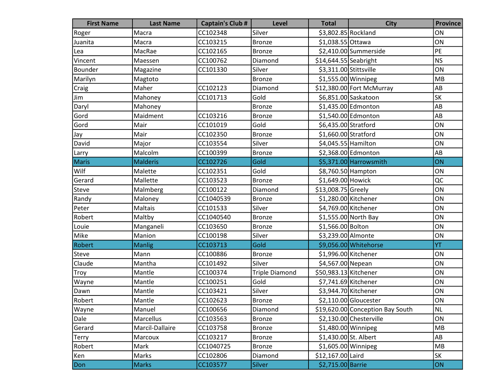| <b>First Name</b> | <b>Last Name</b> | <b>Captain's Club #</b> | Level                 | <b>Total</b>           | <b>City</b>                      | <b>Province</b> |
|-------------------|------------------|-------------------------|-----------------------|------------------------|----------------------------------|-----------------|
| Roger             | Macra            | CC102348                | Silver                | \$3,802.85 Rockland    |                                  | ON              |
| Juanita           | Macra            | CC103215                | <b>Bronze</b>         | \$1,038.55 Ottawa      |                                  | ON              |
| Lea               | MacRae           | CC102165                | <b>Bronze</b>         |                        | \$2,410.00 Summerside            | PE              |
| Vincent           | Maessen          | CC100762                | Diamond               | $$14,644.55$ Seabright |                                  | <b>NS</b>       |
| Bounder           | Magazine         | CC101330                | Silver                | \$3,311.00 Stittsville |                                  | ON              |
| Marilyn           | Magtoto          |                         | <b>Bronze</b>         | \$1,555.00 Winnipeg    |                                  | MB              |
| Craig             | Maher            | CC102123                | Diamond               |                        | \$12,380.00 Fort McMurray        | AB              |
| Jim               | Mahoney          | CC101713                | Gold                  |                        | \$6,851.00 Saskatoon             | <b>SK</b>       |
| Daryl             | Mahoney          |                         | <b>Bronze</b>         |                        | \$1,435.00 Edmonton              | AB              |
| Gord              | Maidment         | CC103216                | <b>Bronze</b>         |                        | \$1,540.00 Edmonton              | AB              |
| Gord              | Mair             | CC101019                | Gold                  | \$6,435.00 Stratford   |                                  | ON              |
| Jay               | Mair             | CC102350                | <b>Bronze</b>         | \$1,660.00 Stratford   |                                  | ON              |
| David             | Major            | CC103554                | Silver                | \$4,045.55 Hamilton    |                                  | ON              |
| Larry             | Malcolm          | CC100399                | <b>Bronze</b>         |                        | \$2,368.00 Edmonton              | AB              |
| <b>Maris</b>      | <b>Malderis</b>  | CC102726                | Gold                  |                        | \$5,371.00 Harrowsmith           | ON              |
| Wilf              | Malette          | CC102351                | Gold                  | \$8,760.50 Hampton     |                                  | ON              |
| Gerard            | Mallette         | CC103523                | <b>Bronze</b>         | \$1,649.00 Howick      |                                  | QC              |
| Steve             | Malmberg         | CC100122                | Diamond               | \$13,008.75 Greely     |                                  | ON              |
| Randy             | Maloney          | CC1040539               | <b>Bronze</b>         | \$1,280.00 Kitchener   |                                  | ON              |
| Peter             | <b>Maltais</b>   | CC101533                | Silver                | \$4,769.00 Kitchener   |                                  | ON              |
| Robert            | Maltby           | CC1040540               | <b>Bronze</b>         |                        | \$1,555.00 North Bay             | ON              |
| Louie             | Manganeli        | CC103650                | <b>Bronze</b>         | \$1,566.00 Bolton      |                                  | ON              |
| Mike              | Manion           | CC100198                | Silver                | \$3,239.00 Almonte     |                                  | ON              |
| Robert            | <b>Manlig</b>    | CC103713                | Gold                  |                        | \$9,056.00 Whitehorse            | YT              |
| Steve             | Mann             | CC100886                | <b>Bronze</b>         | \$1,996.00 Kitchener   |                                  | ON              |
| Claude            | Mantha           | CC101492                | Silver                | \$4,567.00 Nepean      |                                  | ON              |
| Troy              | Mantle           | CC100374                | <b>Triple Diamond</b> | \$50,983.13 Kitchener  |                                  | ON              |
| Wayne             | Mantle           | CC100251                | Gold                  | \$7,741.69 Kitchener   |                                  | ON              |
| Dawn              | Mantle           | CC103421                | Silver                | \$3,944.70 Kitchener   |                                  | ON              |
| Robert            | Mantle           | CC102623                | <b>Bronze</b>         |                        | $$2,110.00$ Gloucester           | ON              |
| Wayne             | Manuel           | CC100656                | Diamond               |                        | \$19,620.00 Conception Bay South | <b>NL</b>       |
| Dale              | Marcellus        | CC103563                | <b>Bronze</b>         |                        | \$2,130.00 Chesterville          | ON              |
| Gerard            | Marcil-Dallaire  | CC103758                | <b>Bronze</b>         | \$1,480.00 Winnipeg    |                                  | MB              |
| <b>Terry</b>      | Marcoux          | CC103217                | <b>Bronze</b>         | \$1,430.00 St. Albert  |                                  | AB              |
| Robert            | Mark             | CC1040725               | <b>Bronze</b>         | $$1,605.00$ Winnipeg   |                                  | MB              |
| Ken               | Marks            | CC102806                | Diamond               | \$12,167.00 Laird      |                                  | SK              |
| Don               | <b>Marks</b>     | CC103577                | <b>Silver</b>         | \$2,715.00 Barrie      |                                  | ON              |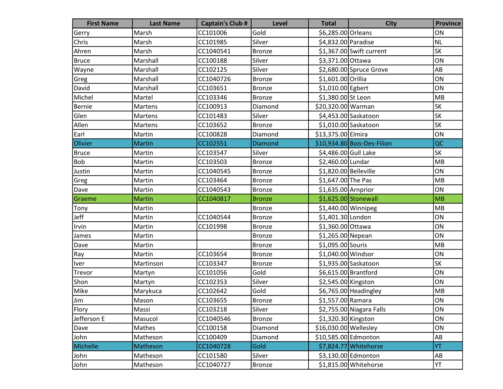| <b>First Name</b> | <b>Last Name</b> | <b>Captain's Club #</b> | Level         | <b>Total</b>          | <b>City</b>                 | <b>Province</b>          |
|-------------------|------------------|-------------------------|---------------|-----------------------|-----------------------------|--------------------------|
| Gerry             | Marsh            | CC101006                | Gold          | \$6,285.00 Orleans    |                             | ON                       |
| Chris             | Marsh            | CC101985                | Silver        | \$4,832.00 Paradise   |                             | <b>NL</b>                |
| Ahren             | Marsh            | CC1040541               | <b>Bronze</b> |                       | \$1,367.00 Swift current    | <b>SK</b>                |
| <b>Bruce</b>      | Marshall         | CC100188                | Silver        | \$3,371.00 Ottawa     |                             | ON                       |
| Wayne             | Marshall         | CC102125                | Silver        |                       | \$2,680.00 Spruce Grove     | AB                       |
| Greg              | Marshall         | CC1040726               | <b>Bronze</b> | \$1,601.00 Orillia    |                             | ON                       |
| David             | Marshall         | CC103651                | <b>Bronze</b> | \$1,010.00 Egbert     |                             | ON                       |
| Michel            | Martel           | CC103346                | <b>Bronze</b> | \$1,380.00 St Leon    |                             | MB                       |
| <b>Bernie</b>     | Martens          | CC100913                | Diamond       | \$20,320.00 Warman    |                             | SK                       |
| Glen              | Martens          | CC101483                | Silver        |                       | \$4,453.00 Saskatoon        | <b>SK</b>                |
| Allen             | Martens          | CC103652                | <b>Bronze</b> |                       | \$1,010.00 Saskatoon        | $\overline{\mathsf{SK}}$ |
| Earl              | Martin           | CC100828                | Diamond       | \$13,375.00 Elmira    |                             | ON                       |
| Olivier           | <b>Martin</b>    | CC102551                | Diamond       |                       | \$10,934.80 Bois-Des-Filion | QC                       |
| <b>Bruce</b>      | Martin           | CC103547                | Silver        | \$4,486.00 Gull Lake  |                             | SK                       |
| <b>Bob</b>        | Martin           | CC103503                | <b>Bronze</b> | \$2,460.00 Lundar     |                             | MB                       |
| Justin            | Martin           | CC1040545               | <b>Bronze</b> | \$1,820.00 Belleville |                             | ON                       |
| Greg              | Martin           | CC103464                | <b>Bronze</b> | \$1,647.00 The Pas    |                             | MB                       |
| Dave              | Martin           | CC1040543               | <b>Bronze</b> | $$1,635.00$ Arnprior  |                             | ON                       |
| Graeme            | <b>Martin</b>    | CC1040817               | <b>Bronze</b> |                       | $$1,625.00$ Stonewall       | MB                       |
| Tony              | Martin           |                         | <b>Bronze</b> | $$1,440.00$ Winnipeg  |                             | MB                       |
| Jeff              | Martin           | CC1040544               | <b>Bronze</b> | \$1,401.30 London     |                             | ON                       |
| Irvin             | Martin           | CC101998                | <b>Bronze</b> | \$1,360.00 Ottawa     |                             | ON                       |
| James             | Martin           |                         | <b>Bronze</b> | \$1,265.00 Nepean     |                             | ON                       |
| Dave              | Martin           |                         | <b>Bronze</b> | \$1,095.00 Souris     |                             | MB                       |
| Ray               | Martin           | CC103654                | <b>Bronze</b> | \$1,040.00 Windsor    |                             | ON                       |
| Iver              | Martinson        | CC103347                | <b>Bronze</b> |                       | \$1,935.00 Saskatoon        | <b>SK</b>                |
| Trevor            | Martyn           | CC101056                | Gold          | \$6,615.00 Brantford  |                             | ON                       |
| Shon              | Martyn           | CC102353                | Silver        | \$2,545.00 Kingston   |                             | ON                       |
| Mike              | Marykuca         | CC102642                | Gold          |                       | \$6,765.00 Headingley       | MB                       |
| Jim               | Mason            | CC103655                | Bronze        | \$1,557.00 Ramara     |                             | ON                       |
| Flory             | Massi            | CC103218                | Silver        |                       | \$2,755.00 Niagara Falls    | ON                       |
| Jefferson E       | Masucol          | CC1040546               | <b>Bronze</b> | \$1,320.30 Kingston   |                             | ON                       |
| Dave              | Mathes           | CC100158                | Diamond       | \$16,030.00 Wellesley |                             | ON                       |
| John              | Matheson         | CC100409                | Diamond       | \$10,585.00 Edmonton  |                             | $\mathsf{A}\mathsf{B}$   |
| Michelle          | Matheson         | CC1040728               | Gold          |                       | \$7,824.77 Whitehorse       | YT                       |
| John              | Matheson         | CC101580                | Silver        |                       | \$3,130.00 Edmonton         | AB                       |
| John              | Matheson         | CC1040727               | Bronze        |                       | \$1,815.00 Whitehorse       | YT                       |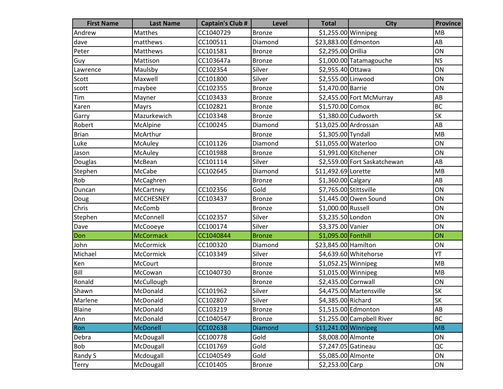| <b>First Name</b> | <b>Last Name</b> | <b>Captain's Club #</b> | <b>Level</b>  | <b>Total</b>           | <b>City</b>                  | <b>Province</b> |
|-------------------|------------------|-------------------------|---------------|------------------------|------------------------------|-----------------|
| Andrew            | Matthes          | CC1040729               | <b>Bronze</b> | \$1,255.00 Winnipeg    |                              | <b>MB</b>       |
| dave              | matthews         | CC100511                | Diamond       | \$23,883.00 Edmonton   |                              | AB              |
| Peter             | Matthews         | CC101581                | <b>Bronze</b> | \$2,295.00 Orillia     |                              | ON              |
| Guy               | Mattison         | CC103647a               | <b>Bronze</b> |                        | \$1,000.00 Tatamagouche      | <b>NS</b>       |
| Lawrence          | Maulsby          | CC102354                | Silver        | \$2,955.40 Ottawa      |                              | ON              |
| Scott             | Maxwell          | CC101800                | Silver        | \$2,555.00 Linwood     |                              | ON              |
| scott             | maybee           | CC102355                | <b>Bronze</b> | \$1,470.00 Barrie      |                              | ON              |
| Tim               | Mayner           | CC103433                | <b>Bronze</b> |                        | \$2,455.00 Fort McMurray     | AB              |
| Karen             | Mayrs            | CC102821                | <b>Bronze</b> | $$1,570.00$ Comox      |                              | <b>BC</b>       |
| Garry             | Mazurkewich      | CC103348                | <b>Bronze</b> | $$1,380.00$ Cudworth   |                              | SK              |
| Robert            | McAlpine         | CC100245                | Diamond       | \$13,025.00 Ardrossan  |                              | AB              |
| <b>Brian</b>      | McArthur         |                         | <b>Bronze</b> | \$1,305.00 Tyndall     |                              | MB              |
| Luke              | McAuley          | CC101126                | Diamond       | \$11,055.00 Waterloo   |                              | ON              |
| Jason             | McAuley          | CC101988                | <b>Bronze</b> | \$1,991.00 Kitchener   |                              | ON              |
| Douglas           | McBean           | CC101114                | Silver        |                        | \$2,559.00 Fort Saskatchewan | AB              |
| Stephen           | McCabe           | CC102645                | Diamond       | \$11,492.69 Lorette    |                              | MB              |
| Rob               | McCaghren        |                         | <b>Bronze</b> | \$1,360.00 Calgary     |                              | AB              |
| Duncan            | McCartney        | CC102356                | Gold          | \$7,765.00 Stittsville |                              | ON              |
| Doug              | <b>MCCHESNEY</b> | CC103437                | <b>Bronze</b> |                        | \$1,445.00 Owen Sound        | ON              |
| Chris             | McComb           |                         | Bronze        | \$1,000.00 Russell     |                              | ON              |
| Stephen           | McConnell        | CC102357                | Silver        | \$3,235.50 London      |                              | ON              |
| Dave              | McCooeye         | CC100174                | Silver        | \$3,375.00 Vanier      |                              | ON              |
| Don               | <b>McCormack</b> | CC1040844               | <b>Bronze</b> | \$1,095.00 Fonthill    |                              | ON              |
| John              | McCormick        | CC100320                | Diamond       | \$23,845.00 Hamilton   |                              | ON              |
| Michael           | McCormick        | CC103349                | Silver        |                        | \$4,639.60 Whitehorse        | YT              |
| Ken               | McCourt          |                         | Bronze        | \$1,052.25 Winnipeg    |                              | MB              |
| Bill              | McCowan          | CC1040730               | <b>Bronze</b> | \$1,015.00 Winnipeg    |                              | MB              |
| Ronald            | McCullough       |                         | <b>Bronze</b> | \$2,435.00 Cornwall    |                              | ON              |
| Shawn             | McDonald         | CC101962                | Silver        |                        | \$4,475.00 Martensville      | <b>SK</b>       |
| Marlene           | McDonald         | CC102807                | Silver        | \$4,385.00 Richard     |                              | sk              |
| Blaine            | McDonald         | CC103219                | <b>Bronze</b> |                        | \$1,515.00 Edmonton          | AB              |
| Ann               | McDonald         | CC1040547               | <b>Bronze</b> |                        | \$1,255.00 Campbell River    | <b>BC</b>       |
| Ron               | McDonell         | CC102638                | Diamond       | \$11,241.00 Winnipeg   |                              | <b>MB</b>       |
| Debra             | McDougall        | CC100778                | Gold          | \$8,008.00 Almonte     |                              | ON              |
| <b>Bob</b>        | McDougall        | CC101769                | Gold          | \$7,247.05 Gatineau    |                              | QC              |
| Randy S           | Mcdougall        | CC1040549               | Gold          | \$5,085.00 Almonte     |                              | ON              |
| <b>Terry</b>      | McDougall        | CC101405                | <b>Bronze</b> | \$2,253.00 Carp        |                              | ON              |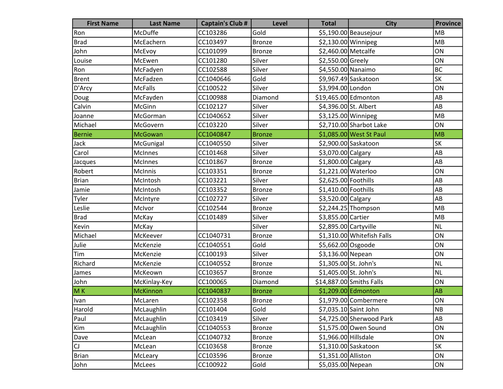| <b>First Name</b> | <b>Last Name</b> | <b>Captain's Club #</b> | Level         | <b>Total</b>          | <b>City</b>                | <b>Province</b> |
|-------------------|------------------|-------------------------|---------------|-----------------------|----------------------------|-----------------|
| Ron               | McDuffe          | CC103286                | Gold          |                       | \$5,190.00 Beausejour      | MB              |
| <b>Brad</b>       | McEachern        | CC103497                | <b>Bronze</b> | $$2,130.00$ Winnipeg  |                            | MB              |
| John              | McEvoy           | CC101099                | <b>Bronze</b> | \$2,460.00 Metcalfe   |                            | ON              |
| Louise            | McEwen           | CC101280                | Silver        | \$2,550.00 Greely     |                            | ON              |
| Ron               | McFadyen         | CC102588                | Silver        | \$4,550.00 Nanaimo    |                            | <b>BC</b>       |
| <b>Brent</b>      | McFadzen         | CC1040646               | Gold          |                       | \$9,967.49 Saskatoon       | <b>SK</b>       |
| D'Arcy            | <b>McFalls</b>   | CC100522                | Silver        | \$3,994.00 London     |                            | ON              |
| Doug              | McFayden         | CC100988                | Diamond       | \$19,465.00 Edmonton  |                            | AB              |
| Calvin            | McGinn           | CC102127                | Silver        | \$4,396.00 St. Albert |                            | AB              |
| Joanne            | McGorman         | CC1040652               | Silver        | \$3,125.00 Winnipeg   |                            | MB              |
| Michael           | McGovern         | CC103220                | Silver        |                       | \$2,710.00 Sharbot Lake    | ON              |
| <b>Bernie</b>     | <b>McGowan</b>   | CC1040847               | <b>Bronze</b> |                       | \$1,085.00 West St Paul    | MB              |
| Jack              | McGunigal        | CC1040550               | Silver        |                       | \$2,900.00 Saskatoon       | <b>SK</b>       |
| Carol             | <b>McInnes</b>   | CC101468                | Silver        | \$3,070.00 Calgary    |                            | AB              |
| Jacques           | McInnes          | CC101867                | <b>Bronze</b> | \$1,800.00 Calgary    |                            | AB              |
| Robert            | <b>McInnis</b>   | CC103351                | <b>Bronze</b> | \$1,221.00 Waterloo   |                            | ON              |
| <b>Brian</b>      | McIntosh         | CC103221                | Silver        | \$2,625.00 Foothills  |                            | AB              |
| Jamie             | McIntosh         | CC103352                | <b>Bronze</b> | \$1,410.00 Foothills  |                            | AB              |
| Tyler             | McIntyre         | CC102727                | Silver        | \$3,520.00 Calgary    |                            | AB              |
| Leslie            | McIvor           | CC102544                | <b>Bronze</b> |                       | \$2,244.25 Thompson        | MB              |
| <b>Brad</b>       | McKay            | CC101489                | Silver        | \$3,855.00 Cartier    |                            | MB              |
| Kevin             | McKay            |                         | Silver        | \$2,895.00 Cartyville |                            | <b>NL</b>       |
| Michael           | McKeever         | CC1040731               | <b>Bronze</b> |                       | \$1,310.00 Whitefish Falls | ON              |
| Julie             | McKenzie         | CC1040551               | Gold          | \$5,662.00 Osgoode    |                            | ON              |
| Tim               | McKenzie         | CC100193                | Silver        | \$3,136.00 Nepean     |                            | ON              |
| Richard           | McKenzie         | CC1040552               | Bronze        | \$1,305.00 St. John's |                            | <b>NL</b>       |
| James             | McKeown          | CC103657                | <b>Bronze</b> | \$1,405.00 St. John's |                            | <b>NL</b>       |
| John              | McKinlay-Key     | CC100065                | Diamond       |                       | \$14,887.00 Smiths Falls   | ON              |
| M <sub>K</sub>    | <b>McKinnon</b>  | CC1040837               | <b>Bronze</b> |                       | \$1,209.00 Edmonton        | AB              |
| Ivan              | McLaren          | CC102358                | Bronze        |                       | \$1,979.00 Combermere      | ON              |
| Harold            | McLaughlin       | CC101404                | Gold          |                       | \$7,035.10 Saint John      | NB              |
| Paul              | McLaughlin       | CC103419                | Silver        |                       | \$4,725.00 Sherwood Park   | AB              |
| Kim               | McLaughlin       | CC1040553               | <b>Bronze</b> |                       | \$1,575.00 Owen Sound      | ON              |
| Dave              | McLean           | CC1040732               | <b>Bronze</b> | \$1,966.00 Hillsdale  |                            | ON              |
| CJ                | McLean           | CC103658                | <b>Bronze</b> |                       | \$1,310.00 Saskatoon       | SK              |
| <b>Brian</b>      | McLeary          | CC103596                | <b>Bronze</b> | \$1,351.00 Alliston   |                            | ON              |
| John              | McLees           | CC100922                | Gold          | \$5,035.00 Nepean     |                            | ON              |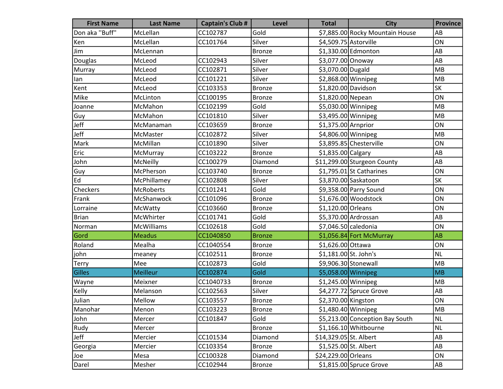| <b>First Name</b> | <b>Last Name</b>  | <b>Captain's Club #</b> | Level         | <b>Total</b>           | <b>City</b>                     | <b>Province</b>        |
|-------------------|-------------------|-------------------------|---------------|------------------------|---------------------------------|------------------------|
| Don aka "Buff"    | McLellan          | CC102787                | Gold          |                        | \$7,885.00 Rocky Mountain House | AB                     |
| Ken               | McLellan          | CC101764                | Silver        | \$4,509.75 Astorville  |                                 | ON                     |
| Jim               | McLennan          |                         | <b>Bronze</b> |                        | \$1,330.00 Edmonton             | AB                     |
| Douglas           | McLeod            | CC102943                | Silver        | \$3,077.00 Onoway      |                                 | AB                     |
| Murray            | McLeod            | CC102871                | Silver        | \$3,070.00 Dugald      |                                 | MB                     |
| lan               | McLeod            | CC101221                | Silver        |                        | $$2,868.00$ Winnipeg            | MB                     |
| Kent              | McLeod            | CC103353                | <b>Bronze</b> | \$1,820.00 Davidson    |                                 | <b>SK</b>              |
| Mike              | McLinton          | CC100195                | <b>Bronze</b> | \$1,820.00 Nepean      |                                 | ON                     |
| Joanne            | McMahon           | CC102199                | Gold          |                        | $$5,030.00$ Winnipeg            | <b>MB</b>              |
| Guy               | McMahon           | CC101810                | Silver        | \$3,495.00 Winnipeg    |                                 | MB                     |
| Jeff              | McManaman         | CC103659                | <b>Bronze</b> | \$1,375.00 Arnprior    |                                 | ON                     |
| Jeff              | McMaster          | CC102872                | Silver        | \$4,806.00 Winnipeg    |                                 | MB                     |
| Mark              | McMillan          | CC101890                | Silver        |                        | \$3,895.85 Chesterville         | ON                     |
| Eric              | McMurray          | CC103222                | <b>Bronze</b> | \$1,835.00 Calgary     |                                 | AB                     |
| John              | McNeilly          | CC100279                | Diamond       |                        | \$11,299.00 Sturgeon County     | AB                     |
| Guy               | McPherson         | CC103740                | <b>Bronze</b> |                        | $$1,795.01$ St Catharines       | ON                     |
| Ed                | McPhillamey       | CC102808                | Silver        |                        | \$3,870.00 Saskatoon            | <b>SK</b>              |
| Checkers          | <b>McRoberts</b>  | CC101241                | Gold          |                        | \$9,358.00 Parry Sound          | ON                     |
| Frank             | McShanwock        | CC101096                | <b>Bronze</b> |                        | \$1,676.00 Woodstock            | ON                     |
| Lorraine          | McWatty           | CC103660                | <b>Bronze</b> | \$1,120.00 Orleans     |                                 | ON                     |
| <b>Brian</b>      | McWhirter         | CC101741                | Gold          |                        | \$5,370.00 Ardrossan            | AB                     |
| Norman            | <b>McWilliams</b> | CC102618                | Gold          |                        | \$7,046.50 caledonia            | ON                     |
| Gord              | <b>Meadus</b>     | CC1040850               | <b>Bronze</b> |                        | \$1,056.84 Fort McMurray        | AB                     |
| Roland            | Mealha            | CC1040554               | <b>Bronze</b> | \$1,626.00 Ottawa      |                                 | ON                     |
| john              | meaney            | CC102511                | <b>Bronze</b> | \$1,181.00 St. John's  |                                 | <b>NL</b>              |
| <b>Terry</b>      | Mee               | CC102873                | Gold          |                        | \$9,906.30 Stonewall            | MB                     |
| <b>Gilles</b>     | <b>Meilleur</b>   | CC102874                | Gold          | \$5,058.00 Winnipeg    |                                 | <b>MB</b>              |
| Wayne             | Meixner           | CC1040733               | <b>Bronze</b> |                        | \$1,245.00 Winnipeg             | <b>MB</b>              |
| Kelly             | Melanson          | CC102563                | Silver        |                        | $$4,277.72$ Spruce Grove        | AB                     |
| Julian            | Mellow            | CC103557                | Bronze        | \$2,370.00 Kingston    |                                 | ON                     |
| Manohar           | Menon             | CC103223                | <b>Bronze</b> | $$1,480.40$ Winnipeg   |                                 | MB                     |
| John              | Mercer            | CC101847                | Gold          |                        | \$5,213.00 Conception Bay South | $\sf NL$               |
| Rudy              | Mercer            |                         | <b>Bronze</b> |                        | \$1,166.10 Whitbourne           | <b>NL</b>              |
| Jeff              | Mercier           | CC101534                | Diamond       | \$14,329.05 St. Albert |                                 | AB                     |
| Georgia           | Mercier           | CC103354                | <b>Bronze</b> | \$1,525.00 St. Albert  |                                 | $\mathsf{A}\mathsf{B}$ |
| Joe               | Mesa              | CC100328                | Diamond       | \$24,229.00 Orleans    |                                 | ON                     |
| Darel             | Mesher            | CC102944                | <b>Bronze</b> |                        | \$1,815.00 Spruce Grove         | $\mathsf{A}\mathsf{B}$ |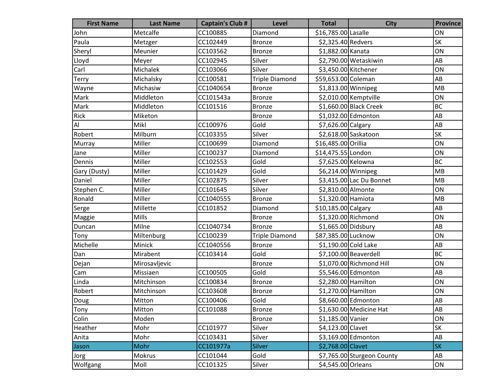| <b>First Name</b> | <b>Last Name</b> | <b>Captain's Club #</b> | Level                 | <b>Total</b>         | <b>City</b>                | <b>Province</b> |
|-------------------|------------------|-------------------------|-----------------------|----------------------|----------------------------|-----------------|
| John              | Metcalfe         | CC100885                | Diamond               | \$16,785.00 Lasalle  |                            | ON              |
| Paula             | Metzger          | CC102449                | <b>Bronze</b>         | \$2,325.40 Redvers   |                            | <b>SK</b>       |
| Sheryl            | Meunier          | CC103562                | <b>Bronze</b>         | \$1,882.00 Kanata    |                            | ON              |
| Lloyd             | Meyer            | CC102945                | Silver                |                      | \$2,790.00 Wetaskiwin      | AB              |
| Carl              | Michalek         | CC103066                | Silver                | \$3,450.00 Kitchener |                            | ON              |
| Terry             | Michalsky        | CC100581                | <b>Triple Diamond</b> | \$59,653.00 Coleman  |                            | AB              |
| Wayne             | Michasiw         | CC1040654               | <b>Bronze</b>         | \$1,813.00 Winnipeg  |                            | MB              |
| Mark              | Middleton        | CC101543a               | <b>Bronze</b>         |                      | \$2,010.00 Kemptville      | ON              |
| Mark              | Middleton        | CC101516                | <b>Bronze</b>         |                      | \$1,660.00 Black Creek     | <b>BC</b>       |
| Rick              | Miketon          |                         | <b>Bronze</b>         |                      | \$1,032.00 Edmonton        | AB              |
| Al                | Mikl             | CC100976                | Gold                  | \$7,626.00 Calgary   |                            | AB              |
| Robert            | Milburn          | CC103355                | Silver                |                      | \$2,618.00 Saskatoon       | <b>SK</b>       |
| Murray            | Miller           | CC100699                | Diamond               | \$16,485.00 Orillia  |                            | ON              |
| Jane              | Miller           | CC100237                | Diamond               | \$14,475.55 London   |                            | ON              |
| Dennis            | Miller           | CC102553                | Gold                  | \$7,625.00 Kelowna   |                            | <b>BC</b>       |
| Gary (Dusty)      | Miller           | CC101429                | Gold                  | \$6,214.00 Winnipeg  |                            | MB              |
| Daniel            | Miller           | CC102875                | Silver                |                      | \$3,415.00 Lac Du Bonnet   | MB              |
| Stephen C.        | Miller           | CC101645                | Silver                | \$2,810.00 Almonte   |                            | ON              |
| Ronald            | Miller           | CC1040555               | <b>Bronze</b>         | \$1,320.00 Hamiota   |                            | MB              |
| Serge             | Millette         | CC101852                | Diamond               | \$10,185.00 Calgary  |                            | AB              |
| Maggie            | <b>Mills</b>     |                         | Bronze                |                      | $$1,320.00$ Richmond       | ON              |
| Duncan            | Milne            | CC1040734               | <b>Bronze</b>         | \$1,665.00 Didsbury  |                            | AB              |
| Tony              | Miltenburg       | CC100239                | <b>Triple Diamond</b> | \$87,385.00 Lucknow  |                            | ON              |
| Michelle          | Minick           | CC1040556               | <b>Bronze</b>         | \$1,190.00 Cold Lake |                            | AB              |
| Dan               | Mirabent         | CC103414                | Gold                  |                      | \$7,100.00 Beaverdell      | BC              |
| Dejan             | Mirosavljevic    |                         | <b>Bronze</b>         |                      | \$1,070.00 Richmond Hill   | ON              |
| Cam               | Missiaen         | CC100505                | Gold                  |                      | \$5,546.00 Edmonton        | AB              |
| Linda             | Mitchinson       | CC100834                | <b>Bronze</b>         | \$2,280.00 Hamilton  |                            | ON              |
| Robert            | Mitchinson       | CC103608                | <b>Bronze</b>         | \$1,270.00 Hamilton  |                            | ON              |
| Doug              | Mitton           | CC100406                | Gold                  |                      | \$8,660.00 Edmonton        | AB              |
| Tony              | Mitton           | CC101088                | <b>Bronze</b>         |                      | \$1,630.00 Medicine Hat    | AB              |
| Colin             | Moden            |                         | <b>Bronze</b>         | \$1,185.00 Vanier    |                            | ON              |
| Heather           | Mohr             | CC101977                | Silver                | \$4,123.00 Clavet    |                            | <b>SK</b>       |
| Anita             | Mohr             | CC103431                | Silver                |                      | \$3,169.00 Edmonton        | AB              |
| Jason             | Mohr             | CC101977a               | <b>Silver</b>         | \$2,768.00 Clavet    |                            | <b>SK</b>       |
| Jorg              | Mokrus           | CC101044                | Gold                  |                      | \$7,765.00 Sturgeon County | AB              |
| Wolfgang          | Moll             | CC101325                | Silver                | \$4,545.00 Orleans   |                            | ON              |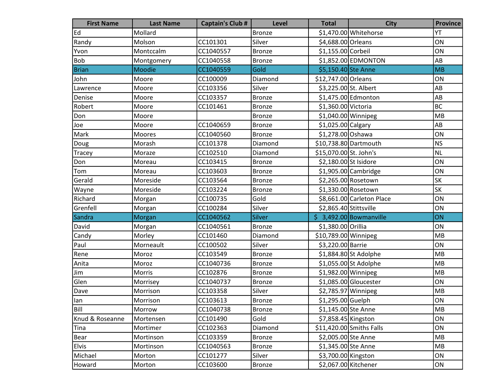| <b>First Name</b> | <b>Last Name</b> | <b>Captain's Club #</b> | <b>Level</b>  | <b>Total</b>           | <b>City</b>               | <b>Province</b> |
|-------------------|------------------|-------------------------|---------------|------------------------|---------------------------|-----------------|
| Ed                | Mollard          |                         | <b>Bronze</b> |                        | \$1,470.00 Whitehorse     | YT              |
| Randy             | Molson           | CC101301                | Silver        | \$4,688.00 Orleans     |                           | ON              |
| Yvon              | Montccalm        | CC1040557               | <b>Bronze</b> | \$1,155.00 Corbeil     |                           | ON              |
| Bob               | Montgomery       | CC1040558               | <b>Bronze</b> |                        | \$1,852.00 EDMONTON       | AB              |
| <b>Brian</b>      | Moodie           | CC1040559               | Gold          | \$5,150.40 Ste Anne    |                           | MB              |
| John              | Moore            | CC100009                | Diamond       | \$12,747.00 Orleans    |                           | ON              |
| Lawrence          | Moore            | CC103356                | Silver        | \$3,225.00 St. Albert  |                           | AB              |
| Denise            | Moore            | CC103357                | <b>Bronze</b> |                        | \$1,475.00 Edmonton       | AB              |
| Robert            | Moore            | CC101461                | <b>Bronze</b> | \$1,360.00 Victoria    |                           | <b>BC</b>       |
| Don               | Moore            |                         | <b>Bronze</b> | \$1,040.00 Winnipeg    |                           | MB              |
| Joe               | Moore            | CC1040659               | <b>Bronze</b> | \$1,025.00 Calgary     |                           | AB              |
| Mark              | Moores           | CC1040560               | <b>Bronze</b> | \$1,278.00 Oshawa      |                           | ON              |
| Doug              | Morash           | CC101378                | Diamond       | \$10,738.80 Dartmouth  |                           | <b>NS</b>       |
| <b>Tracey</b>     | Moraze           | CC102510                | Diamond       | \$15,070.00 St. John's |                           | <b>NL</b>       |
| Don               | Moreau           | CC103415                | <b>Bronze</b> | \$2,180.00 St Isidore  |                           | ON              |
| Tom               | Moreau           | CC103603                | <b>Bronze</b> |                        | $$1,905.00$ Cambridge     | ON              |
| Gerald            | Moreside         | CC103564                | <b>Bronze</b> |                        | \$2,265.00 Rosetown       | <b>SK</b>       |
| Wayne             | Moreside         | CC103224                | <b>Bronze</b> |                        | \$1,330.00 Rosetown       | <b>SK</b>       |
| Richard           | Morgan           | CC100735                | Gold          |                        | \$8,661.00 Carleton Place | ON              |
| Grenfell          | Morgan           | CC100284                | Silver        | \$2,865.40 Stittsville |                           | ON              |
| Sandra            | Morgan           | CC1040562               | <b>Silver</b> |                        | $$3,492.00$ Bowmanville   | ON              |
| David             | Morgan           | CC1040561               | <b>Bronze</b> | \$1,380.00 Orillia     |                           | ON              |
| Candy             | Morley           | CC101460                | Diamond       | \$10,789.00 Winnipeg   |                           | MB              |
| Paul              | Morneault        | CC100502                | Silver        | \$3,220.00 Barrie      |                           | ON              |
| Rene              | Moroz            | CC103549                | <b>Bronze</b> |                        | \$1,884.80 St Adolphe     | MB              |
| Anita             | Moroz            | CC1040736               | <b>Bronze</b> |                        | \$1,055.00 St Adolphe     | MB              |
| Jim               | Morris           | CC102876                | <b>Bronze</b> | \$1,982.00 Winnipeg    |                           | MB              |
| Glen              | Morrisey         | CC1040737               | <b>Bronze</b> |                        | \$1,085.00 Gloucester     | ON              |
| Dave              | Morrison         | CC103358                | Silver        | \$2,785.97 Winnipeg    |                           | MB              |
| llan              | Morrison         | CC103613                | Bronze        | \$1,295.00 Guelph      |                           | ON              |
| Bill              | Morrow           | CC1040738               | Bronze        | \$1,145.00 Ste Anne    |                           | MB              |
| Knud & Roseanne   | Mortensen        | CC101490                | Gold          | \$7,858.45 Kingston    |                           | ON              |
| Tina              | Mortimer         | CC102363                | Diamond       |                        | \$11,420.00 Smiths Falls  | ON              |
| Bear              | Mortinson        | CC103359                | <b>Bronze</b> | \$2,005.00 Ste Anne    |                           | MB              |
| <b>Elvis</b>      | Mortinson        | CC1040563               | <b>Bronze</b> | \$1,345.00 Ste Anne    |                           | MB              |
| Michael           | Morton           | CC101277                | Silver        | \$3,700.00 Kingston    |                           | ON              |
| Howard            | Morton           | CC103600                | <b>Bronze</b> | \$2,067.00 Kitchener   |                           | ON              |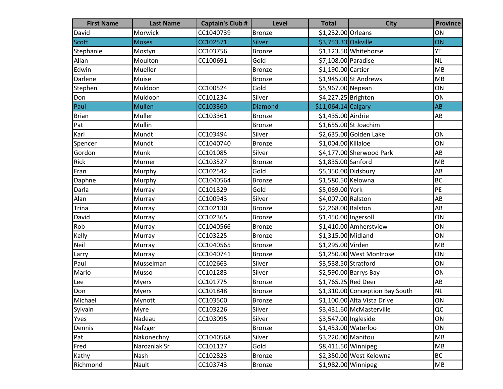| <b>First Name</b> | <b>Last Name</b> | <b>Captain's Club #</b> | <b>Level</b>  | <b>Total</b>           | <b>City</b>                     | <b>Province</b> |
|-------------------|------------------|-------------------------|---------------|------------------------|---------------------------------|-----------------|
| David             | Morwick          | CC1040739               | <b>Bronze</b> | \$1,232.00 Orleans     |                                 | ON              |
| <b>Scott</b>      | <b>Moses</b>     | CC102571                | <b>Silver</b> | \$3,753.33 Oakville    |                                 | ON              |
| Stephanie         | Mostyn           | CC103756                | <b>Bronze</b> |                        | \$1,123.50 Whitehorse           | YT              |
| Allan             | Moulton          | CC100691                | Gold          | \$7,108.00 Paradise    |                                 | <b>NL</b>       |
| Edwin             | Mueller          |                         | <b>Bronze</b> | \$1,190.00 Cartier     |                                 | <b>MB</b>       |
| <b>Darlene</b>    | Muise            |                         | Bronze        |                        | \$1,945.00 St Andrews           | <b>MB</b>       |
| Stephen           | Muldoon          | CC100524                | Gold          | \$5,967.00 Nepean      |                                 | ON              |
| Don               | Muldoon          | CC101234                | Silver        | \$4,227.25 Brighton    |                                 | ON              |
| Paul              | <b>Mullen</b>    | CC103360                | Diamond       | $$11,064.14$ Calgary   |                                 | AB              |
| <b>Brian</b>      | Muller           | CC103361                | Bronze        | \$1,435.00 Airdrie     |                                 | AB              |
| Pat               | Mullin           |                         | <b>Bronze</b> |                        | \$1,655.00 St Joachim           |                 |
| Karl              | Mundt            | CC103494                | Silver        |                        | \$2,635.00 Golden Lake          | ON              |
| Spencer           | Mundt            | CC1040740               | Bronze        | \$1,004.00 Killaloe    |                                 | ON              |
| Gordon            | Munk             | CC101085                | Silver        |                        | \$4,177.00 Sherwood Park        | AB              |
| Rick              | Murner           | CC103527                | <b>Bronze</b> | \$1,835.00 Sanford     |                                 | <b>MB</b>       |
| Fran              | Murphy           | CC102542                | Gold          | \$5,350.00 Didsbury    |                                 | AB              |
| Daphne            | Murphy           | CC1040564               | <b>Bronze</b> | \$1,580.50 Kelowna     |                                 | <b>BC</b>       |
| Darla             | Murray           | CC101829                | Gold          | \$5,069.00 York        |                                 | PE              |
| Alan              | Murray           | CC100943                | Silver        | \$4,007.00 Ralston     |                                 | AB              |
| <b>Trina</b>      | Murray           | CC102130                | Bronze        | \$2,268.00 Ralston     |                                 | AB              |
| David             | Murray           | CC102365                | <b>Bronze</b> | $$1,450.00$  Ingersoll |                                 | ON              |
| Rob               | Murray           | CC1040566               | <b>Bronze</b> |                        | \$1,410.00 Amherstview          | ON              |
| Kelly             | Murray           | CC103225                | <b>Bronze</b> | \$1,315.00 Midland     |                                 | ON              |
| Neil              | Murray           | CC1040565               | Bronze        | \$1,295.00 Virden      |                                 | MB              |
| Larry             | Murray           | CC1040741               | Bronze        |                        | \$1,250.00 West Montrose        | ON              |
| Paul              | Musselman        | CC102663                | Silver        | \$3,538.50 Stratford   |                                 | ON              |
| Mario             | Musso            | CC101283                | Silver        |                        | \$2,590.00 Barrys Bay           | ON              |
| Lee               | <b>Myers</b>     | CC101775                | <b>Bronze</b> | \$1,765.25 Red Deer    |                                 | AB              |
| Don               | <b>Myers</b>     | CC101848                | <b>Bronze</b> |                        | \$1,310.00 Conception Bay South | <b>NL</b>       |
| Michael           | Mynott           | CC103500                | <b>Bronze</b> |                        | \$1,100.00 Alta Vista Drive     | ON              |
| Sylvain           | Myre             | CC103226                | Silver        |                        | \$3,431.60 McMasterville        | QC              |
| Yves              | Nadeau           | CC103095                | Silver        | \$3,547.00 Ingleside   |                                 | ON              |
| Dennis            | Nafzger          |                         | <b>Bronze</b> | \$1,453.00 Waterloo    |                                 | ON              |
| Pat               | Nakonechny       | CC1040568               | Silver        | \$3,220.00 Manitou     |                                 | MB              |
| Fred              | Narozniak Sr     | CC101127                | Gold          |                        | $$8,411.50$ Winnipeg            | MB              |
| Kathy             | Nash             | CC102823                | <b>Bronze</b> |                        | \$2,350.00 West Kelowna         | <b>BC</b>       |
| Richmond          | Nault            | CC103743                | <b>Bronze</b> | \$1,982.00 Winnipeg    |                                 | MB              |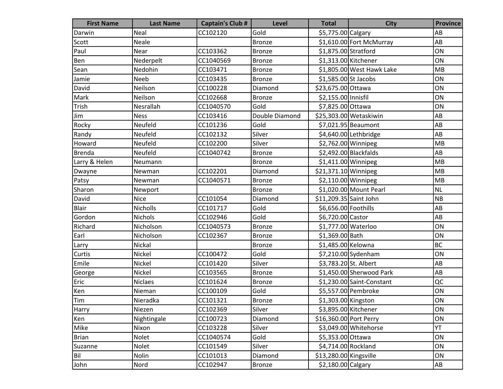| <b>First Name</b> | <b>Last Name</b> | <b>Captain's Club #</b> | <b>Level</b>   | <b>Total</b>           | <b>City</b>               | <b>Province</b>        |
|-------------------|------------------|-------------------------|----------------|------------------------|---------------------------|------------------------|
| Darwin            | Neal             | CC102120                | Gold           | \$5,775.00 Calgary     |                           | AB                     |
| Scott             | Neale            |                         | Bronze         |                        | \$1,610.00 Fort McMurray  | AB                     |
| Paul              | Near             | CC103362                | Bronze         | \$1,875.00 Stratford   |                           | ON                     |
| Ben               | Nederpelt        | CC1040569               | <b>Bronze</b>  | \$1,313.00 Kitchener   |                           | ON                     |
| Sean              | Nedohin          | CC103471                | <b>Bronze</b>  |                        | \$1,805.00 West Hawk Lake | MB                     |
| Jamie             | Neeb             | CC103435                | <b>Bronze</b>  | $$1,585.00$ St Jacobs  |                           | ON                     |
| David             | Neilson          | CC100228                | Diamond        | \$23,675.00 Ottawa     |                           | ON                     |
| Mark              | Neilson          | CC102668                | <b>Bronze</b>  | \$2,155.00 Innisfil    |                           | ON                     |
| Trish             | Nesrallah        | CC1040570               | Gold           | \$7,825.00 Ottawa      |                           | ON                     |
| Jim               | <b>Ness</b>      | CC103416                | Double Diamond |                        | \$25,303.00 Wetaskiwin    | AB                     |
| Rocky             | Neufeld          | CC101236                | Gold           |                        | \$7,021.95 Beaumont       | AB                     |
| Randy             | Neufeld          | CC102132                | Silver         |                        | \$4,640.00 Lethbridge     | AB                     |
| Howard            | Neufeld          | CC102200                | Silver         | \$2,762.00 Winnipeg    |                           | MB                     |
| <b>Brenda</b>     | Neufeld          | CC1040742               | <b>Bronze</b>  |                        | $$2,492.00$ Blackfalds    | AB                     |
| Larry & Helen     | Neumann          |                         | <b>Bronze</b>  | $$1,411.00$ Winnipeg   |                           | MB                     |
| Dwayne            | Newman           | CC102201                | Diamond        | $$21,371.10$ Winnipeg  |                           | MB                     |
| Patsy             | Newman           | CC1040571               | Bronze         | \$2,110.00 Winnipeg    |                           | <b>MB</b>              |
| Sharon            | Newport          |                         | <b>Bronze</b>  |                        | \$1,020.00 Mount Pearl    | NL                     |
| David             | <b>Nice</b>      | CC101054                | Diamond        | \$11,209.35 Saint John |                           | <b>NB</b>              |
| Blair             | Nicholls         | CC101717                | Gold           | \$6,656.00 Foothills   |                           | AB                     |
| Gordon            | Nichols          | CC102946                | Gold           | \$6,720.00 Castor      |                           | AB                     |
| Richard           | Nicholson        | CC1040573               | <b>Bronze</b>  | \$1,777.00 Waterloo    |                           | ON                     |
| Earl              | Nicholson        | CC102367                | <b>Bronze</b>  | \$1,369.00 Bath        |                           | ON                     |
| Larry             | Nickal           |                         | <b>Bronze</b>  | \$1,485.00 Kelowna     |                           | <b>BC</b>              |
| Curtis            | Nickel           | CC100472                | Gold           |                        | \$7,210.00 Sydenham       | ON                     |
| Emile             | Nickel           | CC101420                | Silver         | \$3,783.20 St. Albert  |                           | AB                     |
| George            | Nickel           | CC103565                | Bronze         |                        | \$1,450.00 Sherwood Park  | AB                     |
| Eric              | <b>Niclaes</b>   | CC101624                | <b>Bronze</b>  |                        | \$1,230.00 Saint-Constant | QC                     |
| Ken               | Nieman           | CC100109                | Gold           |                        | \$5,557.00 Pembroke       | ON                     |
| Tim               | Nieradka         | CC101321                | Bronze         | \$1,303.00 Kingston    |                           | ON                     |
| Harry             | Niezen           | CC102369                | Silver         | \$3,895.00 Kitchener   |                           | ON                     |
| Ken               | Nightingale      | CC100723                | Diamond        | \$16,360.00 Port Perry |                           | ON                     |
| Mike              | Nixon            | CC103228                | Silver         |                        | \$3,049.00 Whitehorse     | YT                     |
| <b>Brian</b>      | Nolet            | CC1040574               | Gold           | \$5,353.00 Ottawa      |                           | ON                     |
| Suzanne           | Nolet            | CC101549                | Silver         | \$4,714.00 Rockland    |                           | ON                     |
| Bil               | Nolin            | CC101013                | Diamond        | \$13,280.00 Kingsville |                           | ON                     |
| John              | Nord             | CC102947                | <b>Bronze</b>  | \$2,180.00 Calgary     |                           | $\mathsf{A}\mathsf{B}$ |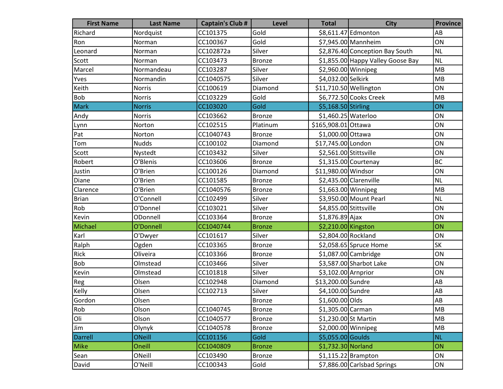| <b>First Name</b> | <b>Last Name</b> | <b>Captain's Club #</b> | <b>Level</b>  | <b>Total</b>           | <b>City</b>                       | <b>Province</b> |
|-------------------|------------------|-------------------------|---------------|------------------------|-----------------------------------|-----------------|
| Richard           | Nordquist        | CC101375                | Gold          |                        | \$8,611.47 Edmonton               | AB              |
| Ron               | Norman           | CC100367                | Gold          |                        | \$7,945.00 Mannheim               | ON              |
| Leonard           | Norman           | CC102872a               | Silver        |                        | \$2,876.40 Conception Bay South   | NL              |
| Scott             | Norman           | CC103473                | <b>Bronze</b> |                        | \$1,855.00 Happy Valley Goose Bay | <b>NL</b>       |
| Marcel            | Normandeau       | CC103287                | Silver        |                        | $$2,960.00$ Winnipeg              | MB              |
| Yves              | Normandin        | CC1040575               | Silver        | \$4,032.00 Selkirk     |                                   | MB              |
| Keith             | Norris           | CC100619                | Diamond       | \$11,710.50 Wellington |                                   | ON              |
| Bob               | <b>Norris</b>    | CC103229                | Gold          |                        | \$6,772.50 Cooks Creek            | MB              |
| <b>Mark</b>       | <b>Norris</b>    | CC103020                | Gold          | \$5,168.50 Stirling    |                                   | ON              |
| Andy              | <b>Norris</b>    | CC103662                | <b>Bronze</b> | \$1,460.25 Waterloo    |                                   | ON              |
| Lynn              | Norton           | CC102515                | Platinum      | \$165,908.01 Ottawa    |                                   | ON              |
| Pat               | Norton           | CC1040743               | <b>Bronze</b> | \$1,000.00 Ottawa      |                                   | ON              |
| Tom               | <b>Nudds</b>     | CC100102                | Diamond       | \$17,745.00 London     |                                   | ON              |
| Scott             | Nystedt          | CC103432                | Silver        | \$2,561.00 Stittsville |                                   | ON              |
| Robert            | O'Blenis         | CC103606                | <b>Bronze</b> |                        | \$1,315.00 Courtenay              | <b>BC</b>       |
| Justin            | O'Brien          | CC100126                | Diamond       | \$11,980.00 Windsor    |                                   | ON              |
| Diane             | O'Brien          | CC101585                | <b>Bronze</b> |                        | \$2,435.00 Clarenville            | <b>NL</b>       |
| Clarence          | O'Brien          | CC1040576               | <b>Bronze</b> | $$1,663.00$ Winnipeg   |                                   | MB              |
| <b>Brian</b>      | O'Connell        | CC102499                | Silver        |                        | \$3,950.00 Mount Pearl            | <b>NL</b>       |
| Rob               | O'Donnel         | CC103021                | Silver        | \$4,855.00 Stittsville |                                   | ON              |
| Kevin             | ODonnell         | CC103364                | <b>Bronze</b> | $$1,876.89$ Ajax       |                                   | ON              |
| Michael           | O'Donnell        | CC1040744               | <b>Bronze</b> | \$2,210.00 Kingston    |                                   | ON              |
| Karl              | O'Dwyer          | CC101617                | Silver        | \$2,804.00 Rockland    |                                   | ON              |
| Ralph             | Ogden            | CC103365                | <b>Bronze</b> |                        | \$2,058.65 Spruce Home            | <b>SK</b>       |
| Rick              | Oliveira         | CC103366                | <b>Bronze</b> |                        | \$1,087.00 Cambridge              | ON              |
| Bob               | Olmstead         | CC103466                | Silver        |                        | \$3,587.00 Sharbot Lake           | ON              |
| Kevin             | Olmstead         | CC101818                | Silver        | \$3,102.00 Arnprior    |                                   | ON              |
| Reg               | Olsen            | CC102948                | Diamond       | \$13,200.00 Sundre     |                                   | AB              |
| Kelly             | Olsen            | CC102713                | Silver        | \$4,100.00 Sundre      |                                   | AB              |
| Gordon            | Olsen            |                         | Bronze        | \$1,600.00 Olds        |                                   | AB              |
| Rob               | Olson            | CC1040745               | Bronze        | \$1,305.00 Carman      |                                   | MB              |
| Oli               | Olson            | CC1040577               | <b>Bronze</b> | \$1,230.00 St Martin   |                                   | MB              |
| Jim               | Olynyk           | CC1040578               | <b>Bronze</b> |                        | \$2,000.00 Winnipeg               | MB              |
| Darrell           | <b>ONeill</b>    | CC101156                | Gold          | \$5,055.00 Goulds      |                                   | <b>NL</b>       |
| Mike              | Oneill           | CC1040809               | <b>Bronze</b> | \$1,732.30 Norland     |                                   | ON              |
| Sean              | ONeill           | CC103490                | <b>Bronze</b> |                        | $$1,115.22$ Brampton              | ON              |
| David             | O'Neill          | CC100343                | Gold          |                        | \$7,886.00 Carlsbad Springs       | ON              |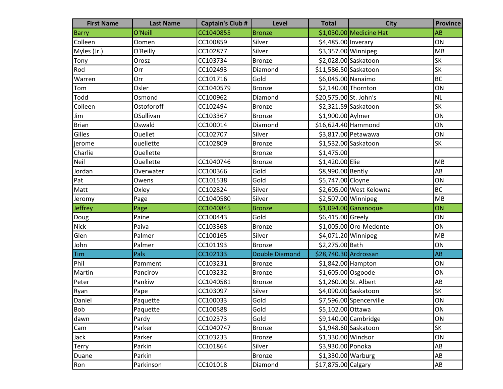| <b>First Name</b> | <b>Last Name</b> | <b>Captain's Club #</b> | <b>Level</b>          | <b>Total</b>           | <b>City</b>             | <b>Province</b>        |
|-------------------|------------------|-------------------------|-----------------------|------------------------|-------------------------|------------------------|
| <b>Barry</b>      | O'Neill          | CC1040855               | <b>Bronze</b>         |                        | \$1,030.00 Medicine Hat | AB                     |
| Colleen           | Oomen            | CC100859                | Silver                | \$4,485.00 Inverary    |                         | ON                     |
| Myles (Jr.)       | O'Reilly         | CC102877                | Silver                | \$3,357.00 Winnipeg    |                         | MB                     |
| Tony              | Orosz            | CC103734                | <b>Bronze</b>         |                        | \$2,028.00 Saskatoon    | SK                     |
| Rod               | Orr              | CC102493                | Diamond               | \$11,586.50 Saskatoon  |                         | SK                     |
| Warren            | Orr              | CC101716                | Gold                  | \$6,045.00 Nanaimo     |                         | <b>BC</b>              |
| Tom               | Osler            | CC1040579               | <b>Bronze</b>         | \$2,140.00 Thornton    |                         | ON                     |
| Todd              | Osmond           | CC100962                | Diamond               | \$20,575.00 St. John's |                         | NL                     |
| Colleen           | Ostoforoff       | CC102494                | <b>Bronze</b>         |                        | \$2,321.59 Saskatoon    | SK                     |
| Jim               | OSullivan        | CC103367                | <b>Bronze</b>         | \$1,900.00 Aylmer      |                         | ON                     |
| <b>Brian</b>      | Oswald           | CC100014                | Diamond               | \$16,624.40 Hammond    |                         | ON                     |
| Gilles            | Ouellet          | CC102707                | Silver                |                        | \$3,817.00 Petawawa     | ON                     |
| jerome            | ouellette        | CC102809                | <b>Bronze</b>         |                        | \$1,532.00 Saskatoon    | SK                     |
| Charlie           | Ouellette        |                         | <b>Bronze</b>         | \$1,475.00             |                         |                        |
| Neil              | Ouellette        | CC1040746               | <b>Bronze</b>         | \$1,420.00 Elie        |                         | MB                     |
| Jordan            | Overwater        | CC100366                | Gold                  | \$8,990.00 Bently      |                         | AB                     |
| Pat               | Owens            | CC101538                | Gold                  | \$5,747.00 Cloyne      |                         | ON                     |
| Matt              | Oxley            | CC102824                | Silver                |                        | \$2,605.00 West Kelowna | <b>BC</b>              |
| Jeromy            | Page             | CC1040580               | Silver                | \$2,507.00 Winnipeg    |                         | MB                     |
| Jeffrey           | Page             | CC1040845               | <b>Bronze</b>         |                        | $$1,094.00$ Gananoque   | ON                     |
| Doug              | Paine            | CC100443                | Gold                  | \$6,415.00 Greely      |                         | ON                     |
| <b>Nick</b>       | Paiva            | CC103368                | <b>Bronze</b>         |                        | \$1,005.00 Oro-Medonte  | ON                     |
| Glen              | Palmer           | CC100165                | Silver                | \$4,071.20 Winnipeg    |                         | MB                     |
| John              | Palmer           | CC101193                | <b>Bronze</b>         | \$2,275.00 Bath        |                         | ON                     |
| <b>Tim</b>        | Pals             | CC102133                | <b>Double Diamond</b> | \$28,740.30 Ardrossan  |                         | <b>AB</b>              |
| Phil              | Pamment          | CC103231                | <b>Bronze</b>         | \$1,842.00 Hampton     |                         | ON                     |
| Martin            | Pancirov         | CC103232                | <b>Bronze</b>         | \$1,605.00 Osgoode     |                         | ON                     |
| Peter             | Pankiw           | CC1040581               | <b>Bronze</b>         | \$1,260.00 St. Albert  |                         | AB                     |
| Ryan              | Pape             | CC103097                | Silver                |                        | \$4,090.00 Saskatoon    | <b>SK</b>              |
| Daniel            | Paquette         | CC100033                | Gold                  |                        | \$7,596.00 Spencerville | ON                     |
| Bob               | Paquette         | CC100588                | Gold                  | \$5,102.00 Ottawa      |                         | ON                     |
| dawn              | Pardy            | CC102373                | Gold                  |                        | $$9,140.00$ Cambridge   | ON                     |
| Cam               | Parker           | CC1040747               | <b>Bronze</b>         |                        | \$1,948.60 Saskatoon    | <b>SK</b>              |
| Jack              | Parker           | CC103233                | <b>Bronze</b>         | \$1,330.00 Windsor     |                         | ON                     |
| <b>Terry</b>      | Parkin           | CC101864                | Silver                | \$3,930.00 Ponoka      |                         | AB                     |
| Duane             | Parkin           |                         | <b>Bronze</b>         | $$1,330.00$ Warburg    |                         | AB                     |
| Ron               | Parkinson        | CC101018                | Diamond               | \$17,875.00 Calgary    |                         | $\mathsf{A}\mathsf{B}$ |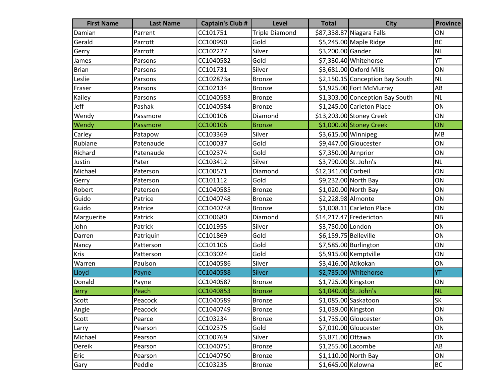| <b>First Name</b> | <b>Last Name</b> | <b>Captain's Club #</b> | <b>Level</b>          | <b>Total</b>          | <b>City</b>                     | <b>Province</b> |
|-------------------|------------------|-------------------------|-----------------------|-----------------------|---------------------------------|-----------------|
| Damian            | Parrent          | CC101751                | <b>Triple Diamond</b> |                       | \$87,338.87 Niagara Falls       | ON              |
| Gerald            | Parrott          | CC100990                | Gold                  |                       | \$5,245.00 Maple Ridge          | BC              |
| Gerry             | Parrott          | CC102227                | Silver                | \$3,200.00 Gander     |                                 | <b>NL</b>       |
| James             | Parsons          | CC1040582               | Gold                  |                       | \$7,330.40 Whitehorse           | YT              |
| <b>Brian</b>      | Parsons          | CC101731                | Silver                |                       | \$3,681.00 Oxford Mills         | ON              |
| Leslie            | Parsons          | CC102873a               | <b>Bronze</b>         |                       | \$2,150.15 Conception Bay South | <b>NL</b>       |
| Fraser            | Parsons          | CC102134                | Bronze                |                       | \$1,925.00 Fort McMurray        | AB              |
| Kailey            | Parsons          | CC1040583               | <b>Bronze</b>         |                       | \$1,303.00 Conception Bay South | <b>NL</b>       |
| Jeff              | Pashak           | CC1040584               | <b>Bronze</b>         |                       | \$1,245.00 Carleton Place       | ON              |
| Wendy             | Passmore         | CC100106                | Diamond               |                       | \$13,203.00 Stoney Creek        | ON              |
| Wendy             | Passmore         | CC100106                | <b>Bronze</b>         |                       | \$1,000.00 Stoney Creek         | ON              |
| Carley            | Patapow          | CC103369                | Silver                | \$3,615.00 Winnipeg   |                                 | MB              |
| Rubiane           | Patenaude        | CC100037                | Gold                  |                       | \$9,447.00 Gloucester           | ON              |
| Richard           | Patenaude        | CC102374                | Gold                  | \$7,350.00 Arnprior   |                                 | ON              |
| Justin            | Pater            | CC103412                | Silver                | \$3,790.00 St. John's |                                 | <b>NL</b>       |
| Michael           | Paterson         | CC100571                | Diamond               | \$12,341.00 Corbeil   |                                 | ON              |
| Gerry             | Paterson         | CC101112                | Gold                  |                       | \$9,232.00 North Bay            | ON              |
| Robert            | Paterson         | CC1040585               | <b>Bronze</b>         |                       | \$1,020.00 North Bay            | ON              |
| Guido             | Patrice          | CC1040748               | <b>Bronze</b>         | \$2,228.98 Almonte    |                                 | ON              |
| Guido             | Patrice          | CC1040748               | <b>Bronze</b>         |                       | \$1,008.11 Carleton Place       | ON              |
| Marguerite        | Patrick          | CC100680                | Diamond               |                       | \$14,217.47 Fredericton         | NB              |
| John              | Patrick          | CC101955                | Silver                | \$3,750.00 London     |                                 | ON              |
| Darren            | Patriquin        | CC101869                | Gold                  | \$6,159.75 Belleville |                                 | ON              |
| Nancy             | Patterson        | CC101106                | Gold                  |                       | \$7,585.00 Burlington           | ON              |
| <b>Kris</b>       | Patterson        | CC103024                | Gold                  |                       | \$5,915.00 Kemptville           | ON              |
| Warren            | Paulson          | CC1040586               | Silver                | \$3,416.00 Atikokan   |                                 | ON              |
| Lloyd             | Payne            | CC1040588               | Silver                |                       | \$2,735.00 Whitehorse           | YT              |
| Donald            | Payne            | CC1040587               | <b>Bronze</b>         | \$1,725.00 Kingston   |                                 | ON              |
| Jerry             | Peach            | CC1040853               | <b>Bronze</b>         | \$1,040.00 St. John's |                                 | <b>NL</b>       |
| Scott             | Peacock          | CC1040589               | Bronze                |                       | \$1,085.00 Saskatoon            | <b>SK</b>       |
| Angie             | Peacock          | CC1040749               | <b>Bronze</b>         | \$1,039.00 Kingston   |                                 | ON              |
| Scott             | Pearce           | CC103234                | <b>Bronze</b>         |                       | \$1,735.00 Gloucester           | ON              |
| Larry             | Pearson          | CC102375                | Gold                  |                       | $$7,010.00$ Gloucester          | ON              |
| Michael           | Pearson          | CC100769                | Silver                | \$3,871.00 Ottawa     |                                 | ON              |
| Dereik            | Pearson          | CC1040751               | <b>Bronze</b>         | \$1,255.00 Lacombe    |                                 | AB              |
| Eric              | Pearson          | CC1040750               | <b>Bronze</b>         |                       | $$1,110.00$ North Bay           | ON              |
| Gary              | Peddle           | CC103235                | <b>Bronze</b>         | \$1,645.00 Kelowna    |                                 | <b>BC</b>       |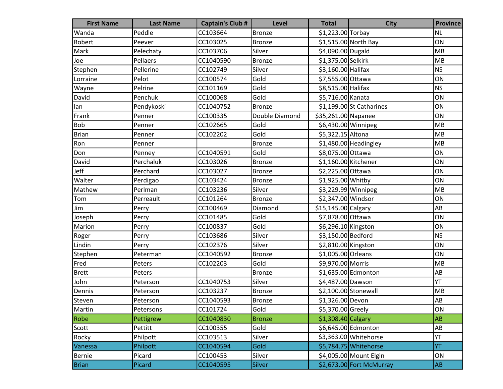| <b>First Name</b> | <b>Last Name</b> | <b>Captain's Club #</b> | <b>Level</b>   | <b>Total</b>         | <b>City</b>               | <b>Province</b> |
|-------------------|------------------|-------------------------|----------------|----------------------|---------------------------|-----------------|
| Wanda             | Peddle           | CC103664                | <b>Bronze</b>  | \$1,223.00 Torbay    |                           | <b>NL</b>       |
| Robert            | Peever           | CC103025                | <b>Bronze</b>  |                      | \$1,515.00 North Bay      | ON              |
| Mark              | Pelechaty        | CC103706                | Silver         | \$4,090.00 Dugald    |                           | MB              |
| Joe               | Pellaers         | CC1040590               | <b>Bronze</b>  | \$1,375.00 Selkirk   |                           | MB              |
| Stephen           | Pellerine        | CC102749                | Silver         | \$3,160.00 Halifax   |                           | <b>NS</b>       |
| Lorraine          | Pelot            | CC100574                | Gold           | \$7,555.00 Ottawa    |                           | ON              |
| Wayne             | Pelrine          | CC101169                | Gold           | \$8,515.00 Halifax   |                           | <b>NS</b>       |
| David             | Penchuk          | CC100068                | Gold           | \$5,716.00 Kanata    |                           | ON              |
| lan               | Pendykoski       | CC1040752               | <b>Bronze</b>  |                      | $$1,199.00$ St Catharines | ON              |
| Frank             | Penner           | CC100335                | Double Diamond | \$35,261.00 Napanee  |                           | ON              |
| Bob               | Penner           | CC102665                | Gold           |                      | \$6,430.00 Winnipeg       | MB              |
| <b>Brian</b>      | Penner           | CC102202                | Gold           | \$5,322.15 Altona    |                           | MB              |
| Ron               | Penner           |                         | <b>Bronze</b>  |                      | \$1,480.00 Headingley     | MB              |
| Don               | Penney           | CC1040591               | Gold           | \$8,075.00 Ottawa    |                           | ON              |
| David             | Perchaluk        | CC103026                | <b>Bronze</b>  | \$1,160.00 Kitchener |                           | ON              |
| Jeff              | Perchard         | CC103027                | <b>Bronze</b>  | \$2,225.00 Ottawa    |                           | ON              |
| Walter            | Perdigao         | CC103424                | <b>Bronze</b>  | \$1,925.00 Whitby    |                           | ON              |
| Mathew            | Perlman          | CC103236                | Silver         |                      | \$3,229.99 Winnipeg       | MB              |
| Tom               | Perreault        | CC101264                | <b>Bronze</b>  | \$2,347.00 Windsor   |                           | ON              |
| Jim               | Perry            | CC100469                | Diamond        | \$15,145.00 Calgary  |                           | AB              |
| Joseph            | Perry            | CC101485                | Gold           | \$7,878.00 Ottawa    |                           | ON              |
| Marion            | Perry            | CC100837                | Gold           | \$6,296.10 Kingston  |                           | ON              |
| Roger             | Perry            | CC103686                | Silver         | \$3,150.00 Bedford   |                           | <b>NS</b>       |
| Lindin            | Perry            | CC102376                | Silver         | \$2,810.00 Kingston  |                           | ON              |
| Stephen           | Peterman         | CC1040592               | <b>Bronze</b>  | \$1,005.00 Orleans   |                           | ON              |
| Fred              | Peters           | CC102203                | Gold           | \$9,970.00 Morris    |                           | MB              |
| <b>Brett</b>      | Peters           |                         | <b>Bronze</b>  |                      | \$1,635.00 Edmonton       | AB              |
| John              | Peterson         | CC1040753               | Silver         | \$4,487.00 Dawson    |                           | YT              |
| Dennis            | Peterson         | CC103237                | <b>Bronze</b>  |                      | $$2,100.00$ Stonewall     | MB              |
| Steven            | Peterson         | CC1040593               | <b>Bronze</b>  | \$1,326.00 Devon     |                           | AB              |
| Martin            | Petersons        | CC101724                | Gold           | \$5,370.00 Greely    |                           | ON              |
| Robe              | Pettigrew        | CC1040830               | <b>Bronze</b>  | $$1,308.40$ Calgary  |                           | <b>AB</b>       |
| Scott             | Pettitt          | CC100355                | Gold           |                      | \$6,645.00 Edmonton       | AB              |
| Rocky             | Philpott         | CC103513                | Silver         |                      | \$3,363.00 Whitehorse     | YT              |
| Vanessa           | Philpott         | CC1040594               | Gold           |                      | \$5,784.75 Whitehorse     | YT              |
| Bernie            | Picard           | CC100453                | Silver         |                      | \$4,005.00 Mount Elgin    | ON              |
| <b>Brian</b>      | Picard           | CC1040595               | <b>Silver</b>  |                      | \$2,673.00 Fort McMurray  | AB              |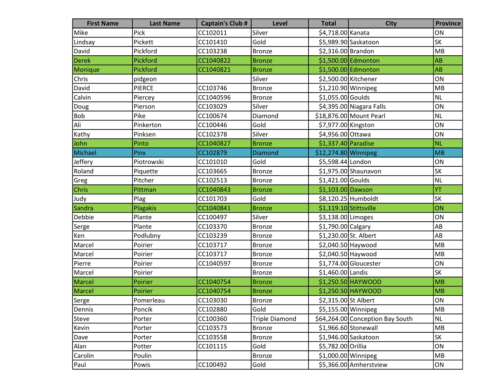| <b>First Name</b> | <b>Last Name</b> | <b>Captain's Club #</b> | Level                 | <b>Total</b>            | <b>City</b>                      | <b>Province</b> |
|-------------------|------------------|-------------------------|-----------------------|-------------------------|----------------------------------|-----------------|
| Mike              | Pick             | CC102011                | Silver                | \$4,718.00 Kanata       |                                  | ON              |
| Lindsay           | Pickett          | CC101410                | Gold                  |                         | \$5,989.90 Saskatoon             | <b>SK</b>       |
| David             | Pickford         | CC103238                | <b>Bronze</b>         | \$2,316.00 Brandon      |                                  | MB              |
| <b>Derek</b>      | Pickford         | CC1040822               | <b>Bronze</b>         |                         | \$1,500.00 Edmonton              | <b>AB</b>       |
| Monique           | Pickford         | CC1040821               | <b>Bronze</b>         |                         | \$1,500.00 Edmonton              | <b>AB</b>       |
| Chris             | pidgeon          |                         | Silver                | \$2,500.00 Kitchener    |                                  | ON              |
| David             | <b>PIERCE</b>    | CC103746                | <b>Bronze</b>         | \$1,210.90 Winnipeg     |                                  | MB              |
| Calvin            | Piercey          | CC1040596               | <b>Bronze</b>         | \$1,055.00 Goulds       |                                  | <b>NL</b>       |
| Doug              | Pierson          | CC103029                | Silver                |                         | \$4,395.00 Niagara Falls         | ON              |
| Bob               | Pike             | CC100674                | Diamond               |                         | \$18,876.00 Mount Pearl          | <b>NL</b>       |
| Ali               | Pinkerton        | CC100446                | Gold                  | \$7,977.00 Kingston     |                                  | ON              |
| Kathy             | Pinksen          | CC102378                | Silver                | \$4,956.00 Ottawa       |                                  | ON              |
| John              | Pinto            | CC1040827               | <b>Bronze</b>         | $$1,337.40$ Paradise    |                                  | NL              |
| Michael           | Pinx             | CC102879                | Diamond               | \$12,274.80 Winnipeg    |                                  | <b>MB</b>       |
| Jeffery           | Piotrowski       | CC101010                | Gold                  | \$5,598.44 London       |                                  | ON              |
| Roland            | Piquette         | CC103665                | <b>Bronze</b>         |                         | \$1,975.00 Shaunavon             | <b>SK</b>       |
| Greg              | Pitcher          | CC102513                | <b>Bronze</b>         | $$1,421.00$ Goulds      |                                  | <b>NL</b>       |
| Chris             | Pittman          | CC1040843               | <b>Bronze</b>         | \$1,103.00 Dawson       |                                  | YT              |
| Judy              | Plag             | CC101703                | Gold                  |                         | \$8,120.25 Humboldt              | SK              |
| Sandra            | Plagakis         | CC1040841               | <b>Bronze</b>         | $$1,119.10$ Stittsville |                                  | ON              |
| Debbie            | Plante           | CC100497                | Silver                | \$3,138.00 Limoges      |                                  | ON              |
| Serge             | Plante           | CC103370                | <b>Bronze</b>         | \$1,790.00 Calgary      |                                  | AB              |
| Ken               | Podlubny         | CC103239                | <b>Bronze</b>         | \$1,230.00 St. Albert   |                                  | AB              |
| Marcel            | Poirier          | CC103717                | <b>Bronze</b>         | \$2,040.50 Haywood      |                                  | MB              |
| Marcel            | Poirier          | CC103717                | <b>Bronze</b>         | \$2,040.50 Haywood      |                                  | MB              |
| Pierre            | Poirier          | CC1040597               | Bronze                |                         | \$1,774.00 Gloucester            | ON              |
| Marcel            | Poirier          |                         | <b>Bronze</b>         | \$1,460.00 Landis       |                                  | SK              |
| Marcel            | Poirier          | CC1040754               | <b>Bronze</b>         |                         | $$1,250.50$ HAYWOOD              | <b>MB</b>       |
| Marcel            | Poirier          | CC1040754               | <b>Bronze</b>         |                         | $$1,250.50$ HAYWOOD              | <b>MB</b>       |
| Serge             | Pomerleau        | CC103030                | Bronze                | \$2,315.00 St Albert    |                                  | ON              |
| Dennis            | Poncik           | CC102880                | Gold                  | $$5,155.00$ Winnipeg    |                                  | MB              |
| Steve             | Porter           | CC100360                | <b>Triple Diamond</b> |                         | \$64,264.00 Conception Bay South | <b>NL</b>       |
| Kevin             | Porter           | CC103573                | <b>Bronze</b>         |                         | \$1,966.60 Stonewall             | MB              |
| Dave              | Porter           | CC103558                | <b>Bronze</b>         |                         | \$1,946.00 Saskatoon             | SK              |
| Alan              | Potter           | CC101115                | Gold                  | \$5,782.00 Orillia      |                                  | ON              |
| Carolin           | Poulin           |                         | <b>Bronze</b>         | $$1,000.00$ Winnipeg    |                                  | MB              |
| Paul              | Powis            | CC100492                | Gold                  |                         | \$5,366.00 Amherstview           | ON              |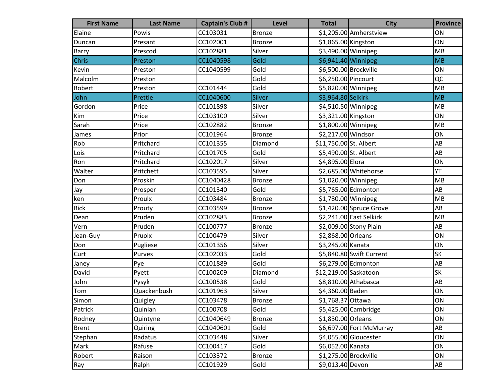| <b>First Name</b> | <b>Last Name</b> | <b>Captain's Club #</b> | <b>Level</b>  | <b>Total</b>           | <b>City</b>              | <b>Province</b>        |
|-------------------|------------------|-------------------------|---------------|------------------------|--------------------------|------------------------|
| Elaine            | Powis            | CC103031                | Bronze        |                        | \$1,205.00 Amherstview   | ON                     |
| Duncan            | Presant          | CC102001                | <b>Bronze</b> | \$1,865.00 Kingston    |                          | ON                     |
| Barry             | Prescod          | CC102881                | Silver        | \$3,490.00 Winnipeg    |                          | MB                     |
| <b>Chris</b>      | Preston          | CC1040598               | Gold          | $$6,941.40$ Winnipeg   |                          | MB                     |
| Kevin             | Preston          | CC1040599               | Gold          |                        | \$6,500.00 Brockville    | ON                     |
| Malcolm           | Preston          |                         | Gold          | \$6,250.00 Pincourt    |                          | QC                     |
| Robert            | Preston          | CC101444                | Gold          | \$5,820.00 Winnipeg    |                          | MB                     |
| John              | Prettie          | CC1040600               | Silver        | \$3,964.80 Selkirk     |                          | <b>MB</b>              |
| Gordon            | Price            | CC101898                | Silver        | \$4,510.50 Winnipeg    |                          | MB                     |
| Kim               | Price            | CC103100                | Silver        | \$3,321.00 Kingston    |                          | ON                     |
| Sarah             | Price            | CC102882                | <b>Bronze</b> | \$1,800.00 Winnipeg    |                          | MB                     |
| James             | Prior            | CC101964                | <b>Bronze</b> | \$2,217.00 Windsor     |                          | ON                     |
| Rob               | Pritchard        | CC101355                | Diamond       | \$11,750.00 St. Albert |                          | AB                     |
| Lois              | Pritchard        | CC101705                | Gold          | \$5,490.00 St. Albert  |                          | AB                     |
| Ron               | Pritchard        | CC102017                | Silver        | \$4,895.00 Elora       |                          | ON                     |
| Walter            | Pritchett        | CC103595                | Silver        |                        | \$2,685.00 Whitehorse    | YT                     |
| Don               | Proskin          | CC1040428               | <b>Bronze</b> | \$1,020.00 Winnipeg    |                          | MB                     |
| Jay               | Prosper          | CC101340                | Gold          |                        | \$5,765.00 Edmonton      | AB                     |
| ken               | Proulx           | CC103484                | <b>Bronze</b> | \$1,780.00 Winnipeg    |                          | MB                     |
| Rick              | Prouty           | CC103599                | Bronze        |                        | $$1,420.00$ Spruce Grove | AB                     |
| Dean              | Pruden           | CC102883                | Bronze        |                        | \$2,241.00 East Selkirk  | MB                     |
| Vern              | Pruden           | CC100777                | <b>Bronze</b> |                        | \$2,009.00 Stony Plain   | AB                     |
| Jean-Guy          | Pruolx           | CC100479                | Silver        | \$2,868.00 Orleans     |                          | ON                     |
| Don               | Pugliese         | CC101356                | Silver        | \$3,245.00 Kanata      |                          | ON                     |
| Curt              | Purves           | CC102033                | Gold          |                        | \$5,840.80 Swift Current | <b>SK</b>              |
| Janey             | Pye              | CC101889                | Gold          |                        | \$6,279.00 Edmonton      | AB                     |
| David             | Pyett            | CC100209                | Diamond       | \$12,219.00 Saskatoon  |                          | <b>SK</b>              |
| John              | Pysyk            | CC100538                | Gold          |                        | \$8,810.00 Athabasca     | AB                     |
| Tom               | Quackenbush      | CC101963                | Silver        | \$4,360.00 Baden       |                          | ON                     |
| Simon             | Quigley          | CC103478                | Bronze        | \$1,768.37 Ottawa      |                          | ON                     |
| Patrick           | Quinlan          | CC100708                | Gold          |                        | \$5,425.00 Cambridge     | ON                     |
| Rodney            | Quintyne         | CC1040649               | <b>Bronze</b> | \$1,830.00 Orleans     |                          | ON                     |
| <b>Brent</b>      | Quiring          | CC1040601               | Gold          |                        | \$6,697.00 Fort McMurray | AB                     |
| Stephan           | Radatus          | CC103448                | Silver        |                        | \$4,055.00 Gloucester    | ON                     |
| Mark              | Rafuse           | CC100417                | Gold          | \$6,052.00 Kanata      |                          | ON                     |
| Robert            | Raison           | CC103372                | <b>Bronze</b> | \$1,275.00 Brockville  |                          | ON                     |
| Ray               | Ralph            | CC101929                | Gold          | \$9,013.40 Devon       |                          | $\mathsf{A}\mathsf{B}$ |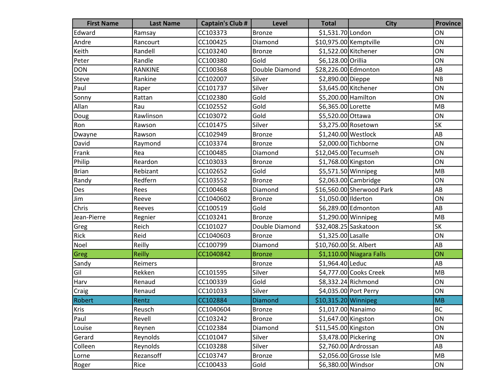| <b>First Name</b> | <b>Last Name</b> | <b>Captain's Club #</b> | Level          | <b>Total</b>           | <b>City</b>               | <b>Province</b> |
|-------------------|------------------|-------------------------|----------------|------------------------|---------------------------|-----------------|
| Edward            | Ramsay           | CC103373                | <b>Bronze</b>  | \$1,531.70 London      |                           | ON              |
| Andre             | Rancourt         | CC100425                | Diamond        | \$10,975.00 Kemptville |                           | ON              |
| Keith             | Randell          | CC103240                | <b>Bronze</b>  | \$1,522.00 Kitchener   |                           | ON              |
| Peter             | Randle           | CC100380                | Gold           | \$6,128.00 Orillia     |                           | ON              |
| <b>DON</b>        | <b>RANKINE</b>   | CC100368                | Double Diamond | \$28,226.00 Edmonton   |                           | AB              |
| Steve             | Rankine          | CC102007                | Silver         | \$2,890.00 Dieppe      |                           | NB              |
| Paul              | Raper            | CC101737                | Silver         | \$3,645.00 Kitchener   |                           | ON              |
| Sonny             | Rattan           | CC102380                | Gold           | \$5,200.00 Hamilton    |                           | ON              |
| Allan             | Rau              | CC102552                | Gold           | \$6,365.00 Lorette     |                           | MB              |
| Doug              | Rawlinson        | CC103072                | Gold           | \$5,520.00 Ottawa      |                           | ON              |
| Ron               | Rawson           | CC101475                | Silver         |                        | \$3,275.00 Rosetown       | <b>SK</b>       |
| Dwayne            | Rawson           | CC102949                | Bronze         | \$1,240.00 Westlock    |                           | AB              |
| David             | Raymond          | CC103374                | <b>Bronze</b>  |                        | \$2,000.00 Tichborne      | ON              |
| Frank             | Rea              | CC100485                | Diamond        | \$12,045.00 Tecumseh   |                           | ON              |
| Philip            | Reardon          | CC103033                | <b>Bronze</b>  | \$1,768.00 Kingston    |                           | ON              |
| <b>Brian</b>      | Rebizant         | CC102652                | Gold           | \$5,571.50 Winnipeg    |                           | MB              |
| Randy             | Redfern          | CC103552                | <b>Bronze</b>  |                        | \$2,063.00 Cambridge      | ON              |
| Des               | Rees             | CC100468                | Diamond        |                        | \$16,560.00 Sherwood Park | AB              |
| Jim               | Reeve            | CC1040602               | <b>Bronze</b>  | \$1,050.00 Ilderton    |                           | ON              |
| Chris             | Reeves           | CC100519                | Gold           |                        | \$6,289.00 Edmonton       | AB              |
| Jean-Pierre       | Regnier          | CC103241                | <b>Bronze</b>  | $$1,290.00$ Winnipeg   |                           | MB              |
| Greg              | Reich            | CC101027                | Double Diamond | \$32,408.25 Saskatoon  |                           | <b>SK</b>       |
| Rick              | Reid             | CC1040603               | <b>Bronze</b>  | \$1,325.00 Lasalle     |                           | ON              |
| Noel              | Reilly           | CC100799                | Diamond        | \$10,760.00 St. Albert |                           | AB              |
| Greg              | <b>Reilly</b>    | CC1040842               | <b>Bronze</b>  |                        | \$1,110.00 Niagara Falls  | ON              |
| Sandy             | Reimers          |                         | <b>Bronze</b>  | $$1,964.40$  Leduc     |                           | AB              |
| Gil               | Rekken           | CC101595                | Silver         |                        | \$4,777.00 Cooks Creek    | MB              |
| Harv              | Renaud           | CC100339                | Gold           |                        | \$8,332.24 Richmond       | ON              |
| Craig             | Renaud           | CC101033                | Silver         |                        | \$4,035.00 Port Perry     | ON              |
| <b>Robert</b>     | Rentz            | CC102884                | <b>Diamond</b> | $$10,315.20$ Winnipeg  |                           | MB              |
| Kris              | Reusch           | CC1040604               | Bronze         | \$1,017.00 Nanaimo     |                           | <b>BC</b>       |
| Paul              | Revell           | CC103242                | <b>Bronze</b>  | \$1,647.00 Kingston    |                           | ON              |
| Louise            | Reynen           | CC102384                | Diamond        | $$11,545.00$ Kingston  |                           | ON              |
| Gerard            | Reynolds         | CC101047                | Silver         | \$3,478.00 Pickering   |                           | ON              |
| Colleen           | Reynolds         | CC103288                | Silver         |                        | $$2,760.00$ Ardrossan     | AB              |
| Lorne             | Rezansoff        | CC103747                | <b>Bronze</b>  |                        | \$2,056.00 Grosse Isle    | MB              |
| Roger             | Rice             | CC100433                | Gold           | \$6,380.00 Windsor     |                           | ON              |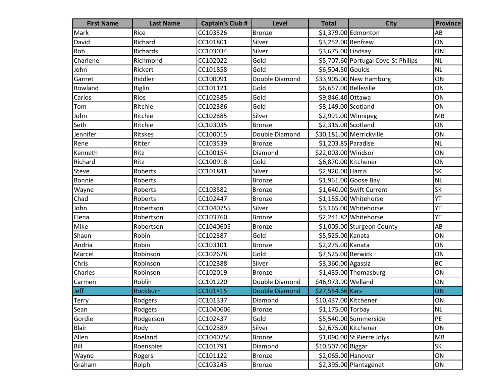| <b>First Name</b> | <b>Last Name</b> | <b>Captain's Club #</b> | Level                 | <b>Total</b>          | <b>City</b>                         | <b>Province</b> |
|-------------------|------------------|-------------------------|-----------------------|-----------------------|-------------------------------------|-----------------|
| Mark              | Rice             | CC103526                | <b>Bronze</b>         |                       | \$1,379.00 Edmonton                 | AB              |
| David             | Richard          | CC101801                | Silver                | \$3,252.00 Renfrew    |                                     | ON              |
| Rob               | Richards         | CC103034                | Silver                | \$3,675.00 Lindsay    |                                     | ON              |
| Charlene          | Richmond         | CC102022                | Gold                  |                       | \$5,707.60 Portugal Cove-St Philips | <b>NL</b>       |
| John              | Rickert          | CC101858                | Gold                  | \$6,504.50 Goulds     |                                     | <b>NL</b>       |
| Garnet            | Riddler          | CC100091                | Double Diamond        |                       | \$33,905.00 New Hamburg             | ON              |
| Rowland           | Riglin           | CC101121                | Gold                  | \$6,657.00 Belleville |                                     | ON              |
| Carlos            | Rios             | CC102385                | Gold                  | \$9,846.40 Ottawa     |                                     | ON              |
| Tom               | Ritchie          | CC102386                | Gold                  | \$8,149.00 Scotland   |                                     | ON              |
| John              | Ritchie          | CC102885                | Silver                | \$2,991.00 Winnipeg   |                                     | MB              |
| Seth              | Ritchie          | CC103035                | <b>Bronze</b>         | \$2,315.00 Scotland   |                                     | ON              |
| Jennifer          | Ritskes          | CC100015                | Double Diamond        |                       | \$30,181.00 Merrickville            | ON              |
| Rene              | Ritter           | CC103539                | <b>Bronze</b>         | \$1,203.85 Paradise   |                                     | <b>NL</b>       |
| Kenneth           | Ritz             | CC100154                | Diamond               | \$22,003.00 Windsor   |                                     | ON              |
| Richard           | Ritz             | CC100918                | Gold                  |                       | \$6,870.00 Kitchener                | ON              |
| Steve             | Roberts          | CC101841                | Silver                | \$2,920.00 Harris     |                                     | SK              |
| <b>Bonnie</b>     | Roberts          |                         | <b>Bronze</b>         |                       | $$1,961.00$ Goose Bay               | <b>NL</b>       |
| Wayne             | Roberts          | CC103582                | <b>Bronze</b>         |                       | \$1,640.00 Swift Current            | <b>SK</b>       |
| Chad              | Roberts          | CC102447                | <b>Bronze</b>         |                       | \$1,155.00 Whitehorse               | YT              |
| John              | Robertson        | CC1040755               | Silver                |                       | \$3,165.00 Whitehorse               | YT              |
| Elena             | Robertson        | CC103760                | <b>Bronze</b>         |                       | \$2,241.82 Whitehorse               | YT              |
| Mike              | Robertson        | CC1040605               | <b>Bronze</b>         |                       | \$1,005.00 Sturgeon County          | AB              |
| Shaun             | Robin            | CC102387                | Gold                  | \$5,525.00 Kanata     |                                     | ON              |
| Andria            | Robin            | CC103101                | <b>Bronze</b>         | \$2,275.00 Kanata     |                                     | ON              |
| Marcel            | Robinson         | CC102678                | Gold                  | \$7,525.00 Berwick    |                                     | ON              |
| Chris             | Robinson         | CC102388                | Silver                | \$3,360.00 Agassiz    |                                     | <b>BC</b>       |
| Charles           | Robinson         | CC102019                | <b>Bronze</b>         |                       | \$1,435.00 Thomasburg               | ON              |
| Carmen            | Roblin           | CC101220                | Double Diamond        | \$46,973.90 Welland   |                                     | ON              |
| Jeff              | Rockburn         | CC101415                | <b>Double Diamond</b> | \$27,554.66 Kars      |                                     | ON              |
| Terry             | Rodgers          | CC101337                | Diamond               | \$10,437.00 Kitchener |                                     | ON              |
| Sean              | Rodgers          | CC1040606               | Bronze                | \$1,175.00 Torbay     |                                     | NL              |
| Gordie            | Rodgerson        | CC102437                | Gold                  |                       | \$5,540.00 Summerside               | PE              |
| Blair             | Rody             | CC102389                | Silver                |                       | \$2,675.00 Kitchener                | ON              |
| Allen             | Roeland          | CC1040756               | <b>Bronze</b>         |                       | \$1,090.00 St Pierre Jolys          | MB              |
| Bill              | Roenspies        | CC101791                | Diamond               | \$10,507.00 Biggar    |                                     | SK              |
| Wayne             | Rogers           | CC101122                | <b>Bronze</b>         | \$2,065.00 Hanover    |                                     | ON              |
| Graham            | Rolph            | CC103243                | Bronze                |                       | \$2,395.00 Plantagenet              | ON              |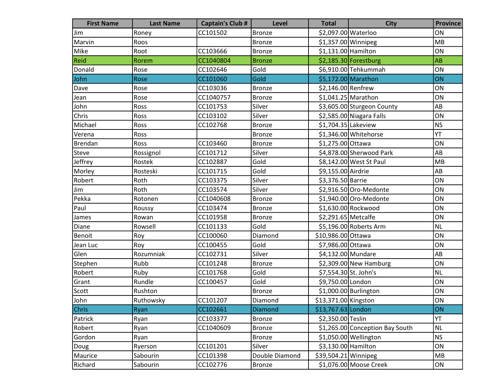| <b>First Name</b> | <b>Last Name</b> | <b>Captain's Club #</b> | <b>Level</b>   | <b>Total</b>          | <b>City</b>                     | <b>Province</b> |
|-------------------|------------------|-------------------------|----------------|-----------------------|---------------------------------|-----------------|
| Jim               | Roney            | CC101502                | Bronze         | \$2,097.00 Waterloo   |                                 | ON              |
| Marvin            | Roos             |                         | Bronze         | $$1,357.00$ Winnipeg  |                                 | MB              |
| Mike              | Root             | CC103666                | <b>Bronze</b>  | $$1,131.00$ Hamilton  |                                 | ON              |
| Reid              | Rorem            | CC1040804               | <b>Bronze</b>  |                       | $$2,185.30$ Forestburg          | AB              |
| Donald            | Rose             | CC102646                | Gold           |                       | \$6,910.00 Tehkummah            | ON              |
| John              | Rose             | CC101060                | Gold           |                       | $$5,172.00$ Marathon            | ON              |
| Dave              | Rose             | CC103036                | <b>Bronze</b>  | \$2,146.00 Renfrew    |                                 | ON              |
| Jean              | Rose             | CC1040757               | <b>Bronze</b>  |                       | $$1,041.25$ Marathon            | ON              |
| John              | Ross             | CC101753                | Silver         |                       | \$3,605.00 Sturgeon County      | AB              |
| Chris             | Ross             | CC103102                | Silver         |                       | \$2,585.00 Niagara Falls        | ON              |
| Michael           | Ross             | CC102768                | <b>Bronze</b>  | \$1,704.35 Lakeview   |                                 | <b>NS</b>       |
| Verena            | Ross             |                         | Bronze         |                       | \$1,346.00 Whitehorse           | YT              |
| Brendan           | Ross             | CC103460                | Bronze         | \$1,275.00 Ottawa     |                                 | ON              |
| <b>Steve</b>      | Rossignol        | CC101712                | Silver         |                       | \$4,878.00 Sherwood Park        | AB              |
| Jeffrey           | Rostek           | CC102887                | Gold           |                       | \$8,142.00 West St Paul         | MB              |
| Morley            | Rosteski         | CC101715                | Gold           | \$9,155.00 Airdrie    |                                 | AB              |
| Robert            | Roth             | CC103375                | Silver         | \$3,376.50 Barrie     |                                 | ON              |
| Jim               | Roth             | CC103574                | Silver         |                       | \$2,916.50 Oro-Medonte          | ON              |
| Pekka             | Rotonen          | CC1040608               | <b>Bronze</b>  |                       | \$1,940.00 Oro-Medonte          | ON              |
| Paul              | Roussy           | CC103474                | <b>Bronze</b>  |                       | \$1,630.00 Rockwood             | ON              |
| James             | Rowan            | CC101958                | <b>Bronze</b>  | \$2,291.65 Metcalfe   |                                 | ON              |
| Diane             | Rowsell          | CC101133                | Gold           |                       | \$5,196.00 Roberts Arm          | <b>NL</b>       |
| Benoit            | Roy              | CC100060                | Diamond        | \$10,986.00 Ottawa    |                                 | ON              |
| Jean Luc          | Roy              | CC100455                | Gold           | \$7,986.00 Ottawa     |                                 | ON              |
| Glen              | Rozumniak        | CC102731                | Silver         | \$4,132.00 Mundare    |                                 | AB              |
| Stephen           | Rubb             | CC101248                | <b>Bronze</b>  |                       | $$2,309.00$ New Hamburg         | ON              |
| Robert            | Ruby             | CC101768                | Gold           | \$7,554.30 St. John's |                                 | <b>NL</b>       |
| Grant             | Rundle           | CC100457                | Gold           | \$9,750.00 London     |                                 | ON              |
| Scott             | Rushton          |                         | <b>Bronze</b>  |                       | $$1,000.00$ Burlington          | ON              |
| John              | Ruthowsky        | CC101207                | Diamond        | \$13,371.00 Kingston  |                                 | ON              |
| <b>Chris</b>      | Ryan             | CC102661                | Diamond        | \$13,767.63 London    |                                 | ON              |
| Patrick           | Ryan             | CC103377                | <b>Bronze</b>  | \$2,350.00 Teslin     |                                 | YT              |
| Robert            | Ryan             | CC1040609               | <b>Bronze</b>  |                       | \$1,265.00 Conception Bay South | <b>NL</b>       |
| Gordon            | Ryan             |                         | <b>Bronze</b>  |                       | \$1,050.00 Wellington           | <b>NS</b>       |
| Doug              | Ryerson          | CC101201                | Silver         | \$3,130.00 Hamilton   |                                 | ON              |
| Maurice           | Sabourin         | CC101398                | Double Diamond | \$39,504.21 Winnipeg  |                                 | MB              |
| Richard           | Sabourin         | CC102776                | <b>Bronze</b>  |                       | \$1,076.00 Moose Creek          | ON              |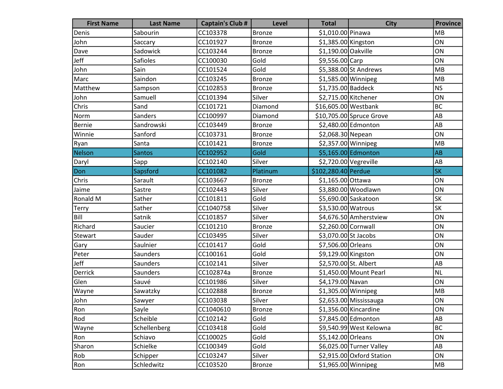| <b>First Name</b> | <b>Last Name</b> | <b>Captain's Club #</b> | <b>Level</b>  | <b>Total</b>           | <b>City</b>               | <b>Province</b>        |
|-------------------|------------------|-------------------------|---------------|------------------------|---------------------------|------------------------|
| Denis             | Sabourin         | CC103378                | Bronze        | \$1,010.00 Pinawa      |                           | <b>MB</b>              |
| John              | Saccary          | CC101927                | <b>Bronze</b> | \$1,385.00 Kingston    |                           | ON                     |
| Dave              | Sadowick         | CC103244                | <b>Bronze</b> | \$1,190.00 Oakville    |                           | ON                     |
| Jeff              | Safioles         | CC100030                | Gold          | \$9,556.00 Carp        |                           | ON                     |
| John              | Sain             | CC101524                | Gold          |                        | \$5,388.00 St Andrews     | MB                     |
| Marc              | Saindon          | CC103245                | <b>Bronze</b> | \$1,585.00 Winnipeg    |                           | MB                     |
| Matthew           | Sampson          | CC102853                | Bronze        | \$1,735.00 Baddeck     |                           | <b>NS</b>              |
| John              | Samuell          | CC101394                | Silver        | \$2,715.00 Kitchener   |                           | ON                     |
| Chris             | Sand             | CC101721                | Diamond       | \$16,605.00 Westbank   |                           | <b>BC</b>              |
| Norm              | Sanders          | CC100997                | Diamond       |                        | \$10,705.00 Spruce Grove  | AB                     |
| Bernie            | Sandrowski       | CC103449                | <b>Bronze</b> |                        | \$2,480.00 Edmonton       | AB                     |
| Winnie            | Sanford          | CC103731                | <b>Bronze</b> | \$2,068.30 Nepean      |                           | ON                     |
| Ryan              | Santa            | CC101421                | <b>Bronze</b> | $$2,357.00$ Winnipeg   |                           | MB                     |
| Nelson            | <b>Santos</b>    | CC102952                | Gold          |                        | \$5,165.00 Edmonton       | <b>AB</b>              |
| Daryl             | Sapp             | CC102140                | Silver        | $$2,720.00$ Vegreville |                           | AB                     |
| Don               | Sapsford         | CC101082                | Platinum      | \$102,280.40 Perdue    |                           | <b>SK</b>              |
| Chris             | Sarault          | CC103667                | <b>Bronze</b> | \$1,165.00 Ottawa      |                           | ON                     |
| Jaime             | Sastre           | CC102443                | Silver        |                        | \$3,880.00 Woodlawn       | ON                     |
| Ronald M          | Sather           | CC101811                | Gold          |                        | \$5,690.00 Saskatoon      | SK                     |
| <b>Terry</b>      | Sather           | CC1040758               | Silver        | \$3,530.00 Watrous     |                           | <b>SK</b>              |
| Bill              | Satnik           | CC101857                | Silver        |                        | \$4,676.50 Amherstview    | ON                     |
| Richard           | Saucier          | CC101210                | <b>Bronze</b> | \$2,260.00 Cornwall    |                           | ON                     |
| Stewart           | Sauder           | CC103495                | Silver        | \$3,070.00 St Jacobs   |                           | ON                     |
| Gary              | Saulnier         | CC101417                | Gold          | \$7,506.00 Orleans     |                           | ON                     |
| Peter             | Saunders         | CC100161                | Gold          | \$9,129.00 Kingston    |                           | ON                     |
| Jeff              | Saunders         | CC102141                | Silver        | \$2,570.00 St. Albert  |                           | AB                     |
| Derrick           | Saunders         | CC102874a               | <b>Bronze</b> |                        | \$1,450.00 Mount Pearl    | <b>NL</b>              |
| Glen              | Sauvé            | CC101986                | Silver        | \$4,179.00 Navan       |                           | ON                     |
| Wayne             | Sawatzky         | CC102888                | <b>Bronze</b> | \$1,305.00 Winnipeg    |                           | MB                     |
| John              | Sawyer           | CC103038                | Silver        |                        | \$2,653.00 Mississauga    | ON                     |
| Ron               | Sayle            | CC1040610               | <b>Bronze</b> |                        | \$1,356.00 Kincardine     | ON                     |
| Rod               | Scheible         | CC102142                | Gold          |                        | \$7,845.00 Edmonton       | $\mathsf{A}\mathsf{B}$ |
| Wayne             | Schellenberg     | CC103418                | Gold          |                        | \$9,540.99 West Kelowna   | <b>BC</b>              |
| Ron               | Schiavo          | CC100025                | Gold          | \$5,142.00 Orleans     |                           | ON                     |
| Sharon            | Schielke         | CC100349                | Gold          |                        | \$6,025.00 Turner Valley  | $\mathsf{A}\mathsf{B}$ |
| Rob               | Schipper         | CC103247                | Silver        |                        | \$2,915.00 Oxford Station | ON                     |
| Ron               | Schledwitz       | CC103520                | <b>Bronze</b> | $$1,965.00$ Winnipeg   |                           | MB                     |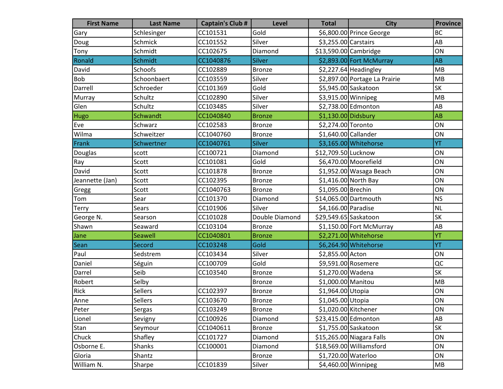| <b>First Name</b> | <b>Last Name</b> | <b>Captain's Club #</b> | Level          | <b>Total</b>          | <b>City</b>                   | <b>Province</b>        |
|-------------------|------------------|-------------------------|----------------|-----------------------|-------------------------------|------------------------|
| Gary              | Schlesinger      | CC101531                | Gold           |                       | \$6,800.00 Prince George      | <b>BC</b>              |
| Doug              | Schmick          | CC101552                | Silver         | \$3,255.00 Carstairs  |                               | AB                     |
| Tony              | Schmidt          | CC102675                | Diamond        | \$13,590.00 Cambridge |                               | ON                     |
| Ronald            | Schmidt          | CC1040876               | <b>Silver</b>  |                       | \$2,893.00 Fort McMurray      | AB                     |
| David             | Schoofs          | CC102889                | <b>Bronze</b>  |                       | \$2,227.64 Headingley         | MB                     |
| Bob               | Schoonbaert      | CC103559                | Silver         |                       | \$2,897.00 Portage La Prairie | MB                     |
| Darrell           | Schroeder        | CC101369                | Gold           |                       | \$5,945.00 Saskatoon          | SK                     |
| Murray            | Schultz          | CC102890                | Silver         | \$3,915.00 Winnipeg   |                               | MB                     |
| Glen              | Schultz          | CC103485                | Silver         |                       | \$2,738.00 Edmonton           | AB                     |
| Hugo              | Schwandt         | CC1040840               | <b>Bronze</b>  | $$1,130.00$ Didsbury  |                               | AB                     |
| Eve               | Schwarz          | CC102583                | <b>Bronze</b>  | \$2,274.00 Toronto    |                               | ON                     |
| Wilma             | Schweitzer       | CC1040760               | <b>Bronze</b>  | \$1,640.00 Callander  |                               | ON                     |
| Frank             | Schwertner       | CC1040761               | <b>Silver</b>  |                       | \$3,165.00 Whitehorse         | YT                     |
| Douglas           | scott            | CC100721                | Diamond        | \$12,709.50 Lucknow   |                               | ON                     |
| Ray               | Scott            | CC101081                | Gold           |                       | \$6,470.00 Moorefield         | ON                     |
| David             | Scott            | CC101878                | <b>Bronze</b>  |                       | \$1,952.00 Wasaga Beach       | ON                     |
| Jeannette (Jan)   | Scott            | CC102395                | <b>Bronze</b>  |                       | \$1,416.00 North Bay          | ON                     |
| Gregg             | Scott            | CC1040763               | <b>Bronze</b>  | \$1,095.00 Brechin    |                               | ON                     |
| Tom               | Sear             | CC101370                | Diamond        | \$14,065.00 Dartmouth |                               | <b>NS</b>              |
| Terry             | Sears            | CC101906                | Silver         | \$4,166.00 Paradise   |                               | <b>NL</b>              |
| George N.         | Searson          | CC101028                | Double Diamond | \$29,549.65 Saskatoon |                               | <b>SK</b>              |
| Shawn             | Seaward          | CC103104                | <b>Bronze</b>  |                       | \$1,150.00 Fort McMurray      | AB                     |
| Jane              | Seawell          | CC1040801               | <b>Bronze</b>  |                       | \$2,271.00 Whitehorse         | YT                     |
| Sean              | Secord           | CC103248                | Gold           |                       | \$6,264.90 Whitehorse         | YT                     |
| Paul              | Sedstrem         | CC103434                | Silver         | \$2,855.00 Acton      |                               | ON                     |
| Daniel            | Séguin           | CC100709                | Gold           |                       | \$9,591.00 Rosemere           | QC                     |
| Darrel            | Seib             | CC103540                | <b>Bronze</b>  | \$1,270.00 Wadena     |                               | <b>SK</b>              |
| Robert            | Selby            |                         | <b>Bronze</b>  | \$1,000.00 Manitou    |                               | MB                     |
| Rick              | Sellers          | CC102397                | <b>Bronze</b>  | \$1,964.00 Utopia     |                               | ON                     |
| Anne              | Sellers          | CC103670                | Bronze         | \$1,045.00 Utopia     |                               | ON                     |
| Peter             | Sergas           | CC103249                | <b>Bronze</b>  | \$1,020.00 Kitchener  |                               | ON                     |
| Lionel            | Sevigny          | CC100926                | Diamond        | \$23,415.00 Edmonton  |                               | $\mathsf{A}\mathsf{B}$ |
| Stan              | Seymour          | CC1040611               | <b>Bronze</b>  |                       | \$1,755.00 Saskatoon          | SK                     |
| Chuck             | Shafley          | CC101727                | Diamond        |                       | \$15,265.00 Niagara Falls     | ON                     |
| Osborne E.        | Shanks           | CC100001                | Diamond        |                       | \$18,569.00 Williamsford      | ON                     |
| Gloria            | Shantz           |                         | <b>Bronze</b>  | \$1,720.00 Waterloo   |                               | ON                     |
| William N.        | Sharpe           | CC101839                | Silver         | $$4,460.00$ Winnipeg  |                               | MB                     |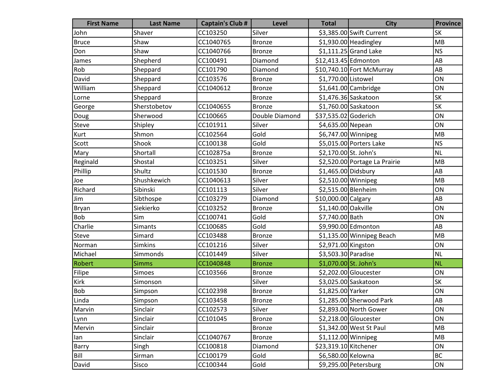| <b>First Name</b> | <b>Last Name</b> | <b>Captain's Club #</b> | <b>Level</b>   | <b>Total</b>          | <b>City</b>                   | <b>Province</b> |
|-------------------|------------------|-------------------------|----------------|-----------------------|-------------------------------|-----------------|
| John              | Shaver           | CC103250                | Silver         |                       | \$3,385.00 Swift Current      | <b>SK</b>       |
| <b>Bruce</b>      | Shaw             | CC1040765               | <b>Bronze</b>  |                       | \$1,930.00 Headingley         | MB              |
| Don               | Shaw             | CC1040766               | <b>Bronze</b>  |                       | $$1,111.25$ Grand Lake        | <b>NS</b>       |
| James             | Shepherd         | CC100491                | Diamond        | \$12,413.45 Edmonton  |                               | AB              |
| Rob               | Sheppard         | CC101790                | Diamond        |                       | \$10,740.10 Fort McMurray     | AB              |
| David             | Sheppard         | CC103576                | <b>Bronze</b>  | \$1,770.00 Listowel   |                               | ON              |
| William           | Sheppard         | CC1040612               | <b>Bronze</b>  |                       | $$1,641.00$ Cambridge         | ON              |
| Lorne             | Sheppard         |                         | <b>Bronze</b>  |                       | \$1,476.36 Saskatoon          | <b>SK</b>       |
| George            | Sherstobetov     | CC1040655               | <b>Bronze</b>  |                       | \$1,760.00 Saskatoon          | SK              |
| Doug              | Sherwood         | CC100665                | Double Diamond | \$37,535.02 Goderich  |                               | ON              |
| Steve             | Shipley          | CC101911                | Silver         | \$4,635.00 Nepean     |                               | ON              |
| Kurt              | Shmon            | CC102564                | Gold           | \$6,747.00 Winnipeg   |                               | MB              |
| Scott             | Shook            | CC100138                | Gold           |                       | \$5,015.00 Porters Lake       | <b>NS</b>       |
| Mary              | Shortall         | CC102875a               | <b>Bronze</b>  | \$2,170.00 St. John's |                               | <b>NL</b>       |
| Reginald          | Shostal          | CC103251                | Silver         |                       | \$2,520.00 Portage La Prairie | MB              |
| Phillip           | Shultz           | CC101530                | <b>Bronze</b>  | \$1,465.00 Didsbury   |                               | AB              |
| Joe               | Shushkewich      | CC1040613               | Silver         | \$2,510.00 Winnipeg   |                               | MB              |
| Richard           | Sibinski         | CC101113                | Silver         | \$2,515.00 Blenheim   |                               | ON              |
| Jim               | Sibthospe        | CC103279                | Diamond        | \$10,000.00 Calgary   |                               | AB              |
| Bryan             | Siekierko        | CC103252                | Bronze         | \$1,140.00 Oakville   |                               | ON              |
| <b>Bob</b>        | Sim              | CC100741                | Gold           | \$7,740.00 Bath       |                               | ON              |
| Charlie           | <b>Simants</b>   | CC100685                | Gold           |                       | \$9,990.00 Edmonton           | AB              |
| <b>Steve</b>      | Simard           | CC103488                | <b>Bronze</b>  |                       | \$1,135.00 Winnipeg Beach     | MB              |
| Norman            | <b>Simkins</b>   | CC101216                | Silver         | \$2,971.00 Kingston   |                               | ON              |
| Michael           | Simmonds         | CC101449                | Silver         | \$3,503.30 Paradise   |                               | <b>NL</b>       |
| Robert            | <b>Simms</b>     | CC1040848               | <b>Bronze</b>  | \$1,070.00 St. John's |                               | <b>NL</b>       |
| Filipe            | Simoes           | CC103566                | <b>Bronze</b>  |                       | \$2,202.00 Gloucester         | ON              |
| Kirk              | Simonson         |                         | Silver         |                       | \$3,025.00 Saskatoon          | <b>SK</b>       |
| <b>Bob</b>        | Simpson          | CC102398                | <b>Bronze</b>  | \$1,825.00 Yarker     |                               | ON              |
| Linda             | Simpson          | CC103458                | Bronze         |                       | \$1,285.00 Sherwood Park      | AB              |
| Marvin            | Sinclair         | CC102573                | Silver         |                       | \$2,893.00 North Gower        | ON              |
| Lynn              | Sinclair         | CC101045                | <b>Bronze</b>  |                       | $$2,218.00$ Gloucester        | ON              |
| Mervin            | Sinclair         |                         | <b>Bronze</b>  |                       | \$1,342.00 West St Paul       | MB              |
| lan               | Sinclair         | CC1040767               | <b>Bronze</b>  | $$1,112.00$ Winnipeg  |                               | MB              |
| Barry             | Singh            | CC100818                | Diamond        | \$23,319.10 Kitchener |                               | ON              |
| Bill              | Sirman           | CC100179                | Gold           | \$6,580.00 Kelowna    |                               | <b>BC</b>       |
| David             | Sisco            | CC100344                | Gold           |                       | \$9,295.00 Petersburg         | ON              |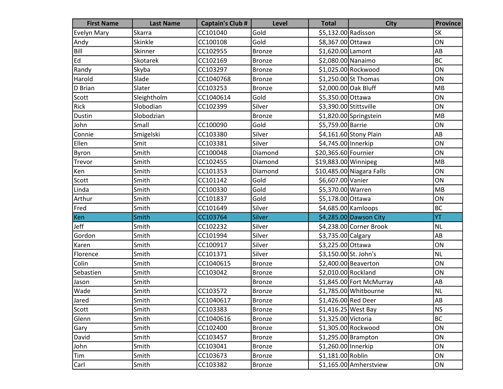| <b>First Name</b>  | <b>Last Name</b> | <b>Captain's Club #</b> | Level         | <b>Total</b>           | <b>City</b>               | <b>Province</b> |
|--------------------|------------------|-------------------------|---------------|------------------------|---------------------------|-----------------|
| <b>Evelyn Mary</b> | Skarra           | CC101040                | Gold          | \$5,132.00 Radisson    |                           | <b>SK</b>       |
| Andy               | Skinkle          | CC100108                | Gold          | \$8,367.00 Ottawa      |                           | ON              |
| Bill               | Skinner          | CC102955                | <b>Bronze</b> | \$1,620.00 Lamont      |                           | AB              |
| Ed                 | Skotarek         | CC102169                | <b>Bronze</b> | \$2,080.00 Nanaimo     |                           | <b>BC</b>       |
| Randy              | Skyba            | CC103297                | <b>Bronze</b> |                        | \$1,025.00 Rockwood       | ON              |
| Harold             | Slade            | CC1040768               | <b>Bronze</b> |                        | \$1,250.00 St Thomas      | ON              |
| D Brian            | Slater           | CC103253                | <b>Bronze</b> | \$2,000.00 Oak Bluff   |                           | MB              |
| Scott              | Sleightholm      | CC1040614               | Gold          | \$5,350.00 Ottawa      |                           | ON              |
| Rick               | Slobodian        | CC102399                | Silver        | \$3,390.00 Stittsville |                           | ON              |
| Dustin             | Slobodzian       |                         | <b>Bronze</b> |                        | \$1,820.00 Springstein    | MB              |
| John               | Small            | CC100090                | Gold          | \$5,759.00 Barrie      |                           | ON              |
| Connie             | Smigelski        | CC103380                | Silver        |                        | \$4,161.60 Stony Plain    | AB              |
| Ellen              | Smit             | CC103381                | Silver        | \$4,745.00 Innerkip    |                           | ON              |
| Byron              | Smith            | CC100048                | Diamond       | \$20,365.60 Fournier   |                           | ON              |
| Trevor             | Smith            | CC102455                | Diamond       | \$19,883.00 Winnipeg   |                           | MB              |
| Ken                | Smith            | CC101353                | Diamond       |                        | \$10,485.00 Niagara Falls | ON              |
| Scott              | Smith            | CC101142                | Gold          | \$6,607.00 Vanier      |                           | ON              |
| Linda              | Smith            | CC100330                | Gold          | \$5,370.00 Warren      |                           | MB              |
| Arthur             | Smith            | CC101837                | Gold          | \$5,178.00 Ottawa      |                           | ON              |
| Fred               | Smith            | CC101649                | Silver        |                        | $$4,685.00$ Kamloops      | <b>BC</b>       |
| Ken                | Smith            | CC103764                | Silver        |                        | \$4,285.00 Dawson City    | YT              |
| Jeff               | Smith            | CC102232                | Silver        |                        | \$4,238.00 Corner Brook   | <b>NL</b>       |
| Gordon             | Smith            | CC101994                | Silver        | \$3,735.00 Calgary     |                           | AB              |
| Karen              | Smith            | CC100917                | Silver        | \$3,225.00 Ottawa      |                           | ON              |
| Florence           | Smith            | CC101371                | Silver        | \$3,150.00 St. John's  |                           | NL              |
| Colin              | Smith            | CC1040615               | <b>Bronze</b> |                        | \$2,400.00 Beaverton      | ON              |
| Sebastien          | Smith            | CC103042                | Bronze        | \$2,010.00 Rockland    |                           | ON              |
| Jason              | Smith            |                         | <b>Bronze</b> |                        | \$1,845.00 Fort McMurray  | AB              |
| Wade               | Smith            | CC103572                | <b>Bronze</b> |                        | \$1,785.00 Whitbourne     | <b>NL</b>       |
| Jared              | Smith            | CC1040617               | <b>Bronze</b> | \$1,426.00 Red Deer    |                           | <b>AB</b>       |
| Scott              | Smith            | CC103383                | <b>Bronze</b> | $$1,416.25$ West Bay   |                           | <b>NS</b>       |
| Glenn              | Smith            | CC1040616               | <b>Bronze</b> | \$1,325.00 Victoria    |                           | <b>BC</b>       |
| Gary               | Smith            | CC102400                | <b>Bronze</b> |                        | \$1,305.00 Rockwood       | ON              |
| David              | Smith            | CC103457                | <b>Bronze</b> |                        | $$1,295.00$ Brampton      | ON              |
| John               | Smith            | CC103041                | <b>Bronze</b> | \$1,260.00 Innerkip    |                           | ON              |
| Tim                | Smith            | CC103673                | <b>Bronze</b> | \$1,181.00 Roblin      |                           | ON              |
| Carl               | Smith            | CC103382                | <b>Bronze</b> |                        | \$1,165.00 Amherstview    | ON              |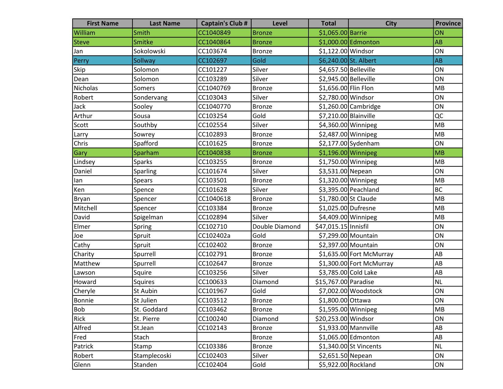| <b>First Name</b> | <b>Last Name</b> | <b>Captain's Club #</b> | <b>Level</b>   | <b>Total</b>          | <b>City</b>              | <b>Province</b> |
|-------------------|------------------|-------------------------|----------------|-----------------------|--------------------------|-----------------|
| William           | Smith            | CC1040849               | <b>Bronze</b>  | \$1,065.00 Barrie     |                          | ON              |
| <b>Steve</b>      | Smitke           | CC1040864               | <b>Bronze</b>  |                       | \$1,000.00 Edmonton      | <b>AB</b>       |
| Jan               | Sokolowski       | CC103674                | <b>Bronze</b>  | \$1,122.00 Windsor    |                          | ON              |
| Perry             | Sollway          | CC102697                | Gold           | \$6,240.00 St. Albert |                          | AB              |
| Skip              | Solomon          | CC101227                | Silver         | \$4,657.50 Belleville |                          | ON              |
| Dean              | Solomon          | CC103289                | Silver         | \$2,945.00 Belleville |                          | ON              |
| Nicholas          | Somers           | CC1040769               | <b>Bronze</b>  | \$1,656.00 Flin Flon  |                          | MB              |
| Robert            | Sondervang       | CC103043                | Silver         | \$2,780.00 Windsor    |                          | ON              |
| Jack              | Sooley           | CC1040770               | <b>Bronze</b>  |                       | \$1,260.00 Cambridge     | ON              |
| Arthur            | Sousa            | CC103254                | Gold           | \$7,210.00 Blainville |                          | QC              |
| Scott             | Southby          | CC102554                | Silver         | \$4,360.00 Winnipeg   |                          | MB              |
| Larry             | Sowrey           | CC102893                | <b>Bronze</b>  | \$2,487.00 Winnipeg   |                          | MB              |
| Chris             | Spafford         | CC101625                | <b>Bronze</b>  |                       | \$2,177.00 Sydenham      | ON              |
| <b>Gary</b>       | Sparham          | CC1040838               | <b>Bronze</b>  | $$1,196.00$ Winnipeg  |                          | MB              |
| Lindsey           | <b>Sparks</b>    | CC103255                | Bronze         | \$1,750.00 Winnipeg   |                          | MB              |
| Daniel            | Sparling         | CC101674                | Silver         | \$3,531.00 Nepean     |                          | ON              |
| lan               | <b>Spears</b>    | CC103501                | <b>Bronze</b>  | $$1,320.00$ Winnipeg  |                          | MB              |
| Ken               | Spence           | CC101628                | Silver         |                       | \$3,395.00 Peachland     | <b>BC</b>       |
| Bryan             | Spencer          | CC1040618               | <b>Bronze</b>  | \$1,780.00 St Claude  |                          | MB              |
| Mitchell          | Spencer          | CC103384                | <b>Bronze</b>  | \$1,025.00 Dufresne   |                          | MB              |
| David             | Spigelman        | CC102894                | Silver         | \$4,409.00 Winnipeg   |                          | MB              |
| Elmer             | Spring           | CC102710                | Double Diamond | \$47,015.15 Innisfil  |                          | ON              |
| Joe               | Spruit           | CC102402a               | Gold           |                       | \$7,299.00 Mountain      | ON              |
| Cathy             | Spruit           | CC102402                | <b>Bronze</b>  |                       | \$2,397.00 Mountain      | ON              |
| Charity           | Spurrell         | CC102791                | <b>Bronze</b>  |                       | \$1,635.00 Fort McMurray | AB              |
| Matthew           | Spurrell         | CC102647                | <b>Bronze</b>  |                       | \$1,300.00 Fort McMurray | AB              |
| Lawson            | Squire           | CC103256                | Silver         | \$3,785.00 Cold Lake  |                          | AB              |
| Howard            | Squires          | CC100633                | Diamond        | \$15,767.00 Paradise  |                          | NL              |
| Cheryle           | St Aubin         | CC101967                | Gold           |                       | \$7,002.00 Woodstock     | ON              |
| Bonnie            | St Julien        | CC103512                | Bronze         | \$1,800.00 Ottawa     |                          | ON              |
| Bob               | St. Goddard      | CC103462                | <b>Bronze</b>  | \$1,595.00 Winnipeg   |                          | MB              |
| Rick              | St. Pierre       | CC100240                | Diamond        | \$20,253.00 Windsor   |                          | ON              |
| Alfred            | St.Jean          | CC102143                | <b>Bronze</b>  |                       | $$1,933.00$ Mannville    | AB              |
| Fred              | Stach            |                         | <b>Bronze</b>  |                       | \$1,065.00 Edmonton      | AB              |
| Patrick           | Stamp            | CC103386                | <b>Bronze</b>  |                       | \$1,340.00 St Vincents   | NL              |
| Robert            | Stamplecoski     | CC102403                | Silver         | \$2,651.50 Nepean     |                          | ON              |
| Glenn             | Standen          | CC102404                | Gold           | \$5,922.00 Rockland   |                          | ON              |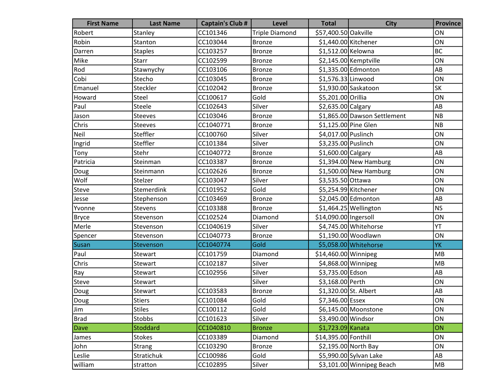| <b>First Name</b> | <b>Last Name</b> | <b>Captain's Club #</b> | <b>Level</b>          | <b>Total</b>          | <b>City</b>                  | <b>Province</b> |
|-------------------|------------------|-------------------------|-----------------------|-----------------------|------------------------------|-----------------|
| Robert            | Stanley          | CC101346                | <b>Triple Diamond</b> | \$57,400.50 Oakville  |                              | ON              |
| Robin             | Stanton          | CC103044                | Bronze                | \$1,440.00 Kitchener  |                              | ON              |
| Darren            | <b>Staples</b>   | CC103257                | Bronze                | \$1,512.00 Kelowna    |                              | <b>BC</b>       |
| Mike              | <b>Starr</b>     | CC102599                | <b>Bronze</b>         |                       | \$2,145.00 Kemptville        | ON              |
| Rod               | Stawnychy        | CC103106                | <b>Bronze</b>         |                       | \$1,335.00 Edmonton          | AB              |
| Cobi              | Stecho           | CC103045                | <b>Bronze</b>         | \$1,576.33 Linwood    |                              | ON              |
| Emanuel           | Steckler         | CC102042                | <b>Bronze</b>         |                       | \$1,930.00 Saskatoon         | SK              |
| Howard            | Steel            | CC100617                | Gold                  | \$5,201.00 Orillia    |                              | ON              |
| Paul              | Steele           | CC102643                | Silver                | \$2,635.00 Calgary    |                              | AB              |
| Jason             | Steeves          | CC103046                | <b>Bronze</b>         |                       | \$1,865.00 Dawson Settlement | <b>NB</b>       |
| Chris             | Steeves          | CC1040771               | <b>Bronze</b>         | \$1,125.00 Pine Glen  |                              | NB              |
| Neil              | Steffler         | CC100760                | Silver                | \$4,017.00 Puslinch   |                              | ON              |
| Ingrid            | Steffler         | CC101384                | Silver                | \$3,235.00 Puslinch   |                              | ON              |
| Tony              | Stehr            | CC1040772               | Bronze                | \$1,600.00 Calgary    |                              | AB              |
| Patricia          | Steinman         | CC103387                | <b>Bronze</b>         |                       | $$1,394.00$ New Hamburg      | ON              |
| Doug              | Steinmann        | CC102626                | <b>Bronze</b>         |                       | $$1,500.00$ New Hamburg      | ON              |
| Wolf              | Stelzer          | CC103047                | Silver                | \$3,535.50 Ottawa     |                              | ON              |
| <b>Steve</b>      | Stemerdink       | CC101952                | Gold                  | \$5,254.99 Kitchener  |                              | ON              |
| Jesse             | Stephenson       | CC103469                | <b>Bronze</b>         |                       | \$2,045.00 Edmonton          | AB              |
| Yvonne            | Stevens          | CC103388                | Bronze                |                       | $$1,464.25$ Wellington       | <b>NS</b>       |
| <b>Bryce</b>      | Stevenson        | CC102524                | Diamond               | \$14,090.00 Ingersoll |                              | ON              |
| Merle             | Stevenson        | CC1040619               | Silver                |                       | \$4,745.00 Whitehorse        | YT              |
| Spencer           | Stevenson        | CC1040773               | <b>Bronze</b>         |                       | \$1,190.00 Woodlawn          | ON              |
| Susan             | Stevenson        | CC1040774               | Gold                  |                       | \$5,058.00 Whitehorse        | YK              |
| Paul              | Stewart          | CC101759                | Diamond               | \$14,460.00 Winnipeg  |                              | MB              |
| Chris             | Stewart          | CC102187                | Silver                | \$4,868.00 Winnipeg   |                              | MB              |
| Ray               | Stewart          | CC102956                | Silver                | \$3,735.00 Edson      |                              | AB              |
| Steve             | Stewart          |                         | Silver                | \$3,168.00 Perth      |                              | ON              |
| Doug              | Stewart          | CC103583                | <b>Bronze</b>         | \$1,320.00 St. Albert |                              | AB              |
| Doug              | <b>Stiers</b>    | CC101084                | Gold                  | \$7,346.00 Essex      |                              | ON              |
| Jim               | <b>Stiles</b>    | CC100112                | Gold                  |                       | \$6,145.00 Moonstone         | ON              |
| <b>Brad</b>       | Stobbs           | CC101623                | Silver                | \$3,490.00 Windsor    |                              | ON              |
| Dave              | Stoddard         | CC1040810               | <b>Bronze</b>         | \$1,723.09 Kanata     |                              | ON              |
| James             | <b>Stokes</b>    | CC103389                | Diamond               | \$14,395.00 Fonthill  |                              | ON              |
| John              | Strang           | CC103290                | <b>Bronze</b>         |                       | \$2,195.00 North Bay         | ON              |
| Leslie            | Stratichuk       | CC100986                | Gold                  |                       | \$5,990.00 Sylvan Lake       | AB              |
| william           | stratton         | CC102895                | Silver                |                       | \$3,101.00 Winnipeg Beach    | MB              |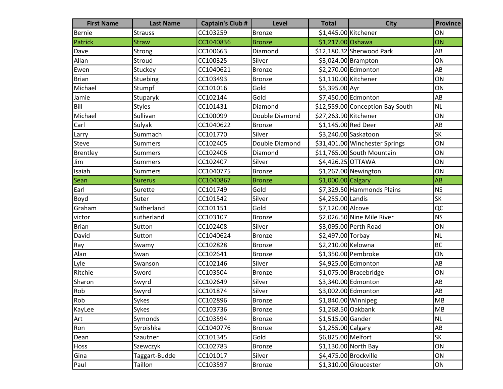| <b>First Name</b> | <b>Last Name</b> | <b>Captain's Club #</b> | <b>Level</b>   | <b>Total</b>          | <b>City</b>                      | <b>Province</b> |
|-------------------|------------------|-------------------------|----------------|-----------------------|----------------------------------|-----------------|
| Bernie            | <b>Strauss</b>   | CC103259                | Bronze         | \$1,445.00 Kitchener  |                                  | ON              |
| Patrick           | <b>Straw</b>     | CC1040836               | <b>Bronze</b>  | \$1,217.00 Oshawa     |                                  | ON              |
| Dave              | Strong           | CC100663                | Diamond        |                       | \$12,180.32 Sherwood Park        | AB              |
| Allan             | Stroud           | CC100325                | Silver         |                       | $$3,024.00$ Brampton             | ON              |
| Ewen              | Stuckey          | CC1040621               | <b>Bronze</b>  |                       | \$2,270.00 Edmonton              | AB              |
| <b>Brian</b>      | Stuebing         | CC103493                | <b>Bronze</b>  | \$1,110.00 Kitchener  |                                  | ON              |
| Michael           | Stumpf           | CC101016                | Gold           | \$5,395.00 Ayr        |                                  | ON              |
| Jamie             | Stuparyk         | CC102144                | Gold           |                       | \$7,450.00 Edmonton              | AB              |
| Bill              | <b>Styles</b>    | CC101431                | Diamond        |                       | \$12,559.00 Conception Bay South | <b>NL</b>       |
| Michael           | Sullivan         | CC100099                | Double Diamond | \$27,263.90 Kitchener |                                  | ON              |
| Carl              | Sulyak           | CC1040622               | <b>Bronze</b>  | \$1,145.00 Red Deer   |                                  | AB              |
| Larry             | Summach          | CC101770                | Silver         |                       | \$3,240.00 Saskatoon             | <b>SK</b>       |
| <b>Steve</b>      | Summers          | CC102405                | Double Diamond |                       | \$31,401.00 Winchester Springs   | ON              |
| Brentley          | <b>Summers</b>   | CC102406                | Diamond        |                       | \$11,765.00 South Mountain       | ON              |
| Jim               | <b>Summers</b>   | CC102407                | Silver         | \$4,426.25 OTTAWA     |                                  | ON              |
| Isaiah            | <b>Summers</b>   | CC1040775               | <b>Bronze</b>  |                       | \$1,267.00 Newington             | ON              |
| Sean              | <b>Surerus</b>   | CC1040867               | <b>Bronze</b>  | $$1,000.00 $ Calgary  |                                  | <b>AB</b>       |
| Earl              | Surette          | CC101749                | Gold           |                       | \$7,329.50 Hammonds Plains       | <b>NS</b>       |
| Boyd              | Suter            | CC101542                | Silver         | \$4,255.00 Landis     |                                  | <b>SK</b>       |
| Graham            | Sutherland       | CC101151                | Gold           | \$7,120.00 Alcove     |                                  | QC              |
| victor            | sutherland       | CC103107                | <b>Bronze</b>  |                       | \$2,026.50 Nine Mile River       | <b>NS</b>       |
| <b>Brian</b>      | Sutton           | CC102408                | Silver         |                       | \$3,095.00 Perth Road            | ON              |
| David             | Sutton           | CC1040624               | <b>Bronze</b>  | \$2,497.00 Torbay     |                                  | <b>NL</b>       |
| Ray               | Swamy            | CC102828                | <b>Bronze</b>  | \$2,210.00 Kelowna    |                                  | <b>BC</b>       |
| Alan              | Swan             | CC102641                | <b>Bronze</b>  |                       | \$1,350.00 Pembroke              | ON              |
| Lyle              | Swanson          | CC102146                | Silver         |                       | \$4,925.00 Edmonton              | AB              |
| Ritchie           | Sword            | CC103504                | <b>Bronze</b>  |                       | \$1,075.00 Bracebridge           | ON              |
| Sharon            | Swyrd            | CC102649                | Silver         |                       | \$3,340.00 Edmonton              | AB              |
| Rob               | Swyrd            | CC101874                | Silver         |                       | \$3,002.00 Edmonton              | AB              |
| Rob               | Sykes            | CC102896                | Bronze         | $$1,840.00$ Winnipeg  |                                  | <b>MB</b>       |
| KayLee            | Sykes            | CC103736                | <b>Bronze</b>  | \$1,268.50 Oakbank    |                                  | <b>MB</b>       |
| Art               | Symonds          | CC103594                | <b>Bronze</b>  | \$1,515.00 Gander     |                                  | <b>NL</b>       |
| Ron               | Syroishka        | CC1040776               | <b>Bronze</b>  | \$1,255.00 Calgary    |                                  | AB              |
| Dean              | Szautner         | CC101345                | Gold           | \$6,825.00 Melfort    |                                  | SK              |
| Hoss              | Szewczyk         | CC102783                | <b>Bronze</b>  |                       | $$1,130.00$ North Bay            | ON              |
| Gina              | Taggart-Budde    | CC101017                | Silver         |                       | \$4,475.00 Brockville            | ON              |
| Paul              | Taillon          | CC103597                | Bronze         |                       | \$1,310.00 Gloucester            | ON              |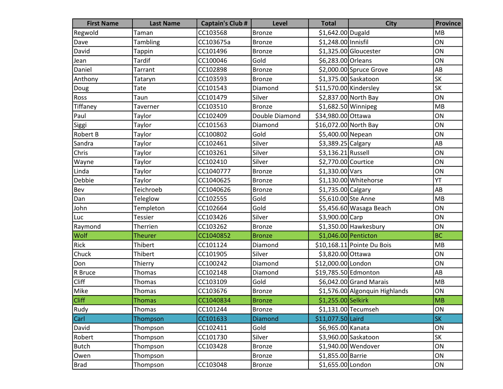| <b>First Name</b> | <b>Last Name</b> | <b>Captain's Club #</b> | <b>Level</b>   | <b>Total</b>           | <b>City</b>                    | <b>Province</b> |
|-------------------|------------------|-------------------------|----------------|------------------------|--------------------------------|-----------------|
| Regwold           | Taman            | CC103568                | Bronze         | \$1,642.00 Dugald      |                                | MB              |
| Dave              | Tambling         | CC103675a               | <b>Bronze</b>  | \$1,248.00 Innisfil    |                                | ON              |
| David             | <b>Tappin</b>    | CC101496                | <b>Bronze</b>  |                        | \$1,325.00 Gloucester          | ON              |
| Jean              | <b>Tardif</b>    | CC100046                | Gold           | \$6,283.00 Orleans     |                                | ON              |
| Daniel            | <b>Tarrant</b>   | CC102898                | <b>Bronze</b>  |                        | \$2,000.00 Spruce Grove        | AB              |
| Anthony           | Tataryn          | CC103593                | <b>Bronze</b>  |                        | \$1,375.00 Saskatoon           | SK              |
| Doug              | Tate             | CC101543                | Diamond        | \$11,570.00 Kindersley |                                | <b>SK</b>       |
| Ross              | Taun             | CC101479                | Silver         |                        | \$2,837.00 North Bay           | ON              |
| Tiffaney          | Taverner         | CC103510                | <b>Bronze</b>  | \$1,682.50 Winnipeg    |                                | MB              |
| Paul              | Taylor           | CC102409                | Double Diamond | \$34,980.00 Ottawa     |                                | ON              |
| Siggi             | Taylor           | CC101563                | Diamond        | \$16,072.00 North Bay  |                                | ON              |
| <b>Robert B</b>   | Taylor           | CC100802                | Gold           | \$5,400.00 Nepean      |                                | ON              |
| Sandra            | Taylor           | CC102461                | Silver         | \$3,389.25 Calgary     |                                | AB              |
| Chris             | Taylor           | CC103261                | Silver         | \$3,136.21 Russell     |                                | ON              |
| Wayne             | Taylor           | CC102410                | Silver         | \$2,770.00 Courtice    |                                | ON              |
| Linda             | Taylor           | CC1040777               | <b>Bronze</b>  | \$1,330.00 Vars        |                                | ON              |
| Debbie            | Taylor           | CC1040625               | <b>Bronze</b>  |                        | \$1,130.00 Whitehorse          | YT              |
| Bev               | Teichroeb        | CC1040626               | <b>Bronze</b>  | \$1,735.00 Calgary     |                                | AB              |
| Dan               | <b>Teleglow</b>  | CC102555                | Gold           | \$5,610.00 Ste Anne    |                                | MB              |
| John              | Templeton        | CC102664                | Gold           |                        | \$5,456.60 Wasaga Beach        | ON              |
| Luc               | <b>Tessier</b>   | CC103426                | Silver         | \$3,900.00 Carp        |                                | ON              |
| Raymond           | Therrien         | CC103262                | <b>Bronze</b>  |                        | $$1,350.00$ Hawkesbury         | ON              |
| Wolf              | <b>Theurer</b>   | CC1040852               | <b>Bronze</b>  | \$1,046.00 Penticton   |                                | <b>BC</b>       |
| Rick              | Thibert          | CC101124                | Diamond        |                        | \$10,168.11 Pointe Du Bois     | MB              |
| Chuck             | Thibert          | CC101905                | Silver         | \$3,820.00 Ottawa      |                                | ON              |
| Don               | Thierry          | CC100242                | Diamond        | \$12,000.00 London     |                                | ON              |
| R Bruce           | Thomas           | CC102148                | Diamond        | \$19,785.50 Edmonton   |                                | AB              |
| Cliff             | Thomas           | CC103109                | Gold           |                        | $$6,042.00$ Grand Marais       | MB              |
| Mike              | Thomas           | CC103676                | <b>Bronze</b>  |                        | \$1,576.00 Algonquin Highlands | ON              |
| <b>Cliff</b>      | Thomas           | CC1040834               | <b>Bronze</b>  | \$1,255.00 Selkirk     |                                | MB              |
| Rudy              | Thomas           | CC101244                | <b>Bronze</b>  |                        | \$1,131.00 Tecumseh            | ON              |
| <b>Carl</b>       | Thompson         | CC101633                | Diamond        | \$11,077.50 Laird      |                                | <b>SK</b>       |
| David             | Thompson         | CC102411                | Gold           | \$6,965.00 Kanata      |                                | ON              |
| Robert            | Thompson         | CC101730                | Silver         |                        | \$3,960.00 Saskatoon           | SK              |
| <b>Butch</b>      | Thompson         | CC103428                | <b>Bronze</b>  |                        | \$1,940.00 Wendover            | ON              |
| Owen              | Thompson         |                         | <b>Bronze</b>  | \$1,855.00 Barrie      |                                | ON              |
| <b>Brad</b>       | Thompson         | CC103048                | <b>Bronze</b>  | \$1,655.00 London      |                                | ON              |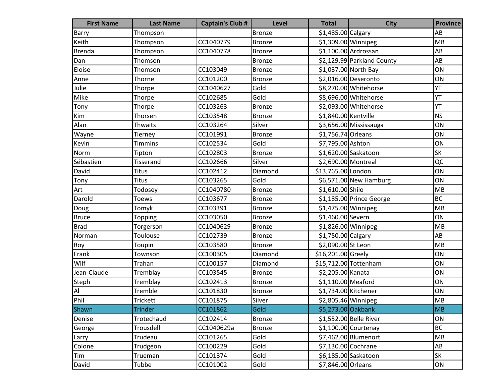| <b>First Name</b>            | <b>Last Name</b> | <b>Captain's Club #</b> | <b>Level</b>  | <b>Total</b>          | <b>City</b>                | <b>Province</b>        |
|------------------------------|------------------|-------------------------|---------------|-----------------------|----------------------------|------------------------|
| Barry                        | Thompson         |                         | <b>Bronze</b> | \$1,485.00 Calgary    |                            | AB                     |
| Keith                        | Thompson         | CC1040779               | <b>Bronze</b> | $$1,309.00$ Winnipeg  |                            | MB                     |
| <b>Brenda</b>                | Thompson         | CC1040778               | <b>Bronze</b> |                       | $$1,100.00$ Ardrossan      | AB                     |
| Dan                          | Thomson          |                         | <b>Bronze</b> |                       | \$2,129.99 Parkland County | AB                     |
| Eloise                       | Thomson          | CC103049                | <b>Bronze</b> |                       | \$1,037.00 North Bay       | ON                     |
| Anne                         | Thorne           | CC101200                | <b>Bronze</b> |                       | \$2,016.00 Deseronto       | ON                     |
| Julie                        | Thorpe           | CC1040627               | Gold          |                       | \$8,270.00 Whitehorse      | YT                     |
| Mike                         | Thorpe           | CC102685                | Gold          |                       | \$8,696.00 Whitehorse      | YT                     |
| Tony                         | Thorpe           | CC103263                | <b>Bronze</b> |                       | \$2,093.00 Whitehorse      | YT                     |
| Kim                          | Thorsen          | CC103548                | <b>Bronze</b> | \$1,840.00 Kentville  |                            | <b>NS</b>              |
| Alan                         | Thwaits          | CC103264                | Silver        |                       | \$3,656.00 Mississauga     | ON                     |
| Wayne                        | Tierney          | CC101991                | <b>Bronze</b> | \$1,756.74 Orleans    |                            | ON                     |
| Kevin                        | <b>Timmins</b>   | CC102534                | Gold          | \$7,795.00 Ashton     |                            | ON                     |
| Norm                         | Tipton           | CC102803                | <b>Bronze</b> |                       | \$1,620.00 Saskatoon       | SK                     |
| Sébastien                    | Tisserand        | CC102666                | Silver        | \$2,690.00 Montreal   |                            | QC                     |
| David                        | <b>Titus</b>     | CC102412                | Diamond       | \$13,765.00 London    |                            | ON                     |
| Tony                         | <b>Titus</b>     | CC103265                | Gold          |                       | \$6,571.00 New Hamburg     | ON                     |
| Art                          | Todosey          | CC1040780               | <b>Bronze</b> | \$1,610.00 Shilo      |                            | MB                     |
| Darold                       | <b>Toews</b>     | CC103677                | <b>Bronze</b> |                       | \$1,185.00 Prince George   | <b>BC</b>              |
| Doug                         | Tomyk            | CC103391                | Bronze        | \$1,475.00 Winnipeg   |                            | MB                     |
| <b>Bruce</b>                 | Topping          | CC103050                | <b>Bronze</b> | \$1,460.00 Severn     |                            | ON                     |
| Brad                         | Torgerson        | CC1040629               | <b>Bronze</b> | \$1,826.00 Winnipeg   |                            | MB                     |
| Norman                       | Toulouse         | CC102739                | <b>Bronze</b> | \$1,750.00 Calgary    |                            | AB                     |
| Roy                          | Toupin           | CC103580                | <b>Bronze</b> | \$2,090.00 St Leon    |                            | MB                     |
| Frank                        | Townson          | CC100305                | Diamond       | \$16,201.00 Greely    |                            | ON                     |
| Wilf                         | Trahan           | CC100157                | Diamond       | \$15,712.00 Tottenham |                            | ON                     |
| Jean-Claude                  | Tremblay         | CC103545                | <b>Bronze</b> | \$2,205.00 Kanata     |                            | ON                     |
| Steph                        | Tremblay         | CC102413                | <b>Bronze</b> | \$1,110.00 Meaford    |                            | ON                     |
| $\mathsf{Al}\hspace{0.04cm}$ | Tremble          | CC101830                | <b>Bronze</b> | \$1,734.00 Kitchener  |                            | ON                     |
| Phil                         | <b>Trickett</b>  | CC101875                | Silver        | \$2,805.46 Winnipeg   |                            | <b>MB</b>              |
| Shawn                        | <b>Trinder</b>   | CC101862                | Gold          | \$5,273.00 Oakbank    |                            | <b>MB</b>              |
| Denise                       | Trotechaud       | CC102414                | <b>Bronze</b> |                       | \$1,552.00 Belle River     | ON                     |
| George                       | Trousdell        | CC1040629a              | <b>Bronze</b> |                       | $$1,100.00$ Courtenay      | <b>BC</b>              |
| Larry                        | Trudeau          | CC101265                | Gold          |                       | \$7,462.00 Blumenort       | MB                     |
| Colone                       | Trudgeon         | CC100229                | Gold          | \$7,130.00 Cochrane   |                            | $\mathsf{A}\mathsf{B}$ |
| Tim                          | Trueman          | CC101374                | Gold          |                       | \$6,185.00 Saskatoon       | SK                     |
| David                        | Tubbe            | CC101002                | Gold          | \$7,846.00 Orleans    |                            | ON                     |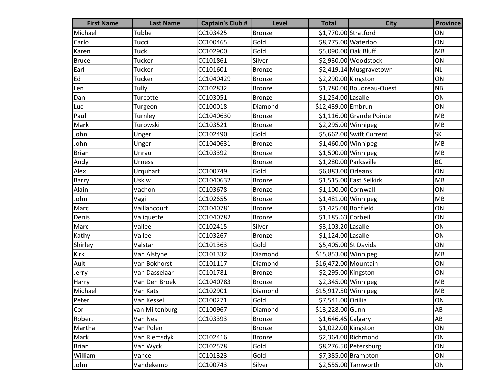| <b>First Name</b> | <b>Last Name</b> | <b>Captain's Club #</b> | <b>Level</b>  | <b>Total</b>          | <b>City</b>               | <b>Province</b> |
|-------------------|------------------|-------------------------|---------------|-----------------------|---------------------------|-----------------|
| Michael           | Tubbe            | CC103425                | <b>Bronze</b> | \$1,770.00 Stratford  |                           | ON              |
| Carlo             | Tucci            | CC100465                | Gold          | \$8,775.00 Waterloo   |                           | ON              |
| Karen             | <b>Tuck</b>      | CC102900                | Gold          | \$5,090.00 Oak Bluff  |                           | MB              |
| <b>Bruce</b>      | Tucker           | CC101861                | Silver        |                       | \$2,930.00 Woodstock      | ON              |
| Earl              | Tucker           | CC101601                | <b>Bronze</b> |                       | \$2,419.14 Musgravetown   | <b>NL</b>       |
| Ed                | Tucker           | CC1040429               | <b>Bronze</b> | \$2,290.00 Kingston   |                           | ON              |
| Len               | Tully            | CC102832                | <b>Bronze</b> |                       | \$1,780.00 Boudreau-Ouest | NB              |
| Dan               | Turcotte         | CC103051                | <b>Bronze</b> | \$1,254.00 Lasalle    |                           | ON              |
| Luc               | Turgeon          | CC100018                | Diamond       | \$12,439.00 Embrun    |                           | ON              |
| Paul              | Turnley          | CC1040630               | <b>Bronze</b> |                       | \$1,116.00 Grande Pointe  | MB              |
| Mark              | Turowski         | CC103521                | <b>Bronze</b> | \$2,295.00 Winnipeg   |                           | MB              |
| John              | Unger            | CC102490                | Gold          |                       | \$5,662.00 Swift Current  | <b>SK</b>       |
| John              | Unger            | CC1040631               | <b>Bronze</b> | $$1,460.00$ Winnipeg  |                           | MB              |
| <b>Brian</b>      | Unrau            | CC103392                | <b>Bronze</b> | \$1,500.00 Winnipeg   |                           | MB              |
| Andy              | Urness           |                         | <b>Bronze</b> | \$1,280.00 Parksville |                           | <b>BC</b>       |
| Alex              | Urquhart         | CC100749                | Gold          | \$6,883.00 Orleans    |                           | ON              |
| Barry             | Uskiw            | CC1040632               | <b>Bronze</b> |                       | \$1,515.00 East Selkirk   | MB              |
| Alain             | Vachon           | CC103678                | <b>Bronze</b> | \$1,100.00 Cornwall   |                           | ON              |
| John              | Vagi             | CC102655                | <b>Bronze</b> | \$1,481.00 Winnipeg   |                           | MB              |
| Marc              | Vaillancourt     | CC1040781               | <b>Bronze</b> | \$1,425.00 Bonfield   |                           | ON              |
| Denis             | Valiquette       | CC1040782               | <b>Bronze</b> | \$1,185.63 Corbeil    |                           | ON              |
| Marc              | Vallee           | CC102415                | Silver        | \$3,103.20 Lasalle    |                           | ON              |
| Kathy             | Vallee           | CC103267                | <b>Bronze</b> | \$1,124.00 Lasalle    |                           | ON              |
| Shirley           | Valstar          | CC101363                | Gold          | \$5,405.00 St Davids  |                           | ON              |
| Kirk              | Van Alstyne      | CC101332                | Diamond       | \$15,853.00 Winnipeg  |                           | MB              |
| Ault              | Van Bokhorst     | CC101117                | Diamond       | \$16,472.00 Mountain  |                           | ON              |
| Jerry             | Van Dasselaar    | CC101781                | <b>Bronze</b> | \$2,295.00 Kingston   |                           | ON              |
| Harry             | Van Den Broek    | CC1040783               | <b>Bronze</b> | \$2,345.00 Winnipeg   |                           | MB              |
| Michael           | Van Kats         | CC102901                | Diamond       | \$15,917.50 Winnipeg  |                           | MB              |
| Peter             | Van Kessel       | CC100271                | Gold          | \$7,541.00 Orillia    |                           | ON              |
| Cor               | van Miltenburg   | CC100967                | Diamond       | \$13,228.00 Gunn      |                           | AB              |
| Robert            | Van Nes          | CC103393                | <b>Bronze</b> | $$1,646.45$ Calgary   |                           | AB              |
| Martha            | Van Polen        |                         | <b>Bronze</b> | \$1,022.00 Kingston   |                           | ON              |
| Mark              | Van Riemsdyk     | CC102416                | <b>Bronze</b> |                       | \$2,364.00 Richmond       | ON              |
| <b>Brian</b>      | Van Wyck         | CC102578                | Gold          |                       | \$8,276.50 Petersburg     | ON              |
| William           | Vance            | CC101323                | Gold          |                       | \$7,385.00 Brampton       | ON              |
| John              | Vandekemp        | CC100743                | Silver        |                       | \$2,555.00 Tamworth       | ON              |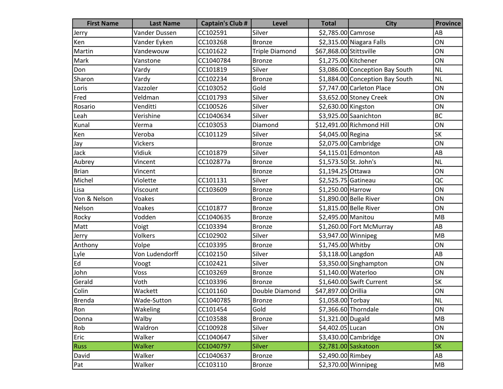| <b>First Name</b> | <b>Last Name</b> | <b>Captain's Club #</b> | <b>Level</b>          | <b>Total</b>            | <b>City</b>                     | <b>Province</b> |
|-------------------|------------------|-------------------------|-----------------------|-------------------------|---------------------------------|-----------------|
| Jerry             | Vander Dussen    | CC102591                | Silver                | \$2,785.00 Camrose      |                                 | AB              |
| Ken               | Vander Eyken     | CC103268                | <b>Bronze</b>         |                         | \$2,315.00 Niagara Falls        | ON              |
| Martin            | Vandewouw        | CC101622                | <b>Triple Diamond</b> | \$67,868.00 Stittsville |                                 | ON              |
| Mark              | Vanstone         | CC1040784               | <b>Bronze</b>         |                         | \$1,275.00 Kitchener            | ON              |
| Don               | Vardy            | CC101819                | Silver                |                         | \$3,086.00 Conception Bay South | <b>NL</b>       |
| Sharon            | Vardy            | CC102234                | <b>Bronze</b>         |                         | \$1,884.00 Conception Bay South | <b>NL</b>       |
| Loris             | Vazzoler         | CC103052                | Gold                  |                         | \$7,747.00 Carleton Place       | ON              |
| Fred              | Veldman          | CC101793                | Silver                |                         | \$3,652.00 Stoney Creek         | ON              |
| Rosario           | Venditti         | CC100526                | Silver                | \$2,630.00 Kingston     |                                 | ON              |
| Leah              | Verishine        | CC1040634               | Silver                |                         | \$3,925.00 Saanichton           | <b>BC</b>       |
| Kunal             | Verma            | CC103053                | Diamond               |                         | \$12,491.00 Richmond Hill       | ON              |
| Ken               | Veroba           | CC101129                | Silver                | \$4,045.00 Regina       |                                 | <b>SK</b>       |
| Jay               | Vickers          |                         | Bronze                |                         | \$2,075.00 Cambridge            | ON              |
| Jack              | Vidiuk           | CC101879                | Silver                |                         | $$4,115.01$ Edmonton            | AB              |
| Aubrey            | Vincent          | CC102877a               | <b>Bronze</b>         | \$1,573.50 St. John's   |                                 | <b>NL</b>       |
| <b>Brian</b>      | Vincent          |                         | <b>Bronze</b>         | \$1,194.25 Ottawa       |                                 | ON              |
| Michel            | Violette         | CC101131                | Silver                | \$2,525.75 Gatineau     |                                 | QC              |
| Lisa              | Viscount         | CC103609                | <b>Bronze</b>         | \$1,250.00 Harrow       |                                 | ON              |
| Von & Nelson      | Voakes           |                         | <b>Bronze</b>         |                         | \$1,890.00 Belle River          | ON              |
| Nelson            | Voakes           | CC101877                | Bronze                |                         | \$1,815.00 Belle River          | ON              |
| Rocky             | Vodden           | CC1040635               | <b>Bronze</b>         | \$2,495.00 Manitou      |                                 | <b>MB</b>       |
| Matt              | Voigt            | CC103394                | Bronze                |                         | \$1,260.00 Fort McMurray        | AB              |
| Jerry             | Volkers          | CC102902                | Silver                |                         | \$3,947.00 Winnipeg             | MB              |
| Anthony           | Volpe            | CC103395                | Bronze                | \$1,745.00 Whitby       |                                 | ON              |
| Lyle              | Von Ludendorff   | CC102150                | Silver                | \$3,118.00 Langdon      |                                 | AB              |
| Ed                | Voogt            | CC102421                | Silver                |                         | \$3,350.00 Singhampton          | ON              |
| John              | Voss             | CC103269                | <b>Bronze</b>         | \$1,140.00 Waterloo     |                                 | ON              |
| Gerald            | Voth             | CC103396                | <b>Bronze</b>         |                         | $$1,640.00$ Swift Current       | <b>SK</b>       |
| <b>Colin</b>      | Wackett          | CC101160                | Double Diamond        | \$47,897.00 Orillia     |                                 | ON              |
| Brenda            | Wade-Sutton      | CC1040785               | Bronze                | \$1,058.00 Torbay       |                                 | <b>NL</b>       |
| Ron               | Wakeling         | CC101454                | Gold                  |                         | \$7,366.60 Thorndale            | ON              |
| Donna             | Walby            | CC103588                | <b>Bronze</b>         | \$1,321.00 Dugald       |                                 | MB              |
| Rob               | Waldron          | CC100928                | Silver                | \$4,402.05 Lucan        |                                 | ON              |
| Eric              | Walker           | CC1040647               | Silver                |                         | \$3,430.00 Cambridge            | ON              |
| <b>Russ</b>       | Walker           | CC1040797               | <b>Silver</b>         |                         | \$2,781.00 Saskatoon            | <b>SK</b>       |
| David             | Walker           | CC1040637               | <b>Bronze</b>         | \$2,490.00 Rimbey       |                                 | AB              |
| Pat               | Walker           | CC103110                | <b>Bronze</b>         |                         | $$2,370.00$ Winnipeg            | MB              |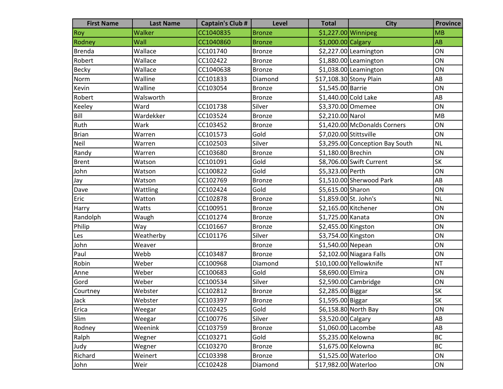| <b>First Name</b> | <b>Last Name</b> | <b>Captain's Club #</b> | Level         | <b>Total</b>            | <b>City</b>                     | <b>Province</b> |
|-------------------|------------------|-------------------------|---------------|-------------------------|---------------------------------|-----------------|
| Roy               | Walker           | CC1040835               | <b>Bronze</b> | \$1,227.00 Winnipeg     |                                 | MB              |
| Rodney            | Wall             | CC1040860               | <b>Bronze</b> | $$1,000.00 $ Calgary    |                                 | AB              |
| <b>Brenda</b>     | Wallace          | CC101740                | Bronze        |                         | $$2,227.00$ Leamington          | ON              |
| Robert            | Wallace          | CC102422                | <b>Bronze</b> |                         | \$1,880.00 Leamington           | ON              |
| <b>Becky</b>      | Wallace          | CC1040638               | <b>Bronze</b> |                         | $$1,038.00$ Leamington          | ON              |
| Norm              | Walline          | CC101833                | Diamond       | \$17,108.30 Stony Plain |                                 | AB              |
| Kevin             | Walline          | CC103054                | <b>Bronze</b> | \$1,545.00 Barrie       |                                 | ON              |
| Robert            | Walsworth        |                         | <b>Bronze</b> | \$1,440.00 Cold Lake    |                                 | AB              |
| Keeley            | Ward             | CC101738                | Silver        | \$3,370.00 Omemee       |                                 | ON              |
| Bill              | Wardekker        | CC103524                | Bronze        | \$2,210.00 Narol        |                                 | <b>MB</b>       |
| Ruth              | Wark             | CC103452                | <b>Bronze</b> |                         | \$1,420.00 McDonalds Corners    | ON              |
| <b>Brian</b>      | Warren           | CC101573                | Gold          | \$7,020.00 Stittsville  |                                 | ON              |
| Neil              | Warren           | CC102503                | Silver        |                         | \$3,295.00 Conception Bay South | <b>NL</b>       |
| Randy             | Warren           | CC103680                | <b>Bronze</b> | \$1,180.00 Brechin      |                                 | ON              |
| <b>Brent</b>      | Watson           | CC101091                | Gold          |                         | \$8,706.00 Swift Current        | <b>SK</b>       |
| John              | Watson           | CC100822                | Gold          | \$5,323.00 Perth        |                                 | ON              |
| Jay               | Watson           | CC102769                | Bronze        |                         | \$1,510.00 Sherwood Park        | AB              |
| Dave              | Wattling         | CC102424                | Gold          | \$5,615.00 Sharon       |                                 | ON              |
| Eric              | Watton           | CC102878                | <b>Bronze</b> | \$1,859.00 St. John's   |                                 | <b>NL</b>       |
| Harry             | Watts            | CC100951                | <b>Bronze</b> | \$2,165.00 Kitchener    |                                 | ON              |
| Randolph          | Waugh            | CC101274                | <b>Bronze</b> | \$1,725.00 Kanata       |                                 | ON              |
| Philip            | Way              | CC101667                | <b>Bronze</b> | \$2,455.00 Kingston     |                                 | ON              |
| Les               | Weatherby        | CC101176                | Silver        | \$3,754.00 Kingston     |                                 | ON              |
| John              | Weaver           |                         | <b>Bronze</b> | \$1,540.00 Nepean       |                                 | ON              |
| Paul              | Webb             | CC103487                | <b>Bronze</b> |                         | \$2,102.00 Niagara Falls        | ON              |
| Robin             | Weber            | CC100968                | Diamond       |                         | \$10,100.00 Yellowknife         | <b>NT</b>       |
| Anne              | Weber            | CC100683                | Gold          | \$8,690.00 Elmira       |                                 | ON              |
| Gord              | Weber            | CC100534                | Silver        |                         | \$2,590.00 Cambridge            | ON              |
| Courtney          | Webster          | CC102812                | Bronze        | \$2,285.00 Biggar       |                                 | <b>SK</b>       |
| Jack              | Webster          | CC103397                | Bronze        | \$1,595.00 Biggar       |                                 | <b>SK</b>       |
| Erica             | Weegar           | CC102425                | Gold          |                         | \$6,158.80 North Bay            | ON              |
| Slim              | Weegar           | CC100776                | Silver        | \$3,520.00 Calgary      |                                 | AB              |
| Rodney            | Weenink          | CC103759                | <b>Bronze</b> | \$1,060.00 Lacombe      |                                 | AB              |
| Ralph             | Wegner           | CC103271                | Gold          | \$5,235.00 Kelowna      |                                 | BC              |
| Judy              | Wegner           | CC103270                | <b>Bronze</b> | \$1,675.00 Kelowna      |                                 | BC              |
| Richard           | Weinert          | CC103398                | <b>Bronze</b> | \$1,525.00 Waterloo     |                                 | ON              |
| John              | Weir             | CC102428                | Diamond       | \$17,982.00 Waterloo    |                                 | ON              |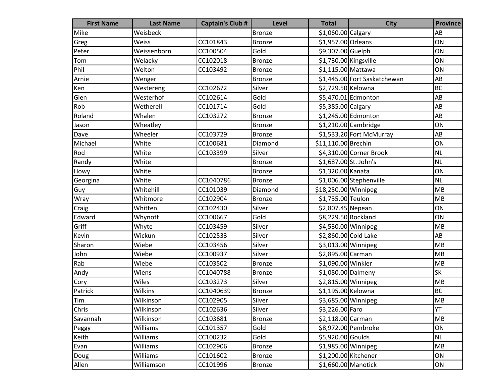| <b>First Name</b> | <b>Last Name</b> | <b>Captain's Club #</b> | <b>Level</b>  | <b>Total</b>          | <b>City</b>                  | <b>Province</b> |
|-------------------|------------------|-------------------------|---------------|-----------------------|------------------------------|-----------------|
| Mike              | Weisbeck         |                         | <b>Bronze</b> | \$1,060.00 Calgary    |                              | AB              |
| Greg              | Weiss            | CC101843                | <b>Bronze</b> | \$1,957.00 Orleans    |                              | ON              |
| Peter             | Weissenborn      | CC100504                | Gold          | \$9,307.00 Guelph     |                              | ON              |
| Tom               | Welacky          | CC102018                | <b>Bronze</b> | \$1,730.00 Kingsville |                              | ON              |
| Phil              | Welton           | CC103492                | <b>Bronze</b> | \$1,115.00 Mattawa    |                              | ON              |
| Arnie             | Wenger           |                         | Bronze        |                       | \$1,445.00 Fort Saskatchewan | AB              |
| Ken               | Westereng        | CC102672                | Silver        | \$2,729.50 Kelowna    |                              | <b>BC</b>       |
| Glen              | Westerhof        | CC102614                | Gold          |                       | \$5,470.01 Edmonton          | AB              |
| Rob               | Wetherell        | CC101714                | Gold          | \$5,385.00 Calgary    |                              | AB              |
| Roland            | Whalen           | CC103272                | <b>Bronze</b> |                       | \$1,245.00 Edmonton          | AB              |
| Jason             | Wheatley         |                         | <b>Bronze</b> |                       | $$1,210.00$ Cambridge        | ON              |
| Dave              | Wheeler          | CC103729                | <b>Bronze</b> |                       | \$1,533.20 Fort McMurray     | AB              |
| Michael           | White            | CC100681                | Diamond       | \$11,110.00 Brechin   |                              | ON              |
| Rod               | White            | CC103399                | Silver        |                       | \$4,310.00 Corner Brook      | <b>NL</b>       |
| Randy             | White            |                         | <b>Bronze</b> | \$1,687.00 St. John's |                              | <b>NL</b>       |
| Howy              | White            |                         | <b>Bronze</b> | \$1,320.00 Kanata     |                              | ON              |
| Georgina          | White            | CC1040786               | <b>Bronze</b> |                       | \$1,006.00 Stephenville      | <b>NL</b>       |
| Guy               | Whitehill        | CC101039                | Diamond       | \$18,250.00 Winnipeg  |                              | MB              |
| Wray              | Whitmore         | CC102904                | <b>Bronze</b> | \$1,735.00 Teulon     |                              | MB              |
| Craig             | Whitten          | CC102430                | Silver        | \$2,807.45 Nepean     |                              | ON              |
| Edward            | Whynott          | CC100667                | Gold          | \$8,229.50 Rockland   |                              | ON              |
| Griff             | Whyte            | CC103459                | Silver        | \$4,530.00 Winnipeg   |                              | MB              |
| Kevin             | Wickun           | CC102533                | Silver        | \$2,860.00 Cold Lake  |                              | AB              |
| Sharon            | Wiebe            | CC103456                | Silver        | \$3,013.00 Winnipeg   |                              | MB              |
| John              | Wiebe            | CC100937                | Silver        | \$2,895.00 Carman     |                              | MB              |
| Rab               | Wiebe            | CC103502                | <b>Bronze</b> | \$1,090.00 Winkler    |                              | MB              |
| Andy              | Wiens            | CC1040788               | <b>Bronze</b> | \$1,080.00 Dalmeny    |                              | <b>SK</b>       |
| Cory              | Wiles            | CC103273                | Silver        | \$2,815.00 Winnipeg   |                              | MB              |
| Patrick           | Wilkins          | CC1040639               | <b>Bronze</b> | \$1,195.00 Kelowna    |                              | <b>BC</b>       |
| <b>Tim</b>        | Wilkinson        | CC102905                | Silver        | \$3,685.00 Winnipeg   |                              | <b>MB</b>       |
| Chris             | Wilkinson        | CC102636                | Silver        | \$3,226.00 Faro       |                              | YT              |
| Savannah          | Wilkinson        | CC103681                | <b>Bronze</b> | \$2,118.00 Carman     |                              | MB              |
| Peggy             | Williams         | CC101357                | Gold          |                       | \$8,972.00 Pembroke          | ON              |
| Keith             | Williams         | CC100232                | Gold          | \$5,920.00 Goulds     |                              | NL              |
| Evan              | Williams         | CC102906                | <b>Bronze</b> | $$1,985.00$ Winnipeg  |                              | MB              |
| Doug              | Williams         | CC101602                | <b>Bronze</b> | \$1,200.00 Kitchener  |                              | ON              |
| Allen             | Williamson       | CC101996                | <b>Bronze</b> | $$1,660.00$ Manotick  |                              | ON              |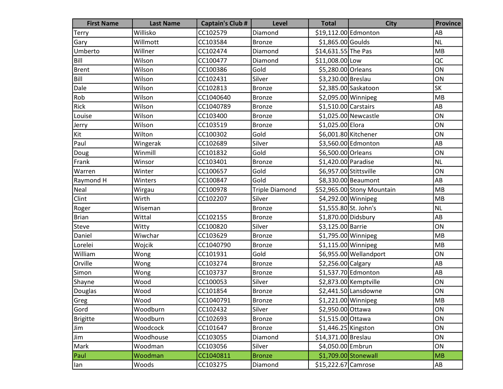| <b>First Name</b> | <b>Last Name</b> | <b>Captain's Club #</b> | Level                 | <b>Total</b>           | <b>City</b>                | <b>Province</b> |
|-------------------|------------------|-------------------------|-----------------------|------------------------|----------------------------|-----------------|
| Terry             | Willisko         | CC102579                | Diamond               | \$19,112.00 Edmonton   |                            | AB              |
| Gary              | Willmott         | CC103584                | <b>Bronze</b>         | \$1,865.00 Goulds      |                            | <b>NL</b>       |
| Umberto           | Willner          | CC102474                | Diamond               | \$14,631.55 The Pas    |                            | MB              |
| Bill              | Wilson           | CC100477                | Diamond               | \$11,008.00 Low        |                            | QC              |
| <b>Brent</b>      | Wilson           | CC100386                | Gold                  | \$5,280.00 Orleans     |                            | ON              |
| Bill              | Wilson           | CC102431                | Silver                | \$3,230.00 Breslau     |                            | ON              |
| Dale              | Wilson           | CC102813                | Bronze                |                        | \$2,385.00 Saskatoon       | SK              |
| Rob               | Wilson           | CC1040640               | <b>Bronze</b>         | \$2,095.00 Winnipeg    |                            | MB              |
| Rick              | Wilson           | CC1040789               | <b>Bronze</b>         | $$1,510.00$ Carstairs  |                            | AB              |
| Louise            | Wilson           | CC103400                | <b>Bronze</b>         |                        | \$1,025.00 Newcastle       | ON              |
| Jerry             | Wilson           | CC103519                | <b>Bronze</b>         | \$1,025.00 Elora       |                            | ON              |
| Kit               | Wilton           | CC100302                | Gold                  | \$6,001.80 Kitchener   |                            | ON              |
| Paul              | Wingerak         | CC102689                | Silver                |                        | \$3,560.00 Edmonton        | AB              |
| Doug              | Winmill          | CC101832                | Gold                  | \$6,500.00 Orleans     |                            | ON              |
| Frank             | Winsor           | CC103401                | <b>Bronze</b>         | \$1,420.00 Paradise    |                            | <b>NL</b>       |
| Warren            | Winter           | CC100657                | Gold                  | \$6,957.00 Stittsville |                            | ON              |
| Raymond H         | Winters          | CC100847                | Gold                  |                        | \$8,330.00 Beaumont        | AB              |
| Neal              | Wirgau           | CC100978                | <b>Triple Diamond</b> |                        | \$52,965.00 Stony Mountain | MB              |
| Clint             | Wirth            | CC102207                | Silver                | \$4,292.00 Winnipeg    |                            | MB              |
| Roger             | Wiseman          |                         | Bronze                | \$1,555.80 St. John's  |                            | <b>NL</b>       |
| <b>Brian</b>      | Wittal           | CC102155                | <b>Bronze</b>         | \$1,870.00 Didsbury    |                            | AB              |
| Steve             | Witty            | CC100820                | Silver                | \$3,125.00 Barrie      |                            | ON              |
| Daniel            | Wiwchar          | CC103629                | <b>Bronze</b>         | $$1,795.00$ Winnipeg   |                            | MB              |
| Lorelei           | Wojcik           | CC1040790               | <b>Bronze</b>         | $$1,115.00$ Winnipeg   |                            | MB              |
| William           | Wong             | CC101931                | Gold                  |                        | \$6,955.00 Wellandport     | ON              |
| Orville           | Wong             | CC103274                | <b>Bronze</b>         | \$2,256.00 Calgary     |                            | AB              |
| Simon             | Wong             | CC103737                | <b>Bronze</b>         |                        | \$1,537.70 Edmonton        | AB              |
| Shayne            | Wood             | CC100053                | Silver                |                        | \$2,873.00 Kemptville      | ON              |
| Douglas           | Wood             | CC101854                | <b>Bronze</b>         |                        | $$2,441.50$ Lansdowne      | ON              |
| Greg              | Wood             | CC1040791               | Bronze                | \$1,221.00 Winnipeg    |                            | <b>MB</b>       |
| Gord              | Woodburn         | CC102432                | Silver                | \$2,950.00 Ottawa      |                            | ON              |
| <b>Brigitte</b>   | Woodburn         | CC102693                | <b>Bronze</b>         | \$1,515.00 Ottawa      |                            | ON              |
| Jim               | Woodcock         | CC101647                | <b>Bronze</b>         | $$1,446.25$ Kingston   |                            | ON              |
| Jim               | Woodhouse        | CC103055                | Diamond               | \$14,371.00 Breslau    |                            | ON              |
| Mark              | Woodman          | CC103056                | Silver                | \$4,050.00 Embrun      |                            | ON              |
| Paul              | Woodman          | CC1040811               | <b>Bronze</b>         |                        | \$1,709.00 Stonewall       | MB              |
| lan               | Woods            | CC103275                | Diamond               | \$15,222.67 Camrose    |                            | AB              |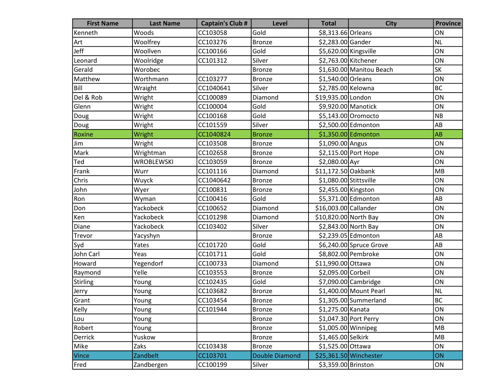| <b>First Name</b> | <b>Last Name</b>  | <b>Captain's Club #</b> | Level                 | <b>Total</b>           | <b>City</b>              | <b>Province</b> |
|-------------------|-------------------|-------------------------|-----------------------|------------------------|--------------------------|-----------------|
| Kenneth           | Woods             | CC103058                | Gold                  | \$8,313.66 Orleans     |                          | ON              |
| Art               | Woolfrey          | CC103276                | <b>Bronze</b>         | \$2,283.00 Gander      |                          | <b>NL</b>       |
| Jeff              | Woollven          | CC100166                | Gold                  | \$5,620.00 Kingsville  |                          | ON              |
| Leonard           | Woolridge         | CC101312                | Silver                | \$2,763.00 Kitchener   |                          | ON              |
| Gerald            | Worobec           |                         | <b>Bronze</b>         |                        | \$1,630.00 Manitou Beach | <b>SK</b>       |
| Matthew           | Worthmann         | CC103277                | Bronze                | \$1,540.00 Orleans     |                          | ON              |
| Bill              | Wraight           | CC1040641               | Silver                | \$2,785.00 Kelowna     |                          | <b>BC</b>       |
| Del & Rob         | Wright            | CC100089                | Diamond               | \$19,935.00 London     |                          | ON              |
| Glenn             | Wright            | CC100004                | Gold                  | \$9,920.00 Manotick    |                          | ON              |
| Doug              | Wright            | CC100168                | Gold                  |                        | \$5,143.00 Oromocto      | <b>NB</b>       |
| Doug              | Wright            | CC101559                | Silver                |                        | \$2,500.00 Edmonton      | AB              |
| Roxine            | Wright            | CC1040824               | <b>Bronze</b>         |                        | \$1,350.00 Edmonton      | AB              |
| Jim               | Wright            | CC103508                | <b>Bronze</b>         | $$1,090.00$ Angus      |                          | ON              |
| Mark              | Wrightman         | CC102658                | <b>Bronze</b>         |                        | \$2,115.00 Port Hope     | ON              |
| Ted               | <b>WROBLEWSKI</b> | CC103059                | <b>Bronze</b>         | \$2,080.00 Ayr         |                          | ON              |
| Frank             | Wurr              | CC101116                | Diamond               | \$11,172.50 Oakbank    |                          | MB              |
| Chris             | Wuyck             | CC1040642               | <b>Bronze</b>         | \$1,080.00 Stittsville |                          | ON              |
| John              | Wyer              | CC100831                | <b>Bronze</b>         | \$2,455.00 Kingston    |                          | ON              |
| Ron               | Wyman             | CC100416                | Gold                  |                        | \$5,371.00 Edmonton      | AB              |
| Don               | Yackobeck         | CC100652                | Diamond               | \$16,003.00 Callander  |                          | ON              |
| Ken               | Yackobeck         | CC101298                | Diamond               | \$10,820.00 North Bay  |                          | ON              |
| Diane             | Yackobeck         | CC103402                | Silver                |                        | \$2,843.00 North Bay     | ON              |
| Trevor            | Yacyshyn          |                         | <b>Bronze</b>         |                        | \$2,239.05 Edmonton      | AB              |
| Syd               | Yates             | CC101720                | Gold                  |                        | \$6,240.00 Spruce Grove  | AB              |
| John Carl         | Yeas              | CC101711                | Gold                  |                        | \$8,802.00 Pembroke      | ON              |
| Howard            | Yegendorf         | CC100733                | Diamond               | \$11,990.00 Ottawa     |                          | ON              |
| Raymond           | Yelle             | CC103553                | <b>Bronze</b>         | \$2,095.00 Corbeil     |                          | ON              |
| Stirling          | Young             | CC102435                | Gold                  |                        | \$7,090.00 Cambridge     | ON              |
| Jerry             | Young             | CC103682                | <b>Bronze</b>         |                        | \$1,400.00 Mount Pearl   | <b>NL</b>       |
| Grant             | Young             | CC103454                | Bronze                |                        | \$1,305.00 Summerland    | <b>BC</b>       |
| Kelly             | Young             | CC101944                | <b>Bronze</b>         | \$1,275.00 Kanata      |                          | ON              |
| Lou               | Young             |                         | <b>Bronze</b>         |                        | \$1,047.30 Port Perry    | ON              |
| Robert            | Young             |                         | <b>Bronze</b>         | $$1,005.00$ Winnipeg   |                          | MB              |
| Derrick           | Yuskow            |                         | <b>Bronze</b>         | \$1,465.00 Selkirk     |                          | MB              |
| Mike              | Zaks              | CC103438                | <b>Bronze</b>         | \$1,525.00 Ottawa      |                          | ON              |
| Vince             | Zandbelt          | CC103701                | <b>Double Diamond</b> |                        | \$25,361.50 Winchester   | ON              |
| Fred              | Zandbergen        | CC100199                | Silver                | \$3,359.00 Brinston    |                          | ON              |